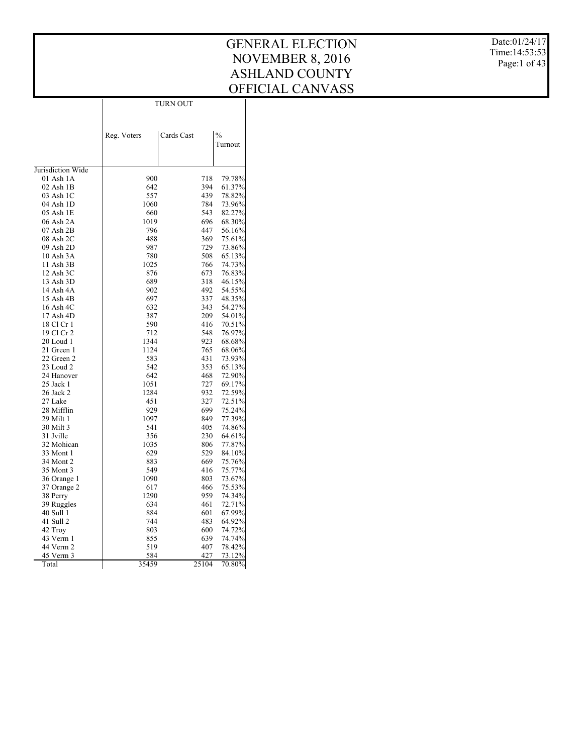Date:01/24/17 Time:14:53:53 Page:1 of 43

|                        |             | TURN OUT   |                          |
|------------------------|-------------|------------|--------------------------|
|                        | Reg. Voters | Cards Cast | $\frac{0}{0}$<br>Turnout |
|                        |             |            |                          |
|                        |             |            |                          |
| Jurisdiction Wide      |             |            |                          |
| $01$ Ash $1A$          | 900         | 718        | 79.78%                   |
| 02 Ash 1B              | 642         | 394        | 61.37%                   |
| 03 Ash 1C              | 557         | 439        | 78.82%                   |
| 04 Ash 1D              | 1060        | 784        | 73.96%<br>82.27%         |
| 05 Ash 1E<br>06 Ash 2A | 660<br>1019 | 543<br>696 | 68.30%                   |
| 07 Ash 2B              | 796         | 447        | 56.16%                   |
| 08 Ash 2C              | 488         | 369        | 75.61%                   |
| 09 Ash 2D              | 987         | 729        | 73.86%                   |
| 10 Ash 3A              | 780         | 508        | 65.13%                   |
| 11 Ash 3B              | 1025        | 766        | 74.73%                   |
| 12 Ash 3C              | 876         | 673        | 76.83%                   |
| 13 Ash 3D              | 689         | 318        | 46.15%                   |
| 14 Ash 4A              | 902         | 492        | 54.55%                   |
| 15 Ash 4B              | 697         | 337        | 48.35%                   |
| 16 Ash 4C              | 632         | 343        | 54.27%                   |
| 17 Ash 4D              | 387         | 209        | 54.01%                   |
| 18 Cl Cr 1             | 590         | 416        | 70.51%                   |
| 19 Cl Cr 2             | 712         | 548        | 76.97%                   |
| 20 Loud 1              | 1344        | 923        | 68.68%                   |
| 21 Green 1             | 1124        | 765        | 68.06%                   |
| 22 Green 2             | 583         | 431        | 73.93%                   |
| 23 Loud 2              | 542         | 353        | 65.13%                   |
| 24 Hanover             | 642         | 468        | 72.90%                   |
| 25 Jack 1              | 1051        | 727        | 69.17%                   |
| 26 Jack 2              | 1284        | 932        | 72.59%                   |
| 27 Lake                | 451         | 327        | 72.51%                   |
| 28 Mifflin             | 929         | 699        | 75.24%                   |
| 29 Milt 1              | 1097        | 849        | 77.39%                   |
| 30 Milt 3              | 541         | 405        | 74.86%                   |
| 31 Jville              | 356         | 230        | 64.61%                   |
| 32 Mohican             | 1035        | 806        | 77.87%                   |
| 33 Mont 1              | 629         | 529        | 84.10%                   |
| 34 Mont 2              | 883         | 669        | 75.76%                   |
| 35 Mont 3              | 549         | 416        | 75.77%                   |
| 36 Orange 1            | 1090        | 803        | 73.67%                   |
| 37 Orange 2            | 617         | 466        | 75.53%                   |
| 38 Perry               | 1290        | 959        | 74.34%                   |

1290 959 74.34%<br>634 461 72.71% 634 461 72.71% 884 601 67.99%<br>744 483 64.92% 744 483 64.92% 803 600 74.72%<br>855 639 74.74% 855 639 74.74%<br>519 407 78.42% 519 407 78.42%<br>584 427 73.12% 584 427 73.12%<br>35459 25104 70.80%

70.80%

 38 Perry 39 Ruggles 40 Sull 1 41 Sull 2 42 Troy 43 Verm 1 44 Verm 2 45 Verm 3 Total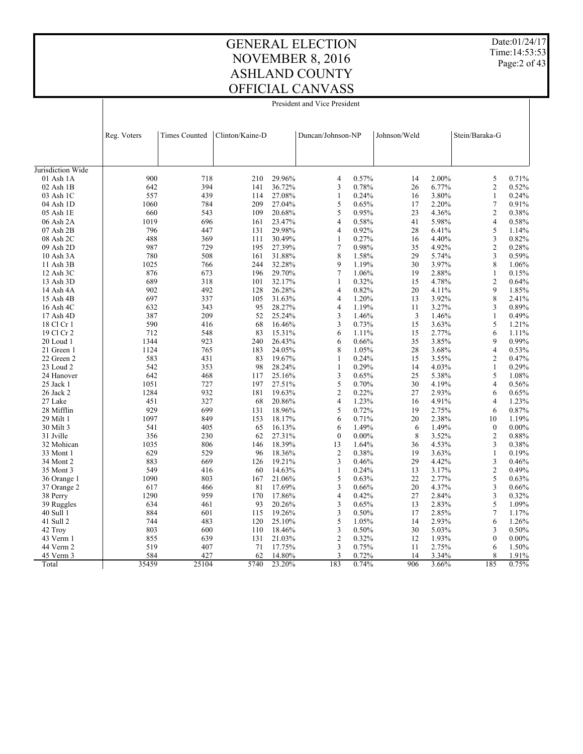Date:01/24/17 Time:14:53:53 Page: 2 of 43

### GENERAL ELECTION NOVEMBER 8, 2016 ASHLAND COUNTY OFFICIAL CANVASS

President and Vice President

|                   | Reg. Voters | <b>Times Counted</b> | Clinton/Kaine-D |        | Duncan/Johnson-NP |          | Johnson/Weld |       | Stein/Baraka-G           |          |
|-------------------|-------------|----------------------|-----------------|--------|-------------------|----------|--------------|-------|--------------------------|----------|
|                   |             |                      |                 |        |                   |          |              |       |                          |          |
| Jurisdiction Wide |             |                      |                 |        |                   |          |              |       |                          |          |
| 01 Ash 1A         | 900         | 718                  | 210             | 29.96% | 4                 | 0.57%    | 14           | 2.00% | 5                        | 0.71%    |
| $02$ Ash $1B$     | 642         | 394                  | 141             | 36.72% | 3                 | 0.78%    | 26           | 6.77% | $\overline{c}$           | 0.52%    |
| 03 Ash 1C         | 557         | 439                  | 114             | 27.08% | 1                 | 0.24%    | 16           | 3.80% | $\mathbf{1}$             | 0.24%    |
| 04 Ash 1D         | 1060        | 784                  | 209             | 27.04% | 5                 | 0.65%    | 17           | 2.20% | 7                        | 0.91%    |
| 05 Ash 1E         | 660         | 543                  | 109             | 20.68% | 5                 | 0.95%    | 23           | 4.36% | $\mathfrak{2}$           | 0.38%    |
| 06 Ash 2A         | 1019        | 696                  | 161             | 23.47% | 4                 | 0.58%    | 41           | 5.98% | 4                        | 0.58%    |
| 07 Ash 2B         | 796         | 447                  | 131             | 29.98% | 4                 | 0.92%    | 28           | 6.41% | 5                        | 1.14%    |
| 08 Ash 2C         | 488         | 369                  | 111             | 30.49% | 1                 | 0.27%    | 16           | 4.40% | 3                        | 0.82%    |
| 09 Ash 2D         | 987         | 729                  | 195             | 27.39% | 7                 | 0.98%    | 35           | 4.92% | $\overline{2}$           | 0.28%    |
| 10 Ash 3A         | 780         | 508                  | 161             | 31.88% | 8                 | 1.58%    | 29           | 5.74% | 3                        | 0.59%    |
| 11 Ash 3B         | 1025        | 766                  | 244             | 32.28% | 9                 | 1.19%    | 30           | 3.97% | 8                        | 1.06%    |
| 12 Ash 3C         | 876         | 673                  | 196             | 29.70% | $\tau$            | 1.06%    | 19           | 2.88% | $\mathbf{1}$             | 0.15%    |
| 13 Ash 3D         | 689         | 318                  | 101             | 32.17% | 1                 | 0.32%    | 15           | 4.78% | $\overline{2}$           | 0.64%    |
| 14 Ash 4A         | 902         | 492                  | 128             | 26.28% | 4                 | 0.82%    | 20           | 4.11% | 9                        | 1.85%    |
| 15 Ash 4B         | 697         | 337                  | 105             | 31.63% | 4                 | 1.20%    | 13           | 3.92% | 8                        | 2.41%    |
| 16 Ash 4C         | 632         | 343                  | 95              | 28.27% | $\overline{4}$    | 1.19%    | 11           | 3.27% | 3                        | 0.89%    |
| 17 Ash 4D         | 387         | 209                  | 52              | 25.24% | 3                 | 1.46%    | 3            | 1.46% | $\mathbf{1}$             | 0.49%    |
| 18 Cl Cr 1        | 590         | 416                  | 68              | 16.46% | 3                 | 0.73%    | 15           | 3.63% | 5                        | 1.21%    |
| 19 Cl Cr 2        | 712         | 548                  | 83              | 15.31% | 6                 | 1.11%    | 15           | 2.77% | 6                        | 1.11%    |
| 20 Loud 1         | 1344        | 923                  | 240             | 26.43% | 6                 | 0.66%    | 35           | 3.85% | 9                        | 0.99%    |
| 21 Green 1        | 1124        | 765                  | 183             | 24.05% | 8                 | 1.05%    | 28           | 3.68% | $\overline{\mathbf{4}}$  | 0.53%    |
| 22 Green 2        | 583         | 431                  | 83              | 19.67% | 1                 | 0.24%    | 15           | 3.55% | $\mathfrak{2}$           | 0.47%    |
| 23 Loud 2         | 542         | 353                  | 98              | 28.24% | 1                 | 0.29%    | 14           | 4.03% | $\mathbf{1}$             | 0.29%    |
| 24 Hanover        | 642         | 468                  | 117             | 25.16% | 3                 | 0.65%    | 25           | 5.38% | 5                        | 1.08%    |
| 25 Jack 1         | 1051        | 727                  | 197             | 27.51% | 5                 | 0.70%    | 30           | 4.19% | $\overline{\mathbf{4}}$  | 0.56%    |
| 26 Jack 2         | 1284        | 932                  | 181             | 19.63% | $\overline{c}$    | 0.22%    | 27           | 2.93% | 6                        | 0.65%    |
| 27 Lake           | 451         | 327                  | 68              | 20.86% | 4                 | 1.23%    | 16           | 4.91% | 4                        | 1.23%    |
| 28 Mifflin        | 929         | 699                  | 131             | 18.96% | 5                 | 0.72%    | 19           | 2.75% | 6                        | 0.87%    |
| 29 Milt 1         | 1097        | 849                  | 153             | 18.17% | 6                 | 0.71%    | 20           | 2.38% | 10                       | 1.19%    |
| 30 Milt 3         | 541         | 405                  | 65              | 16.13% | 6                 | 1.49%    | 6            | 1.49% | $\boldsymbol{0}$         | $0.00\%$ |
| 31 Jville         | 356         | 230                  | 62              | 27.31% | $\theta$          | $0.00\%$ | 8            | 3.52% | $\overline{2}$           | 0.88%    |
| 32 Mohican        | 1035        | 806                  | 146             | 18.39% | 13                | 1.64%    | 36           | 4.53% | 3                        | 0.38%    |
| 33 Mont 1         | 629         | 529                  | 96              | 18.36% | $\overline{c}$    | 0.38%    | 19           | 3.63% | $\mathbf{1}$             | 0.19%    |
| 34 Mont 2         | 883         | 669                  | 126             | 19.21% | 3                 | 0.46%    | 29           | 4.42% | 3                        | 0.46%    |
| 35 Mont 3         | 549         | 416                  | 60              | 14.63% | 1                 | 0.24%    | 13           | 3.17% | $\overline{c}$           | 0.49%    |
| 36 Orange 1       | 1090        | 803                  | 167             | 21.06% | 5                 | 0.63%    | 22           | 2.77% | 5                        | 0.63%    |
| 37 Orange 2       | 617         | 466                  | 81              | 17.69% | 3                 | 0.66%    | 20           | 4.37% | 3                        | 0.66%    |
| 38 Perry          | 1290        | 959                  | 170             | 17.86% | $\overline{4}$    | 0.42%    | 27           | 2.84% | 3                        | 0.32%    |
| 39 Ruggles        | 634         | 461                  | 93              | 20.26% | 3                 | 0.65%    | 13           | 2.83% | 5                        | 1.09%    |
| 40 Sull 1         | 884         | 601                  | 115             | 19.26% | 3                 | 0.50%    | 17           | 2.85% | $\overline{\mathcal{I}}$ | 1.17%    |
| 41 Sull 2         | 744         | 483                  | 120             | 25.10% | 5                 | 1.05%    | 14           | 2.93% | 6                        | 1.26%    |
| 42 Troy           | 803         | 600                  | 110             | 18.46% | 3                 | 0.50%    | 30           | 5.03% | 3                        | 0.50%    |
| 43 Verm 1         | 855         | 639                  | 131             | 21.03% | $\overline{2}$    | 0.32%    | 12           | 1.93% | $\theta$                 | $0.00\%$ |
| 44 Verm 2         | 519         | 407                  | 71              | 17.75% | 3                 | 0.75%    | 11           | 2.75% | 6                        | 1.50%    |
| 45 Verm 3         | 584         | 427                  | 62              | 14.80% | 3                 | 0.72%    | 14           | 3.34% | 8                        | 1.91%    |
| Total             | 35459       | 25104                | 5740            | 23.20% | 183               | 0.74%    | 906          | 3.66% | 185                      | 0.75%    |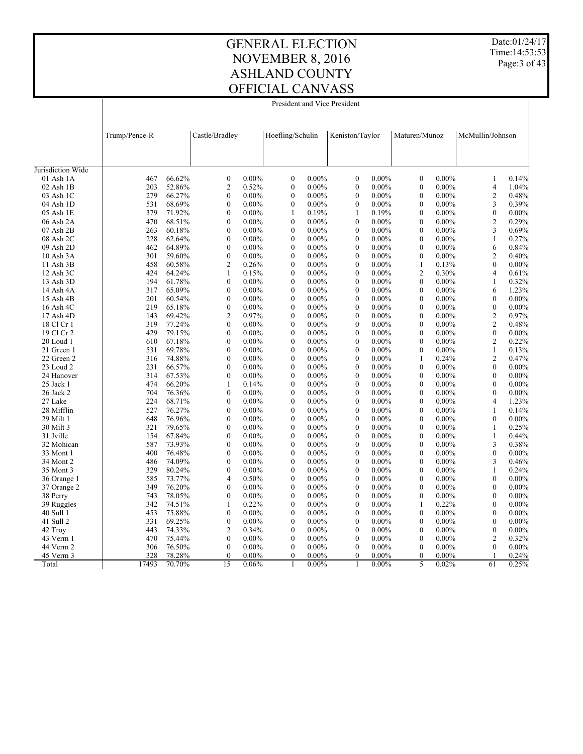Date:01/24/17 Time:14:53:53 Page: 3 of 43

President and Vice President

|                   | Trump/Pence-R |        | Castle/Bradley   |          | Hoefling/Schulin |          | Keniston/Taylor  |          | Maturen/Munoz    |          | McMullin/Johnson |          |
|-------------------|---------------|--------|------------------|----------|------------------|----------|------------------|----------|------------------|----------|------------------|----------|
|                   |               |        |                  |          |                  |          |                  |          |                  |          |                  |          |
| Jurisdiction Wide |               |        |                  |          |                  |          |                  |          |                  |          |                  |          |
| 01 Ash 1A         | 467           | 66.62% | $\boldsymbol{0}$ | $0.00\%$ | $\boldsymbol{0}$ | $0.00\%$ | $\Omega$         | $0.00\%$ | $\boldsymbol{0}$ | $0.00\%$ | 1                | 0.14%    |
| 02 Ash 1B         | 203           | 52.86% | $\overline{c}$   | 0.52%    | $\boldsymbol{0}$ | $0.00\%$ | $\Omega$         | $0.00\%$ | $\boldsymbol{0}$ | $0.00\%$ | $\overline{4}$   | 1.04%    |
| 03 Ash 1C         | 279           | 66.27% | $\boldsymbol{0}$ | $0.00\%$ | $\boldsymbol{0}$ | $0.00\%$ | $\boldsymbol{0}$ | $0.00\%$ | $\boldsymbol{0}$ | $0.00\%$ | $\mathfrak{2}$   | 0.48%    |
| 04 Ash 1D         | 531           | 68.69% | $\overline{0}$   | $0.00\%$ | $\boldsymbol{0}$ | $0.00\%$ | $\mathbf{0}$     | $0.00\%$ | $\boldsymbol{0}$ | $0.00\%$ | 3                | 0.39%    |
| 05 Ash 1E         | 379           | 71.92% | $\mathbf{0}$     | $0.00\%$ | $\mathbf{1}$     | 0.19%    | $\mathbf{1}$     | 0.19%    | $\boldsymbol{0}$ | $0.00\%$ | $\boldsymbol{0}$ | 0.00%    |
| 06 Ash 2A         | 470           | 68.51% | $\overline{0}$   | $0.00\%$ | $\boldsymbol{0}$ | $0.00\%$ | $\mathbf{0}$     | $0.00\%$ | $\boldsymbol{0}$ | $0.00\%$ | $\overline{c}$   | 0.29%    |
| 07 Ash 2B         | 263           | 60.18% | $\boldsymbol{0}$ | $0.00\%$ | $\boldsymbol{0}$ | $0.00\%$ | $\boldsymbol{0}$ | $0.00\%$ | $\boldsymbol{0}$ | $0.00\%$ | 3                | 0.69%    |
| 08 Ash 2C         | 228           | 62.64% | $\mathbf{0}$     | $0.00\%$ | $\mathbf{0}$     | $0.00\%$ | $\mathbf{0}$     | $0.00\%$ | $\mathbf{0}$     | $0.00\%$ | $\mathbf{1}$     | 0.27%    |
| 09 Ash 2D         | 462           | 64.89% | $\overline{0}$   | $0.00\%$ | $\mathbf{0}$     | $0.00\%$ | $\mathbf{0}$     | $0.00\%$ | $\boldsymbol{0}$ | $0.00\%$ | 6                | 0.84%    |
| 10 Ash 3A         | 301           | 59.60% | $\boldsymbol{0}$ | $0.00\%$ | $\boldsymbol{0}$ | $0.00\%$ | $\mathbf{0}$     | $0.00\%$ | $\boldsymbol{0}$ | $0.00\%$ | 2                | 0.40%    |
| 11 Ash 3B         | 458           | 60.58% | $\overline{c}$   | 0.26%    | $\boldsymbol{0}$ | $0.00\%$ | $\mathbf{0}$     | $0.00\%$ | $\mathbf{1}$     | 0.13%    | $\mathbf{0}$     | $0.00\%$ |
| 12 Ash 3C         | 424           | 64.24% | 1                | 0.15%    | $\boldsymbol{0}$ | $0.00\%$ | $\boldsymbol{0}$ | $0.00\%$ | $\overline{c}$   | 0.30%    | 4                | 0.61%    |
| 13 Ash 3D         | 194           | 61.78% | $\overline{0}$   | $0.00\%$ | $\boldsymbol{0}$ | $0.00\%$ | $\mathbf{0}$     | $0.00\%$ | $\mathbf{0}$     | $0.00\%$ | 1                | 0.32%    |
| 14 Ash 4A         | 317           | 65.09% | $\mathbf{0}$     | $0.00\%$ | $\boldsymbol{0}$ | $0.00\%$ | $\boldsymbol{0}$ | $0.00\%$ | $\boldsymbol{0}$ | $0.00\%$ | 6                | 1.23%    |
| 15 Ash 4B         | 201           | 60.54% | $\overline{0}$   | $0.00\%$ | $\boldsymbol{0}$ | $0.00\%$ | $\mathbf{0}$     | $0.00\%$ | $\boldsymbol{0}$ | $0.00\%$ | $\mathbf{0}$     | $0.00\%$ |
| 16 Ash 4C         | 219           | 65.18% | $\boldsymbol{0}$ | $0.00\%$ | $\mathbf{0}$     | $0.00\%$ | $\mathbf{0}$     | $0.00\%$ | $\mathbf{0}$     | $0.00\%$ | $\mathbf{0}$     | $0.00\%$ |
| 17 Ash 4D         | 143           | 69.42% | $\overline{c}$   | 0.97%    | $\mathbf{0}$     | $0.00\%$ | $\mathbf{0}$     | $0.00\%$ | $\mathbf{0}$     | $0.00\%$ | $\overline{c}$   | 0.97%    |
| 18 Cl Cr 1        | 319           | 77.24% | $\mathbf{0}$     | $0.00\%$ | $\mathbf{0}$     | $0.00\%$ | $\mathbf{0}$     | $0.00\%$ | $\boldsymbol{0}$ | $0.00\%$ | $\overline{c}$   | 0.48%    |
| 19 Cl Cr 2        | 429           | 79.15% | $\mathbf{0}$     | $0.00\%$ | $\boldsymbol{0}$ | $0.00\%$ | $\boldsymbol{0}$ | $0.00\%$ | $\boldsymbol{0}$ | $0.00\%$ | $\boldsymbol{0}$ | 0.00%    |
| 20 Loud 1         | 610           | 67.18% | $\overline{0}$   | $0.00\%$ | $\mathbf{0}$     | $0.00\%$ | $\mathbf{0}$     | $0.00\%$ | $\mathbf{0}$     | $0.00\%$ | $\overline{c}$   | 0.22%    |
| 21 Green 1        | 531           | 69.78% | $\mathbf{0}$     | $0.00\%$ | $\boldsymbol{0}$ | $0.00\%$ | $\mathbf{0}$     | $0.00\%$ | $\boldsymbol{0}$ | $0.00\%$ | $\mathbf{1}$     | 0.13%    |
| 22 Green 2        | 316           | 74.88% | $\overline{0}$   | $0.00\%$ | $\mathbf{0}$     | $0.00\%$ | $\mathbf{0}$     | $0.00\%$ | 1                | 0.24%    | $\overline{c}$   | 0.47%    |
| 23 Loud 2         | 231           | 66.57% | $\mathbf{0}$     | $0.00\%$ | $\boldsymbol{0}$ | $0.00\%$ | $\mathbf{0}$     | $0.00\%$ | $\boldsymbol{0}$ | $0.00\%$ | $\mathbf{0}$     | $0.00\%$ |
| 24 Hanover        | 314           | 67.53% | $\overline{0}$   | $0.00\%$ | $\mathbf{0}$     | $0.00\%$ | $\mathbf{0}$     | $0.00\%$ | $\mathbf{0}$     | $0.00\%$ | $\theta$         | $0.00\%$ |
| 25 Jack 1         | 474           | 66.20% | 1                | 0.14%    | $\mathbf{0}$     | $0.00\%$ | $\mathbf{0}$     | $0.00\%$ | $\mathbf{0}$     | $0.00\%$ | $\mathbf{0}$     | $0.00\%$ |
| 26 Jack 2         | 704           | 76.36% | $\mathbf{0}$     | $0.00\%$ | $\boldsymbol{0}$ | $0.00\%$ | $\mathbf{0}$     | $0.00\%$ | $\boldsymbol{0}$ | $0.00\%$ | $\mathbf{0}$     | 0.00%    |
| 27 Lake           | 224           | 68.71% | $\mathbf{0}$     | $0.00\%$ | $\mathbf{0}$     | $0.00\%$ | $\mathbf{0}$     | $0.00\%$ | $\boldsymbol{0}$ | $0.00\%$ | 4                | 1.23%    |
| 28 Mifflin        | 527           | 76.27% | $\mathbf{0}$     | $0.00\%$ | $\boldsymbol{0}$ | $0.00\%$ | $\mathbf{0}$     | $0.00\%$ | $\boldsymbol{0}$ | $0.00\%$ | 1                | 0.14%    |
| 29 Milt 1         | 648           | 76.96% | $\overline{0}$   | $0.00\%$ | $\mathbf{0}$     | $0.00\%$ | $\mathbf{0}$     | $0.00\%$ | $\mathbf{0}$     | $0.00\%$ | $\mathbf{0}$     | 0.00%    |
| 30 Milt 3         | 321           | 79.65% | $\mathbf{0}$     | $0.00\%$ | $\boldsymbol{0}$ | $0.00\%$ | $\mathbf{0}$     | $0.00\%$ | $\boldsymbol{0}$ | $0.00\%$ | $\mathbf{1}$     | 0.25%    |
| 31 Jville         | 154           | 67.84% | $\overline{0}$   | $0.00\%$ | $\mathbf{0}$     | $0.00\%$ | $\mathbf{0}$     | $0.00\%$ | $\mathbf{0}$     | $0.00\%$ | 1                | 0.44%    |
| 32 Mohican        | 587           | 73.93% | $\overline{0}$   | $0.00\%$ | $\mathbf{0}$     | $0.00\%$ | $\mathbf{0}$     | $0.00\%$ | $\mathbf{0}$     | $0.00\%$ | 3                | 0.38%    |
| 33 Mont 1         | 400           | 76.48% | $\mathbf{0}$     | $0.00\%$ | $\mathbf{0}$     | $0.00\%$ | $\mathbf{0}$     | $0.00\%$ | $\mathbf{0}$     | $0.00\%$ | $\mathbf{0}$     | $0.00\%$ |
| 34 Mont 2         | 486           | 74.09% | $\mathbf{0}$     | $0.00\%$ | $\mathbf{0}$     | $0.00\%$ | $\mathbf{0}$     | $0.00\%$ | $\mathbf{0}$     | $0.00\%$ | 3                | 0.46%    |
| 35 Mont 3         | 329           | 80.24% | $\mathbf{0}$     | $0.00\%$ | $\boldsymbol{0}$ | $0.00\%$ | $\mathbf{0}$     | $0.00\%$ | $\boldsymbol{0}$ | $0.00\%$ | 1                | 0.24%    |
| 36 Orange 1       | 585           | 73.77% | 4                | 0.50%    | $\mathbf{0}$     | $0.00\%$ | $\mathbf{0}$     | $0.00\%$ | $\mathbf{0}$     | $0.00\%$ | $\mathbf{0}$     | $0.00\%$ |
| 37 Orange 2       | 349           | 76.20% | $\mathbf{0}$     | $0.00\%$ | $\boldsymbol{0}$ | $0.00\%$ | $\mathbf{0}$     | $0.00\%$ | $\boldsymbol{0}$ | $0.00\%$ | $\mathbf{0}$     | $0.00\%$ |
| 38 Perry          | 743           | 78.05% | $\overline{0}$   | $0.00\%$ | $\mathbf{0}$     | $0.00\%$ | $\mathbf{0}$     | $0.00\%$ | $\mathbf{0}$     | $0.00\%$ | $\theta$         | $0.00\%$ |
| 39 Ruggles        | 342           | 74.51% | $\mathbf{1}$     | 0.22%    | $\mathbf{0}$     | $0.00\%$ | $\mathbf{0}$     | $0.00\%$ | $\mathbf{1}$     | 0.22%    | $\mathbf{0}$     | $0.00\%$ |
| 40 Sull 1         | 453           | 75.88% | $\mathbf{0}$     | $0.00\%$ | $\mathbf{0}$     | $0.00\%$ | $\mathbf{0}$     | $0.00\%$ | $\mathbf{0}$     | $0.00\%$ | $\theta$         | $0.00\%$ |
| 41 Sull 2         | 331           | 69.25% | $\mathbf{0}$     | $0.00\%$ | $\mathbf{0}$     | $0.00\%$ | $\mathbf{0}$     | $0.00\%$ | $\mathbf{0}$     | $0.00\%$ | $\mathbf{0}$     | 0.00%    |
| 42 Troy           | 443           | 74.33% | $\overline{c}$   | 0.34%    | $\mathbf{0}$     | $0.00\%$ | $\mathbf{0}$     | $0.00\%$ | $\mathbf{0}$     | $0.00\%$ | $\mathbf{0}$     | 0.00%    |
| 43 Verm 1         | 470           | 75.44% | $\overline{0}$   | $0.00\%$ | $\mathbf{0}$     | $0.00\%$ | $\theta$         | $0.00\%$ | $\mathbf{0}$     | $0.00\%$ | $\overline{c}$   | 0.32%    |
| 44 Verm 2         | 306           | 76.50% | $\mathbf{0}$     | $0.00\%$ | $\mathbf{0}$     | $0.00\%$ | $\theta$         | $0.00\%$ | $\mathbf{0}$     | $0.00\%$ | $\theta$         | $0.00\%$ |
| 45 Verm 3         | 328           | 78.28% | 0                | $0.00\%$ | $\theta$         | $0.00\%$ | $\theta$         | $0.00\%$ | $\theta$         | $0.00\%$ |                  | 0.24%    |
| Total             | 17493         | 70.70% | 15               | 0.06%    | $\mathbf{1}$     | $0.00\%$ | $\mathbf{1}$     | $0.00\%$ | $\overline{5}$   | 0.02%    | 61               | 0.25%    |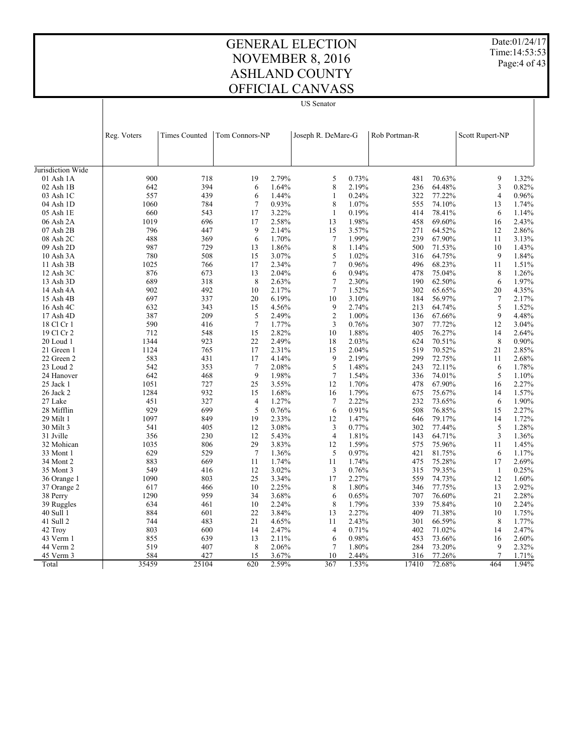Date:01/24/17 Time:14:53:53 Page: 4 of 43

#### GENERAL ELECTION NOVEMBER 8, 2016 ASHLAND COUNTY OFFICIAL CANVASS US Senator

 $\overline{\phantom{a}}$ 

| <b>Times Counted</b><br>Tom Connors-NP<br>Joseph R. DeMare-G<br>Rob Portman-R<br>Scott Rupert-NP<br>Reg. Voters<br>Jurisdiction Wide<br>9<br>900<br>718<br>19<br>2.79%<br>0.73%<br>481<br>70.63%<br>01 Ash 1A<br>5<br>394<br>8<br>2.19%<br>3<br>02 Ash 1B<br>642<br>6<br>1.64%<br>236<br>64.48%<br>439<br>1.44%<br>0.24%<br>322<br>77.22%<br>$\overline{4}$<br>03 Ash 1C<br>557<br>6<br>$\mathbf{1}$<br>8<br>1.07%<br>784<br>$\tau$<br>0.93%<br>555<br>74.10%<br>04 Ash 1D<br>1060<br>13<br>543<br>17<br>3.22%<br>0.19%<br>78.41%<br>05 Ash 1E<br>660<br>$\mathbf{1}$<br>414<br>6<br>1.98%<br>06 Ash 2A<br>1019<br>696<br>17<br>2.58%<br>13<br>458<br>69.60%<br>2.43%<br>16<br>9<br>3.57%<br>07 Ash 2B<br>796<br>2.14%<br>271<br>64.52%<br>2.86%<br>447<br>15<br>12<br>488<br>$\tau$<br>1.99%<br>08 Ash 2C<br>369<br>6<br>1.70%<br>239<br>67.90%<br>11<br>8<br>729<br>1.86%<br>1.14%<br>71.53%<br>1.43%<br>09 Ash 2D<br>987<br>13<br>500<br>10<br>3.07%<br>5<br>1.02%<br>9<br>780<br>508<br>15<br>316<br>64.75%<br>10 Ash 3A<br>0.96%<br>1025<br>766<br>17<br>2.34%<br>$\tau$<br>496<br>68.23%<br>11<br>1.51%<br>11 Ash 3B<br>0.94%<br>75.04%<br>12 Ash 3C<br>876<br>673<br>13<br>2.04%<br>6<br>478<br>8<br>1.26%<br>$\boldsymbol{7}$<br>2.30%<br>689<br>318<br>8<br>2.63%<br>190<br>62.50%<br>6<br>13 Ash 3D<br>$\tau$<br>1.52%<br>902<br>492<br>10<br>2.17%<br>302<br>65.65%<br>20<br>4.35%<br>14 Ash 4A<br>697<br>20<br>6.19%<br>10<br>3.10%<br>$\overline{7}$<br>15 Ash 4B<br>337<br>184<br>56.97%<br>5<br>4.56%<br>9<br>2.74%<br>1.52%<br>16 Ash 4C<br>632<br>343<br>15<br>213<br>64.74%<br>$\overline{c}$<br>1.00%<br>9<br>387<br>209<br>5<br>2.49%<br>67.66%<br>4.48%<br>17 Ash 4D<br>136<br>590<br>$\tau$<br>1.77%<br>3<br>0.76%<br>77.72%<br>18 Cl Cr 1<br>416<br>307<br>12<br>1.88%<br>712<br>15<br>2.82%<br>10<br>405<br>76.27%<br>2.64%<br>19 Cl Cr 2<br>548<br>14<br>923<br>22<br>2.49%<br>2.03%<br>8<br>20 Loud 1<br>1344<br>18<br>624<br>70.51%<br>2.31%<br>2.04%<br>1124<br>765<br>17<br>15<br>519<br>70.52%<br>21<br>2.85%<br>21 Green 1<br>583<br>9<br>2.19%<br>299<br>72.75%<br>2.68%<br>22 Green 2<br>431<br>17<br>4.14%<br>11<br>$\overline{7}$<br>2.08%<br>5<br>1.48%<br>23 Loud 2<br>542<br>353<br>243<br>72.11%<br>6<br>642<br>9<br>1.98%<br>$\tau$<br>1.54%<br>336<br>74.01%<br>5<br>1.10%<br>24 Hanover<br>468<br>1.70%<br>25<br>3.55%<br>12<br>67.90%<br>16<br>2.27%<br>25 Jack 1<br>1051<br>727<br>478<br>1.79%<br>1284<br>932<br>15<br>1.68%<br>16<br>675<br>75.67%<br>1.57%<br>14<br>26 Jack 2<br>2.22%<br>451<br>327<br>$\overline{4}$<br>1.27%<br>$\overline{7}$<br>232<br>73.65%<br>6<br>1.90%<br>27 Lake<br>929<br>699<br>5<br>0.76%<br>6<br>0.91%<br>508<br>76.85%<br>2.27%<br>28 Mifflin<br>15<br>1.47%<br>29 Milt 1<br>1097<br>849<br>19<br>2.33%<br>12<br>646<br>79.17%<br>14<br>1.72%<br>12<br>3.08%<br>3<br>0.77%<br>5<br>30 Milt 3<br>541<br>405<br>302<br>77.44%<br>1.28%<br>$\overline{4}$<br>1.81%<br>356<br>230<br>12<br>5.43%<br>143<br>64.71%<br>3<br>1.36%<br>31 Jville<br>1.59%<br>1035<br>806<br>29<br>3.83%<br>12<br>575<br>75.96%<br>11<br>1.45%<br>32 Mohican<br>629<br>$\overline{7}$<br>1.36%<br>5<br>0.97%<br>529<br>421<br>81.75%<br>1.17%<br>33 Mont 1<br>6<br>883<br>669<br>1.74%<br>11<br>1.74%<br>475<br>75.28%<br>17<br>2.69%<br>34 Mont 2<br>11<br>3<br>549<br>416<br>12<br>3.02%<br>0.76%<br>315<br>79.35%<br>-1<br>0.25%<br>35 Mont 3<br>2.27%<br>1090<br>803<br>25<br>3.34%<br>559<br>74.73%<br>36 Orange 1<br>17<br>12<br>1.60%<br>1.80%<br>37 Orange 2<br>617<br>466<br>10<br>2.25%<br>8<br>346<br>77.75%<br>13<br>2.92%<br>0.65%<br>1290<br>959<br>34<br>3.68%<br>6<br>76.60%<br>21<br>2.28%<br>38 Perry<br>707<br>2.24%<br>8<br>1.79%<br>339<br>75.84%<br>2.24%<br>39 Ruggles<br>634<br>461<br>10<br>10<br>884<br>22<br>3.84%<br>13<br>2.27%<br>409<br>71.38%<br>40 Sull 1<br>601<br>10<br>1.75%<br>21<br>2.43%<br>41 Sull 2<br>744<br>483<br>4.65%<br>11<br>301<br>66.59%<br>8<br>1.77%<br>803<br>600<br>14<br>2.47%<br>$\overline{4}$<br>0.71%<br>402<br>71.02%<br>2.47%<br>42 Troy<br>14<br>0.98%<br>855<br>639<br>13<br>2.11%<br>6<br>453<br>73.66%<br>16<br>2.60%<br>43 Verm 1<br>1.80%<br>519<br>407<br>8<br>2.06%<br>$\overline{7}$<br>284<br>73.20%<br>9<br>2.32%<br>44 Verm 2<br>584<br>$\overline{7}$<br>45 Verm 3<br>427<br>15<br>3.67%<br>10<br>2.44%<br>316<br>77.26%<br>1.71%<br>35459<br>25104<br>620<br>2.59%<br>367<br>1.53%<br>17410<br>72.68%<br>464<br>Total |  |  |  |  |  |  |
|--------------------------------------------------------------------------------------------------------------------------------------------------------------------------------------------------------------------------------------------------------------------------------------------------------------------------------------------------------------------------------------------------------------------------------------------------------------------------------------------------------------------------------------------------------------------------------------------------------------------------------------------------------------------------------------------------------------------------------------------------------------------------------------------------------------------------------------------------------------------------------------------------------------------------------------------------------------------------------------------------------------------------------------------------------------------------------------------------------------------------------------------------------------------------------------------------------------------------------------------------------------------------------------------------------------------------------------------------------------------------------------------------------------------------------------------------------------------------------------------------------------------------------------------------------------------------------------------------------------------------------------------------------------------------------------------------------------------------------------------------------------------------------------------------------------------------------------------------------------------------------------------------------------------------------------------------------------------------------------------------------------------------------------------------------------------------------------------------------------------------------------------------------------------------------------------------------------------------------------------------------------------------------------------------------------------------------------------------------------------------------------------------------------------------------------------------------------------------------------------------------------------------------------------------------------------------------------------------------------------------------------------------------------------------------------------------------------------------------------------------------------------------------------------------------------------------------------------------------------------------------------------------------------------------------------------------------------------------------------------------------------------------------------------------------------------------------------------------------------------------------------------------------------------------------------------------------------------------------------------------------------------------------------------------------------------------------------------------------------------------------------------------------------------------------------------------------------------------------------------------------------------------------------------------------------------------------------------------------------------------------------------------------------------------------------------------------------------------------------------------------------------------------------------------------------------------------------------------------------------------------------------------------------------------------------------------------------------------------------------------------------------------------------------------------------------------------------------------------------------------------------------------------------------------------------------------------------------------------------------------------------------------------------------------------------------------------------------------------------------------------------------------------------------------------------------------------|--|--|--|--|--|--|
| 1.32%<br>0.82%<br>0.96%<br>1.74%<br>1.14%<br>3.13%<br>1.84%<br>1.97%<br>2.17%<br>3.04%<br>0.90%<br>1.78%<br>1.94%                                                                                                                                                                                                                                                                                                                                                                                                                                                                                                                                                                                                                                                                                                                                                                                                                                                                                                                                                                                                                                                                                                                                                                                                                                                                                                                                                                                                                                                                                                                                                                                                                                                                                                                                                                                                                                                                                                                                                                                                                                                                                                                                                                                                                                                                                                                                                                                                                                                                                                                                                                                                                                                                                                                                                                                                                                                                                                                                                                                                                                                                                                                                                                                                                                                                                                                                                                                                                                                                                                                                                                                                                                                                                                                                                                                                                                                                                                                                                                                                                                                                                                                                                                                                                                                                                                                                      |  |  |  |  |  |  |
|                                                                                                                                                                                                                                                                                                                                                                                                                                                                                                                                                                                                                                                                                                                                                                                                                                                                                                                                                                                                                                                                                                                                                                                                                                                                                                                                                                                                                                                                                                                                                                                                                                                                                                                                                                                                                                                                                                                                                                                                                                                                                                                                                                                                                                                                                                                                                                                                                                                                                                                                                                                                                                                                                                                                                                                                                                                                                                                                                                                                                                                                                                                                                                                                                                                                                                                                                                                                                                                                                                                                                                                                                                                                                                                                                                                                                                                                                                                                                                                                                                                                                                                                                                                                                                                                                                                                                                                                                                                        |  |  |  |  |  |  |
|                                                                                                                                                                                                                                                                                                                                                                                                                                                                                                                                                                                                                                                                                                                                                                                                                                                                                                                                                                                                                                                                                                                                                                                                                                                                                                                                                                                                                                                                                                                                                                                                                                                                                                                                                                                                                                                                                                                                                                                                                                                                                                                                                                                                                                                                                                                                                                                                                                                                                                                                                                                                                                                                                                                                                                                                                                                                                                                                                                                                                                                                                                                                                                                                                                                                                                                                                                                                                                                                                                                                                                                                                                                                                                                                                                                                                                                                                                                                                                                                                                                                                                                                                                                                                                                                                                                                                                                                                                                        |  |  |  |  |  |  |
|                                                                                                                                                                                                                                                                                                                                                                                                                                                                                                                                                                                                                                                                                                                                                                                                                                                                                                                                                                                                                                                                                                                                                                                                                                                                                                                                                                                                                                                                                                                                                                                                                                                                                                                                                                                                                                                                                                                                                                                                                                                                                                                                                                                                                                                                                                                                                                                                                                                                                                                                                                                                                                                                                                                                                                                                                                                                                                                                                                                                                                                                                                                                                                                                                                                                                                                                                                                                                                                                                                                                                                                                                                                                                                                                                                                                                                                                                                                                                                                                                                                                                                                                                                                                                                                                                                                                                                                                                                                        |  |  |  |  |  |  |
|                                                                                                                                                                                                                                                                                                                                                                                                                                                                                                                                                                                                                                                                                                                                                                                                                                                                                                                                                                                                                                                                                                                                                                                                                                                                                                                                                                                                                                                                                                                                                                                                                                                                                                                                                                                                                                                                                                                                                                                                                                                                                                                                                                                                                                                                                                                                                                                                                                                                                                                                                                                                                                                                                                                                                                                                                                                                                                                                                                                                                                                                                                                                                                                                                                                                                                                                                                                                                                                                                                                                                                                                                                                                                                                                                                                                                                                                                                                                                                                                                                                                                                                                                                                                                                                                                                                                                                                                                                                        |  |  |  |  |  |  |
|                                                                                                                                                                                                                                                                                                                                                                                                                                                                                                                                                                                                                                                                                                                                                                                                                                                                                                                                                                                                                                                                                                                                                                                                                                                                                                                                                                                                                                                                                                                                                                                                                                                                                                                                                                                                                                                                                                                                                                                                                                                                                                                                                                                                                                                                                                                                                                                                                                                                                                                                                                                                                                                                                                                                                                                                                                                                                                                                                                                                                                                                                                                                                                                                                                                                                                                                                                                                                                                                                                                                                                                                                                                                                                                                                                                                                                                                                                                                                                                                                                                                                                                                                                                                                                                                                                                                                                                                                                                        |  |  |  |  |  |  |
|                                                                                                                                                                                                                                                                                                                                                                                                                                                                                                                                                                                                                                                                                                                                                                                                                                                                                                                                                                                                                                                                                                                                                                                                                                                                                                                                                                                                                                                                                                                                                                                                                                                                                                                                                                                                                                                                                                                                                                                                                                                                                                                                                                                                                                                                                                                                                                                                                                                                                                                                                                                                                                                                                                                                                                                                                                                                                                                                                                                                                                                                                                                                                                                                                                                                                                                                                                                                                                                                                                                                                                                                                                                                                                                                                                                                                                                                                                                                                                                                                                                                                                                                                                                                                                                                                                                                                                                                                                                        |  |  |  |  |  |  |
|                                                                                                                                                                                                                                                                                                                                                                                                                                                                                                                                                                                                                                                                                                                                                                                                                                                                                                                                                                                                                                                                                                                                                                                                                                                                                                                                                                                                                                                                                                                                                                                                                                                                                                                                                                                                                                                                                                                                                                                                                                                                                                                                                                                                                                                                                                                                                                                                                                                                                                                                                                                                                                                                                                                                                                                                                                                                                                                                                                                                                                                                                                                                                                                                                                                                                                                                                                                                                                                                                                                                                                                                                                                                                                                                                                                                                                                                                                                                                                                                                                                                                                                                                                                                                                                                                                                                                                                                                                                        |  |  |  |  |  |  |
|                                                                                                                                                                                                                                                                                                                                                                                                                                                                                                                                                                                                                                                                                                                                                                                                                                                                                                                                                                                                                                                                                                                                                                                                                                                                                                                                                                                                                                                                                                                                                                                                                                                                                                                                                                                                                                                                                                                                                                                                                                                                                                                                                                                                                                                                                                                                                                                                                                                                                                                                                                                                                                                                                                                                                                                                                                                                                                                                                                                                                                                                                                                                                                                                                                                                                                                                                                                                                                                                                                                                                                                                                                                                                                                                                                                                                                                                                                                                                                                                                                                                                                                                                                                                                                                                                                                                                                                                                                                        |  |  |  |  |  |  |
|                                                                                                                                                                                                                                                                                                                                                                                                                                                                                                                                                                                                                                                                                                                                                                                                                                                                                                                                                                                                                                                                                                                                                                                                                                                                                                                                                                                                                                                                                                                                                                                                                                                                                                                                                                                                                                                                                                                                                                                                                                                                                                                                                                                                                                                                                                                                                                                                                                                                                                                                                                                                                                                                                                                                                                                                                                                                                                                                                                                                                                                                                                                                                                                                                                                                                                                                                                                                                                                                                                                                                                                                                                                                                                                                                                                                                                                                                                                                                                                                                                                                                                                                                                                                                                                                                                                                                                                                                                                        |  |  |  |  |  |  |
|                                                                                                                                                                                                                                                                                                                                                                                                                                                                                                                                                                                                                                                                                                                                                                                                                                                                                                                                                                                                                                                                                                                                                                                                                                                                                                                                                                                                                                                                                                                                                                                                                                                                                                                                                                                                                                                                                                                                                                                                                                                                                                                                                                                                                                                                                                                                                                                                                                                                                                                                                                                                                                                                                                                                                                                                                                                                                                                                                                                                                                                                                                                                                                                                                                                                                                                                                                                                                                                                                                                                                                                                                                                                                                                                                                                                                                                                                                                                                                                                                                                                                                                                                                                                                                                                                                                                                                                                                                                        |  |  |  |  |  |  |
|                                                                                                                                                                                                                                                                                                                                                                                                                                                                                                                                                                                                                                                                                                                                                                                                                                                                                                                                                                                                                                                                                                                                                                                                                                                                                                                                                                                                                                                                                                                                                                                                                                                                                                                                                                                                                                                                                                                                                                                                                                                                                                                                                                                                                                                                                                                                                                                                                                                                                                                                                                                                                                                                                                                                                                                                                                                                                                                                                                                                                                                                                                                                                                                                                                                                                                                                                                                                                                                                                                                                                                                                                                                                                                                                                                                                                                                                                                                                                                                                                                                                                                                                                                                                                                                                                                                                                                                                                                                        |  |  |  |  |  |  |
|                                                                                                                                                                                                                                                                                                                                                                                                                                                                                                                                                                                                                                                                                                                                                                                                                                                                                                                                                                                                                                                                                                                                                                                                                                                                                                                                                                                                                                                                                                                                                                                                                                                                                                                                                                                                                                                                                                                                                                                                                                                                                                                                                                                                                                                                                                                                                                                                                                                                                                                                                                                                                                                                                                                                                                                                                                                                                                                                                                                                                                                                                                                                                                                                                                                                                                                                                                                                                                                                                                                                                                                                                                                                                                                                                                                                                                                                                                                                                                                                                                                                                                                                                                                                                                                                                                                                                                                                                                                        |  |  |  |  |  |  |
|                                                                                                                                                                                                                                                                                                                                                                                                                                                                                                                                                                                                                                                                                                                                                                                                                                                                                                                                                                                                                                                                                                                                                                                                                                                                                                                                                                                                                                                                                                                                                                                                                                                                                                                                                                                                                                                                                                                                                                                                                                                                                                                                                                                                                                                                                                                                                                                                                                                                                                                                                                                                                                                                                                                                                                                                                                                                                                                                                                                                                                                                                                                                                                                                                                                                                                                                                                                                                                                                                                                                                                                                                                                                                                                                                                                                                                                                                                                                                                                                                                                                                                                                                                                                                                                                                                                                                                                                                                                        |  |  |  |  |  |  |
|                                                                                                                                                                                                                                                                                                                                                                                                                                                                                                                                                                                                                                                                                                                                                                                                                                                                                                                                                                                                                                                                                                                                                                                                                                                                                                                                                                                                                                                                                                                                                                                                                                                                                                                                                                                                                                                                                                                                                                                                                                                                                                                                                                                                                                                                                                                                                                                                                                                                                                                                                                                                                                                                                                                                                                                                                                                                                                                                                                                                                                                                                                                                                                                                                                                                                                                                                                                                                                                                                                                                                                                                                                                                                                                                                                                                                                                                                                                                                                                                                                                                                                                                                                                                                                                                                                                                                                                                                                                        |  |  |  |  |  |  |
|                                                                                                                                                                                                                                                                                                                                                                                                                                                                                                                                                                                                                                                                                                                                                                                                                                                                                                                                                                                                                                                                                                                                                                                                                                                                                                                                                                                                                                                                                                                                                                                                                                                                                                                                                                                                                                                                                                                                                                                                                                                                                                                                                                                                                                                                                                                                                                                                                                                                                                                                                                                                                                                                                                                                                                                                                                                                                                                                                                                                                                                                                                                                                                                                                                                                                                                                                                                                                                                                                                                                                                                                                                                                                                                                                                                                                                                                                                                                                                                                                                                                                                                                                                                                                                                                                                                                                                                                                                                        |  |  |  |  |  |  |
|                                                                                                                                                                                                                                                                                                                                                                                                                                                                                                                                                                                                                                                                                                                                                                                                                                                                                                                                                                                                                                                                                                                                                                                                                                                                                                                                                                                                                                                                                                                                                                                                                                                                                                                                                                                                                                                                                                                                                                                                                                                                                                                                                                                                                                                                                                                                                                                                                                                                                                                                                                                                                                                                                                                                                                                                                                                                                                                                                                                                                                                                                                                                                                                                                                                                                                                                                                                                                                                                                                                                                                                                                                                                                                                                                                                                                                                                                                                                                                                                                                                                                                                                                                                                                                                                                                                                                                                                                                                        |  |  |  |  |  |  |
|                                                                                                                                                                                                                                                                                                                                                                                                                                                                                                                                                                                                                                                                                                                                                                                                                                                                                                                                                                                                                                                                                                                                                                                                                                                                                                                                                                                                                                                                                                                                                                                                                                                                                                                                                                                                                                                                                                                                                                                                                                                                                                                                                                                                                                                                                                                                                                                                                                                                                                                                                                                                                                                                                                                                                                                                                                                                                                                                                                                                                                                                                                                                                                                                                                                                                                                                                                                                                                                                                                                                                                                                                                                                                                                                                                                                                                                                                                                                                                                                                                                                                                                                                                                                                                                                                                                                                                                                                                                        |  |  |  |  |  |  |
|                                                                                                                                                                                                                                                                                                                                                                                                                                                                                                                                                                                                                                                                                                                                                                                                                                                                                                                                                                                                                                                                                                                                                                                                                                                                                                                                                                                                                                                                                                                                                                                                                                                                                                                                                                                                                                                                                                                                                                                                                                                                                                                                                                                                                                                                                                                                                                                                                                                                                                                                                                                                                                                                                                                                                                                                                                                                                                                                                                                                                                                                                                                                                                                                                                                                                                                                                                                                                                                                                                                                                                                                                                                                                                                                                                                                                                                                                                                                                                                                                                                                                                                                                                                                                                                                                                                                                                                                                                                        |  |  |  |  |  |  |
|                                                                                                                                                                                                                                                                                                                                                                                                                                                                                                                                                                                                                                                                                                                                                                                                                                                                                                                                                                                                                                                                                                                                                                                                                                                                                                                                                                                                                                                                                                                                                                                                                                                                                                                                                                                                                                                                                                                                                                                                                                                                                                                                                                                                                                                                                                                                                                                                                                                                                                                                                                                                                                                                                                                                                                                                                                                                                                                                                                                                                                                                                                                                                                                                                                                                                                                                                                                                                                                                                                                                                                                                                                                                                                                                                                                                                                                                                                                                                                                                                                                                                                                                                                                                                                                                                                                                                                                                                                                        |  |  |  |  |  |  |
|                                                                                                                                                                                                                                                                                                                                                                                                                                                                                                                                                                                                                                                                                                                                                                                                                                                                                                                                                                                                                                                                                                                                                                                                                                                                                                                                                                                                                                                                                                                                                                                                                                                                                                                                                                                                                                                                                                                                                                                                                                                                                                                                                                                                                                                                                                                                                                                                                                                                                                                                                                                                                                                                                                                                                                                                                                                                                                                                                                                                                                                                                                                                                                                                                                                                                                                                                                                                                                                                                                                                                                                                                                                                                                                                                                                                                                                                                                                                                                                                                                                                                                                                                                                                                                                                                                                                                                                                                                                        |  |  |  |  |  |  |
|                                                                                                                                                                                                                                                                                                                                                                                                                                                                                                                                                                                                                                                                                                                                                                                                                                                                                                                                                                                                                                                                                                                                                                                                                                                                                                                                                                                                                                                                                                                                                                                                                                                                                                                                                                                                                                                                                                                                                                                                                                                                                                                                                                                                                                                                                                                                                                                                                                                                                                                                                                                                                                                                                                                                                                                                                                                                                                                                                                                                                                                                                                                                                                                                                                                                                                                                                                                                                                                                                                                                                                                                                                                                                                                                                                                                                                                                                                                                                                                                                                                                                                                                                                                                                                                                                                                                                                                                                                                        |  |  |  |  |  |  |
|                                                                                                                                                                                                                                                                                                                                                                                                                                                                                                                                                                                                                                                                                                                                                                                                                                                                                                                                                                                                                                                                                                                                                                                                                                                                                                                                                                                                                                                                                                                                                                                                                                                                                                                                                                                                                                                                                                                                                                                                                                                                                                                                                                                                                                                                                                                                                                                                                                                                                                                                                                                                                                                                                                                                                                                                                                                                                                                                                                                                                                                                                                                                                                                                                                                                                                                                                                                                                                                                                                                                                                                                                                                                                                                                                                                                                                                                                                                                                                                                                                                                                                                                                                                                                                                                                                                                                                                                                                                        |  |  |  |  |  |  |
|                                                                                                                                                                                                                                                                                                                                                                                                                                                                                                                                                                                                                                                                                                                                                                                                                                                                                                                                                                                                                                                                                                                                                                                                                                                                                                                                                                                                                                                                                                                                                                                                                                                                                                                                                                                                                                                                                                                                                                                                                                                                                                                                                                                                                                                                                                                                                                                                                                                                                                                                                                                                                                                                                                                                                                                                                                                                                                                                                                                                                                                                                                                                                                                                                                                                                                                                                                                                                                                                                                                                                                                                                                                                                                                                                                                                                                                                                                                                                                                                                                                                                                                                                                                                                                                                                                                                                                                                                                                        |  |  |  |  |  |  |
|                                                                                                                                                                                                                                                                                                                                                                                                                                                                                                                                                                                                                                                                                                                                                                                                                                                                                                                                                                                                                                                                                                                                                                                                                                                                                                                                                                                                                                                                                                                                                                                                                                                                                                                                                                                                                                                                                                                                                                                                                                                                                                                                                                                                                                                                                                                                                                                                                                                                                                                                                                                                                                                                                                                                                                                                                                                                                                                                                                                                                                                                                                                                                                                                                                                                                                                                                                                                                                                                                                                                                                                                                                                                                                                                                                                                                                                                                                                                                                                                                                                                                                                                                                                                                                                                                                                                                                                                                                                        |  |  |  |  |  |  |
|                                                                                                                                                                                                                                                                                                                                                                                                                                                                                                                                                                                                                                                                                                                                                                                                                                                                                                                                                                                                                                                                                                                                                                                                                                                                                                                                                                                                                                                                                                                                                                                                                                                                                                                                                                                                                                                                                                                                                                                                                                                                                                                                                                                                                                                                                                                                                                                                                                                                                                                                                                                                                                                                                                                                                                                                                                                                                                                                                                                                                                                                                                                                                                                                                                                                                                                                                                                                                                                                                                                                                                                                                                                                                                                                                                                                                                                                                                                                                                                                                                                                                                                                                                                                                                                                                                                                                                                                                                                        |  |  |  |  |  |  |
|                                                                                                                                                                                                                                                                                                                                                                                                                                                                                                                                                                                                                                                                                                                                                                                                                                                                                                                                                                                                                                                                                                                                                                                                                                                                                                                                                                                                                                                                                                                                                                                                                                                                                                                                                                                                                                                                                                                                                                                                                                                                                                                                                                                                                                                                                                                                                                                                                                                                                                                                                                                                                                                                                                                                                                                                                                                                                                                                                                                                                                                                                                                                                                                                                                                                                                                                                                                                                                                                                                                                                                                                                                                                                                                                                                                                                                                                                                                                                                                                                                                                                                                                                                                                                                                                                                                                                                                                                                                        |  |  |  |  |  |  |
|                                                                                                                                                                                                                                                                                                                                                                                                                                                                                                                                                                                                                                                                                                                                                                                                                                                                                                                                                                                                                                                                                                                                                                                                                                                                                                                                                                                                                                                                                                                                                                                                                                                                                                                                                                                                                                                                                                                                                                                                                                                                                                                                                                                                                                                                                                                                                                                                                                                                                                                                                                                                                                                                                                                                                                                                                                                                                                                                                                                                                                                                                                                                                                                                                                                                                                                                                                                                                                                                                                                                                                                                                                                                                                                                                                                                                                                                                                                                                                                                                                                                                                                                                                                                                                                                                                                                                                                                                                                        |  |  |  |  |  |  |
|                                                                                                                                                                                                                                                                                                                                                                                                                                                                                                                                                                                                                                                                                                                                                                                                                                                                                                                                                                                                                                                                                                                                                                                                                                                                                                                                                                                                                                                                                                                                                                                                                                                                                                                                                                                                                                                                                                                                                                                                                                                                                                                                                                                                                                                                                                                                                                                                                                                                                                                                                                                                                                                                                                                                                                                                                                                                                                                                                                                                                                                                                                                                                                                                                                                                                                                                                                                                                                                                                                                                                                                                                                                                                                                                                                                                                                                                                                                                                                                                                                                                                                                                                                                                                                                                                                                                                                                                                                                        |  |  |  |  |  |  |
|                                                                                                                                                                                                                                                                                                                                                                                                                                                                                                                                                                                                                                                                                                                                                                                                                                                                                                                                                                                                                                                                                                                                                                                                                                                                                                                                                                                                                                                                                                                                                                                                                                                                                                                                                                                                                                                                                                                                                                                                                                                                                                                                                                                                                                                                                                                                                                                                                                                                                                                                                                                                                                                                                                                                                                                                                                                                                                                                                                                                                                                                                                                                                                                                                                                                                                                                                                                                                                                                                                                                                                                                                                                                                                                                                                                                                                                                                                                                                                                                                                                                                                                                                                                                                                                                                                                                                                                                                                                        |  |  |  |  |  |  |
|                                                                                                                                                                                                                                                                                                                                                                                                                                                                                                                                                                                                                                                                                                                                                                                                                                                                                                                                                                                                                                                                                                                                                                                                                                                                                                                                                                                                                                                                                                                                                                                                                                                                                                                                                                                                                                                                                                                                                                                                                                                                                                                                                                                                                                                                                                                                                                                                                                                                                                                                                                                                                                                                                                                                                                                                                                                                                                                                                                                                                                                                                                                                                                                                                                                                                                                                                                                                                                                                                                                                                                                                                                                                                                                                                                                                                                                                                                                                                                                                                                                                                                                                                                                                                                                                                                                                                                                                                                                        |  |  |  |  |  |  |
|                                                                                                                                                                                                                                                                                                                                                                                                                                                                                                                                                                                                                                                                                                                                                                                                                                                                                                                                                                                                                                                                                                                                                                                                                                                                                                                                                                                                                                                                                                                                                                                                                                                                                                                                                                                                                                                                                                                                                                                                                                                                                                                                                                                                                                                                                                                                                                                                                                                                                                                                                                                                                                                                                                                                                                                                                                                                                                                                                                                                                                                                                                                                                                                                                                                                                                                                                                                                                                                                                                                                                                                                                                                                                                                                                                                                                                                                                                                                                                                                                                                                                                                                                                                                                                                                                                                                                                                                                                                        |  |  |  |  |  |  |
|                                                                                                                                                                                                                                                                                                                                                                                                                                                                                                                                                                                                                                                                                                                                                                                                                                                                                                                                                                                                                                                                                                                                                                                                                                                                                                                                                                                                                                                                                                                                                                                                                                                                                                                                                                                                                                                                                                                                                                                                                                                                                                                                                                                                                                                                                                                                                                                                                                                                                                                                                                                                                                                                                                                                                                                                                                                                                                                                                                                                                                                                                                                                                                                                                                                                                                                                                                                                                                                                                                                                                                                                                                                                                                                                                                                                                                                                                                                                                                                                                                                                                                                                                                                                                                                                                                                                                                                                                                                        |  |  |  |  |  |  |
|                                                                                                                                                                                                                                                                                                                                                                                                                                                                                                                                                                                                                                                                                                                                                                                                                                                                                                                                                                                                                                                                                                                                                                                                                                                                                                                                                                                                                                                                                                                                                                                                                                                                                                                                                                                                                                                                                                                                                                                                                                                                                                                                                                                                                                                                                                                                                                                                                                                                                                                                                                                                                                                                                                                                                                                                                                                                                                                                                                                                                                                                                                                                                                                                                                                                                                                                                                                                                                                                                                                                                                                                                                                                                                                                                                                                                                                                                                                                                                                                                                                                                                                                                                                                                                                                                                                                                                                                                                                        |  |  |  |  |  |  |
|                                                                                                                                                                                                                                                                                                                                                                                                                                                                                                                                                                                                                                                                                                                                                                                                                                                                                                                                                                                                                                                                                                                                                                                                                                                                                                                                                                                                                                                                                                                                                                                                                                                                                                                                                                                                                                                                                                                                                                                                                                                                                                                                                                                                                                                                                                                                                                                                                                                                                                                                                                                                                                                                                                                                                                                                                                                                                                                                                                                                                                                                                                                                                                                                                                                                                                                                                                                                                                                                                                                                                                                                                                                                                                                                                                                                                                                                                                                                                                                                                                                                                                                                                                                                                                                                                                                                                                                                                                                        |  |  |  |  |  |  |
|                                                                                                                                                                                                                                                                                                                                                                                                                                                                                                                                                                                                                                                                                                                                                                                                                                                                                                                                                                                                                                                                                                                                                                                                                                                                                                                                                                                                                                                                                                                                                                                                                                                                                                                                                                                                                                                                                                                                                                                                                                                                                                                                                                                                                                                                                                                                                                                                                                                                                                                                                                                                                                                                                                                                                                                                                                                                                                                                                                                                                                                                                                                                                                                                                                                                                                                                                                                                                                                                                                                                                                                                                                                                                                                                                                                                                                                                                                                                                                                                                                                                                                                                                                                                                                                                                                                                                                                                                                                        |  |  |  |  |  |  |
|                                                                                                                                                                                                                                                                                                                                                                                                                                                                                                                                                                                                                                                                                                                                                                                                                                                                                                                                                                                                                                                                                                                                                                                                                                                                                                                                                                                                                                                                                                                                                                                                                                                                                                                                                                                                                                                                                                                                                                                                                                                                                                                                                                                                                                                                                                                                                                                                                                                                                                                                                                                                                                                                                                                                                                                                                                                                                                                                                                                                                                                                                                                                                                                                                                                                                                                                                                                                                                                                                                                                                                                                                                                                                                                                                                                                                                                                                                                                                                                                                                                                                                                                                                                                                                                                                                                                                                                                                                                        |  |  |  |  |  |  |
|                                                                                                                                                                                                                                                                                                                                                                                                                                                                                                                                                                                                                                                                                                                                                                                                                                                                                                                                                                                                                                                                                                                                                                                                                                                                                                                                                                                                                                                                                                                                                                                                                                                                                                                                                                                                                                                                                                                                                                                                                                                                                                                                                                                                                                                                                                                                                                                                                                                                                                                                                                                                                                                                                                                                                                                                                                                                                                                                                                                                                                                                                                                                                                                                                                                                                                                                                                                                                                                                                                                                                                                                                                                                                                                                                                                                                                                                                                                                                                                                                                                                                                                                                                                                                                                                                                                                                                                                                                                        |  |  |  |  |  |  |
|                                                                                                                                                                                                                                                                                                                                                                                                                                                                                                                                                                                                                                                                                                                                                                                                                                                                                                                                                                                                                                                                                                                                                                                                                                                                                                                                                                                                                                                                                                                                                                                                                                                                                                                                                                                                                                                                                                                                                                                                                                                                                                                                                                                                                                                                                                                                                                                                                                                                                                                                                                                                                                                                                                                                                                                                                                                                                                                                                                                                                                                                                                                                                                                                                                                                                                                                                                                                                                                                                                                                                                                                                                                                                                                                                                                                                                                                                                                                                                                                                                                                                                                                                                                                                                                                                                                                                                                                                                                        |  |  |  |  |  |  |
|                                                                                                                                                                                                                                                                                                                                                                                                                                                                                                                                                                                                                                                                                                                                                                                                                                                                                                                                                                                                                                                                                                                                                                                                                                                                                                                                                                                                                                                                                                                                                                                                                                                                                                                                                                                                                                                                                                                                                                                                                                                                                                                                                                                                                                                                                                                                                                                                                                                                                                                                                                                                                                                                                                                                                                                                                                                                                                                                                                                                                                                                                                                                                                                                                                                                                                                                                                                                                                                                                                                                                                                                                                                                                                                                                                                                                                                                                                                                                                                                                                                                                                                                                                                                                                                                                                                                                                                                                                                        |  |  |  |  |  |  |
|                                                                                                                                                                                                                                                                                                                                                                                                                                                                                                                                                                                                                                                                                                                                                                                                                                                                                                                                                                                                                                                                                                                                                                                                                                                                                                                                                                                                                                                                                                                                                                                                                                                                                                                                                                                                                                                                                                                                                                                                                                                                                                                                                                                                                                                                                                                                                                                                                                                                                                                                                                                                                                                                                                                                                                                                                                                                                                                                                                                                                                                                                                                                                                                                                                                                                                                                                                                                                                                                                                                                                                                                                                                                                                                                                                                                                                                                                                                                                                                                                                                                                                                                                                                                                                                                                                                                                                                                                                                        |  |  |  |  |  |  |
|                                                                                                                                                                                                                                                                                                                                                                                                                                                                                                                                                                                                                                                                                                                                                                                                                                                                                                                                                                                                                                                                                                                                                                                                                                                                                                                                                                                                                                                                                                                                                                                                                                                                                                                                                                                                                                                                                                                                                                                                                                                                                                                                                                                                                                                                                                                                                                                                                                                                                                                                                                                                                                                                                                                                                                                                                                                                                                                                                                                                                                                                                                                                                                                                                                                                                                                                                                                                                                                                                                                                                                                                                                                                                                                                                                                                                                                                                                                                                                                                                                                                                                                                                                                                                                                                                                                                                                                                                                                        |  |  |  |  |  |  |
|                                                                                                                                                                                                                                                                                                                                                                                                                                                                                                                                                                                                                                                                                                                                                                                                                                                                                                                                                                                                                                                                                                                                                                                                                                                                                                                                                                                                                                                                                                                                                                                                                                                                                                                                                                                                                                                                                                                                                                                                                                                                                                                                                                                                                                                                                                                                                                                                                                                                                                                                                                                                                                                                                                                                                                                                                                                                                                                                                                                                                                                                                                                                                                                                                                                                                                                                                                                                                                                                                                                                                                                                                                                                                                                                                                                                                                                                                                                                                                                                                                                                                                                                                                                                                                                                                                                                                                                                                                                        |  |  |  |  |  |  |
|                                                                                                                                                                                                                                                                                                                                                                                                                                                                                                                                                                                                                                                                                                                                                                                                                                                                                                                                                                                                                                                                                                                                                                                                                                                                                                                                                                                                                                                                                                                                                                                                                                                                                                                                                                                                                                                                                                                                                                                                                                                                                                                                                                                                                                                                                                                                                                                                                                                                                                                                                                                                                                                                                                                                                                                                                                                                                                                                                                                                                                                                                                                                                                                                                                                                                                                                                                                                                                                                                                                                                                                                                                                                                                                                                                                                                                                                                                                                                                                                                                                                                                                                                                                                                                                                                                                                                                                                                                                        |  |  |  |  |  |  |
|                                                                                                                                                                                                                                                                                                                                                                                                                                                                                                                                                                                                                                                                                                                                                                                                                                                                                                                                                                                                                                                                                                                                                                                                                                                                                                                                                                                                                                                                                                                                                                                                                                                                                                                                                                                                                                                                                                                                                                                                                                                                                                                                                                                                                                                                                                                                                                                                                                                                                                                                                                                                                                                                                                                                                                                                                                                                                                                                                                                                                                                                                                                                                                                                                                                                                                                                                                                                                                                                                                                                                                                                                                                                                                                                                                                                                                                                                                                                                                                                                                                                                                                                                                                                                                                                                                                                                                                                                                                        |  |  |  |  |  |  |
|                                                                                                                                                                                                                                                                                                                                                                                                                                                                                                                                                                                                                                                                                                                                                                                                                                                                                                                                                                                                                                                                                                                                                                                                                                                                                                                                                                                                                                                                                                                                                                                                                                                                                                                                                                                                                                                                                                                                                                                                                                                                                                                                                                                                                                                                                                                                                                                                                                                                                                                                                                                                                                                                                                                                                                                                                                                                                                                                                                                                                                                                                                                                                                                                                                                                                                                                                                                                                                                                                                                                                                                                                                                                                                                                                                                                                                                                                                                                                                                                                                                                                                                                                                                                                                                                                                                                                                                                                                                        |  |  |  |  |  |  |
|                                                                                                                                                                                                                                                                                                                                                                                                                                                                                                                                                                                                                                                                                                                                                                                                                                                                                                                                                                                                                                                                                                                                                                                                                                                                                                                                                                                                                                                                                                                                                                                                                                                                                                                                                                                                                                                                                                                                                                                                                                                                                                                                                                                                                                                                                                                                                                                                                                                                                                                                                                                                                                                                                                                                                                                                                                                                                                                                                                                                                                                                                                                                                                                                                                                                                                                                                                                                                                                                                                                                                                                                                                                                                                                                                                                                                                                                                                                                                                                                                                                                                                                                                                                                                                                                                                                                                                                                                                                        |  |  |  |  |  |  |
|                                                                                                                                                                                                                                                                                                                                                                                                                                                                                                                                                                                                                                                                                                                                                                                                                                                                                                                                                                                                                                                                                                                                                                                                                                                                                                                                                                                                                                                                                                                                                                                                                                                                                                                                                                                                                                                                                                                                                                                                                                                                                                                                                                                                                                                                                                                                                                                                                                                                                                                                                                                                                                                                                                                                                                                                                                                                                                                                                                                                                                                                                                                                                                                                                                                                                                                                                                                                                                                                                                                                                                                                                                                                                                                                                                                                                                                                                                                                                                                                                                                                                                                                                                                                                                                                                                                                                                                                                                                        |  |  |  |  |  |  |
|                                                                                                                                                                                                                                                                                                                                                                                                                                                                                                                                                                                                                                                                                                                                                                                                                                                                                                                                                                                                                                                                                                                                                                                                                                                                                                                                                                                                                                                                                                                                                                                                                                                                                                                                                                                                                                                                                                                                                                                                                                                                                                                                                                                                                                                                                                                                                                                                                                                                                                                                                                                                                                                                                                                                                                                                                                                                                                                                                                                                                                                                                                                                                                                                                                                                                                                                                                                                                                                                                                                                                                                                                                                                                                                                                                                                                                                                                                                                                                                                                                                                                                                                                                                                                                                                                                                                                                                                                                                        |  |  |  |  |  |  |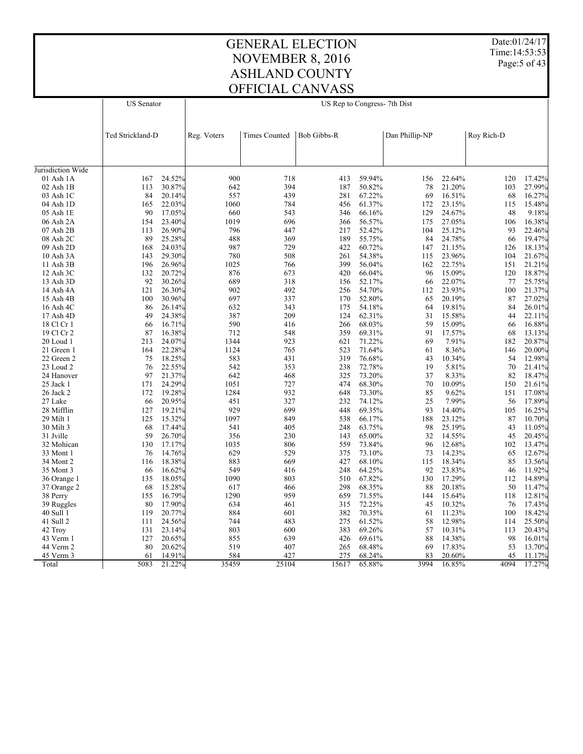Date:01/24/17 Time:14:53:53 Page: 5 of 43

# GENERAL ELECTION NOVEMBER 8, 2016 ASHLAND COUNTY OFFICIAL CANVASS

| Dan Phillip-NP<br>Ted Strickland-D<br><b>Times Counted</b><br><b>Bob Gibbs-R</b><br>Roy Rich-D<br>Reg. Voters<br>Jurisdiction Wide<br>24.52%<br>900<br>718<br>59.94%<br>22.64%<br>01 Ash 1A<br>167<br>413<br>156<br>120<br>394<br>02 Ash 1B<br>30.87%<br>642<br>187<br>50.82%<br>21.20%<br>113<br>78<br>103<br>84<br>20.14%<br>557<br>439<br>67.22%<br>16.51%<br>03 Ash 1C<br>281<br>69<br>68<br>165<br>22.03%<br>1060<br>784<br>04 Ash 1D<br>456<br>61.37%<br>172<br>23.15%<br>115<br>90<br>17.05%<br>660<br>543<br>66.16%<br>129<br>24.67%<br>48<br>05 Ash 1E<br>346<br>1019<br>27.05%<br>06 Ash 2A<br>23.40%<br>696<br>56.57%<br>175<br>106<br>154<br>366<br>796<br>113<br>26.90%<br>447<br>217<br>52.42%<br>104<br>25.12%<br>93<br>07 Ash 2B<br>89<br>488<br>189<br>08 Ash 2C<br>25.28%<br>369<br>55.75%<br>84<br>24.78%<br>66<br>24.03%<br>987<br>09 Ash 2D<br>168<br>729<br>422<br>60.72%<br>147<br>21.15%<br>126<br>29.30%<br>780<br>508<br>54.38%<br>23.96%<br>10 Ash 3A<br>143<br>261<br>115<br>104<br>11 Ash 3B<br>196<br>26.96%<br>1025<br>766<br>399<br>56.04%<br>22.75%<br>162<br>151<br>876<br>15.09%<br>132<br>20.72%<br>673<br>420<br>66.04%<br>96<br>120<br>$12$ Ash $3C$<br>92<br>689<br>13 Ash 3D<br>30.26%<br>318<br>156<br>52.17%<br>22.07%<br>77<br>66<br>26.30%<br>902<br>492<br>54.70%<br>23.93%<br>14 Ash 4A<br>121<br>256<br>100<br>112<br>697<br>15 Ash 4B<br>100<br>30.96%<br>337<br>170<br>52.80%<br>20.19%<br>87<br>65<br>26.14%<br>632<br>343<br>19.81%<br>16 Ash 4C<br>86<br>175<br>54.18%<br>84<br>64<br>24.38%<br>387<br>209<br>62.31%<br>17 Ash 4D<br>49<br>124<br>31<br>15.58%<br>44<br>22.11%<br>16.71%<br>590<br>416<br>68.03%<br>15.09%<br>18 Cl Cr 1<br>266<br>59<br>66<br>66<br>16.38%<br>548<br>19 Cl Cr 2<br>87<br>712<br>359<br>69.31%<br>91<br>17.57%<br>13.13%<br>68<br>213<br>24.07%<br>1344<br>923<br>621<br>71.22%<br>69<br>7.91%<br>20.87%<br>20 Loud 1<br>182<br>22.28%<br>1124<br>765<br>71.64%<br>8.36%<br>20.00%<br>21 Green 1<br>164<br>523<br>61<br>146<br>75<br>18.25%<br>583<br>431<br>319<br>76.68%<br>10.34%<br>12.98%<br>22 Green 2<br>43<br>54<br>22.55%<br>542<br>353<br>238<br>19<br>5.81%<br>23 Loud 2<br>76<br>72.78%<br>70<br>21.41%<br>97<br>642<br>21.37%<br>468<br>325<br>73.20%<br>37<br>8.33%<br>82<br>18.47%<br>24 Hanover<br>24.29%<br>171<br>1051<br>727<br>474<br>68.30%<br>70<br>10.09%<br>21.61%<br>25 Jack 1<br>150<br>19.28%<br>1284<br>932<br>172<br>648<br>73.30%<br>85<br>9.62%<br>17.08%<br>26 Jack 2<br>151<br>20.95%<br>327<br>232<br>74.12%<br>25<br>7.99%<br>27 Lake<br>66<br>451<br>56<br>17.89%<br>19.21%<br>929<br>699<br>28 Mifflin<br>127<br>448<br>69.35%<br>93<br>14.40%<br>105<br>16.25%<br>15.32%<br>1097<br>125<br>849<br>538<br>66.17%<br>188<br>23.12%<br>87<br>10.70%<br>29 Milt 1<br>30 Milt 3<br>68<br>17.44%<br>541<br>405<br>248<br>63.75%<br>98<br>25.19%<br>43<br>11.05%<br>26.70%<br>31 Jville<br>59<br>356<br>230<br>143<br>65.00%<br>32<br>14.55%<br>20.45%<br>45<br>1035<br>806<br>12.68%<br>32 Mohican<br>130<br>17.17%<br>559<br>73.84%<br>96<br>102<br>13.47%<br>14.76%<br>629<br>529<br>73.10%<br>76<br>375<br>73<br>14.23%<br>12.67%<br>33 Mont 1<br>65<br>18.38%<br>883<br>669<br>427<br>68.10%<br>115<br>18.34%<br>85<br>13.56%<br>34 Mont 2<br>116<br>549<br>16.62%<br>416<br>248<br>64.25%<br>92<br>23.83%<br>11.92%<br>35 Mont 3<br>66<br>46<br>18.05%<br>1090<br>803<br>67.82%<br>17.29%<br>14.89%<br>135<br>510<br>130<br>112<br>36 Orange 1<br>68<br>15.28%<br>617<br>298<br>20.18%<br>11.47%<br>466<br>68.35%<br>88<br>50<br>37 Orange 2<br>16.79%<br>1290<br>959<br>71.55%<br>38 Perry<br>155<br>659<br>144<br>15.64%<br>118<br>12.81%<br>17.90%<br>634<br>72.25%<br>80<br>461<br>315<br>45<br>10.32%<br>76<br>17.43%<br>39 Ruggles<br>119<br>20.77%<br>884<br>601<br>382<br>70.35%<br>11.23%<br>18.42%<br>40 Sull 1<br>61<br>100<br>24.56%<br>744<br>483<br>275<br>61.52%<br>12.98%<br>25.50%<br>41 Sull 2<br>111<br>58<br>114 | <b>US</b> Senator |  | US Rep to Congress- 7th Dist |  |  |  |  |  |        |
|---------------------------------------------------------------------------------------------------------------------------------------------------------------------------------------------------------------------------------------------------------------------------------------------------------------------------------------------------------------------------------------------------------------------------------------------------------------------------------------------------------------------------------------------------------------------------------------------------------------------------------------------------------------------------------------------------------------------------------------------------------------------------------------------------------------------------------------------------------------------------------------------------------------------------------------------------------------------------------------------------------------------------------------------------------------------------------------------------------------------------------------------------------------------------------------------------------------------------------------------------------------------------------------------------------------------------------------------------------------------------------------------------------------------------------------------------------------------------------------------------------------------------------------------------------------------------------------------------------------------------------------------------------------------------------------------------------------------------------------------------------------------------------------------------------------------------------------------------------------------------------------------------------------------------------------------------------------------------------------------------------------------------------------------------------------------------------------------------------------------------------------------------------------------------------------------------------------------------------------------------------------------------------------------------------------------------------------------------------------------------------------------------------------------------------------------------------------------------------------------------------------------------------------------------------------------------------------------------------------------------------------------------------------------------------------------------------------------------------------------------------------------------------------------------------------------------------------------------------------------------------------------------------------------------------------------------------------------------------------------------------------------------------------------------------------------------------------------------------------------------------------------------------------------------------------------------------------------------------------------------------------------------------------------------------------------------------------------------------------------------------------------------------------------------------------------------------------------------------------------------------------------------------------------------------------------------------------------------------------------------------------------------------------------------------------------------------------------------------------------------------------------------------------------------------------------------------------------------------------------------------------------------------------------------------------------------------------|-------------------|--|------------------------------|--|--|--|--|--|--------|
|                                                                                                                                                                                                                                                                                                                                                                                                                                                                                                                                                                                                                                                                                                                                                                                                                                                                                                                                                                                                                                                                                                                                                                                                                                                                                                                                                                                                                                                                                                                                                                                                                                                                                                                                                                                                                                                                                                                                                                                                                                                                                                                                                                                                                                                                                                                                                                                                                                                                                                                                                                                                                                                                                                                                                                                                                                                                                                                                                                                                                                                                                                                                                                                                                                                                                                                                                                                                                                                                                                                                                                                                                                                                                                                                                                                                                                                                                                                                                               |                   |  |                              |  |  |  |  |  |        |
|                                                                                                                                                                                                                                                                                                                                                                                                                                                                                                                                                                                                                                                                                                                                                                                                                                                                                                                                                                                                                                                                                                                                                                                                                                                                                                                                                                                                                                                                                                                                                                                                                                                                                                                                                                                                                                                                                                                                                                                                                                                                                                                                                                                                                                                                                                                                                                                                                                                                                                                                                                                                                                                                                                                                                                                                                                                                                                                                                                                                                                                                                                                                                                                                                                                                                                                                                                                                                                                                                                                                                                                                                                                                                                                                                                                                                                                                                                                                                               |                   |  |                              |  |  |  |  |  |        |
|                                                                                                                                                                                                                                                                                                                                                                                                                                                                                                                                                                                                                                                                                                                                                                                                                                                                                                                                                                                                                                                                                                                                                                                                                                                                                                                                                                                                                                                                                                                                                                                                                                                                                                                                                                                                                                                                                                                                                                                                                                                                                                                                                                                                                                                                                                                                                                                                                                                                                                                                                                                                                                                                                                                                                                                                                                                                                                                                                                                                                                                                                                                                                                                                                                                                                                                                                                                                                                                                                                                                                                                                                                                                                                                                                                                                                                                                                                                                                               |                   |  |                              |  |  |  |  |  |        |
|                                                                                                                                                                                                                                                                                                                                                                                                                                                                                                                                                                                                                                                                                                                                                                                                                                                                                                                                                                                                                                                                                                                                                                                                                                                                                                                                                                                                                                                                                                                                                                                                                                                                                                                                                                                                                                                                                                                                                                                                                                                                                                                                                                                                                                                                                                                                                                                                                                                                                                                                                                                                                                                                                                                                                                                                                                                                                                                                                                                                                                                                                                                                                                                                                                                                                                                                                                                                                                                                                                                                                                                                                                                                                                                                                                                                                                                                                                                                                               |                   |  |                              |  |  |  |  |  | 17.42% |
|                                                                                                                                                                                                                                                                                                                                                                                                                                                                                                                                                                                                                                                                                                                                                                                                                                                                                                                                                                                                                                                                                                                                                                                                                                                                                                                                                                                                                                                                                                                                                                                                                                                                                                                                                                                                                                                                                                                                                                                                                                                                                                                                                                                                                                                                                                                                                                                                                                                                                                                                                                                                                                                                                                                                                                                                                                                                                                                                                                                                                                                                                                                                                                                                                                                                                                                                                                                                                                                                                                                                                                                                                                                                                                                                                                                                                                                                                                                                                               |                   |  |                              |  |  |  |  |  | 27.99% |
|                                                                                                                                                                                                                                                                                                                                                                                                                                                                                                                                                                                                                                                                                                                                                                                                                                                                                                                                                                                                                                                                                                                                                                                                                                                                                                                                                                                                                                                                                                                                                                                                                                                                                                                                                                                                                                                                                                                                                                                                                                                                                                                                                                                                                                                                                                                                                                                                                                                                                                                                                                                                                                                                                                                                                                                                                                                                                                                                                                                                                                                                                                                                                                                                                                                                                                                                                                                                                                                                                                                                                                                                                                                                                                                                                                                                                                                                                                                                                               |                   |  |                              |  |  |  |  |  | 16.27% |
|                                                                                                                                                                                                                                                                                                                                                                                                                                                                                                                                                                                                                                                                                                                                                                                                                                                                                                                                                                                                                                                                                                                                                                                                                                                                                                                                                                                                                                                                                                                                                                                                                                                                                                                                                                                                                                                                                                                                                                                                                                                                                                                                                                                                                                                                                                                                                                                                                                                                                                                                                                                                                                                                                                                                                                                                                                                                                                                                                                                                                                                                                                                                                                                                                                                                                                                                                                                                                                                                                                                                                                                                                                                                                                                                                                                                                                                                                                                                                               |                   |  |                              |  |  |  |  |  | 15.48% |
|                                                                                                                                                                                                                                                                                                                                                                                                                                                                                                                                                                                                                                                                                                                                                                                                                                                                                                                                                                                                                                                                                                                                                                                                                                                                                                                                                                                                                                                                                                                                                                                                                                                                                                                                                                                                                                                                                                                                                                                                                                                                                                                                                                                                                                                                                                                                                                                                                                                                                                                                                                                                                                                                                                                                                                                                                                                                                                                                                                                                                                                                                                                                                                                                                                                                                                                                                                                                                                                                                                                                                                                                                                                                                                                                                                                                                                                                                                                                                               |                   |  |                              |  |  |  |  |  | 9.18%  |
|                                                                                                                                                                                                                                                                                                                                                                                                                                                                                                                                                                                                                                                                                                                                                                                                                                                                                                                                                                                                                                                                                                                                                                                                                                                                                                                                                                                                                                                                                                                                                                                                                                                                                                                                                                                                                                                                                                                                                                                                                                                                                                                                                                                                                                                                                                                                                                                                                                                                                                                                                                                                                                                                                                                                                                                                                                                                                                                                                                                                                                                                                                                                                                                                                                                                                                                                                                                                                                                                                                                                                                                                                                                                                                                                                                                                                                                                                                                                                               |                   |  |                              |  |  |  |  |  | 16.38% |
|                                                                                                                                                                                                                                                                                                                                                                                                                                                                                                                                                                                                                                                                                                                                                                                                                                                                                                                                                                                                                                                                                                                                                                                                                                                                                                                                                                                                                                                                                                                                                                                                                                                                                                                                                                                                                                                                                                                                                                                                                                                                                                                                                                                                                                                                                                                                                                                                                                                                                                                                                                                                                                                                                                                                                                                                                                                                                                                                                                                                                                                                                                                                                                                                                                                                                                                                                                                                                                                                                                                                                                                                                                                                                                                                                                                                                                                                                                                                                               |                   |  |                              |  |  |  |  |  | 22.46% |
|                                                                                                                                                                                                                                                                                                                                                                                                                                                                                                                                                                                                                                                                                                                                                                                                                                                                                                                                                                                                                                                                                                                                                                                                                                                                                                                                                                                                                                                                                                                                                                                                                                                                                                                                                                                                                                                                                                                                                                                                                                                                                                                                                                                                                                                                                                                                                                                                                                                                                                                                                                                                                                                                                                                                                                                                                                                                                                                                                                                                                                                                                                                                                                                                                                                                                                                                                                                                                                                                                                                                                                                                                                                                                                                                                                                                                                                                                                                                                               |                   |  |                              |  |  |  |  |  | 19.47% |
|                                                                                                                                                                                                                                                                                                                                                                                                                                                                                                                                                                                                                                                                                                                                                                                                                                                                                                                                                                                                                                                                                                                                                                                                                                                                                                                                                                                                                                                                                                                                                                                                                                                                                                                                                                                                                                                                                                                                                                                                                                                                                                                                                                                                                                                                                                                                                                                                                                                                                                                                                                                                                                                                                                                                                                                                                                                                                                                                                                                                                                                                                                                                                                                                                                                                                                                                                                                                                                                                                                                                                                                                                                                                                                                                                                                                                                                                                                                                                               |                   |  |                              |  |  |  |  |  | 18.13% |
|                                                                                                                                                                                                                                                                                                                                                                                                                                                                                                                                                                                                                                                                                                                                                                                                                                                                                                                                                                                                                                                                                                                                                                                                                                                                                                                                                                                                                                                                                                                                                                                                                                                                                                                                                                                                                                                                                                                                                                                                                                                                                                                                                                                                                                                                                                                                                                                                                                                                                                                                                                                                                                                                                                                                                                                                                                                                                                                                                                                                                                                                                                                                                                                                                                                                                                                                                                                                                                                                                                                                                                                                                                                                                                                                                                                                                                                                                                                                                               |                   |  |                              |  |  |  |  |  | 21.67% |
|                                                                                                                                                                                                                                                                                                                                                                                                                                                                                                                                                                                                                                                                                                                                                                                                                                                                                                                                                                                                                                                                                                                                                                                                                                                                                                                                                                                                                                                                                                                                                                                                                                                                                                                                                                                                                                                                                                                                                                                                                                                                                                                                                                                                                                                                                                                                                                                                                                                                                                                                                                                                                                                                                                                                                                                                                                                                                                                                                                                                                                                                                                                                                                                                                                                                                                                                                                                                                                                                                                                                                                                                                                                                                                                                                                                                                                                                                                                                                               |                   |  |                              |  |  |  |  |  | 21.21% |
|                                                                                                                                                                                                                                                                                                                                                                                                                                                                                                                                                                                                                                                                                                                                                                                                                                                                                                                                                                                                                                                                                                                                                                                                                                                                                                                                                                                                                                                                                                                                                                                                                                                                                                                                                                                                                                                                                                                                                                                                                                                                                                                                                                                                                                                                                                                                                                                                                                                                                                                                                                                                                                                                                                                                                                                                                                                                                                                                                                                                                                                                                                                                                                                                                                                                                                                                                                                                                                                                                                                                                                                                                                                                                                                                                                                                                                                                                                                                                               |                   |  |                              |  |  |  |  |  | 18.87% |
|                                                                                                                                                                                                                                                                                                                                                                                                                                                                                                                                                                                                                                                                                                                                                                                                                                                                                                                                                                                                                                                                                                                                                                                                                                                                                                                                                                                                                                                                                                                                                                                                                                                                                                                                                                                                                                                                                                                                                                                                                                                                                                                                                                                                                                                                                                                                                                                                                                                                                                                                                                                                                                                                                                                                                                                                                                                                                                                                                                                                                                                                                                                                                                                                                                                                                                                                                                                                                                                                                                                                                                                                                                                                                                                                                                                                                                                                                                                                                               |                   |  |                              |  |  |  |  |  | 25.75% |
|                                                                                                                                                                                                                                                                                                                                                                                                                                                                                                                                                                                                                                                                                                                                                                                                                                                                                                                                                                                                                                                                                                                                                                                                                                                                                                                                                                                                                                                                                                                                                                                                                                                                                                                                                                                                                                                                                                                                                                                                                                                                                                                                                                                                                                                                                                                                                                                                                                                                                                                                                                                                                                                                                                                                                                                                                                                                                                                                                                                                                                                                                                                                                                                                                                                                                                                                                                                                                                                                                                                                                                                                                                                                                                                                                                                                                                                                                                                                                               |                   |  |                              |  |  |  |  |  | 21.37% |
|                                                                                                                                                                                                                                                                                                                                                                                                                                                                                                                                                                                                                                                                                                                                                                                                                                                                                                                                                                                                                                                                                                                                                                                                                                                                                                                                                                                                                                                                                                                                                                                                                                                                                                                                                                                                                                                                                                                                                                                                                                                                                                                                                                                                                                                                                                                                                                                                                                                                                                                                                                                                                                                                                                                                                                                                                                                                                                                                                                                                                                                                                                                                                                                                                                                                                                                                                                                                                                                                                                                                                                                                                                                                                                                                                                                                                                                                                                                                                               |                   |  |                              |  |  |  |  |  | 27.02% |
|                                                                                                                                                                                                                                                                                                                                                                                                                                                                                                                                                                                                                                                                                                                                                                                                                                                                                                                                                                                                                                                                                                                                                                                                                                                                                                                                                                                                                                                                                                                                                                                                                                                                                                                                                                                                                                                                                                                                                                                                                                                                                                                                                                                                                                                                                                                                                                                                                                                                                                                                                                                                                                                                                                                                                                                                                                                                                                                                                                                                                                                                                                                                                                                                                                                                                                                                                                                                                                                                                                                                                                                                                                                                                                                                                                                                                                                                                                                                                               |                   |  |                              |  |  |  |  |  | 26.01% |
|                                                                                                                                                                                                                                                                                                                                                                                                                                                                                                                                                                                                                                                                                                                                                                                                                                                                                                                                                                                                                                                                                                                                                                                                                                                                                                                                                                                                                                                                                                                                                                                                                                                                                                                                                                                                                                                                                                                                                                                                                                                                                                                                                                                                                                                                                                                                                                                                                                                                                                                                                                                                                                                                                                                                                                                                                                                                                                                                                                                                                                                                                                                                                                                                                                                                                                                                                                                                                                                                                                                                                                                                                                                                                                                                                                                                                                                                                                                                                               |                   |  |                              |  |  |  |  |  |        |
|                                                                                                                                                                                                                                                                                                                                                                                                                                                                                                                                                                                                                                                                                                                                                                                                                                                                                                                                                                                                                                                                                                                                                                                                                                                                                                                                                                                                                                                                                                                                                                                                                                                                                                                                                                                                                                                                                                                                                                                                                                                                                                                                                                                                                                                                                                                                                                                                                                                                                                                                                                                                                                                                                                                                                                                                                                                                                                                                                                                                                                                                                                                                                                                                                                                                                                                                                                                                                                                                                                                                                                                                                                                                                                                                                                                                                                                                                                                                                               |                   |  |                              |  |  |  |  |  | 16.88% |
|                                                                                                                                                                                                                                                                                                                                                                                                                                                                                                                                                                                                                                                                                                                                                                                                                                                                                                                                                                                                                                                                                                                                                                                                                                                                                                                                                                                                                                                                                                                                                                                                                                                                                                                                                                                                                                                                                                                                                                                                                                                                                                                                                                                                                                                                                                                                                                                                                                                                                                                                                                                                                                                                                                                                                                                                                                                                                                                                                                                                                                                                                                                                                                                                                                                                                                                                                                                                                                                                                                                                                                                                                                                                                                                                                                                                                                                                                                                                                               |                   |  |                              |  |  |  |  |  |        |
|                                                                                                                                                                                                                                                                                                                                                                                                                                                                                                                                                                                                                                                                                                                                                                                                                                                                                                                                                                                                                                                                                                                                                                                                                                                                                                                                                                                                                                                                                                                                                                                                                                                                                                                                                                                                                                                                                                                                                                                                                                                                                                                                                                                                                                                                                                                                                                                                                                                                                                                                                                                                                                                                                                                                                                                                                                                                                                                                                                                                                                                                                                                                                                                                                                                                                                                                                                                                                                                                                                                                                                                                                                                                                                                                                                                                                                                                                                                                                               |                   |  |                              |  |  |  |  |  |        |
|                                                                                                                                                                                                                                                                                                                                                                                                                                                                                                                                                                                                                                                                                                                                                                                                                                                                                                                                                                                                                                                                                                                                                                                                                                                                                                                                                                                                                                                                                                                                                                                                                                                                                                                                                                                                                                                                                                                                                                                                                                                                                                                                                                                                                                                                                                                                                                                                                                                                                                                                                                                                                                                                                                                                                                                                                                                                                                                                                                                                                                                                                                                                                                                                                                                                                                                                                                                                                                                                                                                                                                                                                                                                                                                                                                                                                                                                                                                                                               |                   |  |                              |  |  |  |  |  |        |
|                                                                                                                                                                                                                                                                                                                                                                                                                                                                                                                                                                                                                                                                                                                                                                                                                                                                                                                                                                                                                                                                                                                                                                                                                                                                                                                                                                                                                                                                                                                                                                                                                                                                                                                                                                                                                                                                                                                                                                                                                                                                                                                                                                                                                                                                                                                                                                                                                                                                                                                                                                                                                                                                                                                                                                                                                                                                                                                                                                                                                                                                                                                                                                                                                                                                                                                                                                                                                                                                                                                                                                                                                                                                                                                                                                                                                                                                                                                                                               |                   |  |                              |  |  |  |  |  |        |
|                                                                                                                                                                                                                                                                                                                                                                                                                                                                                                                                                                                                                                                                                                                                                                                                                                                                                                                                                                                                                                                                                                                                                                                                                                                                                                                                                                                                                                                                                                                                                                                                                                                                                                                                                                                                                                                                                                                                                                                                                                                                                                                                                                                                                                                                                                                                                                                                                                                                                                                                                                                                                                                                                                                                                                                                                                                                                                                                                                                                                                                                                                                                                                                                                                                                                                                                                                                                                                                                                                                                                                                                                                                                                                                                                                                                                                                                                                                                                               |                   |  |                              |  |  |  |  |  |        |
|                                                                                                                                                                                                                                                                                                                                                                                                                                                                                                                                                                                                                                                                                                                                                                                                                                                                                                                                                                                                                                                                                                                                                                                                                                                                                                                                                                                                                                                                                                                                                                                                                                                                                                                                                                                                                                                                                                                                                                                                                                                                                                                                                                                                                                                                                                                                                                                                                                                                                                                                                                                                                                                                                                                                                                                                                                                                                                                                                                                                                                                                                                                                                                                                                                                                                                                                                                                                                                                                                                                                                                                                                                                                                                                                                                                                                                                                                                                                                               |                   |  |                              |  |  |  |  |  |        |
|                                                                                                                                                                                                                                                                                                                                                                                                                                                                                                                                                                                                                                                                                                                                                                                                                                                                                                                                                                                                                                                                                                                                                                                                                                                                                                                                                                                                                                                                                                                                                                                                                                                                                                                                                                                                                                                                                                                                                                                                                                                                                                                                                                                                                                                                                                                                                                                                                                                                                                                                                                                                                                                                                                                                                                                                                                                                                                                                                                                                                                                                                                                                                                                                                                                                                                                                                                                                                                                                                                                                                                                                                                                                                                                                                                                                                                                                                                                                                               |                   |  |                              |  |  |  |  |  |        |
|                                                                                                                                                                                                                                                                                                                                                                                                                                                                                                                                                                                                                                                                                                                                                                                                                                                                                                                                                                                                                                                                                                                                                                                                                                                                                                                                                                                                                                                                                                                                                                                                                                                                                                                                                                                                                                                                                                                                                                                                                                                                                                                                                                                                                                                                                                                                                                                                                                                                                                                                                                                                                                                                                                                                                                                                                                                                                                                                                                                                                                                                                                                                                                                                                                                                                                                                                                                                                                                                                                                                                                                                                                                                                                                                                                                                                                                                                                                                                               |                   |  |                              |  |  |  |  |  |        |
|                                                                                                                                                                                                                                                                                                                                                                                                                                                                                                                                                                                                                                                                                                                                                                                                                                                                                                                                                                                                                                                                                                                                                                                                                                                                                                                                                                                                                                                                                                                                                                                                                                                                                                                                                                                                                                                                                                                                                                                                                                                                                                                                                                                                                                                                                                                                                                                                                                                                                                                                                                                                                                                                                                                                                                                                                                                                                                                                                                                                                                                                                                                                                                                                                                                                                                                                                                                                                                                                                                                                                                                                                                                                                                                                                                                                                                                                                                                                                               |                   |  |                              |  |  |  |  |  |        |
|                                                                                                                                                                                                                                                                                                                                                                                                                                                                                                                                                                                                                                                                                                                                                                                                                                                                                                                                                                                                                                                                                                                                                                                                                                                                                                                                                                                                                                                                                                                                                                                                                                                                                                                                                                                                                                                                                                                                                                                                                                                                                                                                                                                                                                                                                                                                                                                                                                                                                                                                                                                                                                                                                                                                                                                                                                                                                                                                                                                                                                                                                                                                                                                                                                                                                                                                                                                                                                                                                                                                                                                                                                                                                                                                                                                                                                                                                                                                                               |                   |  |                              |  |  |  |  |  |        |
|                                                                                                                                                                                                                                                                                                                                                                                                                                                                                                                                                                                                                                                                                                                                                                                                                                                                                                                                                                                                                                                                                                                                                                                                                                                                                                                                                                                                                                                                                                                                                                                                                                                                                                                                                                                                                                                                                                                                                                                                                                                                                                                                                                                                                                                                                                                                                                                                                                                                                                                                                                                                                                                                                                                                                                                                                                                                                                                                                                                                                                                                                                                                                                                                                                                                                                                                                                                                                                                                                                                                                                                                                                                                                                                                                                                                                                                                                                                                                               |                   |  |                              |  |  |  |  |  |        |
|                                                                                                                                                                                                                                                                                                                                                                                                                                                                                                                                                                                                                                                                                                                                                                                                                                                                                                                                                                                                                                                                                                                                                                                                                                                                                                                                                                                                                                                                                                                                                                                                                                                                                                                                                                                                                                                                                                                                                                                                                                                                                                                                                                                                                                                                                                                                                                                                                                                                                                                                                                                                                                                                                                                                                                                                                                                                                                                                                                                                                                                                                                                                                                                                                                                                                                                                                                                                                                                                                                                                                                                                                                                                                                                                                                                                                                                                                                                                                               |                   |  |                              |  |  |  |  |  |        |
|                                                                                                                                                                                                                                                                                                                                                                                                                                                                                                                                                                                                                                                                                                                                                                                                                                                                                                                                                                                                                                                                                                                                                                                                                                                                                                                                                                                                                                                                                                                                                                                                                                                                                                                                                                                                                                                                                                                                                                                                                                                                                                                                                                                                                                                                                                                                                                                                                                                                                                                                                                                                                                                                                                                                                                                                                                                                                                                                                                                                                                                                                                                                                                                                                                                                                                                                                                                                                                                                                                                                                                                                                                                                                                                                                                                                                                                                                                                                                               |                   |  |                              |  |  |  |  |  |        |
|                                                                                                                                                                                                                                                                                                                                                                                                                                                                                                                                                                                                                                                                                                                                                                                                                                                                                                                                                                                                                                                                                                                                                                                                                                                                                                                                                                                                                                                                                                                                                                                                                                                                                                                                                                                                                                                                                                                                                                                                                                                                                                                                                                                                                                                                                                                                                                                                                                                                                                                                                                                                                                                                                                                                                                                                                                                                                                                                                                                                                                                                                                                                                                                                                                                                                                                                                                                                                                                                                                                                                                                                                                                                                                                                                                                                                                                                                                                                                               |                   |  |                              |  |  |  |  |  |        |
|                                                                                                                                                                                                                                                                                                                                                                                                                                                                                                                                                                                                                                                                                                                                                                                                                                                                                                                                                                                                                                                                                                                                                                                                                                                                                                                                                                                                                                                                                                                                                                                                                                                                                                                                                                                                                                                                                                                                                                                                                                                                                                                                                                                                                                                                                                                                                                                                                                                                                                                                                                                                                                                                                                                                                                                                                                                                                                                                                                                                                                                                                                                                                                                                                                                                                                                                                                                                                                                                                                                                                                                                                                                                                                                                                                                                                                                                                                                                                               |                   |  |                              |  |  |  |  |  |        |
|                                                                                                                                                                                                                                                                                                                                                                                                                                                                                                                                                                                                                                                                                                                                                                                                                                                                                                                                                                                                                                                                                                                                                                                                                                                                                                                                                                                                                                                                                                                                                                                                                                                                                                                                                                                                                                                                                                                                                                                                                                                                                                                                                                                                                                                                                                                                                                                                                                                                                                                                                                                                                                                                                                                                                                                                                                                                                                                                                                                                                                                                                                                                                                                                                                                                                                                                                                                                                                                                                                                                                                                                                                                                                                                                                                                                                                                                                                                                                               |                   |  |                              |  |  |  |  |  |        |
|                                                                                                                                                                                                                                                                                                                                                                                                                                                                                                                                                                                                                                                                                                                                                                                                                                                                                                                                                                                                                                                                                                                                                                                                                                                                                                                                                                                                                                                                                                                                                                                                                                                                                                                                                                                                                                                                                                                                                                                                                                                                                                                                                                                                                                                                                                                                                                                                                                                                                                                                                                                                                                                                                                                                                                                                                                                                                                                                                                                                                                                                                                                                                                                                                                                                                                                                                                                                                                                                                                                                                                                                                                                                                                                                                                                                                                                                                                                                                               |                   |  |                              |  |  |  |  |  |        |
|                                                                                                                                                                                                                                                                                                                                                                                                                                                                                                                                                                                                                                                                                                                                                                                                                                                                                                                                                                                                                                                                                                                                                                                                                                                                                                                                                                                                                                                                                                                                                                                                                                                                                                                                                                                                                                                                                                                                                                                                                                                                                                                                                                                                                                                                                                                                                                                                                                                                                                                                                                                                                                                                                                                                                                                                                                                                                                                                                                                                                                                                                                                                                                                                                                                                                                                                                                                                                                                                                                                                                                                                                                                                                                                                                                                                                                                                                                                                                               |                   |  |                              |  |  |  |  |  |        |
|                                                                                                                                                                                                                                                                                                                                                                                                                                                                                                                                                                                                                                                                                                                                                                                                                                                                                                                                                                                                                                                                                                                                                                                                                                                                                                                                                                                                                                                                                                                                                                                                                                                                                                                                                                                                                                                                                                                                                                                                                                                                                                                                                                                                                                                                                                                                                                                                                                                                                                                                                                                                                                                                                                                                                                                                                                                                                                                                                                                                                                                                                                                                                                                                                                                                                                                                                                                                                                                                                                                                                                                                                                                                                                                                                                                                                                                                                                                                                               |                   |  |                              |  |  |  |  |  |        |
|                                                                                                                                                                                                                                                                                                                                                                                                                                                                                                                                                                                                                                                                                                                                                                                                                                                                                                                                                                                                                                                                                                                                                                                                                                                                                                                                                                                                                                                                                                                                                                                                                                                                                                                                                                                                                                                                                                                                                                                                                                                                                                                                                                                                                                                                                                                                                                                                                                                                                                                                                                                                                                                                                                                                                                                                                                                                                                                                                                                                                                                                                                                                                                                                                                                                                                                                                                                                                                                                                                                                                                                                                                                                                                                                                                                                                                                                                                                                                               |                   |  |                              |  |  |  |  |  |        |
|                                                                                                                                                                                                                                                                                                                                                                                                                                                                                                                                                                                                                                                                                                                                                                                                                                                                                                                                                                                                                                                                                                                                                                                                                                                                                                                                                                                                                                                                                                                                                                                                                                                                                                                                                                                                                                                                                                                                                                                                                                                                                                                                                                                                                                                                                                                                                                                                                                                                                                                                                                                                                                                                                                                                                                                                                                                                                                                                                                                                                                                                                                                                                                                                                                                                                                                                                                                                                                                                                                                                                                                                                                                                                                                                                                                                                                                                                                                                                               |                   |  |                              |  |  |  |  |  |        |
|                                                                                                                                                                                                                                                                                                                                                                                                                                                                                                                                                                                                                                                                                                                                                                                                                                                                                                                                                                                                                                                                                                                                                                                                                                                                                                                                                                                                                                                                                                                                                                                                                                                                                                                                                                                                                                                                                                                                                                                                                                                                                                                                                                                                                                                                                                                                                                                                                                                                                                                                                                                                                                                                                                                                                                                                                                                                                                                                                                                                                                                                                                                                                                                                                                                                                                                                                                                                                                                                                                                                                                                                                                                                                                                                                                                                                                                                                                                                                               |                   |  |                              |  |  |  |  |  |        |
|                                                                                                                                                                                                                                                                                                                                                                                                                                                                                                                                                                                                                                                                                                                                                                                                                                                                                                                                                                                                                                                                                                                                                                                                                                                                                                                                                                                                                                                                                                                                                                                                                                                                                                                                                                                                                                                                                                                                                                                                                                                                                                                                                                                                                                                                                                                                                                                                                                                                                                                                                                                                                                                                                                                                                                                                                                                                                                                                                                                                                                                                                                                                                                                                                                                                                                                                                                                                                                                                                                                                                                                                                                                                                                                                                                                                                                                                                                                                                               |                   |  |                              |  |  |  |  |  |        |
| 23.14%<br>803<br>600<br>383<br>42 Troy<br>131<br>69.26%<br>57<br>10.31%<br>113                                                                                                                                                                                                                                                                                                                                                                                                                                                                                                                                                                                                                                                                                                                                                                                                                                                                                                                                                                                                                                                                                                                                                                                                                                                                                                                                                                                                                                                                                                                                                                                                                                                                                                                                                                                                                                                                                                                                                                                                                                                                                                                                                                                                                                                                                                                                                                                                                                                                                                                                                                                                                                                                                                                                                                                                                                                                                                                                                                                                                                                                                                                                                                                                                                                                                                                                                                                                                                                                                                                                                                                                                                                                                                                                                                                                                                                                                |                   |  |                              |  |  |  |  |  | 20.43% |
| 20.65%<br>855<br>639<br>88<br>14.38%<br>98<br>43 Verm 1<br>127<br>426<br>69.61%                                                                                                                                                                                                                                                                                                                                                                                                                                                                                                                                                                                                                                                                                                                                                                                                                                                                                                                                                                                                                                                                                                                                                                                                                                                                                                                                                                                                                                                                                                                                                                                                                                                                                                                                                                                                                                                                                                                                                                                                                                                                                                                                                                                                                                                                                                                                                                                                                                                                                                                                                                                                                                                                                                                                                                                                                                                                                                                                                                                                                                                                                                                                                                                                                                                                                                                                                                                                                                                                                                                                                                                                                                                                                                                                                                                                                                                                               |                   |  |                              |  |  |  |  |  | 16.01% |
| 80<br>20.62%<br>519<br>407<br>68.48%<br>17.83%<br>53<br>44 Verm 2<br>265<br>69                                                                                                                                                                                                                                                                                                                                                                                                                                                                                                                                                                                                                                                                                                                                                                                                                                                                                                                                                                                                                                                                                                                                                                                                                                                                                                                                                                                                                                                                                                                                                                                                                                                                                                                                                                                                                                                                                                                                                                                                                                                                                                                                                                                                                                                                                                                                                                                                                                                                                                                                                                                                                                                                                                                                                                                                                                                                                                                                                                                                                                                                                                                                                                                                                                                                                                                                                                                                                                                                                                                                                                                                                                                                                                                                                                                                                                                                                |                   |  |                              |  |  |  |  |  | 13.70% |
| 584<br>14.91%<br>427<br>275<br>68.24%<br>83<br>20.60%<br>45<br>45 Verm 3<br>61                                                                                                                                                                                                                                                                                                                                                                                                                                                                                                                                                                                                                                                                                                                                                                                                                                                                                                                                                                                                                                                                                                                                                                                                                                                                                                                                                                                                                                                                                                                                                                                                                                                                                                                                                                                                                                                                                                                                                                                                                                                                                                                                                                                                                                                                                                                                                                                                                                                                                                                                                                                                                                                                                                                                                                                                                                                                                                                                                                                                                                                                                                                                                                                                                                                                                                                                                                                                                                                                                                                                                                                                                                                                                                                                                                                                                                                                                |                   |  |                              |  |  |  |  |  | 11.17% |
| 5083<br>21.22%<br>35459<br>25104<br>15617<br>65.88%<br>3994<br>16.85%<br>4094<br>Total                                                                                                                                                                                                                                                                                                                                                                                                                                                                                                                                                                                                                                                                                                                                                                                                                                                                                                                                                                                                                                                                                                                                                                                                                                                                                                                                                                                                                                                                                                                                                                                                                                                                                                                                                                                                                                                                                                                                                                                                                                                                                                                                                                                                                                                                                                                                                                                                                                                                                                                                                                                                                                                                                                                                                                                                                                                                                                                                                                                                                                                                                                                                                                                                                                                                                                                                                                                                                                                                                                                                                                                                                                                                                                                                                                                                                                                                        |                   |  |                              |  |  |  |  |  | 17.27% |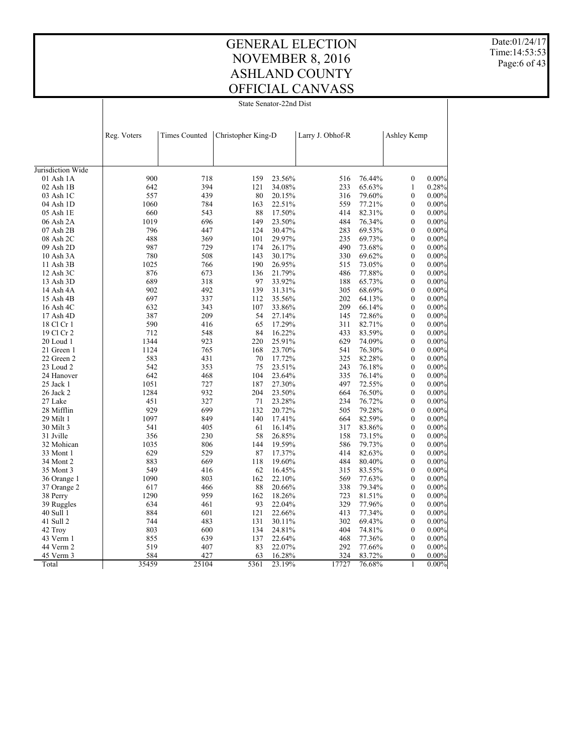Date:01/24/17 Time:14:53:53 Page:6 of 43

State Senator-22nd Dist

| Jurisdiction Wide<br>900<br>718<br>$01$ Ash $1A$<br>159<br>23.56%<br>516<br>76.44%<br>$\boldsymbol{0}$<br>642<br>394<br>02 Ash 1B<br>121<br>34.08%<br>233<br>65.63%<br>$\mathbf{1}$<br>439<br>557<br>80<br>$\boldsymbol{0}$<br>20.15%<br>316<br>79.60%<br>03 Ash 1C<br>1060<br>784<br>163<br>22.51%<br>559<br>77.21%<br>$\mathbf{0}$<br>04 Ash 1D<br>660<br>543<br>88<br>17.50%<br>414<br>82.31%<br>$\overline{0}$<br>05 Ash 1E<br>1019<br>696<br>149<br>23.50%<br>484<br>76.34%<br>$\mathbf{0}$<br>06 Ash 2A<br>796<br>447<br>283<br>07 Ash 2B<br>124<br>30.47%<br>69.53%<br>$\boldsymbol{0}$<br>488<br>369<br>101<br>29.97%<br>235<br>69.73%<br>$\boldsymbol{0}$<br>08 Ash 2C<br>729<br>987<br>174<br>26.17%<br>490<br>73.68%<br>$\boldsymbol{0}$<br>09 Ash 2D<br>780<br>508<br>143<br>30.17%<br>330<br>69.62%<br>$\boldsymbol{0}$<br>10 Ash 3A<br>1025<br>190<br>515<br>766<br>26.95%<br>73.05%<br>$\boldsymbol{0}$<br>11 Ash 3B<br>876<br>673<br>21.79%<br>486<br>77.88%<br>12 Ash 3C<br>136<br>$\boldsymbol{0}$<br>689<br>318<br>97<br>65.73%<br>13 Ash 3D<br>33.92%<br>188<br>$\mathbf{0}$<br>492<br>902<br>139<br>31.31%<br>305<br>68.69%<br>$\boldsymbol{0}$<br>14 Ash 4A<br>697<br>337<br>35.56%<br>202<br>64.13%<br>$\mathbf{0}$<br>15 Ash 4B<br>112<br>632<br>343<br>107<br>33.86%<br>209<br>66.14%<br>$\mathbf{0}$<br>16 Ash 4C<br>209<br>387<br>54<br>$\mathbf{0}$<br>17 Ash 4D<br>27.14%<br>145<br>72.86%<br>590<br>416<br>65<br>17.29%<br>311<br>82.71%<br>$\boldsymbol{0}$<br>18 Cl Cr 1<br>712<br>548<br>16.22%<br>433<br>83.59%<br>19 Cl Cr 2<br>84<br>$\boldsymbol{0}$<br>1344<br>923<br>74.09%<br>20 Loud 1<br>220<br>25.91%<br>629<br>$\boldsymbol{0}$<br>1124<br>765<br>23.70%<br>541<br>76.30%<br>21 Green 1<br>168<br>$\boldsymbol{0}$<br>583<br>431<br>70<br>17.72%<br>325<br>82.28%<br>22 Green 2<br>$\mathbf{0}$ |           | Reg. Voters | <b>Times Counted</b> | Christopher King-D |        | Larry J. Obhof-R |        | Ashley Kemp      |          |
|---------------------------------------------------------------------------------------------------------------------------------------------------------------------------------------------------------------------------------------------------------------------------------------------------------------------------------------------------------------------------------------------------------------------------------------------------------------------------------------------------------------------------------------------------------------------------------------------------------------------------------------------------------------------------------------------------------------------------------------------------------------------------------------------------------------------------------------------------------------------------------------------------------------------------------------------------------------------------------------------------------------------------------------------------------------------------------------------------------------------------------------------------------------------------------------------------------------------------------------------------------------------------------------------------------------------------------------------------------------------------------------------------------------------------------------------------------------------------------------------------------------------------------------------------------------------------------------------------------------------------------------------------------------------------------------------------------------------------------------------------------------------------------------------------------------------------------------------|-----------|-------------|----------------------|--------------------|--------|------------------|--------|------------------|----------|
|                                                                                                                                                                                                                                                                                                                                                                                                                                                                                                                                                                                                                                                                                                                                                                                                                                                                                                                                                                                                                                                                                                                                                                                                                                                                                                                                                                                                                                                                                                                                                                                                                                                                                                                                                                                                                                             |           |             |                      |                    |        |                  |        |                  |          |
|                                                                                                                                                                                                                                                                                                                                                                                                                                                                                                                                                                                                                                                                                                                                                                                                                                                                                                                                                                                                                                                                                                                                                                                                                                                                                                                                                                                                                                                                                                                                                                                                                                                                                                                                                                                                                                             |           |             |                      |                    |        |                  |        |                  |          |
|                                                                                                                                                                                                                                                                                                                                                                                                                                                                                                                                                                                                                                                                                                                                                                                                                                                                                                                                                                                                                                                                                                                                                                                                                                                                                                                                                                                                                                                                                                                                                                                                                                                                                                                                                                                                                                             |           |             |                      |                    |        |                  |        |                  | 0.00%    |
|                                                                                                                                                                                                                                                                                                                                                                                                                                                                                                                                                                                                                                                                                                                                                                                                                                                                                                                                                                                                                                                                                                                                                                                                                                                                                                                                                                                                                                                                                                                                                                                                                                                                                                                                                                                                                                             |           |             |                      |                    |        |                  |        |                  | 0.28%    |
|                                                                                                                                                                                                                                                                                                                                                                                                                                                                                                                                                                                                                                                                                                                                                                                                                                                                                                                                                                                                                                                                                                                                                                                                                                                                                                                                                                                                                                                                                                                                                                                                                                                                                                                                                                                                                                             |           |             |                      |                    |        |                  |        |                  | 0.00%    |
|                                                                                                                                                                                                                                                                                                                                                                                                                                                                                                                                                                                                                                                                                                                                                                                                                                                                                                                                                                                                                                                                                                                                                                                                                                                                                                                                                                                                                                                                                                                                                                                                                                                                                                                                                                                                                                             |           |             |                      |                    |        |                  |        |                  | 0.00%    |
|                                                                                                                                                                                                                                                                                                                                                                                                                                                                                                                                                                                                                                                                                                                                                                                                                                                                                                                                                                                                                                                                                                                                                                                                                                                                                                                                                                                                                                                                                                                                                                                                                                                                                                                                                                                                                                             |           |             |                      |                    |        |                  |        |                  | 0.00%    |
|                                                                                                                                                                                                                                                                                                                                                                                                                                                                                                                                                                                                                                                                                                                                                                                                                                                                                                                                                                                                                                                                                                                                                                                                                                                                                                                                                                                                                                                                                                                                                                                                                                                                                                                                                                                                                                             |           |             |                      |                    |        |                  |        |                  | $0.00\%$ |
|                                                                                                                                                                                                                                                                                                                                                                                                                                                                                                                                                                                                                                                                                                                                                                                                                                                                                                                                                                                                                                                                                                                                                                                                                                                                                                                                                                                                                                                                                                                                                                                                                                                                                                                                                                                                                                             |           |             |                      |                    |        |                  |        |                  | 0.00%    |
|                                                                                                                                                                                                                                                                                                                                                                                                                                                                                                                                                                                                                                                                                                                                                                                                                                                                                                                                                                                                                                                                                                                                                                                                                                                                                                                                                                                                                                                                                                                                                                                                                                                                                                                                                                                                                                             |           |             |                      |                    |        |                  |        |                  | $0.00\%$ |
|                                                                                                                                                                                                                                                                                                                                                                                                                                                                                                                                                                                                                                                                                                                                                                                                                                                                                                                                                                                                                                                                                                                                                                                                                                                                                                                                                                                                                                                                                                                                                                                                                                                                                                                                                                                                                                             |           |             |                      |                    |        |                  |        |                  | 0.00%    |
|                                                                                                                                                                                                                                                                                                                                                                                                                                                                                                                                                                                                                                                                                                                                                                                                                                                                                                                                                                                                                                                                                                                                                                                                                                                                                                                                                                                                                                                                                                                                                                                                                                                                                                                                                                                                                                             |           |             |                      |                    |        |                  |        |                  | $0.00\%$ |
|                                                                                                                                                                                                                                                                                                                                                                                                                                                                                                                                                                                                                                                                                                                                                                                                                                                                                                                                                                                                                                                                                                                                                                                                                                                                                                                                                                                                                                                                                                                                                                                                                                                                                                                                                                                                                                             |           |             |                      |                    |        |                  |        |                  | $0.00\%$ |
|                                                                                                                                                                                                                                                                                                                                                                                                                                                                                                                                                                                                                                                                                                                                                                                                                                                                                                                                                                                                                                                                                                                                                                                                                                                                                                                                                                                                                                                                                                                                                                                                                                                                                                                                                                                                                                             |           |             |                      |                    |        |                  |        |                  | 0.00%    |
|                                                                                                                                                                                                                                                                                                                                                                                                                                                                                                                                                                                                                                                                                                                                                                                                                                                                                                                                                                                                                                                                                                                                                                                                                                                                                                                                                                                                                                                                                                                                                                                                                                                                                                                                                                                                                                             |           |             |                      |                    |        |                  |        |                  | $0.00\%$ |
|                                                                                                                                                                                                                                                                                                                                                                                                                                                                                                                                                                                                                                                                                                                                                                                                                                                                                                                                                                                                                                                                                                                                                                                                                                                                                                                                                                                                                                                                                                                                                                                                                                                                                                                                                                                                                                             |           |             |                      |                    |        |                  |        |                  | 0.00%    |
|                                                                                                                                                                                                                                                                                                                                                                                                                                                                                                                                                                                                                                                                                                                                                                                                                                                                                                                                                                                                                                                                                                                                                                                                                                                                                                                                                                                                                                                                                                                                                                                                                                                                                                                                                                                                                                             |           |             |                      |                    |        |                  |        |                  | $0.00\%$ |
|                                                                                                                                                                                                                                                                                                                                                                                                                                                                                                                                                                                                                                                                                                                                                                                                                                                                                                                                                                                                                                                                                                                                                                                                                                                                                                                                                                                                                                                                                                                                                                                                                                                                                                                                                                                                                                             |           |             |                      |                    |        |                  |        |                  | $0.00\%$ |
|                                                                                                                                                                                                                                                                                                                                                                                                                                                                                                                                                                                                                                                                                                                                                                                                                                                                                                                                                                                                                                                                                                                                                                                                                                                                                                                                                                                                                                                                                                                                                                                                                                                                                                                                                                                                                                             |           |             |                      |                    |        |                  |        |                  | $0.00\%$ |
|                                                                                                                                                                                                                                                                                                                                                                                                                                                                                                                                                                                                                                                                                                                                                                                                                                                                                                                                                                                                                                                                                                                                                                                                                                                                                                                                                                                                                                                                                                                                                                                                                                                                                                                                                                                                                                             |           |             |                      |                    |        |                  |        |                  | 0.00%    |
|                                                                                                                                                                                                                                                                                                                                                                                                                                                                                                                                                                                                                                                                                                                                                                                                                                                                                                                                                                                                                                                                                                                                                                                                                                                                                                                                                                                                                                                                                                                                                                                                                                                                                                                                                                                                                                             |           |             |                      |                    |        |                  |        |                  | 0.00%    |
|                                                                                                                                                                                                                                                                                                                                                                                                                                                                                                                                                                                                                                                                                                                                                                                                                                                                                                                                                                                                                                                                                                                                                                                                                                                                                                                                                                                                                                                                                                                                                                                                                                                                                                                                                                                                                                             |           |             |                      |                    |        |                  |        |                  | 0.00%    |
|                                                                                                                                                                                                                                                                                                                                                                                                                                                                                                                                                                                                                                                                                                                                                                                                                                                                                                                                                                                                                                                                                                                                                                                                                                                                                                                                                                                                                                                                                                                                                                                                                                                                                                                                                                                                                                             |           |             |                      |                    |        |                  |        |                  | 0.00%    |
|                                                                                                                                                                                                                                                                                                                                                                                                                                                                                                                                                                                                                                                                                                                                                                                                                                                                                                                                                                                                                                                                                                                                                                                                                                                                                                                                                                                                                                                                                                                                                                                                                                                                                                                                                                                                                                             |           |             |                      |                    |        |                  |        |                  | $0.00\%$ |
|                                                                                                                                                                                                                                                                                                                                                                                                                                                                                                                                                                                                                                                                                                                                                                                                                                                                                                                                                                                                                                                                                                                                                                                                                                                                                                                                                                                                                                                                                                                                                                                                                                                                                                                                                                                                                                             | 23 Loud 2 | 542         | 353                  | 75                 | 23.51% | 243              | 76.18% | $\boldsymbol{0}$ | $0.00\%$ |
| 642<br>24 Hanover<br>468<br>104<br>23.64%<br>335<br>76.14%<br>$\boldsymbol{0}$                                                                                                                                                                                                                                                                                                                                                                                                                                                                                                                                                                                                                                                                                                                                                                                                                                                                                                                                                                                                                                                                                                                                                                                                                                                                                                                                                                                                                                                                                                                                                                                                                                                                                                                                                              |           |             |                      |                    |        |                  |        |                  | $0.00\%$ |
| 1051<br>727<br>497<br>$\boldsymbol{0}$<br>25 Jack 1<br>187<br>27.30%<br>72.55%                                                                                                                                                                                                                                                                                                                                                                                                                                                                                                                                                                                                                                                                                                                                                                                                                                                                                                                                                                                                                                                                                                                                                                                                                                                                                                                                                                                                                                                                                                                                                                                                                                                                                                                                                              |           |             |                      |                    |        |                  |        |                  | 0.00%    |
| 1284<br>932<br>204<br>23.50%<br>664<br>76.50%<br>$\mathbf{0}$<br>26 Jack 2                                                                                                                                                                                                                                                                                                                                                                                                                                                                                                                                                                                                                                                                                                                                                                                                                                                                                                                                                                                                                                                                                                                                                                                                                                                                                                                                                                                                                                                                                                                                                                                                                                                                                                                                                                  |           |             |                      |                    |        |                  |        |                  | 0.00%    |
| 451<br>327<br>71<br>23.28%<br>234<br>76.72%<br>27 Lake<br>$\mathbf{0}$                                                                                                                                                                                                                                                                                                                                                                                                                                                                                                                                                                                                                                                                                                                                                                                                                                                                                                                                                                                                                                                                                                                                                                                                                                                                                                                                                                                                                                                                                                                                                                                                                                                                                                                                                                      |           |             |                      |                    |        |                  |        |                  | $0.00\%$ |
| 929<br>699<br>132<br>20.72%<br>505<br>79.28%<br>$\mathbf{0}$<br>28 Mifflin                                                                                                                                                                                                                                                                                                                                                                                                                                                                                                                                                                                                                                                                                                                                                                                                                                                                                                                                                                                                                                                                                                                                                                                                                                                                                                                                                                                                                                                                                                                                                                                                                                                                                                                                                                  |           |             |                      |                    |        |                  |        |                  | $0.00\%$ |
| 1097<br>849<br>82.59%<br>29 Milt 1<br>140<br>17.41%<br>664<br>$\boldsymbol{0}$                                                                                                                                                                                                                                                                                                                                                                                                                                                                                                                                                                                                                                                                                                                                                                                                                                                                                                                                                                                                                                                                                                                                                                                                                                                                                                                                                                                                                                                                                                                                                                                                                                                                                                                                                              |           |             |                      |                    |        |                  |        |                  | $0.00\%$ |
| 541<br>30 Milt 3<br>405<br>61<br>16.14%<br>317<br>83.86%<br>$\boldsymbol{0}$                                                                                                                                                                                                                                                                                                                                                                                                                                                                                                                                                                                                                                                                                                                                                                                                                                                                                                                                                                                                                                                                                                                                                                                                                                                                                                                                                                                                                                                                                                                                                                                                                                                                                                                                                                |           |             |                      |                    |        |                  |        |                  | $0.00\%$ |
| 230<br>31 Jville<br>356<br>58<br>26.85%<br>158<br>73.15%<br>$\boldsymbol{0}$                                                                                                                                                                                                                                                                                                                                                                                                                                                                                                                                                                                                                                                                                                                                                                                                                                                                                                                                                                                                                                                                                                                                                                                                                                                                                                                                                                                                                                                                                                                                                                                                                                                                                                                                                                |           |             |                      |                    |        |                  |        |                  | $0.00\%$ |
| 1035<br>806<br>144<br>19.59%<br>586<br>79.73%<br>$\boldsymbol{0}$<br>32 Mohican                                                                                                                                                                                                                                                                                                                                                                                                                                                                                                                                                                                                                                                                                                                                                                                                                                                                                                                                                                                                                                                                                                                                                                                                                                                                                                                                                                                                                                                                                                                                                                                                                                                                                                                                                             |           |             |                      |                    |        |                  |        |                  | 0.00%    |
| 629<br>529<br>87<br>414<br>82.63%<br>17.37%<br>$\boldsymbol{0}$<br>33 Mont 1                                                                                                                                                                                                                                                                                                                                                                                                                                                                                                                                                                                                                                                                                                                                                                                                                                                                                                                                                                                                                                                                                                                                                                                                                                                                                                                                                                                                                                                                                                                                                                                                                                                                                                                                                                |           |             |                      |                    |        |                  |        |                  | 0.00%    |
| 883<br>669<br>118<br>19.60%<br>484<br>80.40%<br>34 Mont 2<br>$\boldsymbol{0}$                                                                                                                                                                                                                                                                                                                                                                                                                                                                                                                                                                                                                                                                                                                                                                                                                                                                                                                                                                                                                                                                                                                                                                                                                                                                                                                                                                                                                                                                                                                                                                                                                                                                                                                                                               |           |             |                      |                    |        |                  |        |                  | 0.00%    |
| 549<br>416<br>83.55%<br>35 Mont 3<br>62<br>16.45%<br>315<br>$\boldsymbol{0}$                                                                                                                                                                                                                                                                                                                                                                                                                                                                                                                                                                                                                                                                                                                                                                                                                                                                                                                                                                                                                                                                                                                                                                                                                                                                                                                                                                                                                                                                                                                                                                                                                                                                                                                                                                |           |             |                      |                    |        |                  |        |                  | 0.00%    |
| 1090<br>803<br>162<br>22.10%<br>569<br>77.63%<br>$\mathbf{0}$<br>36 Orange 1                                                                                                                                                                                                                                                                                                                                                                                                                                                                                                                                                                                                                                                                                                                                                                                                                                                                                                                                                                                                                                                                                                                                                                                                                                                                                                                                                                                                                                                                                                                                                                                                                                                                                                                                                                |           |             |                      |                    |        |                  |        |                  | $0.00\%$ |
| 617<br>466<br>88<br>20.66%<br>338<br>79.34%<br>$\mathbf{0}$<br>37 Orange 2                                                                                                                                                                                                                                                                                                                                                                                                                                                                                                                                                                                                                                                                                                                                                                                                                                                                                                                                                                                                                                                                                                                                                                                                                                                                                                                                                                                                                                                                                                                                                                                                                                                                                                                                                                  |           |             |                      |                    |        |                  |        |                  | $0.00\%$ |
| 1290<br>959<br>162<br>723<br>81.51%<br>38 Perry<br>18.26%<br>$\mathbf{0}$                                                                                                                                                                                                                                                                                                                                                                                                                                                                                                                                                                                                                                                                                                                                                                                                                                                                                                                                                                                                                                                                                                                                                                                                                                                                                                                                                                                                                                                                                                                                                                                                                                                                                                                                                                   |           |             |                      |                    |        |                  |        |                  | $0.00\%$ |
| 634<br>93<br>329<br>$\mathbf{0}$<br>39 Ruggles<br>461<br>22.04%<br>77.96%                                                                                                                                                                                                                                                                                                                                                                                                                                                                                                                                                                                                                                                                                                                                                                                                                                                                                                                                                                                                                                                                                                                                                                                                                                                                                                                                                                                                                                                                                                                                                                                                                                                                                                                                                                   |           |             |                      |                    |        |                  |        |                  | $0.00\%$ |
| 884<br>413<br>601<br>121<br>22.66%<br>77.34%<br>$\mathbf{0}$<br>40 Sull 1                                                                                                                                                                                                                                                                                                                                                                                                                                                                                                                                                                                                                                                                                                                                                                                                                                                                                                                                                                                                                                                                                                                                                                                                                                                                                                                                                                                                                                                                                                                                                                                                                                                                                                                                                                   |           |             |                      |                    |        |                  |        |                  | 0.00%    |
| 41 Sull 2<br>744<br>483<br>131<br>30.11%<br>302<br>69.43%<br>$\boldsymbol{0}$                                                                                                                                                                                                                                                                                                                                                                                                                                                                                                                                                                                                                                                                                                                                                                                                                                                                                                                                                                                                                                                                                                                                                                                                                                                                                                                                                                                                                                                                                                                                                                                                                                                                                                                                                               |           |             |                      |                    |        |                  |        |                  | 0.00%    |
| 803<br>600<br>134<br>24.81%<br>404<br>74.81%<br>$\boldsymbol{0}$<br>42 Troy                                                                                                                                                                                                                                                                                                                                                                                                                                                                                                                                                                                                                                                                                                                                                                                                                                                                                                                                                                                                                                                                                                                                                                                                                                                                                                                                                                                                                                                                                                                                                                                                                                                                                                                                                                 |           |             |                      |                    |        |                  |        |                  | 0.00%    |
| 43 Verm 1<br>855<br>639<br>137<br>22.64%<br>468<br>77.36%<br>$\boldsymbol{0}$                                                                                                                                                                                                                                                                                                                                                                                                                                                                                                                                                                                                                                                                                                                                                                                                                                                                                                                                                                                                                                                                                                                                                                                                                                                                                                                                                                                                                                                                                                                                                                                                                                                                                                                                                               |           |             |                      |                    |        |                  |        |                  | 0.00%    |
| 519<br>407<br>83<br>22.07%<br>292<br>77.66%<br>44 Verm 2<br>$\boldsymbol{0}$                                                                                                                                                                                                                                                                                                                                                                                                                                                                                                                                                                                                                                                                                                                                                                                                                                                                                                                                                                                                                                                                                                                                                                                                                                                                                                                                                                                                                                                                                                                                                                                                                                                                                                                                                                |           |             |                      |                    |        |                  |        |                  | 0.00%    |
| 584<br>427<br>45 Verm 3<br>63<br>16.28%<br>324<br>83.72%<br>$\mathbf{0}$                                                                                                                                                                                                                                                                                                                                                                                                                                                                                                                                                                                                                                                                                                                                                                                                                                                                                                                                                                                                                                                                                                                                                                                                                                                                                                                                                                                                                                                                                                                                                                                                                                                                                                                                                                    |           |             |                      |                    |        |                  |        |                  | $0.00\%$ |
| 35459<br>5361<br>17727<br>$\mathbf{1}$<br>25104<br>23.19%<br>76.68%<br>Total                                                                                                                                                                                                                                                                                                                                                                                                                                                                                                                                                                                                                                                                                                                                                                                                                                                                                                                                                                                                                                                                                                                                                                                                                                                                                                                                                                                                                                                                                                                                                                                                                                                                                                                                                                |           |             |                      |                    |        |                  |        |                  | $0.00\%$ |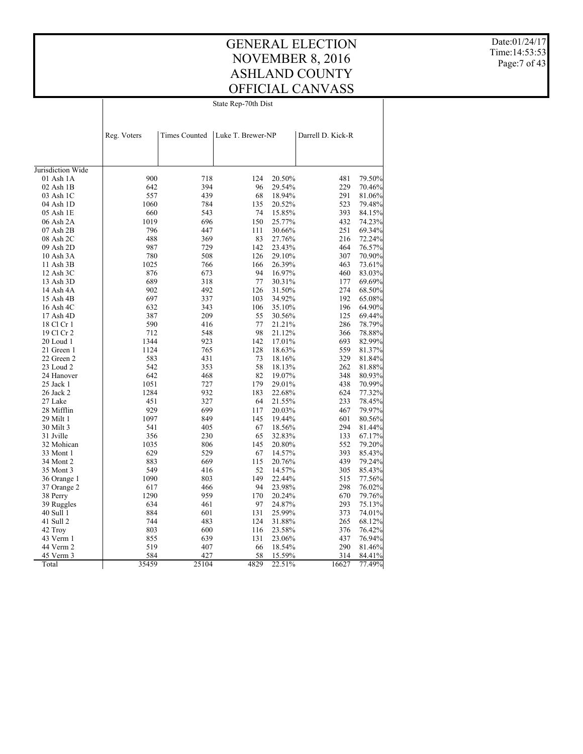#### GENERAL ELECTION NOVEMBER 8, 2016 ASHLAND COUNTY OFFICIAL CANVASS State Rep-70th Dist

Date:01/24/17 Time:14:53:53 Page: 7 of 43

| <b>Times Counted</b><br>Luke T. Brewer-NP<br>Reg. Voters<br>Darrell D. Kick-R<br>Jurisdiction Wide<br>900<br>20.50%<br>79.50%<br>01 Ash 1A<br>718<br>124<br>481<br>642<br>394<br>70.46%<br>$02$ Ash $1B$<br>96<br>29.54%<br>229<br>557<br>439<br>291<br>68<br>18.94%<br>81.06%<br>03 Ash 1C<br>1060<br>04 Ash 1D<br>784<br>135<br>20.52%<br>523<br>79.48%<br>660<br>05 Ash 1E<br>543<br>74<br>15.85%<br>393<br>84.15%<br>150<br>1019<br>696<br>432<br>74.23%<br>06 Ash 2A<br>25.77% |
|-------------------------------------------------------------------------------------------------------------------------------------------------------------------------------------------------------------------------------------------------------------------------------------------------------------------------------------------------------------------------------------------------------------------------------------------------------------------------------------|
|                                                                                                                                                                                                                                                                                                                                                                                                                                                                                     |
|                                                                                                                                                                                                                                                                                                                                                                                                                                                                                     |
|                                                                                                                                                                                                                                                                                                                                                                                                                                                                                     |
|                                                                                                                                                                                                                                                                                                                                                                                                                                                                                     |
|                                                                                                                                                                                                                                                                                                                                                                                                                                                                                     |
|                                                                                                                                                                                                                                                                                                                                                                                                                                                                                     |
|                                                                                                                                                                                                                                                                                                                                                                                                                                                                                     |
|                                                                                                                                                                                                                                                                                                                                                                                                                                                                                     |
|                                                                                                                                                                                                                                                                                                                                                                                                                                                                                     |
|                                                                                                                                                                                                                                                                                                                                                                                                                                                                                     |
|                                                                                                                                                                                                                                                                                                                                                                                                                                                                                     |
| 796<br>447<br>251<br>$07$ Ash $2B$<br>111<br>30.66%<br>69.34%                                                                                                                                                                                                                                                                                                                                                                                                                       |
| 488<br>369<br>83<br>72.24%<br>08 Ash 2C<br>27.76%<br>216                                                                                                                                                                                                                                                                                                                                                                                                                            |
| 987<br>142<br>464<br>09 Ash 2D<br>729<br>23.43%<br>76.57%                                                                                                                                                                                                                                                                                                                                                                                                                           |
| 780<br>307<br>70.90%<br>$10$ Ash $3A$<br>508<br>126<br>29.10%                                                                                                                                                                                                                                                                                                                                                                                                                       |
| 1025<br>11 Ash 3B<br>766<br>166<br>26.39%<br>463<br>73.61%                                                                                                                                                                                                                                                                                                                                                                                                                          |
| 876<br>94<br>673<br>16.97%<br>460<br>83.03%<br>12 Ash 3C                                                                                                                                                                                                                                                                                                                                                                                                                            |
| 689<br>318<br>77<br>177<br>69.69%<br>13 Ash 3D<br>30.31%                                                                                                                                                                                                                                                                                                                                                                                                                            |
| 902<br>492<br>126<br>274<br>68.50%<br>14 Ash 4A<br>31.50%                                                                                                                                                                                                                                                                                                                                                                                                                           |
| 697<br>192<br>15 Ash 4B<br>337<br>103<br>34.92%<br>65.08%                                                                                                                                                                                                                                                                                                                                                                                                                           |
| 632<br>343<br>196<br>16 Ash 4C<br>106<br>35.10%<br>64.90%                                                                                                                                                                                                                                                                                                                                                                                                                           |
| 387<br>209<br>55<br>125<br>17 Ash 4D<br>30.56%<br>69.44%                                                                                                                                                                                                                                                                                                                                                                                                                            |
| 590<br>77<br>78.79%<br>18 Cl Cr 1<br>416<br>21.21%<br>286                                                                                                                                                                                                                                                                                                                                                                                                                           |
| 712<br>548<br>98<br>21.12%<br>366<br>78.88%<br>19 Cl Cr 2                                                                                                                                                                                                                                                                                                                                                                                                                           |
| 82.99%<br>20 Loud 1<br>1344<br>923<br>142<br>17.01%<br>693                                                                                                                                                                                                                                                                                                                                                                                                                          |
| 1124<br>765<br>128<br>559<br>21 Green 1<br>18.63%<br>81.37%                                                                                                                                                                                                                                                                                                                                                                                                                         |
| 583<br>431<br>22 Green 2<br>73<br>18.16%<br>329<br>81.84%                                                                                                                                                                                                                                                                                                                                                                                                                           |
| 23 Loud 2<br>542<br>58<br>262<br>81.88%<br>353<br>18.13%                                                                                                                                                                                                                                                                                                                                                                                                                            |
| 642<br>468<br>82<br>19.07%<br>348<br>24 Hanover<br>80.93%                                                                                                                                                                                                                                                                                                                                                                                                                           |
| 25 Jack 1<br>1051<br>727<br>179<br>29.01%<br>438<br>70.99%                                                                                                                                                                                                                                                                                                                                                                                                                          |
| 1284<br>932<br>26 Jack 2<br>183<br>22.68%<br>624<br>77.32%                                                                                                                                                                                                                                                                                                                                                                                                                          |
| 27 Lake<br>451<br>327<br>64<br>21.55%<br>233<br>78.45%                                                                                                                                                                                                                                                                                                                                                                                                                              |
| 929<br>28 Mifflin<br>699<br>20.03%<br>467<br>79.97%<br>117                                                                                                                                                                                                                                                                                                                                                                                                                          |
| 1097<br>29 Milt 1<br>849<br>145<br>19.44%<br>601<br>80.56%                                                                                                                                                                                                                                                                                                                                                                                                                          |
| 541<br>405<br>67<br>294<br>81.44%<br>30 Milt 3<br>18.56%                                                                                                                                                                                                                                                                                                                                                                                                                            |
| 31 Jville<br>356<br>230<br>65<br>32.83%<br>133<br>67.17%                                                                                                                                                                                                                                                                                                                                                                                                                            |
| 552<br>32 Mohican<br>1035<br>806<br>145<br>20.80%<br>79.20%                                                                                                                                                                                                                                                                                                                                                                                                                         |
| 629<br>529<br>67<br>393<br>85.43%<br>33 Mont 1<br>14.57%                                                                                                                                                                                                                                                                                                                                                                                                                            |
| 34 Mont 2<br>883<br>669<br>115<br>20.76%<br>439<br>79.24%                                                                                                                                                                                                                                                                                                                                                                                                                           |
| 549<br>35 Mont 3<br>416<br>52<br>305<br>85.43%<br>14.57%                                                                                                                                                                                                                                                                                                                                                                                                                            |
| 1090<br>803<br>149<br>22.44%<br>515<br>77.56%<br>36 Orange 1                                                                                                                                                                                                                                                                                                                                                                                                                        |
| 617<br>466<br>94<br>23.98%<br>298<br>76.02%<br>37 Orange 2                                                                                                                                                                                                                                                                                                                                                                                                                          |
| 1290<br>959<br>170<br>670<br>20.24%<br>79.76%<br>38 Perry                                                                                                                                                                                                                                                                                                                                                                                                                           |
| 634<br>461<br>97<br>24.87%<br>293<br>75.13%<br>39 Ruggles                                                                                                                                                                                                                                                                                                                                                                                                                           |
| 40 Sull 1<br>884<br>601<br>131<br>25.99%<br>373<br>74.01%                                                                                                                                                                                                                                                                                                                                                                                                                           |
| 744<br>124<br>41 Sull 2<br>483<br>265<br>68.12%                                                                                                                                                                                                                                                                                                                                                                                                                                     |
| 31.88%<br>803<br>42 Troy<br>600<br>116<br>376<br>76.42%<br>23.58%                                                                                                                                                                                                                                                                                                                                                                                                                   |
| 855<br>43 Verm 1<br>639<br>131<br>23.06%<br>437<br>76.94%                                                                                                                                                                                                                                                                                                                                                                                                                           |
| 44 Verm 2<br>519<br>407<br>18.54%<br>290<br>81.46%<br>66                                                                                                                                                                                                                                                                                                                                                                                                                            |
| 584<br>45 Verm 3<br>427<br>58<br>15.59%<br>314<br>84.41%                                                                                                                                                                                                                                                                                                                                                                                                                            |
| 35459<br>4829<br>77.49%<br>Total<br>25104<br>22.51%<br>16627                                                                                                                                                                                                                                                                                                                                                                                                                        |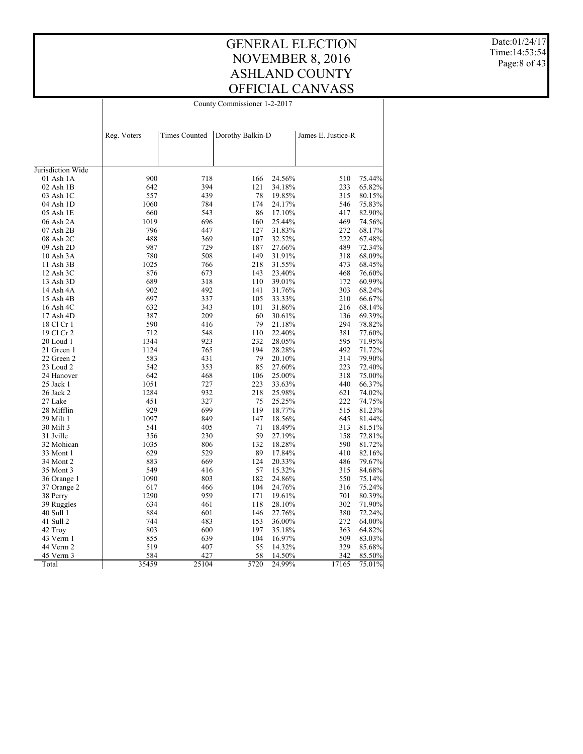#### GENERAL ELECTION NOVEMBER 8, 2016 ASHLAND COUNTY OFFICIAL CANVASS County Commissioner 1-2-2017

Date:01/24/17 Time:14:53:54 Page:8 of 43

| <b>Times Counted</b><br>Reg. Voters<br>Dorothy Balkin-D<br>James E. Justice-R<br>Jurisdiction Wide<br>900<br>718<br>166<br>24.56%<br>510<br>75.44%<br>$01$ Ash $1A$<br>642<br>394<br>121<br>34.18%<br>233<br>65.82%<br>$02$ Ash $1B$<br>557<br>439<br>78<br>315<br>03 Ash 1C<br>19.85%<br>80.15%<br>1060<br>784<br>174<br>24.17%<br>546<br>75.83%<br>04 Ash 1D<br>05 Ash 1E<br>660<br>543<br>86<br>17.10%<br>417<br>82.90%<br>1019<br>160<br>469<br>06 Ash 2A<br>696<br>25.44%<br>74.56%<br>796<br>$07$ Ash $2B$<br>447<br>127<br>31.83%<br>272<br>68.17%<br>488<br>222<br>08 Ash 2C<br>369<br>107<br>32.52%<br>67.48%<br>987<br>187<br>489<br>09 Ash 2D<br>729<br>27.66%<br>72.34%<br>780<br>149<br>10 Ash 3A<br>508<br>31.91%<br>318<br>68.09%<br>1025<br>218<br>473<br>11 Ash 3B<br>766<br>31.55%<br>68.45%<br>876<br>673<br>143<br>23.40%<br>468<br>76.60%<br>12 Ash 3C<br>689<br>39.01%<br>172<br>60.99%<br>13 Ash 3D<br>318<br>110<br>902<br>492<br>141<br>31.76%<br>303<br>14 Ash 4A<br>68.24%<br>697<br>337<br>105<br>210<br>15 Ash 4B<br>33.33%<br>66.67%<br>632<br>101<br>216<br>16 Ash 4C<br>343<br>31.86%<br>68.14%<br>387<br>209<br>60<br>30.61%<br>136<br>17 Ash 4D<br>69.39%<br>590<br>79<br>294<br>18 Cl Cr 1<br>416<br>21.18%<br>78.82%<br>19 Cl Cr 2<br>712<br>548<br>110<br>22.40%<br>381<br>77.60%<br>1344<br>232<br>28.05%<br>595<br>20 Loud 1<br>923<br>71.95%<br>21 Green 1<br>1124<br>765<br>194<br>28.28%<br>492<br>71.72%<br>79<br>22 Green 2<br>583<br>431<br>20.10%<br>314<br>79.90%<br>542<br>85<br>223<br>23 Loud 2<br>353<br>27.60%<br>72.40%<br>642<br>468<br>106<br>25.00%<br>318<br>75.00%<br>24 Hanover<br>1051<br>223<br>25 Jack 1<br>727<br>33.63%<br>440<br>66.37%<br>1284<br>218<br>26 Jack 2<br>932<br>25.98%<br>621<br>74.02%<br>222<br>27 Lake<br>451<br>327<br>75<br>25.25%<br>74.75%<br>929<br>28 Mifflin<br>699<br>119<br>18.77%<br>515<br>81.23%<br>1097<br>147<br>849<br>18.56%<br>645<br>29 Milt 1<br>81.44%<br>541<br>71<br>18.49%<br>313<br>30 Milt 3<br>405<br>81.51%<br>356<br>59<br>31 Jville<br>230<br>27.19%<br>158<br>72.81%<br>1035<br>132<br>590<br>32 Mohican<br>806<br>18.28%<br>81.72%<br>629<br>529<br>89<br>410<br>33 Mont 1<br>17.84%<br>82.16%<br>34 Mont 2<br>883<br>669<br>124<br>486<br>20.33%<br>79.67%<br>549<br>57<br>35 Mont 3<br>416<br>15.32%<br>315<br>84.68%<br>1090<br>803<br>182<br>24.86%<br>550<br>75.14%<br>36 Orange 1<br>104<br>37 Orange 2<br>617<br>466<br>24.76%<br>316<br>75.24%<br>1290<br>959<br>171<br>19.61%<br>701<br>80.39%<br>38 Perry<br>39 Ruggles<br>634<br>461<br>118<br>28.10%<br>302<br>71.90%<br>884<br>40 Sull 1<br>601<br>146<br>27.76%<br>380<br>72.24%<br>744<br>41 Sull 2<br>483<br>153<br>36.00%<br>272<br>64.00%<br>803<br>197<br>42 Troy<br>600<br>35.18%<br>363<br>64.82%<br>855<br>43 Verm 1<br>639<br>104<br>16.97%<br>509<br>83.03%<br>44 Verm 2<br>519<br>407<br>55<br>14.32%<br>329<br>85.68%<br>584<br>45 Verm 3<br>427<br>58<br>14.50%<br>342<br>85.50% |       |       |       |      |        |       |        |
|------------------------------------------------------------------------------------------------------------------------------------------------------------------------------------------------------------------------------------------------------------------------------------------------------------------------------------------------------------------------------------------------------------------------------------------------------------------------------------------------------------------------------------------------------------------------------------------------------------------------------------------------------------------------------------------------------------------------------------------------------------------------------------------------------------------------------------------------------------------------------------------------------------------------------------------------------------------------------------------------------------------------------------------------------------------------------------------------------------------------------------------------------------------------------------------------------------------------------------------------------------------------------------------------------------------------------------------------------------------------------------------------------------------------------------------------------------------------------------------------------------------------------------------------------------------------------------------------------------------------------------------------------------------------------------------------------------------------------------------------------------------------------------------------------------------------------------------------------------------------------------------------------------------------------------------------------------------------------------------------------------------------------------------------------------------------------------------------------------------------------------------------------------------------------------------------------------------------------------------------------------------------------------------------------------------------------------------------------------------------------------------------------------------------------------------------------------------------------------------------------------------------------------------------------------------------------------------------------------------------------------------------------------------------------------------------------------------------------------------------------------------------------------------------------------------------------------------------------------------------------------------------------------------------------------------------------------------------------|-------|-------|-------|------|--------|-------|--------|
|                                                                                                                                                                                                                                                                                                                                                                                                                                                                                                                                                                                                                                                                                                                                                                                                                                                                                                                                                                                                                                                                                                                                                                                                                                                                                                                                                                                                                                                                                                                                                                                                                                                                                                                                                                                                                                                                                                                                                                                                                                                                                                                                                                                                                                                                                                                                                                                                                                                                                                                                                                                                                                                                                                                                                                                                                                                                                                                                                                              |       |       |       |      |        |       |        |
|                                                                                                                                                                                                                                                                                                                                                                                                                                                                                                                                                                                                                                                                                                                                                                                                                                                                                                                                                                                                                                                                                                                                                                                                                                                                                                                                                                                                                                                                                                                                                                                                                                                                                                                                                                                                                                                                                                                                                                                                                                                                                                                                                                                                                                                                                                                                                                                                                                                                                                                                                                                                                                                                                                                                                                                                                                                                                                                                                                              |       |       |       |      |        |       |        |
|                                                                                                                                                                                                                                                                                                                                                                                                                                                                                                                                                                                                                                                                                                                                                                                                                                                                                                                                                                                                                                                                                                                                                                                                                                                                                                                                                                                                                                                                                                                                                                                                                                                                                                                                                                                                                                                                                                                                                                                                                                                                                                                                                                                                                                                                                                                                                                                                                                                                                                                                                                                                                                                                                                                                                                                                                                                                                                                                                                              |       |       |       |      |        |       |        |
|                                                                                                                                                                                                                                                                                                                                                                                                                                                                                                                                                                                                                                                                                                                                                                                                                                                                                                                                                                                                                                                                                                                                                                                                                                                                                                                                                                                                                                                                                                                                                                                                                                                                                                                                                                                                                                                                                                                                                                                                                                                                                                                                                                                                                                                                                                                                                                                                                                                                                                                                                                                                                                                                                                                                                                                                                                                                                                                                                                              |       |       |       |      |        |       |        |
|                                                                                                                                                                                                                                                                                                                                                                                                                                                                                                                                                                                                                                                                                                                                                                                                                                                                                                                                                                                                                                                                                                                                                                                                                                                                                                                                                                                                                                                                                                                                                                                                                                                                                                                                                                                                                                                                                                                                                                                                                                                                                                                                                                                                                                                                                                                                                                                                                                                                                                                                                                                                                                                                                                                                                                                                                                                                                                                                                                              |       |       |       |      |        |       |        |
|                                                                                                                                                                                                                                                                                                                                                                                                                                                                                                                                                                                                                                                                                                                                                                                                                                                                                                                                                                                                                                                                                                                                                                                                                                                                                                                                                                                                                                                                                                                                                                                                                                                                                                                                                                                                                                                                                                                                                                                                                                                                                                                                                                                                                                                                                                                                                                                                                                                                                                                                                                                                                                                                                                                                                                                                                                                                                                                                                                              |       |       |       |      |        |       |        |
|                                                                                                                                                                                                                                                                                                                                                                                                                                                                                                                                                                                                                                                                                                                                                                                                                                                                                                                                                                                                                                                                                                                                                                                                                                                                                                                                                                                                                                                                                                                                                                                                                                                                                                                                                                                                                                                                                                                                                                                                                                                                                                                                                                                                                                                                                                                                                                                                                                                                                                                                                                                                                                                                                                                                                                                                                                                                                                                                                                              |       |       |       |      |        |       |        |
|                                                                                                                                                                                                                                                                                                                                                                                                                                                                                                                                                                                                                                                                                                                                                                                                                                                                                                                                                                                                                                                                                                                                                                                                                                                                                                                                                                                                                                                                                                                                                                                                                                                                                                                                                                                                                                                                                                                                                                                                                                                                                                                                                                                                                                                                                                                                                                                                                                                                                                                                                                                                                                                                                                                                                                                                                                                                                                                                                                              |       |       |       |      |        |       |        |
|                                                                                                                                                                                                                                                                                                                                                                                                                                                                                                                                                                                                                                                                                                                                                                                                                                                                                                                                                                                                                                                                                                                                                                                                                                                                                                                                                                                                                                                                                                                                                                                                                                                                                                                                                                                                                                                                                                                                                                                                                                                                                                                                                                                                                                                                                                                                                                                                                                                                                                                                                                                                                                                                                                                                                                                                                                                                                                                                                                              |       |       |       |      |        |       |        |
|                                                                                                                                                                                                                                                                                                                                                                                                                                                                                                                                                                                                                                                                                                                                                                                                                                                                                                                                                                                                                                                                                                                                                                                                                                                                                                                                                                                                                                                                                                                                                                                                                                                                                                                                                                                                                                                                                                                                                                                                                                                                                                                                                                                                                                                                                                                                                                                                                                                                                                                                                                                                                                                                                                                                                                                                                                                                                                                                                                              |       |       |       |      |        |       |        |
|                                                                                                                                                                                                                                                                                                                                                                                                                                                                                                                                                                                                                                                                                                                                                                                                                                                                                                                                                                                                                                                                                                                                                                                                                                                                                                                                                                                                                                                                                                                                                                                                                                                                                                                                                                                                                                                                                                                                                                                                                                                                                                                                                                                                                                                                                                                                                                                                                                                                                                                                                                                                                                                                                                                                                                                                                                                                                                                                                                              |       |       |       |      |        |       |        |
|                                                                                                                                                                                                                                                                                                                                                                                                                                                                                                                                                                                                                                                                                                                                                                                                                                                                                                                                                                                                                                                                                                                                                                                                                                                                                                                                                                                                                                                                                                                                                                                                                                                                                                                                                                                                                                                                                                                                                                                                                                                                                                                                                                                                                                                                                                                                                                                                                                                                                                                                                                                                                                                                                                                                                                                                                                                                                                                                                                              |       |       |       |      |        |       |        |
|                                                                                                                                                                                                                                                                                                                                                                                                                                                                                                                                                                                                                                                                                                                                                                                                                                                                                                                                                                                                                                                                                                                                                                                                                                                                                                                                                                                                                                                                                                                                                                                                                                                                                                                                                                                                                                                                                                                                                                                                                                                                                                                                                                                                                                                                                                                                                                                                                                                                                                                                                                                                                                                                                                                                                                                                                                                                                                                                                                              |       |       |       |      |        |       |        |
|                                                                                                                                                                                                                                                                                                                                                                                                                                                                                                                                                                                                                                                                                                                                                                                                                                                                                                                                                                                                                                                                                                                                                                                                                                                                                                                                                                                                                                                                                                                                                                                                                                                                                                                                                                                                                                                                                                                                                                                                                                                                                                                                                                                                                                                                                                                                                                                                                                                                                                                                                                                                                                                                                                                                                                                                                                                                                                                                                                              |       |       |       |      |        |       |        |
|                                                                                                                                                                                                                                                                                                                                                                                                                                                                                                                                                                                                                                                                                                                                                                                                                                                                                                                                                                                                                                                                                                                                                                                                                                                                                                                                                                                                                                                                                                                                                                                                                                                                                                                                                                                                                                                                                                                                                                                                                                                                                                                                                                                                                                                                                                                                                                                                                                                                                                                                                                                                                                                                                                                                                                                                                                                                                                                                                                              |       |       |       |      |        |       |        |
|                                                                                                                                                                                                                                                                                                                                                                                                                                                                                                                                                                                                                                                                                                                                                                                                                                                                                                                                                                                                                                                                                                                                                                                                                                                                                                                                                                                                                                                                                                                                                                                                                                                                                                                                                                                                                                                                                                                                                                                                                                                                                                                                                                                                                                                                                                                                                                                                                                                                                                                                                                                                                                                                                                                                                                                                                                                                                                                                                                              |       |       |       |      |        |       |        |
|                                                                                                                                                                                                                                                                                                                                                                                                                                                                                                                                                                                                                                                                                                                                                                                                                                                                                                                                                                                                                                                                                                                                                                                                                                                                                                                                                                                                                                                                                                                                                                                                                                                                                                                                                                                                                                                                                                                                                                                                                                                                                                                                                                                                                                                                                                                                                                                                                                                                                                                                                                                                                                                                                                                                                                                                                                                                                                                                                                              |       |       |       |      |        |       |        |
|                                                                                                                                                                                                                                                                                                                                                                                                                                                                                                                                                                                                                                                                                                                                                                                                                                                                                                                                                                                                                                                                                                                                                                                                                                                                                                                                                                                                                                                                                                                                                                                                                                                                                                                                                                                                                                                                                                                                                                                                                                                                                                                                                                                                                                                                                                                                                                                                                                                                                                                                                                                                                                                                                                                                                                                                                                                                                                                                                                              |       |       |       |      |        |       |        |
|                                                                                                                                                                                                                                                                                                                                                                                                                                                                                                                                                                                                                                                                                                                                                                                                                                                                                                                                                                                                                                                                                                                                                                                                                                                                                                                                                                                                                                                                                                                                                                                                                                                                                                                                                                                                                                                                                                                                                                                                                                                                                                                                                                                                                                                                                                                                                                                                                                                                                                                                                                                                                                                                                                                                                                                                                                                                                                                                                                              |       |       |       |      |        |       |        |
|                                                                                                                                                                                                                                                                                                                                                                                                                                                                                                                                                                                                                                                                                                                                                                                                                                                                                                                                                                                                                                                                                                                                                                                                                                                                                                                                                                                                                                                                                                                                                                                                                                                                                                                                                                                                                                                                                                                                                                                                                                                                                                                                                                                                                                                                                                                                                                                                                                                                                                                                                                                                                                                                                                                                                                                                                                                                                                                                                                              |       |       |       |      |        |       |        |
|                                                                                                                                                                                                                                                                                                                                                                                                                                                                                                                                                                                                                                                                                                                                                                                                                                                                                                                                                                                                                                                                                                                                                                                                                                                                                                                                                                                                                                                                                                                                                                                                                                                                                                                                                                                                                                                                                                                                                                                                                                                                                                                                                                                                                                                                                                                                                                                                                                                                                                                                                                                                                                                                                                                                                                                                                                                                                                                                                                              |       |       |       |      |        |       |        |
|                                                                                                                                                                                                                                                                                                                                                                                                                                                                                                                                                                                                                                                                                                                                                                                                                                                                                                                                                                                                                                                                                                                                                                                                                                                                                                                                                                                                                                                                                                                                                                                                                                                                                                                                                                                                                                                                                                                                                                                                                                                                                                                                                                                                                                                                                                                                                                                                                                                                                                                                                                                                                                                                                                                                                                                                                                                                                                                                                                              |       |       |       |      |        |       |        |
|                                                                                                                                                                                                                                                                                                                                                                                                                                                                                                                                                                                                                                                                                                                                                                                                                                                                                                                                                                                                                                                                                                                                                                                                                                                                                                                                                                                                                                                                                                                                                                                                                                                                                                                                                                                                                                                                                                                                                                                                                                                                                                                                                                                                                                                                                                                                                                                                                                                                                                                                                                                                                                                                                                                                                                                                                                                                                                                                                                              |       |       |       |      |        |       |        |
|                                                                                                                                                                                                                                                                                                                                                                                                                                                                                                                                                                                                                                                                                                                                                                                                                                                                                                                                                                                                                                                                                                                                                                                                                                                                                                                                                                                                                                                                                                                                                                                                                                                                                                                                                                                                                                                                                                                                                                                                                                                                                                                                                                                                                                                                                                                                                                                                                                                                                                                                                                                                                                                                                                                                                                                                                                                                                                                                                                              |       |       |       |      |        |       |        |
|                                                                                                                                                                                                                                                                                                                                                                                                                                                                                                                                                                                                                                                                                                                                                                                                                                                                                                                                                                                                                                                                                                                                                                                                                                                                                                                                                                                                                                                                                                                                                                                                                                                                                                                                                                                                                                                                                                                                                                                                                                                                                                                                                                                                                                                                                                                                                                                                                                                                                                                                                                                                                                                                                                                                                                                                                                                                                                                                                                              |       |       |       |      |        |       |        |
|                                                                                                                                                                                                                                                                                                                                                                                                                                                                                                                                                                                                                                                                                                                                                                                                                                                                                                                                                                                                                                                                                                                                                                                                                                                                                                                                                                                                                                                                                                                                                                                                                                                                                                                                                                                                                                                                                                                                                                                                                                                                                                                                                                                                                                                                                                                                                                                                                                                                                                                                                                                                                                                                                                                                                                                                                                                                                                                                                                              |       |       |       |      |        |       |        |
|                                                                                                                                                                                                                                                                                                                                                                                                                                                                                                                                                                                                                                                                                                                                                                                                                                                                                                                                                                                                                                                                                                                                                                                                                                                                                                                                                                                                                                                                                                                                                                                                                                                                                                                                                                                                                                                                                                                                                                                                                                                                                                                                                                                                                                                                                                                                                                                                                                                                                                                                                                                                                                                                                                                                                                                                                                                                                                                                                                              |       |       |       |      |        |       |        |
|                                                                                                                                                                                                                                                                                                                                                                                                                                                                                                                                                                                                                                                                                                                                                                                                                                                                                                                                                                                                                                                                                                                                                                                                                                                                                                                                                                                                                                                                                                                                                                                                                                                                                                                                                                                                                                                                                                                                                                                                                                                                                                                                                                                                                                                                                                                                                                                                                                                                                                                                                                                                                                                                                                                                                                                                                                                                                                                                                                              |       |       |       |      |        |       |        |
|                                                                                                                                                                                                                                                                                                                                                                                                                                                                                                                                                                                                                                                                                                                                                                                                                                                                                                                                                                                                                                                                                                                                                                                                                                                                                                                                                                                                                                                                                                                                                                                                                                                                                                                                                                                                                                                                                                                                                                                                                                                                                                                                                                                                                                                                                                                                                                                                                                                                                                                                                                                                                                                                                                                                                                                                                                                                                                                                                                              |       |       |       |      |        |       |        |
|                                                                                                                                                                                                                                                                                                                                                                                                                                                                                                                                                                                                                                                                                                                                                                                                                                                                                                                                                                                                                                                                                                                                                                                                                                                                                                                                                                                                                                                                                                                                                                                                                                                                                                                                                                                                                                                                                                                                                                                                                                                                                                                                                                                                                                                                                                                                                                                                                                                                                                                                                                                                                                                                                                                                                                                                                                                                                                                                                                              |       |       |       |      |        |       |        |
|                                                                                                                                                                                                                                                                                                                                                                                                                                                                                                                                                                                                                                                                                                                                                                                                                                                                                                                                                                                                                                                                                                                                                                                                                                                                                                                                                                                                                                                                                                                                                                                                                                                                                                                                                                                                                                                                                                                                                                                                                                                                                                                                                                                                                                                                                                                                                                                                                                                                                                                                                                                                                                                                                                                                                                                                                                                                                                                                                                              |       |       |       |      |        |       |        |
|                                                                                                                                                                                                                                                                                                                                                                                                                                                                                                                                                                                                                                                                                                                                                                                                                                                                                                                                                                                                                                                                                                                                                                                                                                                                                                                                                                                                                                                                                                                                                                                                                                                                                                                                                                                                                                                                                                                                                                                                                                                                                                                                                                                                                                                                                                                                                                                                                                                                                                                                                                                                                                                                                                                                                                                                                                                                                                                                                                              |       |       |       |      |        |       |        |
|                                                                                                                                                                                                                                                                                                                                                                                                                                                                                                                                                                                                                                                                                                                                                                                                                                                                                                                                                                                                                                                                                                                                                                                                                                                                                                                                                                                                                                                                                                                                                                                                                                                                                                                                                                                                                                                                                                                                                                                                                                                                                                                                                                                                                                                                                                                                                                                                                                                                                                                                                                                                                                                                                                                                                                                                                                                                                                                                                                              |       |       |       |      |        |       |        |
|                                                                                                                                                                                                                                                                                                                                                                                                                                                                                                                                                                                                                                                                                                                                                                                                                                                                                                                                                                                                                                                                                                                                                                                                                                                                                                                                                                                                                                                                                                                                                                                                                                                                                                                                                                                                                                                                                                                                                                                                                                                                                                                                                                                                                                                                                                                                                                                                                                                                                                                                                                                                                                                                                                                                                                                                                                                                                                                                                                              |       |       |       |      |        |       |        |
|                                                                                                                                                                                                                                                                                                                                                                                                                                                                                                                                                                                                                                                                                                                                                                                                                                                                                                                                                                                                                                                                                                                                                                                                                                                                                                                                                                                                                                                                                                                                                                                                                                                                                                                                                                                                                                                                                                                                                                                                                                                                                                                                                                                                                                                                                                                                                                                                                                                                                                                                                                                                                                                                                                                                                                                                                                                                                                                                                                              |       |       |       |      |        |       |        |
|                                                                                                                                                                                                                                                                                                                                                                                                                                                                                                                                                                                                                                                                                                                                                                                                                                                                                                                                                                                                                                                                                                                                                                                                                                                                                                                                                                                                                                                                                                                                                                                                                                                                                                                                                                                                                                                                                                                                                                                                                                                                                                                                                                                                                                                                                                                                                                                                                                                                                                                                                                                                                                                                                                                                                                                                                                                                                                                                                                              |       |       |       |      |        |       |        |
|                                                                                                                                                                                                                                                                                                                                                                                                                                                                                                                                                                                                                                                                                                                                                                                                                                                                                                                                                                                                                                                                                                                                                                                                                                                                                                                                                                                                                                                                                                                                                                                                                                                                                                                                                                                                                                                                                                                                                                                                                                                                                                                                                                                                                                                                                                                                                                                                                                                                                                                                                                                                                                                                                                                                                                                                                                                                                                                                                                              |       |       |       |      |        |       |        |
|                                                                                                                                                                                                                                                                                                                                                                                                                                                                                                                                                                                                                                                                                                                                                                                                                                                                                                                                                                                                                                                                                                                                                                                                                                                                                                                                                                                                                                                                                                                                                                                                                                                                                                                                                                                                                                                                                                                                                                                                                                                                                                                                                                                                                                                                                                                                                                                                                                                                                                                                                                                                                                                                                                                                                                                                                                                                                                                                                                              |       |       |       |      |        |       |        |
|                                                                                                                                                                                                                                                                                                                                                                                                                                                                                                                                                                                                                                                                                                                                                                                                                                                                                                                                                                                                                                                                                                                                                                                                                                                                                                                                                                                                                                                                                                                                                                                                                                                                                                                                                                                                                                                                                                                                                                                                                                                                                                                                                                                                                                                                                                                                                                                                                                                                                                                                                                                                                                                                                                                                                                                                                                                                                                                                                                              |       |       |       |      |        |       |        |
|                                                                                                                                                                                                                                                                                                                                                                                                                                                                                                                                                                                                                                                                                                                                                                                                                                                                                                                                                                                                                                                                                                                                                                                                                                                                                                                                                                                                                                                                                                                                                                                                                                                                                                                                                                                                                                                                                                                                                                                                                                                                                                                                                                                                                                                                                                                                                                                                                                                                                                                                                                                                                                                                                                                                                                                                                                                                                                                                                                              |       |       |       |      |        |       |        |
|                                                                                                                                                                                                                                                                                                                                                                                                                                                                                                                                                                                                                                                                                                                                                                                                                                                                                                                                                                                                                                                                                                                                                                                                                                                                                                                                                                                                                                                                                                                                                                                                                                                                                                                                                                                                                                                                                                                                                                                                                                                                                                                                                                                                                                                                                                                                                                                                                                                                                                                                                                                                                                                                                                                                                                                                                                                                                                                                                                              |       |       |       |      |        |       |        |
|                                                                                                                                                                                                                                                                                                                                                                                                                                                                                                                                                                                                                                                                                                                                                                                                                                                                                                                                                                                                                                                                                                                                                                                                                                                                                                                                                                                                                                                                                                                                                                                                                                                                                                                                                                                                                                                                                                                                                                                                                                                                                                                                                                                                                                                                                                                                                                                                                                                                                                                                                                                                                                                                                                                                                                                                                                                                                                                                                                              |       |       |       |      |        |       |        |
|                                                                                                                                                                                                                                                                                                                                                                                                                                                                                                                                                                                                                                                                                                                                                                                                                                                                                                                                                                                                                                                                                                                                                                                                                                                                                                                                                                                                                                                                                                                                                                                                                                                                                                                                                                                                                                                                                                                                                                                                                                                                                                                                                                                                                                                                                                                                                                                                                                                                                                                                                                                                                                                                                                                                                                                                                                                                                                                                                                              |       |       |       |      |        |       |        |
|                                                                                                                                                                                                                                                                                                                                                                                                                                                                                                                                                                                                                                                                                                                                                                                                                                                                                                                                                                                                                                                                                                                                                                                                                                                                                                                                                                                                                                                                                                                                                                                                                                                                                                                                                                                                                                                                                                                                                                                                                                                                                                                                                                                                                                                                                                                                                                                                                                                                                                                                                                                                                                                                                                                                                                                                                                                                                                                                                                              |       |       |       |      |        |       |        |
|                                                                                                                                                                                                                                                                                                                                                                                                                                                                                                                                                                                                                                                                                                                                                                                                                                                                                                                                                                                                                                                                                                                                                                                                                                                                                                                                                                                                                                                                                                                                                                                                                                                                                                                                                                                                                                                                                                                                                                                                                                                                                                                                                                                                                                                                                                                                                                                                                                                                                                                                                                                                                                                                                                                                                                                                                                                                                                                                                                              |       |       |       |      |        |       |        |
|                                                                                                                                                                                                                                                                                                                                                                                                                                                                                                                                                                                                                                                                                                                                                                                                                                                                                                                                                                                                                                                                                                                                                                                                                                                                                                                                                                                                                                                                                                                                                                                                                                                                                                                                                                                                                                                                                                                                                                                                                                                                                                                                                                                                                                                                                                                                                                                                                                                                                                                                                                                                                                                                                                                                                                                                                                                                                                                                                                              |       |       |       |      |        |       |        |
|                                                                                                                                                                                                                                                                                                                                                                                                                                                                                                                                                                                                                                                                                                                                                                                                                                                                                                                                                                                                                                                                                                                                                                                                                                                                                                                                                                                                                                                                                                                                                                                                                                                                                                                                                                                                                                                                                                                                                                                                                                                                                                                                                                                                                                                                                                                                                                                                                                                                                                                                                                                                                                                                                                                                                                                                                                                                                                                                                                              |       |       |       |      |        |       |        |
|                                                                                                                                                                                                                                                                                                                                                                                                                                                                                                                                                                                                                                                                                                                                                                                                                                                                                                                                                                                                                                                                                                                                                                                                                                                                                                                                                                                                                                                                                                                                                                                                                                                                                                                                                                                                                                                                                                                                                                                                                                                                                                                                                                                                                                                                                                                                                                                                                                                                                                                                                                                                                                                                                                                                                                                                                                                                                                                                                                              |       |       |       |      |        |       |        |
|                                                                                                                                                                                                                                                                                                                                                                                                                                                                                                                                                                                                                                                                                                                                                                                                                                                                                                                                                                                                                                                                                                                                                                                                                                                                                                                                                                                                                                                                                                                                                                                                                                                                                                                                                                                                                                                                                                                                                                                                                                                                                                                                                                                                                                                                                                                                                                                                                                                                                                                                                                                                                                                                                                                                                                                                                                                                                                                                                                              |       |       |       |      |        |       |        |
|                                                                                                                                                                                                                                                                                                                                                                                                                                                                                                                                                                                                                                                                                                                                                                                                                                                                                                                                                                                                                                                                                                                                                                                                                                                                                                                                                                                                                                                                                                                                                                                                                                                                                                                                                                                                                                                                                                                                                                                                                                                                                                                                                                                                                                                                                                                                                                                                                                                                                                                                                                                                                                                                                                                                                                                                                                                                                                                                                                              |       |       |       |      |        |       |        |
|                                                                                                                                                                                                                                                                                                                                                                                                                                                                                                                                                                                                                                                                                                                                                                                                                                                                                                                                                                                                                                                                                                                                                                                                                                                                                                                                                                                                                                                                                                                                                                                                                                                                                                                                                                                                                                                                                                                                                                                                                                                                                                                                                                                                                                                                                                                                                                                                                                                                                                                                                                                                                                                                                                                                                                                                                                                                                                                                                                              | Total | 35459 | 25104 | 5720 | 24.99% | 17165 | 75.01% |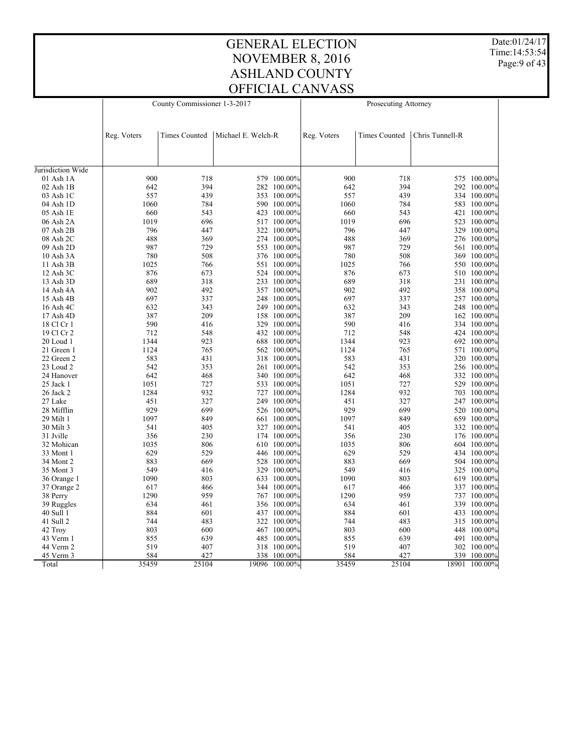Date:01/24/17 Time:14:53:54 Page:9 of 43

|                   |             | County Commissioner 1-3-2017 |                    |               | Prosecuting Attorney |                      |                 |               |  |
|-------------------|-------------|------------------------------|--------------------|---------------|----------------------|----------------------|-----------------|---------------|--|
|                   |             |                              |                    |               |                      |                      |                 |               |  |
|                   | Reg. Voters | <b>Times Counted</b>         | Michael E. Welch-R |               | Reg. Voters          | <b>Times Counted</b> | Chris Tunnell-R |               |  |
|                   |             |                              |                    |               |                      |                      |                 |               |  |
| Jurisdiction Wide |             |                              |                    |               |                      |                      |                 |               |  |
| $01$ Ash $1A$     | 900         | 718                          |                    | 579 100.00%   | 900                  | 718                  |                 | 575 100.00%   |  |
| 02 Ash 1B         | 642         | 394                          |                    | 282 100.00%   | 642                  | 394                  |                 | 292 100.00%   |  |
| 03 Ash 1C         | 557         | 439                          |                    | 353 100.00%   | 557                  | 439                  |                 | 334 100.00%   |  |
| 04 Ash 1D         | 1060        | 784                          |                    | 590 100.00%   | 1060                 | 784                  |                 | 583 100.00%   |  |
| 05 Ash 1E         | 660         | 543                          |                    | 423 100.00%   | 660                  | 543                  |                 | 421 100.00%   |  |
| 06 Ash 2A         | 1019        | 696                          |                    | 517 100.00%   | 1019                 | 696                  |                 | 523 100.00%   |  |
| 07 Ash 2B         | 796         | 447                          |                    | 322 100.00%   | 796                  | 447                  |                 | 329 100.00%   |  |
| 08 Ash 2C         | 488         | 369                          |                    | 274 100.00%   | 488                  | 369                  |                 | 276 100.00%   |  |
| 09 Ash 2D         | 987         | 729                          |                    | 553 100.00%   | 987                  | 729                  |                 | 561 100.00%   |  |
| 10 Ash 3A         | 780         | 508                          |                    | 376 100.00%   | 780                  | 508                  |                 | 369 100.00%   |  |
| 11 Ash 3B         | 1025        | 766                          |                    | 551 100.00%   | 1025                 | 766                  |                 | 550 100.00%   |  |
| 12 Ash 3C         | 876         | 673                          |                    | 524 100.00%   | 876                  | 673                  |                 | 510 100.00%   |  |
| 13 Ash 3D         | 689         | 318                          |                    | 233 100.00%   | 689                  | 318                  |                 | 231 100.00%   |  |
| 14 Ash 4A         | 902         | 492                          |                    | 357 100.00%   | 902                  | 492                  |                 | 358 100.00%   |  |
| 15 Ash 4B         | 697         | 337                          |                    | 248 100.00%   | 697                  | 337                  |                 | 257 100.00%   |  |
| 16 Ash 4C         | 632         | 343                          |                    | 249 100.00%   | 632                  | 343                  |                 | 248 100.00%   |  |
| 17 Ash 4D         | 387         | 209                          |                    | 158 100.00%   | 387                  | 209                  |                 | 162 100.00%   |  |
| 18 Cl Cr 1        | 590         | 416                          |                    | 329 100.00%   | 590                  | 416                  |                 | 334 100.00%   |  |
| 19 Cl Cr 2        | 712         | 548                          |                    | 432 100.00%   | 712                  | 548                  |                 | 424 100.00%   |  |
| 20 Loud 1         | 1344        | 923                          |                    | 688 100.00%   | 1344                 | 923                  |                 | 692 100.00%   |  |
| 21 Green 1        | 1124        | 765                          |                    | 562 100.00%   | 1124                 | 765                  |                 | 571 100.00%   |  |
| 22 Green 2        | 583         | 431                          |                    | 318 100.00%   | 583                  | 431                  |                 | 320 100.00%   |  |
| 23 Loud 2         | 542         | 353                          |                    | 261 100.00%   | 542                  | 353                  |                 | 256 100.00%   |  |
| 24 Hanover        | 642         | 468                          |                    | 340 100.00%   | 642                  | 468                  |                 | 332 100.00%   |  |
| 25 Jack 1         | 1051        | 727                          |                    | 533 100.00%   | 1051                 | 727                  |                 | 529 100.00%   |  |
| 26 Jack 2         | 1284        | 932                          |                    | 727 100.00%   | 1284                 | 932                  |                 | 703 100.00%   |  |
| 27 Lake           | 451         | 327                          |                    | 249 100.00%   | 451                  | 327                  |                 | 247 100.00%   |  |
| 28 Mifflin        | 929         | 699                          |                    | 526 100.00%   | 929                  | 699                  |                 | 520 100.00%   |  |
| 29 Milt 1         | 1097        | 849                          |                    | 661 100.00%   | 1097                 | 849                  |                 | 659 100.00%   |  |
| 30 Milt 3         | 541         | 405                          |                    | 327 100.00%   | 541                  | 405                  |                 | 332 100.00%   |  |
| 31 Jville         | 356         | 230                          |                    | 174 100.00%   | 356                  | 230                  |                 | 176 100.00%   |  |
| 32 Mohican        | 1035        | 806                          |                    | 610 100.00%   | 1035                 | 806                  |                 | 604 100.00%   |  |
| 33 Mont 1         | 629         | 529                          |                    | 446 100.00%   | 629                  | 529                  |                 | 434 100.00%   |  |
| 34 Mont 2         | 883         | 669                          |                    | 528 100.00%   | 883                  | 669                  |                 | 504 100.00%   |  |
| 35 Mont 3         | 549         | 416                          |                    | 329 100.00%   | 549                  | 416                  |                 | 325 100.00%   |  |
| 36 Orange 1       | 1090        | 803                          |                    | 633 100.00%   | 1090                 | 803                  |                 | 619 100.00%   |  |
| 37 Orange 2       | 617         | 466                          |                    | 344 100.00%   | 617                  | 466                  |                 | 337 100.00%   |  |
| 38 Perry          | 1290        | 959                          |                    | 767 100.00%   | 1290                 | 959                  |                 | 737 100.00%   |  |
| 39 Ruggles        | 634         | 461                          |                    | 356 100.00%   | 634                  | 461                  |                 | 339 100.00%   |  |
| 40 Sull 1         | 884         | 601                          |                    | 437 100.00%   | 884                  | 601                  |                 | 433 100.00%   |  |
| 41 Sull 2         | 744         | 483                          |                    | 322 100.00%   | 744                  | 483                  |                 | 315 100.00%   |  |
| 42 Troy           | 803         | 600                          |                    | 467 100.00%   | 803                  | 600                  |                 | 448 100.00%   |  |
| 43 Verm 1         | 855         | 639                          |                    | 485 100.00%   | 855                  | 639                  |                 | 491 100.00%   |  |
| 44 Verm 2         | 519         | 407                          |                    | 318 100.00%   | 519                  | 407                  |                 | 302 100.00%   |  |
| 45 Verm 3         | 584         | 427                          | 338                | $100.00\%$    | 584                  | 427                  |                 | 339 100.00%   |  |
| Total             | 35459       | 25104                        |                    | 19096 100.00% | 35459                | 25104                |                 | 18901 100.00% |  |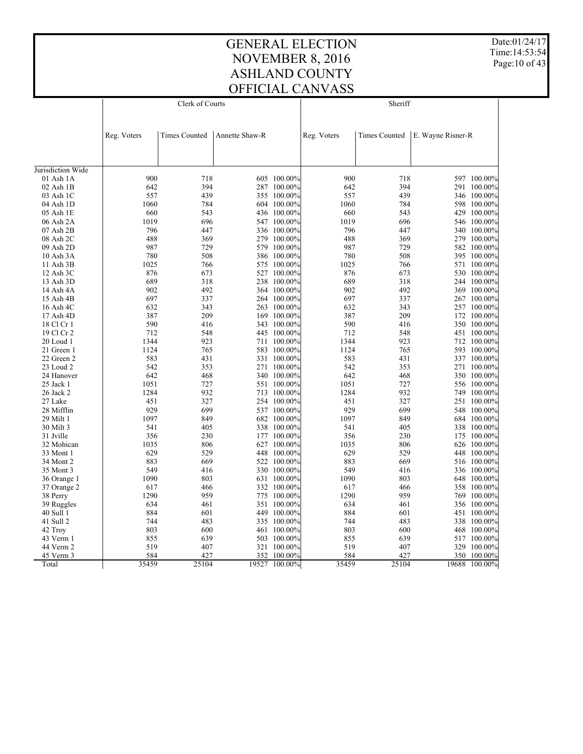Date:01/24/17 Time:14:53:54 Page:10 of 43

|                                    |             | Clerk of Courts      |                |             | Sheriff     |               |                   |               |  |  |
|------------------------------------|-------------|----------------------|----------------|-------------|-------------|---------------|-------------------|---------------|--|--|
|                                    |             |                      |                |             |             |               |                   |               |  |  |
|                                    |             |                      |                |             |             |               |                   |               |  |  |
|                                    | Reg. Voters | <b>Times Counted</b> | Annette Shaw-R |             | Reg. Voters | Times Counted | E. Wayne Risner-R |               |  |  |
|                                    |             |                      |                |             |             |               |                   |               |  |  |
|                                    |             |                      |                |             |             |               |                   |               |  |  |
|                                    |             |                      |                |             |             |               |                   |               |  |  |
| Jurisdiction Wide<br>$01$ Ash $1A$ | 900         | 718                  |                | 605 100.00% | 900         | 718           |                   | 597 100.00%   |  |  |
| 02 Ash 1B                          | 642         | 394                  |                | 287 100.00% | 642         | 394           |                   | 291 100.00%   |  |  |
| 03 Ash 1C                          | 557         | 439                  |                | 355 100.00% | 557         | 439           |                   | 346 100.00%   |  |  |
| 04 Ash 1D                          | 1060        | 784                  |                | 604 100.00% | 1060        | 784           |                   | 598 100.00%   |  |  |
| 05 Ash 1E                          | 660         | 543                  |                | 436 100.00% | 660         | 543           |                   | 429 100.00%   |  |  |
| 06 Ash 2A                          | 1019        | 696                  |                | 547 100.00% | 1019        | 696           |                   | 546 100.00%   |  |  |
| $07$ Ash $2B$                      | 796         | 447                  |                | 336 100.00% | 796         | 447           |                   | 340 100.00%   |  |  |
| 08 Ash 2C                          | 488         | 369                  |                | 279 100.00% | 488         | 369           |                   | 279 100.00%   |  |  |
| 09 Ash 2D                          | 987         | 729                  |                | 579 100.00% | 987         | 729           |                   | 582 100.00%   |  |  |
| 10 Ash 3A                          | 780         | 508                  |                | 386 100.00% | 780         | 508           |                   | 395 100.00%   |  |  |
| 11 Ash 3B                          | 1025        | 766                  |                | 575 100.00% | 1025        | 766           |                   | 571 100.00%   |  |  |
| 12 Ash 3C                          | 876         | 673                  |                | 527 100.00% | 876         | 673           |                   | 530 100.00%   |  |  |
| 13 Ash 3D                          | 689         | 318                  |                | 238 100.00% | 689         | 318           |                   | 244 100.00%   |  |  |
| 14 Ash 4A                          | 902         | 492                  |                | 364 100.00% | 902         | 492           |                   | 369 100.00%   |  |  |
| 15 Ash 4B                          | 697         | 337                  |                | 264 100.00% | 697         | 337           |                   | 267 100.00%   |  |  |
| 16 Ash 4C                          | 632         | 343                  |                | 263 100.00% | 632         | 343           |                   | 257 100.00%   |  |  |
| 17 Ash 4D                          | 387         | 209                  |                | 169 100.00% | 387         | 209           |                   | 172 100.00%   |  |  |
| 18 Cl Cr 1                         | 590         | 416                  |                | 343 100.00% | 590         | 416           |                   | 350 100.00%   |  |  |
| 19 Cl Cr 2                         | 712         | 548                  |                | 445 100.00% | 712         | 548           |                   | 451 100.00%   |  |  |
| 20 Loud 1                          | 1344        | 923                  |                | 711 100.00% | 1344        | 923           |                   | 712 100.00%   |  |  |
| 21 Green 1                         | 1124        | 765                  |                | 583 100.00% | 1124        | 765           |                   | 593 100.00%   |  |  |
| 22 Green 2                         | 583         | 431                  |                | 331 100.00% | 583         | 431           |                   | 337 100.00%   |  |  |
| 23 Loud 2                          | 542         | 353                  |                | 271 100.00% | 542         | 353           |                   | 271 100.00%   |  |  |
| 24 Hanover                         | 642         | 468                  |                | 340 100.00% | 642         | 468           |                   | 350 100.00%   |  |  |
| 25 Jack 1                          | 1051        | 727                  |                | 551 100.00% | 1051        | 727           |                   | 556 100.00%   |  |  |
| 26 Jack 2                          | 1284        | 932                  |                | 713 100.00% | 1284        | 932           |                   | 749 100.00%   |  |  |
| 27 Lake                            | 451         | 327                  |                | 254 100.00% | 451         | 327           |                   | 251 100.00%   |  |  |
| 28 Mifflin                         | 929         | 699                  |                | 537 100.00% | 929         | 699           |                   | 548 100.00%   |  |  |
| 29 Milt 1                          | 1097        | 849                  |                | 682 100.00% | 1097        | 849           |                   | 684 100.00%   |  |  |
| 30 Milt 3                          | 541         | 405                  |                | 338 100.00% | 541         | 405           |                   | 338 100.00%   |  |  |
| 31 Jville                          | 356         | 230                  |                | 177 100.00% | 356         | 230           |                   | 175 100.00%   |  |  |
| 32 Mohican                         | 1035        | 806                  |                | 627 100.00% | 1035        | 806           |                   | 626 100.00%   |  |  |
| 33 Mont 1                          | 629         | 529                  |                | 448 100.00% | 629         | 529           |                   | 448 100.00%   |  |  |
| 34 Mont 2                          | 883         | 669                  |                | 522 100.00% | 883         | 669           |                   | 516 100.00%   |  |  |
| 35 Mont 3                          | 549         | 416                  |                | 330 100.00% | 549         | 416           |                   | 336 100.00%   |  |  |
| 36 Orange 1                        | 1090        | 803                  |                | 631 100.00% | 1090        | 803           |                   | 648 100.00%   |  |  |
| 37 Orange 2                        | 617         | 466                  |                | 332 100.00% | 617         | 466           |                   | 358 100.00%   |  |  |
| 38 Perry                           | 1290        | 959                  |                | 775 100.00% | 1290        | 959           |                   | 769 100.00%   |  |  |
| 39 Ruggles                         | 634         | 461                  |                | 351 100.00% | 634         | 461           |                   | 356 100.00%   |  |  |
| 40 Sull 1                          | 884         | 601                  |                | 449 100.00% | 884         | 601           |                   | 451 100.00%   |  |  |
| 41 Sull 2                          | 744         | 483                  |                | 335 100.00% | 744         | 483           |                   | 338 100.00%   |  |  |
| 42 Troy                            | 803         | 600                  |                | 461 100.00% | 803         | 600           |                   | 468 100.00%   |  |  |
| 43 Verm 1                          | 855         | 639                  |                | 503 100.00% | 855         | 639           |                   | 517 100.00%   |  |  |
| 44 Verm 2                          | 519         | 407                  |                | 321 100.00% | 519         | 407           |                   | 329 100.00%   |  |  |
| 45 Verm 3                          | 584         | 427                  | 352            | 100.00%     | 584         | 427           |                   | 350 100.00%   |  |  |
| Total                              | 35459       | 25104                | 19527          | 100.00%     | 35459       | 25104         |                   | 19688 100.00% |  |  |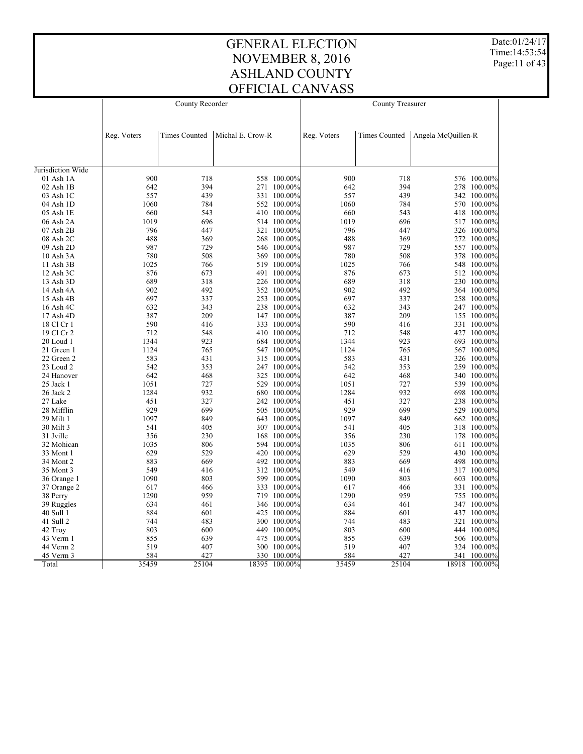Date:01/24/17 Time:14:53:54 Page:11 of 43

|                   |             | County Recorder      |                  |               | County Treasurer |                      |                    |               |  |
|-------------------|-------------|----------------------|------------------|---------------|------------------|----------------------|--------------------|---------------|--|
|                   |             |                      |                  |               |                  |                      |                    |               |  |
|                   | Reg. Voters | <b>Times Counted</b> | Michal E. Crow-R |               | Reg. Voters      | <b>Times Counted</b> | Angela McQuillen-R |               |  |
|                   |             |                      |                  |               |                  |                      |                    |               |  |
| Jurisdiction Wide |             |                      |                  |               |                  |                      |                    |               |  |
| $01$ Ash $1A$     | 900         | 718                  |                  | 558 100.00%   | 900              | 718                  |                    | 576 100.00%   |  |
| 02 Ash 1B         | 642         | 394                  |                  | 271 100.00%   | 642              | 394                  |                    | 278 100.00%   |  |
| 03 Ash 1C         | 557         | 439                  |                  | 331 100.00%   | 557              | 439                  |                    | 342 100.00%   |  |
| 04 Ash 1D         | 1060        | 784                  |                  | 552 100.00%   | 1060             | 784                  |                    | 570 100.00%   |  |
| 05 Ash 1E         | 660         | 543                  |                  | 410 100.00%   | 660              | 543                  |                    | 418 100.00%   |  |
| 06 Ash 2A         | 1019        | 696                  |                  | 514 100.00%   | 1019             | 696                  |                    | 517 100.00%   |  |
| $07$ Ash $2B$     | 796         | 447                  |                  | 321 100.00%   | 796              | 447                  |                    | 326 100.00%   |  |
| 08 Ash 2C         | 488         | 369                  |                  | 268 100.00%   | 488              | 369                  |                    | 272 100.00%   |  |
| 09 Ash 2D         | 987         | 729                  |                  | 546 100.00%   | 987              | 729                  |                    | 557 100.00%   |  |
| 10 Ash 3A         | 780         | 508                  |                  | 369 100.00%   | 780              | 508                  |                    | 378 100.00%   |  |
| 11 Ash 3B         | 1025        | 766                  |                  | 519 100.00%   | 1025             | 766                  |                    | 548 100.00%   |  |
| 12 Ash 3C         | 876         | 673                  |                  | 491 100.00%   | 876              | 673                  |                    | 512 100.00%   |  |
| 13 Ash 3D         | 689         | 318                  |                  | 226 100.00%   | 689              | 318                  |                    | 230 100.00%   |  |
| 14 Ash 4A         | 902         | 492                  |                  | 352 100.00%   | 902              | 492                  |                    | 364 100.00%   |  |
|                   | 697         | 337                  |                  | 253 100.00%   | 697              | 337                  |                    |               |  |
| 15 Ash 4B         |             | 343                  |                  | 238 100.00%   |                  |                      |                    | 258 100.00%   |  |
| 16 Ash 4C         | 632         |                      |                  |               | 632              | 343                  |                    | 247 100.00%   |  |
| 17 Ash 4D         | 387<br>590  | 209                  |                  | 147 100.00%   | 387<br>590       | 209<br>416           |                    | 155 100.00%   |  |
| 18 Cl Cr 1        |             | 416                  |                  | 333 100.00%   |                  |                      |                    | 331 100.00%   |  |
| 19 Cl Cr 2        | 712         | 548                  |                  | 410 100.00%   | 712              | 548                  |                    | 427 100.00%   |  |
| 20 Loud 1         | 1344        | 923                  |                  | 684 100.00%   | 1344             | 923                  |                    | 693 100.00%   |  |
| 21 Green 1        | 1124        | 765                  |                  | 547 100.00%   | 1124             | 765                  |                    | 567 100.00%   |  |
| 22 Green 2        | 583         | 431                  |                  | 315 100.00%   | 583              | 431                  |                    | 326 100.00%   |  |
| 23 Loud 2         | 542         | 353                  |                  | 247 100.00%   | 542              | 353                  |                    | 259 100.00%   |  |
| 24 Hanover        | 642         | 468                  |                  | 325 100.00%   | 642              | 468                  |                    | 340 100.00%   |  |
| 25 Jack 1         | 1051        | 727                  |                  | 529 100.00%   | 1051             | 727                  |                    | 539 100.00%   |  |
| 26 Jack 2         | 1284        | 932                  |                  | 680 100.00%   | 1284             | 932                  |                    | 698 100.00%   |  |
| 27 Lake           | 451         | 327                  |                  | 242 100.00%   | 451              | 327                  |                    | 238 100.00%   |  |
| 28 Mifflin        | 929         | 699                  |                  | 505 100.00%   | 929              | 699                  |                    | 529 100.00%   |  |
| 29 Milt 1         | 1097        | 849                  |                  | 643 100.00%   | 1097             | 849                  |                    | 662 100.00%   |  |
| 30 Milt 3         | 541         | 405                  |                  | 307 100.00%   | 541              | 405                  |                    | 318 100.00%   |  |
| 31 Jville         | 356         | 230                  |                  | 168 100.00%   | 356              | 230                  |                    | 178 100.00%   |  |
| 32 Mohican        | 1035        | 806                  |                  | 594 100.00%   | 1035             | 806                  |                    | 611 100.00%   |  |
| 33 Mont 1         | 629         | 529                  |                  | 420 100.00%   | 629              | 529                  |                    | 430 100.00%   |  |
| 34 Mont 2         | 883         | 669                  |                  | 492 100.00%   | 883              | 669                  |                    | 498 100.00%   |  |
| 35 Mont 3         | 549         | 416                  |                  | 312 100.00%   | 549              | 416                  |                    | 317 100.00%   |  |
| 36 Orange 1       | 1090        | 803                  |                  | 599 100.00%   | 1090             | 803                  |                    | 603 100.00%   |  |
| 37 Orange 2       | 617         | 466                  |                  | 333 100.00%   | 617              | 466                  |                    | 331 100.00%   |  |
| 38 Perry          | 1290        | 959                  |                  | 719 100.00%   | 1290             | 959                  |                    | 755 100.00%   |  |
| 39 Ruggles        | 634         | 461                  |                  | 346 100.00%   | 634              | 461                  |                    | 347 100.00%   |  |
| 40 Sull 1         | 884         | 601                  |                  | 425 100.00%   | 884              | 601                  |                    | 437 100.00%   |  |
| 41 Sull 2         | 744         | 483                  |                  | 300 100.00%   | 744              | 483                  |                    | 321 100.00%   |  |
| 42 Troy           | 803         | 600                  |                  | 449 100.00%   | 803              | 600                  |                    | 444 100.00%   |  |
| 43 Verm 1         | 855         | 639                  |                  | 475 100.00%   | 855              | 639                  |                    | 506 100.00%   |  |
| 44 Verm 2         | 519         | 407                  |                  | 300 100.00%   | 519              | 407                  |                    | 324 100.00%   |  |
| 45 Verm 3         | 584         | 427                  |                  | 330 100.00%   | 584              | 427                  | 341                | 100.00%       |  |
| Total             | 35459       | 25104                |                  | 18395 100.00% | 35459            | 25104                |                    | 18918 100.00% |  |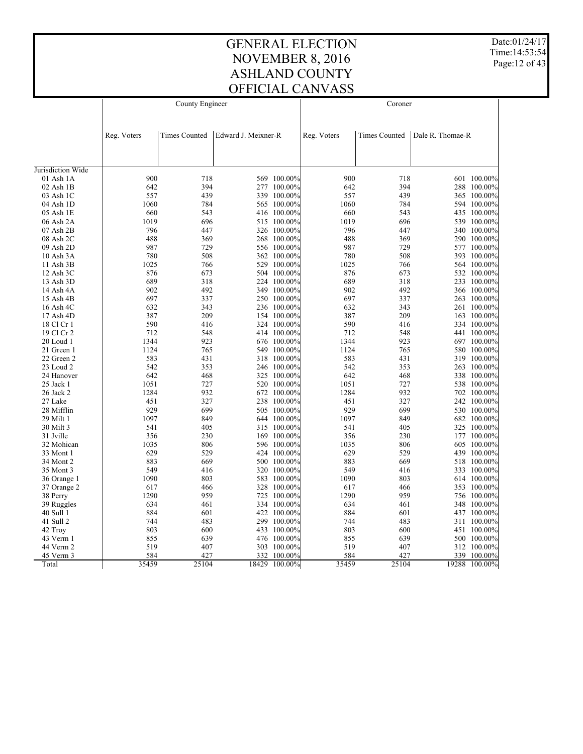Date:01/24/17 Time:14:53:54 Page:12 of 43

|                   |             | County Engineer |                     |             | Coroner     |                      |                  |             |  |  |
|-------------------|-------------|-----------------|---------------------|-------------|-------------|----------------------|------------------|-------------|--|--|
|                   |             |                 |                     |             |             |                      |                  |             |  |  |
|                   |             |                 |                     |             |             |                      |                  |             |  |  |
|                   | Reg. Voters | Times Counted   | Edward J. Meixner-R |             | Reg. Voters | <b>Times Counted</b> | Dale R. Thomae-R |             |  |  |
|                   |             |                 |                     |             |             |                      |                  |             |  |  |
|                   |             |                 |                     |             |             |                      |                  |             |  |  |
| Jurisdiction Wide |             |                 |                     |             |             |                      |                  |             |  |  |
| 01 Ash 1A         | 900         | 718             |                     | 569 100.00% | 900         | 718                  |                  | 601 100.00% |  |  |
| 02 Ash 1B         | 642         | 394             |                     | 277 100.00% | 642         | 394                  |                  | 288 100.00% |  |  |
| 03 Ash 1C         | 557         | 439             |                     | 339 100.00% | 557         | 439                  |                  | 365 100.00% |  |  |
| 04 Ash 1D         | 1060        | 784             |                     | 565 100.00% | 1060        | 784                  |                  | 594 100.00% |  |  |
| 05 Ash 1E         | 660         | 543             |                     | 416 100.00% | 660         | 543                  |                  | 435 100.00% |  |  |
| 06 Ash 2A         | 1019        | 696             |                     | 515 100.00% | 1019        | 696                  |                  | 539 100.00% |  |  |
| 07 Ash 2B         | 796         | 447             |                     | 326 100.00% | 796         | 447                  |                  | 340 100.00% |  |  |
| 08 Ash 2C         | 488         | 369             |                     | 268 100.00% | 488         | 369                  |                  | 290 100.00% |  |  |
| 09 Ash 2D         | 987         | 729             |                     | 556 100.00% | 987         | 729                  |                  | 577 100.00% |  |  |
| 10 Ash 3A         | 780         | 508             |                     | 362 100.00% | 780         | 508                  |                  | 393 100.00% |  |  |
| 11 Ash 3B         | 1025        | 766             |                     | 529 100.00% | 1025        | 766                  |                  | 564 100.00% |  |  |
| 12 Ash 3C         | 876         | 673             |                     | 504 100.00% | 876         | 673                  |                  | 532 100.00% |  |  |
| 13 Ash 3D         | 689         | 318             |                     | 224 100.00% | 689         | 318                  |                  | 233 100.00% |  |  |
| 14 Ash 4A         | 902         | 492             |                     | 349 100.00% | 902         | 492                  |                  | 366 100.00% |  |  |
| 15 Ash 4B         | 697         | 337             |                     | 250 100.00% | 697         | 337                  |                  | 263 100.00% |  |  |
| 16 Ash 4C         | 632         | 343             |                     | 236 100.00% | 632         | 343                  |                  | 261 100.00% |  |  |
| 17 Ash 4D         | 387         | 209             |                     | 154 100.00% | 387         | 209                  |                  | 163 100.00% |  |  |
| 18 Cl Cr 1        | 590         | 416             |                     | 324 100.00% | 590         | 416                  |                  | 334 100.00% |  |  |
| 19 Cl Cr 2        | 712         | 548             |                     | 414 100.00% | 712         | 548                  |                  | 441 100.00% |  |  |
| $20$ Loud 1       | 1344        | 923             |                     | 676 100.00% | 1344        | 923                  |                  | 697 100.00% |  |  |
| 21 Green 1        | 1124        | 765             |                     | 549 100.00% | 1124        | 765                  |                  | 580 100.00% |  |  |
| 22 Green 2        | 583         | 431             |                     | 318 100.00% | 583         | 431                  |                  | 319 100.00% |  |  |
| 23 Loud 2         | 542         | 353             |                     | 246 100.00% | 542         | 353                  |                  | 263 100.00% |  |  |
| 24 Hanover        | 642         | 468             |                     | 325 100.00% | 642         | 468                  |                  | 338 100.00% |  |  |
| 25 Jack 1         | 1051        | 727             |                     | 520 100.00% | 1051        | 727                  |                  | 538 100.00% |  |  |
| 26 Jack 2         | 1284        | 932             |                     | 672 100.00% | 1284        | 932                  |                  | 702 100.00% |  |  |
| 27 Lake           | 451         | 327             |                     | 238 100.00% | 451         | 327                  |                  | 242 100.00% |  |  |
| 28 Mifflin        | 929         | 699             |                     | 505 100.00% | 929         | 699                  |                  | 530 100.00% |  |  |
| 29 Milt 1         | 1097        | 849             |                     | 644 100.00% | 1097        | 849                  |                  | 682 100.00% |  |  |
| 30 Milt 3         | 541         | 405             |                     | 315 100.00% | 541         | 405                  |                  | 325 100.00% |  |  |
| 31 Jville         | 356         | 230             |                     | 169 100.00% | 356         | 230                  |                  | 177 100.00% |  |  |
| 32 Mohican        | 1035        | 806             |                     | 596 100.00% | 1035        | 806                  |                  | 605 100.00% |  |  |
| 33 Mont 1         | 629         | 529             |                     | 424 100.00% | 629         | 529                  |                  | 439 100.00% |  |  |
| 34 Mont 2         | 883         | 669             |                     | 500 100.00% | 883         | 669                  |                  | 518 100.00% |  |  |
| 35 Mont 3         | 549         | 416             |                     | 320 100.00% | 549         | 416                  |                  | 333 100.00% |  |  |
| 36 Orange 1       | 1090        | 803             |                     | 583 100.00% | 1090        | 803                  |                  | 614 100.00% |  |  |
| 37 Orange 2       | 617         | 466             |                     | 328 100.00% | 617         | 466                  |                  | 353 100.00% |  |  |
| 38 Perry          | 1290        | 959             |                     | 725 100.00% | 1290        | 959                  |                  | 756 100.00% |  |  |
| 39 Ruggles        | 634         | 461             |                     | 334 100.00% | 634         | 461                  |                  | 348 100.00% |  |  |
| 40 Sull 1         | 884         | 601             |                     | 422 100.00% | 884         | 601                  |                  | 437 100.00% |  |  |
| 41 Sull 2         | 744         | 483             |                     | 299 100.00% | 744         | 483                  |                  | 311 100.00% |  |  |
| 42 Troy           | 803         | 600             |                     | 433 100.00% | 803         | 600                  |                  | 451 100.00% |  |  |
| 43 Verm 1         | 855         | 639             |                     | 476 100.00% | 855         | 639                  |                  | 500 100.00% |  |  |
| 44 Verm 2         | 519         | 407             |                     | 303 100.00% | 519         | 407                  |                  | 312 100.00% |  |  |
| 45 Verm 3         | 584         | 427             | 332                 | 100.00%     | 584         | 427                  | 339              | 100.00%     |  |  |
| Total             | 35459       | 25104           | 18429               | 100.00%     | 35459       | 25104                | 19288            | 100.00%     |  |  |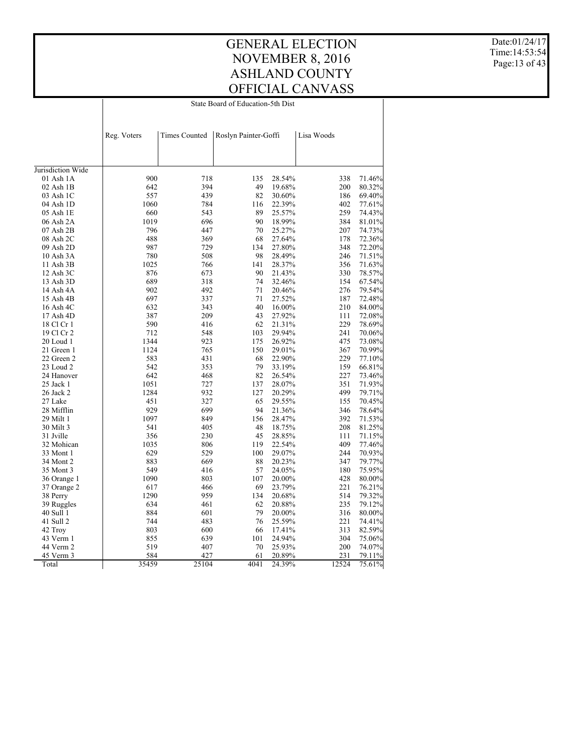State Board of Education-5th Dist

Date:01/24/17 Time:14:53:54 Page:13 of 43

|                   | Reg. Voters | <b>Times Counted</b> | Roslyn Painter-Goffi |        | Lisa Woods |        |
|-------------------|-------------|----------------------|----------------------|--------|------------|--------|
|                   |             |                      |                      |        |            |        |
|                   |             |                      |                      |        |            |        |
| Jurisdiction Wide |             |                      |                      |        |            |        |
| 01 Ash 1A         | 900         | 718                  | 135                  | 28.54% | 338        | 71.46% |
| $02$ Ash $1B$     | 642         | 394                  | 49                   | 19.68% | 200        | 80.32% |
| 03 Ash 1C         | 557         | 439                  | 82                   | 30.60% | 186        | 69.40% |
| 04 Ash 1D         | 1060        | 784                  | 116                  | 22.39% | 402        | 77.61% |
| 05 Ash 1E         | 660         | 543                  | 89                   | 25.57% | 259        | 74.43% |
| 06 Ash 2A         | 1019        | 696                  | 90                   | 18.99% | 384        | 81.01% |
| 07 Ash 2B         | 796         | 447                  | 70                   | 25.27% | 207        | 74.73% |
| 08 Ash 2C         | 488         | 369                  | 68                   | 27.64% | 178        | 72.36% |
| 09 Ash 2D         | 987         | 729                  | 134                  | 27.80% | 348        | 72.20% |
| 10 Ash 3A         | 780         | 508                  | 98                   | 28.49% | 246        | 71.51% |
| 11 Ash 3B         | 1025        | 766                  | 141                  | 28.37% | 356        | 71.63% |
| 12 Ash 3C         | 876         | 673                  | 90                   | 21.43% | 330        | 78.57% |
| 13 Ash 3D         | 689         | 318                  | 74                   | 32.46% | 154        | 67.54% |
| 14 Ash 4A         | 902         | 492                  | 71                   | 20.46% | 276        | 79.54% |
| 15 Ash 4B         | 697         | 337                  | 71                   | 27.52% | 187        | 72.48% |
| 16 Ash 4C         | 632         | 343                  | 40                   | 16.00% | 210        | 84.00% |
| 17 Ash 4D         | 387         | 209                  | 43                   | 27.92% | 111        | 72.08% |
| 18 Cl Cr 1        | 590         | 416                  | 62                   | 21.31% | 229        | 78.69% |
| 19 Cl Cr 2        | 712         | 548                  | 103                  | 29.94% | 241        | 70.06% |
| 20 Loud 1         | 1344        | 923                  | 175                  | 26.92% | 475        | 73.08% |
| 21 Green 1        | 1124        | 765                  | 150                  | 29.01% | 367        | 70.99% |
| 22 Green 2        | 583         | 431                  | 68                   | 22.90% | 229        | 77.10% |
| 23 Loud 2         | 542         | 353                  | 79                   | 33.19% | 159        | 66.81% |
| 24 Hanover        | 642         | 468                  | 82                   | 26.54% | 227        | 73.46% |
| 25 Jack 1         | 1051        | 727                  | 137                  | 28.07% | 351        | 71.93% |
| 26 Jack 2         | 1284        | 932                  | 127                  | 20.29% | 499        | 79.71% |
| 27 Lake           | 451         | 327                  | 65                   | 29.55% | 155        | 70.45% |
| 28 Mifflin        | 929         | 699                  | 94                   | 21.36% | 346        | 78.64% |
| 29 Milt 1         | 1097        | 849                  | 156                  | 28.47% | 392        | 71.53% |
| 30 Milt 3         | 541         | 405                  | 48                   | 18.75% | 208        | 81.25% |
| 31 Jville         | 356         | 230                  | 45                   | 28.85% | 111        | 71.15% |
| 32 Mohican        | 1035        | 806                  | 119                  | 22.54% | 409        | 77.46% |
| 33 Mont 1         | 629         | 529                  | 100                  | 29.07% | 244        | 70.93% |
| 34 Mont 2         | 883         | 669                  | 88                   | 20.23% | 347        | 79.77% |
| 35 Mont 3         | 549         | 416                  | 57                   | 24.05% | 180        | 75.95% |
| 36 Orange 1       | 1090        | 803                  | 107                  | 20.00% | 428        | 80.00% |
| 37 Orange 2       | 617         | 466                  | 69                   | 23.79% | 221        | 76.21% |
| 38 Perry          | 1290        | 959                  | 134                  | 20.68% | 514        | 79.32% |
| 39 Ruggles        | 634         | 461                  | 62                   | 20.88% | 235        | 79.12% |
| 40 Sull 1         | 884         | 601                  | 79                   | 20.00% | 316        | 80.00% |
| 41 Sull 2         | 744         | 483                  | 76                   | 25.59% | 221        | 74.41% |
| 42 Troy           | 803         | 600                  | 66                   | 17.41% | 313        | 82.59% |
| 43 Verm 1         | 855         | 639                  | 101                  | 24.94% | 304        | 75.06% |
| 44 Verm 2         | 519         | 407                  | 70                   | 25.93% | 200        | 74.07% |
| 45 Verm 3         | 584         | 427                  | 61                   | 20.89% | 231        | 79.11% |
| Total             | 35459       | 25104                | 4041                 | 24.39% | 12524      | 75.61% |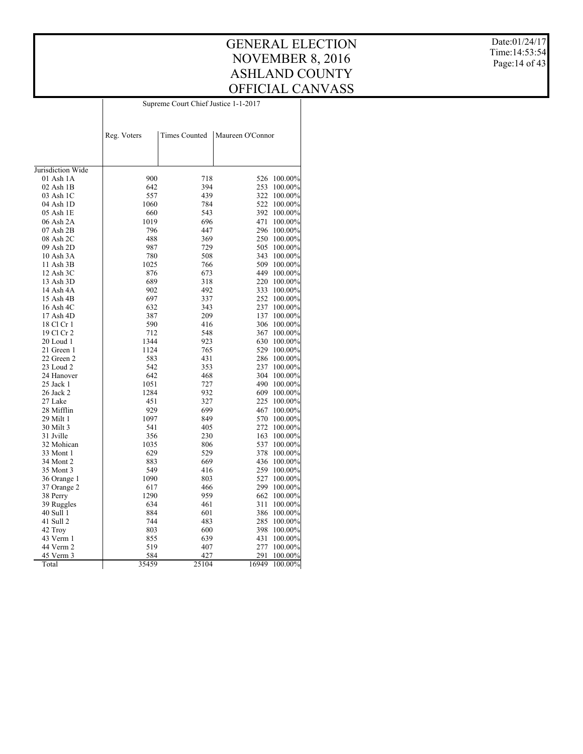Date:01/24/17 Time:14:53:54 Page:14 of 43

|                        | Supreme Court Chief Justice 1-1-2017 |                      |                  |         |  |  |  |  |
|------------------------|--------------------------------------|----------------------|------------------|---------|--|--|--|--|
|                        | Reg. Voters                          | <b>Times Counted</b> | Maureen O'Connor |         |  |  |  |  |
|                        |                                      |                      |                  |         |  |  |  |  |
| Jurisdiction Wide      |                                      |                      |                  |         |  |  |  |  |
| 01 Ash 1A              | 900                                  | 718                  | 526              | 100.00% |  |  |  |  |
| 02 Ash 1B              | 642                                  | 394                  | 253              | 100.00% |  |  |  |  |
| 03 Ash 1C              | 557                                  | 439                  | 322              | 100.00% |  |  |  |  |
| 04 Ash 1D              | 1060                                 | 784                  | 522              | 100.00% |  |  |  |  |
| 05 Ash 1E              | 660                                  | 543                  | 392              | 100.00% |  |  |  |  |
| 06 Ash 2A              | 1019                                 | 696                  | 471              | 100.00% |  |  |  |  |
| 07 Ash 2B              | 796                                  | 447                  | 296              | 100.00% |  |  |  |  |
| 08 Ash 2C              | 488                                  | 369                  | 250              | 100.00% |  |  |  |  |
| 09 Ash 2D              | 987                                  | 729                  | 505              | 100.00% |  |  |  |  |
| 10 Ash 3A              | 780                                  | 508                  | 343              | 100.00% |  |  |  |  |
| 11 Ash 3B              | 1025                                 | 766                  | 509              | 100.00% |  |  |  |  |
| 12 Ash 3C              | 876                                  | 673                  | 449              | 100.00% |  |  |  |  |
| 13 Ash 3D              | 689                                  | 318                  | 220              | 100.00% |  |  |  |  |
| 14 Ash 4A              | 902                                  | 492                  | 333              | 100.00% |  |  |  |  |
| 15 Ash 4B              | 697                                  | 337                  | 252              | 100.00% |  |  |  |  |
| 16 Ash 4C              | 632                                  | 343                  | 237              | 100.00% |  |  |  |  |
| 17 Ash 4D              | 387                                  | 209                  | 137              | 100.00% |  |  |  |  |
| 18 Cl Cr 1             | 590                                  | 416                  | 306              | 100.00% |  |  |  |  |
| 19 Cl Cr 2             | 712                                  | 548                  | 367              | 100.00% |  |  |  |  |
| 20 Loud 1              | 1344                                 | 923                  | 630              | 100.00% |  |  |  |  |
| 21 Green 1             | 1124                                 | 765                  | 529              | 100.00% |  |  |  |  |
| 22 Green 2             | 583                                  | 431                  | 286              | 100.00% |  |  |  |  |
| 23 Loud 2              | 542                                  | 353                  | 237              | 100.00% |  |  |  |  |
| 24 Hanover             | 642                                  | 468                  | 304              | 100.00% |  |  |  |  |
| 25 Jack 1              | 1051                                 | 727                  | 490              | 100.00% |  |  |  |  |
| 26 Jack 2              | 1284                                 | 932                  | 609              | 100.00% |  |  |  |  |
| 27 Lake                | 451                                  | 327                  | 225              | 100.00% |  |  |  |  |
| 28 Mifflin             | 929                                  | 699                  | 467              | 100.00% |  |  |  |  |
| 29 Milt 1              | 1097                                 | 849                  | 570              | 100.00% |  |  |  |  |
| 30 Milt 3              | 541                                  | 405                  | 272              | 100.00% |  |  |  |  |
| 31 Jville              | 356                                  | 230                  | 163              | 100.00% |  |  |  |  |
| 32 Mohican             | 1035                                 | 806                  | 537              | 100.00% |  |  |  |  |
| 33 Mont 1              | 629                                  | 529                  | 378              | 100.00% |  |  |  |  |
| 34 Mont 2              | 883                                  | 669                  | 436              | 100.00% |  |  |  |  |
| 35 Mont 3              | 549                                  | 416                  | 259              | 100.00% |  |  |  |  |
| 36 Orange 1            | 1090                                 | 803                  | 527              | 100.00% |  |  |  |  |
| 37 Orange 2            | 617                                  | 466                  | 299              | 100.00% |  |  |  |  |
| 38 Perry               | 1290                                 | 959                  | 662              | 100.00% |  |  |  |  |
| 39 Ruggles             | 634                                  | 461                  | 311              | 100.00% |  |  |  |  |
| 40 Sull 1              | 884                                  | 601                  | 386              | 100.00% |  |  |  |  |
|                        | 744                                  | 483                  | 285              |         |  |  |  |  |
| 41 Sull 2              | 803                                  | 600                  | 398              | 100.00% |  |  |  |  |
| 42 Troy                |                                      |                      | 431              | 100.00% |  |  |  |  |
| 43 Verm 1<br>44 Verm 2 | 855<br>519                           | 639<br>407           | 277              | 100.00% |  |  |  |  |
|                        |                                      |                      |                  | 100.00% |  |  |  |  |
| 45 Verm 3              | 584                                  | 427                  | 291              | 100.00% |  |  |  |  |
| Total                  | 35459                                | 25104                | 16949            | 100.00% |  |  |  |  |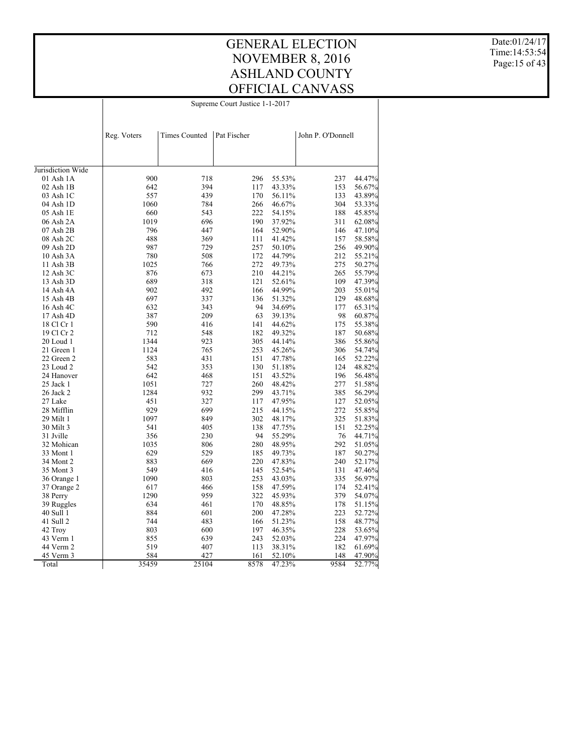Date:01/24/17 Time:14:53:54 Page:15 of 43

Supreme Court Justice 1-1-2017

|                   | Reg. Voters | <b>Times Counted</b> | Pat Fischer |        | John P. O'Donnell |        |
|-------------------|-------------|----------------------|-------------|--------|-------------------|--------|
|                   |             |                      |             |        |                   |        |
| Jurisdiction Wide |             |                      |             |        |                   |        |
| 01 Ash 1A         | 900         | 718                  | 296         | 55.53% | 237               | 44.47% |
| $02$ Ash $1B$     | 642         | 394                  | 117         | 43.33% | 153               | 56.67% |
| 03 Ash 1C         | 557         | 439                  | 170         | 56.11% | 133               | 43.89% |
| 04 Ash 1D         | 1060        | 784                  | 266         | 46.67% | 304               | 53.33% |
| 05 Ash 1E         | 660         | 543                  | 222         | 54.15% | 188               | 45.85% |
| 06 Ash 2A         | 1019        | 696                  | 190         | 37.92% | 311               | 62.08% |
| $07$ Ash $2B$     | 796         | 447                  | 164         | 52.90% | 146               | 47.10% |
| 08 Ash 2C         | 488         | 369                  | 111         | 41.42% | 157               | 58.58% |
| 09 Ash 2D         | 987         | 729                  | 257         | 50.10% | 256               | 49.90% |
| $10$ Ash $3A$     | 780         | 508                  | 172         | 44.79% | 212               | 55.21% |
| 11 Ash 3B         | 1025        | 766                  | 272         | 49.73% | 275               | 50.27% |
| 12 Ash 3C         | 876         | 673                  | 210         | 44.21% | 265               | 55.79% |
| 13 Ash 3D         | 689         | 318                  | 121         | 52.61% | 109               | 47.39% |
| 14 Ash 4A         | 902         | 492                  | 166         | 44.99% | 203               | 55.01% |
| 15 Ash 4B         | 697         | 337                  | 136         | 51.32% | 129               | 48.68% |
| 16 Ash 4C         | 632         | 343                  | 94          | 34.69% | 177               | 65.31% |
| 17 Ash 4D         | 387         | 209                  | 63          | 39.13% | 98                | 60.87% |
| 18 Cl Cr 1        | 590         | 416                  | 141         | 44.62% | 175               | 55.38% |
| 19 Cl Cr 2        | 712         | 548                  | 182         | 49.32% | 187               | 50.68% |
| 20 Loud 1         | 1344        | 923                  | 305         | 44.14% | 386               | 55.86% |
| 21 Green 1        | 1124        | 765                  | 253         | 45.26% | 306               | 54.74% |
| 22 Green 2        | 583         | 431                  | 151         | 47.78% | 165               | 52.22% |
| 23 Loud 2         | 542         | 353                  | 130         | 51.18% | 124               | 48.82% |
| 24 Hanover        | 642         | 468                  | 151         | 43.52% | 196               | 56.48% |
| 25 Jack 1         | 1051        | 727                  | 260         | 48.42% | 277               | 51.58% |
| 26 Jack 2         | 1284        | 932                  | 299         | 43.71% | 385               | 56.29% |
| 27 Lake           | 451         | 327                  | 117         | 47.95% | 127               | 52.05% |
| 28 Mifflin        | 929         | 699                  | 215         | 44.15% | 272               | 55.85% |
| 29 Milt 1         | 1097        | 849                  | 302         | 48.17% | 325               | 51.83% |
| 30 Milt 3         | 541         | 405                  | 138         | 47.75% | 151               | 52.25% |
| 31 Jville         | 356         | 230                  | 94          | 55.29% | 76                | 44.71% |
| 32 Mohican        | 1035        | 806                  | 280         | 48.95% | 292               | 51.05% |
| 33 Mont 1         | 629         | 529                  | 185         | 49.73% | 187               | 50.27% |
| 34 Mont 2         | 883         | 669                  | 220         | 47.83% | 240               | 52.17% |
| 35 Mont 3         | 549         | 416                  | 145         | 52.54% | 131               | 47.46% |
| 36 Orange 1       | 1090        | 803                  | 253         | 43.03% | 335               | 56.97% |
| 37 Orange 2       | 617         | 466                  | 158         | 47.59% | 174               | 52.41% |
| 38 Perry          | 1290        | 959                  | 322         | 45.93% | 379               | 54.07% |
| 39 Ruggles        | 634         | 461                  | 170         | 48.85% | 178               | 51.15% |
| 40 Sull 1         | 884         | 601                  | 200         | 47.28% | 223               | 52.72% |
| 41 Sull 2         | 744         | 483                  | 166         | 51.23% | 158               | 48.77% |
| 42 Troy           | 803         | 600                  | 197         | 46.35% | 228               | 53.65% |
| 43 Verm 1         | 855         | 639                  | 243         | 52.03% | 224               | 47.97% |
| 44 Verm 2         | 519         | 407                  | 113         | 38.31% | 182               | 61.69% |
| 45 Verm 3         | 584         | 427                  | 161         | 52.10% | 148               | 47.90% |
| Total             | 35459       | 25104                | 8578        | 47.23% | 9584              | 52.77% |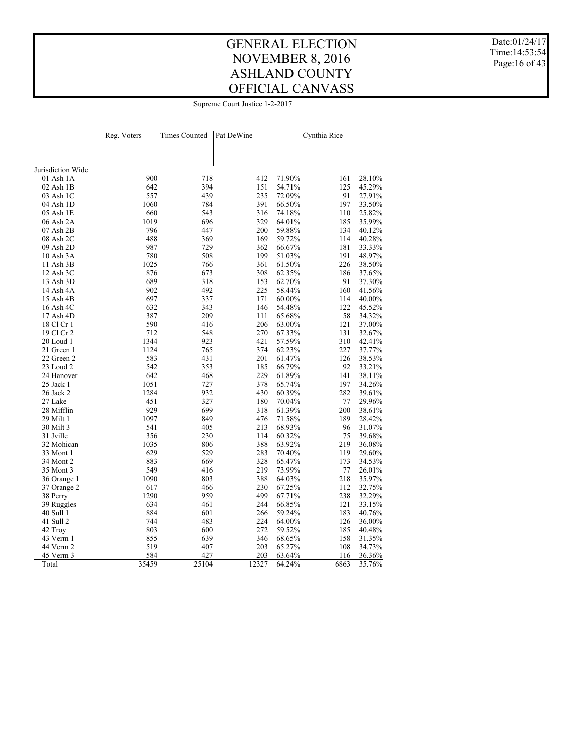GENERAL ELECTION NOVEMBER 8, 2016 ASHLAND COUNTY OFFICIAL CANVASS Supreme Court Justice 1-2-2017

Date:01/24/17 Time:14:53:54 Page:16 of 43

|                        | Reg. Voters | <b>Times Counted</b> | Pat DeWine |                  | Cynthia Rice |                  |
|------------------------|-------------|----------------------|------------|------------------|--------------|------------------|
|                        |             |                      |            |                  |              |                  |
|                        |             |                      |            |                  |              |                  |
|                        |             |                      |            |                  |              |                  |
| Jurisdiction Wide      |             |                      |            |                  |              |                  |
| 01 Ash 1A              | 900         | 718                  | 412        | 71.90%           | 161          | 28.10%           |
| $02$ Ash $1B$          | 642<br>557  | 394<br>439           | 151        | 54.71%           | 125<br>91    | 45.29%           |
| 03 Ash 1C              |             |                      | 235        | 72.09%           |              | 27.91%           |
| 04 Ash 1D              | 1060<br>660 | 784<br>543           | 391        | 66.50%           | 197          | 33.50%           |
| 05 Ash 1E<br>06 Ash 2A | 1019        | 696                  | 316<br>329 | 74.18%<br>64.01% | 110          | 25.82%<br>35.99% |
|                        |             |                      |            |                  | 185          |                  |
| 07 Ash 2B              | 796         | 447                  | 200        | 59.88%           | 134          | 40.12%           |
| 08 Ash 2C              | 488         | 369                  | 169        | 59.72%           | 114          | 40.28%           |
| 09 Ash 2D              | 987         | 729                  | 362        | 66.67%           | 181          | 33.33%           |
| 10 Ash 3A              | 780         | 508                  | 199        | 51.03%           | 191          | 48.97%           |
| 11 Ash 3B              | 1025        | 766                  | 361        | 61.50%           | 226          | 38.50%           |
| 12 Ash 3C              | 876         | 673                  | 308        | 62.35%           | 186          | 37.65%           |
| 13 Ash 3D              | 689         | 318                  | 153        | 62.70%           | 91           | 37.30%           |
| 14 Ash 4A              | 902         | 492                  | 225        | 58.44%           | 160          | 41.56%           |
| 15 Ash 4B              | 697         | 337                  | 171        | 60.00%           | 114          | 40.00%           |
| 16 Ash 4C              | 632         | 343                  | 146        | 54.48%           | 122          | 45.52%           |
| 17 Ash 4D              | 387         | 209                  | 111        | 65.68%           | 58           | 34.32%           |
| 18 Cl Cr 1             | 590         | 416                  | 206        | 63.00%           | 121          | 37.00%           |
| 19 Cl Cr 2             | 712         | 548                  | 270        | 67.33%           | 131          | 32.67%           |
| 20 Loud 1              | 1344        | 923                  | 421        | 57.59%           | 310          | 42.41%           |
| 21 Green 1             | 1124        | 765                  | 374        | 62.23%           | 227          | 37.77%           |
| 22 Green 2             | 583         | 431                  | 201        | 61.47%           | 126          | 38.53%           |
| 23 Loud 2              | 542         | 353                  | 185        | 66.79%           | 92           | 33.21%           |
| 24 Hanover             | 642         | 468                  | 229        | 61.89%           | 141          | 38.11%           |
| 25 Jack 1              | 1051        | 727                  | 378        | 65.74%           | 197          | 34.26%           |
| 26 Jack 2              | 1284        | 932                  | 430        | 60.39%           | 282          | 39.61%           |
| 27 Lake                | 451         | 327                  | 180        | 70.04%           | 77           | 29.96%           |
| 28 Mifflin             | 929         | 699                  | 318        | 61.39%           | 200          | 38.61%           |
| 29 Milt 1              | 1097        | 849                  | 476        | 71.58%           | 189          | 28.42%           |
| 30 Milt 3              | 541         | 405                  | 213        | 68.93%           | 96           | 31.07%           |
| 31 Jville              | 356         | 230                  | 114        | 60.32%           | 75           | 39.68%           |
| 32 Mohican             | 1035        | 806                  | 388        | 63.92%           | 219          | 36.08%           |
| 33 Mont 1              | 629         | 529                  | 283        | 70.40%           | 119          | 29.60%           |
| 34 Mont 2              | 883         | 669                  | 328        | 65.47%           | 173          | 34.53%           |
| 35 Mont 3              | 549         | 416                  | 219        | 73.99%           | 77           | 26.01%           |
| 36 Orange 1            | 1090        | 803                  | 388        | 64.03%           | 218          | 35.97%           |
| 37 Orange 2            | 617         | 466                  | 230        | 67.25%           | 112          | 32.75%           |
| 38 Perry               | 1290        | 959                  | 499        | 67.71%           | 238          | 32.29%           |
| 39 Ruggles             | 634         | 461                  | 244        | 66.85%           | 121          | 33.15%           |
| 40 Sull 1              | 884         | 601                  | 266        | 59.24%           | 183          | 40.76%           |
| 41 Sull 2              | 744         | 483                  | 224        | 64.00%           | 126          | 36.00%           |
| 42 Troy                | 803         | 600                  | 272        | 59.52%           | 185          | 40.48%           |
| 43 Verm 1              | 855         | 639                  | 346        | 68.65%           | 158          | 31.35%           |
| 44 Verm 2              | 519         | 407                  | 203        | 65.27%           | 108          | 34.73%           |
| 45 Verm 3              | 584         | 427                  | 203        | 63.64%           | 116          | 36.36%           |
| Total                  | 35459       | 25104                | 12327      | 64.24%           | 6863         | 35.76%           |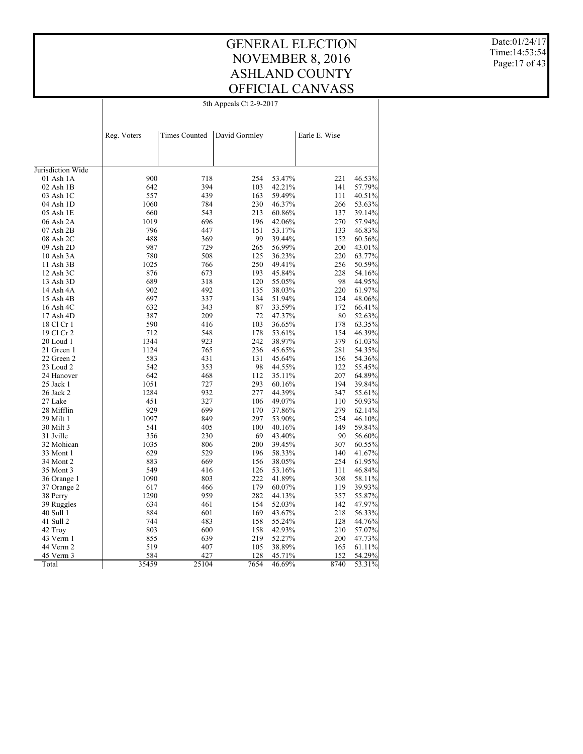Date:01/24/17 Time:14:53:54 Page:17 of 43

| 5th Appeals Ct 2-9-2017 |
|-------------------------|
|-------------------------|

|                   | Reg. Voters | <b>Times Counted</b> | David Gormley |        | Earle E. Wise |        |
|-------------------|-------------|----------------------|---------------|--------|---------------|--------|
|                   |             |                      |               |        |               |        |
| Jurisdiction Wide |             |                      |               |        |               |        |
| 01 Ash 1A         | 900         | 718                  | 254           | 53.47% | 221           | 46.53% |
| 02 Ash 1B         | 642         | 394                  | 103           | 42.21% | 141           | 57.79% |
| 03 Ash 1C         | 557         | 439                  | 163           | 59.49% | 111           | 40.51% |
| 04 Ash 1D         | 1060        | 784                  | 230           | 46.37% | 266           | 53.63% |
| 05 Ash 1E         | 660         | 543                  | 213           | 60.86% | 137           | 39.14% |
| 06 Ash 2A         | 1019        | 696                  | 196           | 42.06% | 270           | 57.94% |
| 07 Ash 2B         | 796         | 447                  | 151           | 53.17% | 133           | 46.83% |
| 08 Ash 2C         | 488         | 369                  | 99            | 39.44% | 152           | 60.56% |
| 09 Ash 2D         | 987         | 729                  | 265           | 56.99% | 200           | 43.01% |
| 10 Ash 3A         | 780         | 508                  | 125           | 36.23% | 220           | 63.77% |
| 11 Ash 3B         | 1025        | 766                  | 250           | 49.41% | 256           | 50.59% |
| 12 Ash 3C         | 876         | 673                  | 193           | 45.84% | 228           | 54.16% |
| 13 Ash 3D         | 689         | 318                  | 120           | 55.05% | 98            | 44.95% |
| 14 Ash 4A         | 902         | 492                  | 135           | 38.03% | 220           | 61.97% |
| 15 Ash 4B         | 697         | 337                  | 134           | 51.94% | 124           | 48.06% |
| 16 Ash 4C         | 632         | 343                  | 87            | 33.59% | 172           | 66.41% |
| 17 Ash 4D         | 387         | 209                  | 72            | 47.37% | 80            | 52.63% |
| 18 Cl Cr 1        | 590         | 416                  | 103           | 36.65% | 178           | 63.35% |
| 19 Cl Cr 2        | 712         | 548                  | 178           | 53.61% | 154           | 46.39% |
| 20 Loud 1         | 1344        | 923                  | 242           | 38.97% | 379           | 61.03% |
| 21 Green 1        | 1124        | 765                  | 236           | 45.65% | 281           | 54.35% |
| 22 Green 2        | 583         | 431                  | 131           | 45.64% | 156           | 54.36% |
| 23 Loud 2         | 542         | 353                  | 98            | 44.55% | 122           | 55.45% |
| 24 Hanover        | 642         | 468                  | 112           | 35.11% | 207           | 64.89% |
| 25 Jack 1         | 1051        | 727                  | 293           | 60.16% | 194           | 39.84% |
| 26 Jack 2         | 1284        | 932                  | 277           | 44.39% | 347           | 55.61% |
| 27 Lake           | 451         | 327                  | 106           | 49.07% | 110           | 50.93% |
| 28 Mifflin        | 929         | 699                  | 170           | 37.86% | 279           | 62.14% |
| 29 Milt 1         | 1097        | 849                  | 297           | 53.90% | 254           | 46.10% |
| 30 Milt 3         | 541         | 405                  | 100           | 40.16% | 149           | 59.84% |
| 31 Jville         | 356         | 230                  | 69            | 43.40% | 90            | 56.60% |
| 32 Mohican        | 1035        | 806                  | 200           | 39.45% | 307           | 60.55% |
| 33 Mont 1         | 629         | 529                  | 196           | 58.33% | 140           | 41.67% |
| 34 Mont 2         | 883         | 669                  | 156           | 38.05% | 254           | 61.95% |
| 35 Mont 3         | 549         | 416                  | 126           | 53.16% | 111           | 46.84% |
| 36 Orange 1       | 1090        | 803                  | 222           | 41.89% | 308           | 58.11% |
| 37 Orange 2       | 617         | 466                  | 179           | 60.07% | 119           | 39.93% |
| 38 Perry          | 1290        | 959                  | 282           | 44.13% | 357           | 55.87% |
| 39 Ruggles        | 634         | 461                  | 154           | 52.03% | 142           | 47.97% |
| 40 Sull 1         | 884         | 601                  | 169           | 43.67% | 218           | 56.33% |
| 41 Sull 2         | 744         | 483                  | 158           | 55.24% | 128           | 44.76% |
| 42 Troy           | 803         | 600                  | 158           | 42.93% | 210           | 57.07% |
| 43 Verm 1         | 855         | 639                  | 219           | 52.27% | 200           | 47.73% |
| 44 Verm 2         | 519         | 407                  | 105           | 38.89% | 165           | 61.11% |
| 45 Verm 3         | 584         | 427                  | 128           | 45.71% | 152           | 54.29% |
| Total             | 35459       | 25104                | 7654          | 46.69% | 8740          | 53.31% |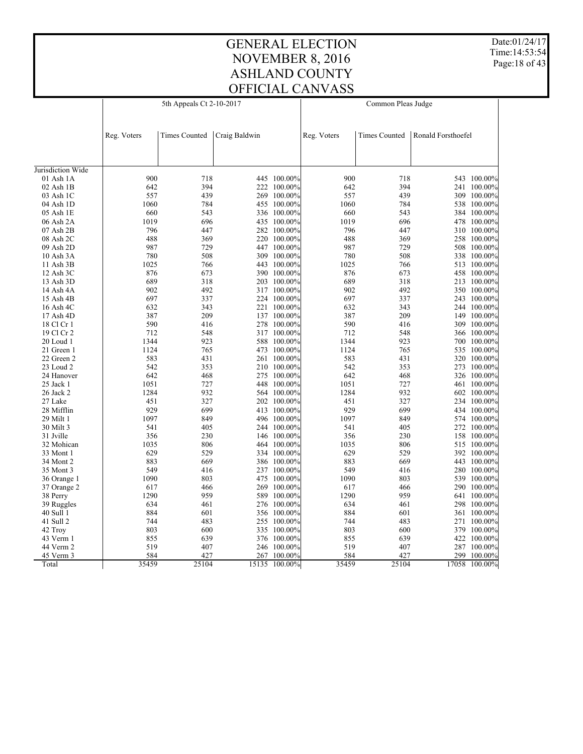Date:01/24/17 Time:14:53:54 Page:18 of 43

| Reg. Voters<br><b>Times Counted</b><br><b>Times Counted</b><br>Ronald Forsthoefel<br>Craig Baldwin<br>Reg. Voters<br>900<br>718<br>900<br>718<br>445 100.00%<br>543 100.00%<br>$01$ Ash $1A$<br>642<br>394<br>394<br>02 Ash 1B<br>222 100.00%<br>642<br>241 100.00%<br>439<br>557<br>439<br>100.00%<br>557<br>03 Ash 1C<br>269<br>309 100.00%<br>784<br>1060<br>784<br>455 100.00%<br>1060<br>04 Ash 1D<br>538 100.00%<br>660<br>543<br>543<br>05 Ash 1E<br>336 100.00%<br>660<br>384 100.00%<br>1019<br>1019<br>696<br>696<br>435 100.00%<br>478 100.00%<br>06 Ash 2A<br>796<br>07 Ash 2B<br>447<br>282 100.00%<br>796<br>447<br>310 100.00%<br>488<br>369<br>488<br>369<br>08 Ash 2C<br>220 100.00%<br>258 100.00%<br>987<br>729<br>729<br>447 100.00%<br>987<br>09 Ash 2D<br>508 100.00%<br>780<br>508<br>780<br>508<br>10 Ash 3A<br>309 100.00%<br>338 100.00%<br>1025<br>443 100.00%<br>1025<br>766<br>766<br>513 100.00%<br>11 Ash 3B<br>876<br>12 Ash 3C<br>673<br>390 100.00%<br>876<br>673<br>458 100.00%<br>689<br>318<br>689<br>318<br>13 Ash 3D<br>203 100.00%<br>213 100.00%<br>902<br>492<br>902<br>492<br>14 Ash 4A<br>317 100.00%<br>350 100.00%<br>697<br>697<br>337<br>337<br>224 100.00%<br>243 100.00%<br>15 Ash 4B<br>632<br>343<br>343<br>16 Ash 4C<br>221<br>$100.00\%$<br>632<br>244 100.00%<br>387<br>209<br>137 100.00%<br>387<br>209<br>149 100.00%<br>17 Ash 4D<br>590<br>590<br>416<br>416<br>278 100.00%<br>309 100.00%<br>18 Cl Cr 1<br>548<br>19 Cl Cr 2<br>712<br>548<br>317 100.00%<br>712<br>366 100.00%<br>923<br>1344<br>923<br>588<br>$100.00\%$<br>1344<br>700 100.00%<br>20 Loud 1<br>765<br>1124<br>765<br>473 100.00%<br>1124<br>535 100.00%<br>21 Green 1<br>583<br>431<br>583<br>431<br>22 Green 2<br>261<br>$100.00\%$<br>320 100.00%<br>542<br>353<br>23 Loud 2<br>353<br>210 100.00%<br>542<br>273 100.00%<br>642<br>468<br>24 Hanover<br>468<br>275 100.00%<br>642<br>326 100.00%<br>1051<br>727<br>448<br>100.00%<br>1051<br>727<br>25 Jack 1<br>461 100.00%<br>1284<br>932<br>1284<br>932<br>564 100.00%<br>602 100.00%<br>26 Jack 2<br>451<br>327<br>327<br>27 Lake<br>202 100.00%<br>451<br>234 100.00%<br>929<br>699<br>699<br>929<br>28 Mifflin<br>413<br>$100.00\%$<br>434 100.00%<br>1097<br>849<br>29 Milt 1<br>849<br>496 100.00%<br>1097<br>574 100.00%<br>30 Milt 3<br>541<br>405<br>244 100.00%<br>541<br>405<br>272 100.00%<br>356<br>230<br>356<br>230<br>31 Jville<br>146 100.00%<br>158 100.00%<br>1035<br>806<br>1035<br>806<br>32 Mohican<br>464 100.00%<br>515 100.00%<br>529<br>629<br>529<br>629<br>33 Mont 1<br>334 100.00%<br>392 100.00%<br>883<br>669<br>386 100.00%<br>883<br>669<br>443 100.00%<br>34 Mont 2<br>549<br>549<br>416<br>35 Mont 3<br>416<br>237 100.00%<br>280 100.00%<br>803<br>1090<br>1090<br>36 Orange 1<br>803<br>475 100.00%<br>539 100.00%<br>617<br>466<br>269<br>$100.00\%$<br>617<br>466<br>290 100.00%<br>37 Orange 2<br>1290<br>959<br>1290<br>959<br>589 100.00%<br>38 Perry<br>641 100.00%<br>634<br>461<br>276 100.00%<br>634<br>461<br>39 Ruggles<br>298 100.00%<br>884<br>884<br>40 Sull 1<br>601<br>356 100.00%<br>601<br>361 100.00%<br>483<br>41 Sull 2<br>744<br>483<br>255 100.00%<br>744<br>271 100.00%<br>803<br>600<br>335<br>100.00%<br>803<br>600<br>379 100.00%<br>42 Troy<br>855<br>639<br>43 Verm 1<br>639<br>376 100.00%<br>855<br>422 100.00%<br>519<br>519<br>407<br>44 Verm 2<br>407<br>246 100.00%<br>287 100.00%<br>584<br>427<br>584<br>427<br>299<br>45 Verm 3<br>267 100.00%<br>100.00%<br>15135 100.00%<br>17058 100.00% |                   | Common Pleas Judge<br>5th Appeals Ct 2-10-2017 |       |  |  |       |       |  |  |
|-----------------------------------------------------------------------------------------------------------------------------------------------------------------------------------------------------------------------------------------------------------------------------------------------------------------------------------------------------------------------------------------------------------------------------------------------------------------------------------------------------------------------------------------------------------------------------------------------------------------------------------------------------------------------------------------------------------------------------------------------------------------------------------------------------------------------------------------------------------------------------------------------------------------------------------------------------------------------------------------------------------------------------------------------------------------------------------------------------------------------------------------------------------------------------------------------------------------------------------------------------------------------------------------------------------------------------------------------------------------------------------------------------------------------------------------------------------------------------------------------------------------------------------------------------------------------------------------------------------------------------------------------------------------------------------------------------------------------------------------------------------------------------------------------------------------------------------------------------------------------------------------------------------------------------------------------------------------------------------------------------------------------------------------------------------------------------------------------------------------------------------------------------------------------------------------------------------------------------------------------------------------------------------------------------------------------------------------------------------------------------------------------------------------------------------------------------------------------------------------------------------------------------------------------------------------------------------------------------------------------------------------------------------------------------------------------------------------------------------------------------------------------------------------------------------------------------------------------------------------------------------------------------------------------------------------------------------------------------------------------------------------------------------------------------------------------------------------------------------------------------------------------------------------------------------------------------------------------------------------------------------------------------------------------------------------------------------------------------------------------------------------------------------------------------------------------------------------------------------------------------------------------------------------------------------|-------------------|------------------------------------------------|-------|--|--|-------|-------|--|--|
|                                                                                                                                                                                                                                                                                                                                                                                                                                                                                                                                                                                                                                                                                                                                                                                                                                                                                                                                                                                                                                                                                                                                                                                                                                                                                                                                                                                                                                                                                                                                                                                                                                                                                                                                                                                                                                                                                                                                                                                                                                                                                                                                                                                                                                                                                                                                                                                                                                                                                                                                                                                                                                                                                                                                                                                                                                                                                                                                                                                                                                                                                                                                                                                                                                                                                                                                                                                                                                                                                                                                                           |                   |                                                |       |  |  |       |       |  |  |
|                                                                                                                                                                                                                                                                                                                                                                                                                                                                                                                                                                                                                                                                                                                                                                                                                                                                                                                                                                                                                                                                                                                                                                                                                                                                                                                                                                                                                                                                                                                                                                                                                                                                                                                                                                                                                                                                                                                                                                                                                                                                                                                                                                                                                                                                                                                                                                                                                                                                                                                                                                                                                                                                                                                                                                                                                                                                                                                                                                                                                                                                                                                                                                                                                                                                                                                                                                                                                                                                                                                                                           |                   |                                                |       |  |  |       |       |  |  |
|                                                                                                                                                                                                                                                                                                                                                                                                                                                                                                                                                                                                                                                                                                                                                                                                                                                                                                                                                                                                                                                                                                                                                                                                                                                                                                                                                                                                                                                                                                                                                                                                                                                                                                                                                                                                                                                                                                                                                                                                                                                                                                                                                                                                                                                                                                                                                                                                                                                                                                                                                                                                                                                                                                                                                                                                                                                                                                                                                                                                                                                                                                                                                                                                                                                                                                                                                                                                                                                                                                                                                           |                   |                                                |       |  |  |       |       |  |  |
|                                                                                                                                                                                                                                                                                                                                                                                                                                                                                                                                                                                                                                                                                                                                                                                                                                                                                                                                                                                                                                                                                                                                                                                                                                                                                                                                                                                                                                                                                                                                                                                                                                                                                                                                                                                                                                                                                                                                                                                                                                                                                                                                                                                                                                                                                                                                                                                                                                                                                                                                                                                                                                                                                                                                                                                                                                                                                                                                                                                                                                                                                                                                                                                                                                                                                                                                                                                                                                                                                                                                                           | Jurisdiction Wide |                                                |       |  |  |       |       |  |  |
|                                                                                                                                                                                                                                                                                                                                                                                                                                                                                                                                                                                                                                                                                                                                                                                                                                                                                                                                                                                                                                                                                                                                                                                                                                                                                                                                                                                                                                                                                                                                                                                                                                                                                                                                                                                                                                                                                                                                                                                                                                                                                                                                                                                                                                                                                                                                                                                                                                                                                                                                                                                                                                                                                                                                                                                                                                                                                                                                                                                                                                                                                                                                                                                                                                                                                                                                                                                                                                                                                                                                                           |                   |                                                |       |  |  |       |       |  |  |
|                                                                                                                                                                                                                                                                                                                                                                                                                                                                                                                                                                                                                                                                                                                                                                                                                                                                                                                                                                                                                                                                                                                                                                                                                                                                                                                                                                                                                                                                                                                                                                                                                                                                                                                                                                                                                                                                                                                                                                                                                                                                                                                                                                                                                                                                                                                                                                                                                                                                                                                                                                                                                                                                                                                                                                                                                                                                                                                                                                                                                                                                                                                                                                                                                                                                                                                                                                                                                                                                                                                                                           |                   |                                                |       |  |  |       |       |  |  |
|                                                                                                                                                                                                                                                                                                                                                                                                                                                                                                                                                                                                                                                                                                                                                                                                                                                                                                                                                                                                                                                                                                                                                                                                                                                                                                                                                                                                                                                                                                                                                                                                                                                                                                                                                                                                                                                                                                                                                                                                                                                                                                                                                                                                                                                                                                                                                                                                                                                                                                                                                                                                                                                                                                                                                                                                                                                                                                                                                                                                                                                                                                                                                                                                                                                                                                                                                                                                                                                                                                                                                           |                   |                                                |       |  |  |       |       |  |  |
|                                                                                                                                                                                                                                                                                                                                                                                                                                                                                                                                                                                                                                                                                                                                                                                                                                                                                                                                                                                                                                                                                                                                                                                                                                                                                                                                                                                                                                                                                                                                                                                                                                                                                                                                                                                                                                                                                                                                                                                                                                                                                                                                                                                                                                                                                                                                                                                                                                                                                                                                                                                                                                                                                                                                                                                                                                                                                                                                                                                                                                                                                                                                                                                                                                                                                                                                                                                                                                                                                                                                                           |                   |                                                |       |  |  |       |       |  |  |
|                                                                                                                                                                                                                                                                                                                                                                                                                                                                                                                                                                                                                                                                                                                                                                                                                                                                                                                                                                                                                                                                                                                                                                                                                                                                                                                                                                                                                                                                                                                                                                                                                                                                                                                                                                                                                                                                                                                                                                                                                                                                                                                                                                                                                                                                                                                                                                                                                                                                                                                                                                                                                                                                                                                                                                                                                                                                                                                                                                                                                                                                                                                                                                                                                                                                                                                                                                                                                                                                                                                                                           |                   |                                                |       |  |  |       |       |  |  |
|                                                                                                                                                                                                                                                                                                                                                                                                                                                                                                                                                                                                                                                                                                                                                                                                                                                                                                                                                                                                                                                                                                                                                                                                                                                                                                                                                                                                                                                                                                                                                                                                                                                                                                                                                                                                                                                                                                                                                                                                                                                                                                                                                                                                                                                                                                                                                                                                                                                                                                                                                                                                                                                                                                                                                                                                                                                                                                                                                                                                                                                                                                                                                                                                                                                                                                                                                                                                                                                                                                                                                           |                   |                                                |       |  |  |       |       |  |  |
|                                                                                                                                                                                                                                                                                                                                                                                                                                                                                                                                                                                                                                                                                                                                                                                                                                                                                                                                                                                                                                                                                                                                                                                                                                                                                                                                                                                                                                                                                                                                                                                                                                                                                                                                                                                                                                                                                                                                                                                                                                                                                                                                                                                                                                                                                                                                                                                                                                                                                                                                                                                                                                                                                                                                                                                                                                                                                                                                                                                                                                                                                                                                                                                                                                                                                                                                                                                                                                                                                                                                                           |                   |                                                |       |  |  |       |       |  |  |
|                                                                                                                                                                                                                                                                                                                                                                                                                                                                                                                                                                                                                                                                                                                                                                                                                                                                                                                                                                                                                                                                                                                                                                                                                                                                                                                                                                                                                                                                                                                                                                                                                                                                                                                                                                                                                                                                                                                                                                                                                                                                                                                                                                                                                                                                                                                                                                                                                                                                                                                                                                                                                                                                                                                                                                                                                                                                                                                                                                                                                                                                                                                                                                                                                                                                                                                                                                                                                                                                                                                                                           |                   |                                                |       |  |  |       |       |  |  |
|                                                                                                                                                                                                                                                                                                                                                                                                                                                                                                                                                                                                                                                                                                                                                                                                                                                                                                                                                                                                                                                                                                                                                                                                                                                                                                                                                                                                                                                                                                                                                                                                                                                                                                                                                                                                                                                                                                                                                                                                                                                                                                                                                                                                                                                                                                                                                                                                                                                                                                                                                                                                                                                                                                                                                                                                                                                                                                                                                                                                                                                                                                                                                                                                                                                                                                                                                                                                                                                                                                                                                           |                   |                                                |       |  |  |       |       |  |  |
|                                                                                                                                                                                                                                                                                                                                                                                                                                                                                                                                                                                                                                                                                                                                                                                                                                                                                                                                                                                                                                                                                                                                                                                                                                                                                                                                                                                                                                                                                                                                                                                                                                                                                                                                                                                                                                                                                                                                                                                                                                                                                                                                                                                                                                                                                                                                                                                                                                                                                                                                                                                                                                                                                                                                                                                                                                                                                                                                                                                                                                                                                                                                                                                                                                                                                                                                                                                                                                                                                                                                                           |                   |                                                |       |  |  |       |       |  |  |
|                                                                                                                                                                                                                                                                                                                                                                                                                                                                                                                                                                                                                                                                                                                                                                                                                                                                                                                                                                                                                                                                                                                                                                                                                                                                                                                                                                                                                                                                                                                                                                                                                                                                                                                                                                                                                                                                                                                                                                                                                                                                                                                                                                                                                                                                                                                                                                                                                                                                                                                                                                                                                                                                                                                                                                                                                                                                                                                                                                                                                                                                                                                                                                                                                                                                                                                                                                                                                                                                                                                                                           |                   |                                                |       |  |  |       |       |  |  |
|                                                                                                                                                                                                                                                                                                                                                                                                                                                                                                                                                                                                                                                                                                                                                                                                                                                                                                                                                                                                                                                                                                                                                                                                                                                                                                                                                                                                                                                                                                                                                                                                                                                                                                                                                                                                                                                                                                                                                                                                                                                                                                                                                                                                                                                                                                                                                                                                                                                                                                                                                                                                                                                                                                                                                                                                                                                                                                                                                                                                                                                                                                                                                                                                                                                                                                                                                                                                                                                                                                                                                           |                   |                                                |       |  |  |       |       |  |  |
|                                                                                                                                                                                                                                                                                                                                                                                                                                                                                                                                                                                                                                                                                                                                                                                                                                                                                                                                                                                                                                                                                                                                                                                                                                                                                                                                                                                                                                                                                                                                                                                                                                                                                                                                                                                                                                                                                                                                                                                                                                                                                                                                                                                                                                                                                                                                                                                                                                                                                                                                                                                                                                                                                                                                                                                                                                                                                                                                                                                                                                                                                                                                                                                                                                                                                                                                                                                                                                                                                                                                                           |                   |                                                |       |  |  |       |       |  |  |
|                                                                                                                                                                                                                                                                                                                                                                                                                                                                                                                                                                                                                                                                                                                                                                                                                                                                                                                                                                                                                                                                                                                                                                                                                                                                                                                                                                                                                                                                                                                                                                                                                                                                                                                                                                                                                                                                                                                                                                                                                                                                                                                                                                                                                                                                                                                                                                                                                                                                                                                                                                                                                                                                                                                                                                                                                                                                                                                                                                                                                                                                                                                                                                                                                                                                                                                                                                                                                                                                                                                                                           |                   |                                                |       |  |  |       |       |  |  |
|                                                                                                                                                                                                                                                                                                                                                                                                                                                                                                                                                                                                                                                                                                                                                                                                                                                                                                                                                                                                                                                                                                                                                                                                                                                                                                                                                                                                                                                                                                                                                                                                                                                                                                                                                                                                                                                                                                                                                                                                                                                                                                                                                                                                                                                                                                                                                                                                                                                                                                                                                                                                                                                                                                                                                                                                                                                                                                                                                                                                                                                                                                                                                                                                                                                                                                                                                                                                                                                                                                                                                           |                   |                                                |       |  |  |       |       |  |  |
|                                                                                                                                                                                                                                                                                                                                                                                                                                                                                                                                                                                                                                                                                                                                                                                                                                                                                                                                                                                                                                                                                                                                                                                                                                                                                                                                                                                                                                                                                                                                                                                                                                                                                                                                                                                                                                                                                                                                                                                                                                                                                                                                                                                                                                                                                                                                                                                                                                                                                                                                                                                                                                                                                                                                                                                                                                                                                                                                                                                                                                                                                                                                                                                                                                                                                                                                                                                                                                                                                                                                                           |                   |                                                |       |  |  |       |       |  |  |
|                                                                                                                                                                                                                                                                                                                                                                                                                                                                                                                                                                                                                                                                                                                                                                                                                                                                                                                                                                                                                                                                                                                                                                                                                                                                                                                                                                                                                                                                                                                                                                                                                                                                                                                                                                                                                                                                                                                                                                                                                                                                                                                                                                                                                                                                                                                                                                                                                                                                                                                                                                                                                                                                                                                                                                                                                                                                                                                                                                                                                                                                                                                                                                                                                                                                                                                                                                                                                                                                                                                                                           |                   |                                                |       |  |  |       |       |  |  |
|                                                                                                                                                                                                                                                                                                                                                                                                                                                                                                                                                                                                                                                                                                                                                                                                                                                                                                                                                                                                                                                                                                                                                                                                                                                                                                                                                                                                                                                                                                                                                                                                                                                                                                                                                                                                                                                                                                                                                                                                                                                                                                                                                                                                                                                                                                                                                                                                                                                                                                                                                                                                                                                                                                                                                                                                                                                                                                                                                                                                                                                                                                                                                                                                                                                                                                                                                                                                                                                                                                                                                           |                   |                                                |       |  |  |       |       |  |  |
|                                                                                                                                                                                                                                                                                                                                                                                                                                                                                                                                                                                                                                                                                                                                                                                                                                                                                                                                                                                                                                                                                                                                                                                                                                                                                                                                                                                                                                                                                                                                                                                                                                                                                                                                                                                                                                                                                                                                                                                                                                                                                                                                                                                                                                                                                                                                                                                                                                                                                                                                                                                                                                                                                                                                                                                                                                                                                                                                                                                                                                                                                                                                                                                                                                                                                                                                                                                                                                                                                                                                                           |                   |                                                |       |  |  |       |       |  |  |
|                                                                                                                                                                                                                                                                                                                                                                                                                                                                                                                                                                                                                                                                                                                                                                                                                                                                                                                                                                                                                                                                                                                                                                                                                                                                                                                                                                                                                                                                                                                                                                                                                                                                                                                                                                                                                                                                                                                                                                                                                                                                                                                                                                                                                                                                                                                                                                                                                                                                                                                                                                                                                                                                                                                                                                                                                                                                                                                                                                                                                                                                                                                                                                                                                                                                                                                                                                                                                                                                                                                                                           |                   |                                                |       |  |  |       |       |  |  |
|                                                                                                                                                                                                                                                                                                                                                                                                                                                                                                                                                                                                                                                                                                                                                                                                                                                                                                                                                                                                                                                                                                                                                                                                                                                                                                                                                                                                                                                                                                                                                                                                                                                                                                                                                                                                                                                                                                                                                                                                                                                                                                                                                                                                                                                                                                                                                                                                                                                                                                                                                                                                                                                                                                                                                                                                                                                                                                                                                                                                                                                                                                                                                                                                                                                                                                                                                                                                                                                                                                                                                           |                   |                                                |       |  |  |       |       |  |  |
|                                                                                                                                                                                                                                                                                                                                                                                                                                                                                                                                                                                                                                                                                                                                                                                                                                                                                                                                                                                                                                                                                                                                                                                                                                                                                                                                                                                                                                                                                                                                                                                                                                                                                                                                                                                                                                                                                                                                                                                                                                                                                                                                                                                                                                                                                                                                                                                                                                                                                                                                                                                                                                                                                                                                                                                                                                                                                                                                                                                                                                                                                                                                                                                                                                                                                                                                                                                                                                                                                                                                                           |                   |                                                |       |  |  |       |       |  |  |
|                                                                                                                                                                                                                                                                                                                                                                                                                                                                                                                                                                                                                                                                                                                                                                                                                                                                                                                                                                                                                                                                                                                                                                                                                                                                                                                                                                                                                                                                                                                                                                                                                                                                                                                                                                                                                                                                                                                                                                                                                                                                                                                                                                                                                                                                                                                                                                                                                                                                                                                                                                                                                                                                                                                                                                                                                                                                                                                                                                                                                                                                                                                                                                                                                                                                                                                                                                                                                                                                                                                                                           |                   |                                                |       |  |  |       |       |  |  |
|                                                                                                                                                                                                                                                                                                                                                                                                                                                                                                                                                                                                                                                                                                                                                                                                                                                                                                                                                                                                                                                                                                                                                                                                                                                                                                                                                                                                                                                                                                                                                                                                                                                                                                                                                                                                                                                                                                                                                                                                                                                                                                                                                                                                                                                                                                                                                                                                                                                                                                                                                                                                                                                                                                                                                                                                                                                                                                                                                                                                                                                                                                                                                                                                                                                                                                                                                                                                                                                                                                                                                           |                   |                                                |       |  |  |       |       |  |  |
|                                                                                                                                                                                                                                                                                                                                                                                                                                                                                                                                                                                                                                                                                                                                                                                                                                                                                                                                                                                                                                                                                                                                                                                                                                                                                                                                                                                                                                                                                                                                                                                                                                                                                                                                                                                                                                                                                                                                                                                                                                                                                                                                                                                                                                                                                                                                                                                                                                                                                                                                                                                                                                                                                                                                                                                                                                                                                                                                                                                                                                                                                                                                                                                                                                                                                                                                                                                                                                                                                                                                                           |                   |                                                |       |  |  |       |       |  |  |
|                                                                                                                                                                                                                                                                                                                                                                                                                                                                                                                                                                                                                                                                                                                                                                                                                                                                                                                                                                                                                                                                                                                                                                                                                                                                                                                                                                                                                                                                                                                                                                                                                                                                                                                                                                                                                                                                                                                                                                                                                                                                                                                                                                                                                                                                                                                                                                                                                                                                                                                                                                                                                                                                                                                                                                                                                                                                                                                                                                                                                                                                                                                                                                                                                                                                                                                                                                                                                                                                                                                                                           |                   |                                                |       |  |  |       |       |  |  |
|                                                                                                                                                                                                                                                                                                                                                                                                                                                                                                                                                                                                                                                                                                                                                                                                                                                                                                                                                                                                                                                                                                                                                                                                                                                                                                                                                                                                                                                                                                                                                                                                                                                                                                                                                                                                                                                                                                                                                                                                                                                                                                                                                                                                                                                                                                                                                                                                                                                                                                                                                                                                                                                                                                                                                                                                                                                                                                                                                                                                                                                                                                                                                                                                                                                                                                                                                                                                                                                                                                                                                           |                   |                                                |       |  |  |       |       |  |  |
|                                                                                                                                                                                                                                                                                                                                                                                                                                                                                                                                                                                                                                                                                                                                                                                                                                                                                                                                                                                                                                                                                                                                                                                                                                                                                                                                                                                                                                                                                                                                                                                                                                                                                                                                                                                                                                                                                                                                                                                                                                                                                                                                                                                                                                                                                                                                                                                                                                                                                                                                                                                                                                                                                                                                                                                                                                                                                                                                                                                                                                                                                                                                                                                                                                                                                                                                                                                                                                                                                                                                                           |                   |                                                |       |  |  |       |       |  |  |
|                                                                                                                                                                                                                                                                                                                                                                                                                                                                                                                                                                                                                                                                                                                                                                                                                                                                                                                                                                                                                                                                                                                                                                                                                                                                                                                                                                                                                                                                                                                                                                                                                                                                                                                                                                                                                                                                                                                                                                                                                                                                                                                                                                                                                                                                                                                                                                                                                                                                                                                                                                                                                                                                                                                                                                                                                                                                                                                                                                                                                                                                                                                                                                                                                                                                                                                                                                                                                                                                                                                                                           |                   |                                                |       |  |  |       |       |  |  |
|                                                                                                                                                                                                                                                                                                                                                                                                                                                                                                                                                                                                                                                                                                                                                                                                                                                                                                                                                                                                                                                                                                                                                                                                                                                                                                                                                                                                                                                                                                                                                                                                                                                                                                                                                                                                                                                                                                                                                                                                                                                                                                                                                                                                                                                                                                                                                                                                                                                                                                                                                                                                                                                                                                                                                                                                                                                                                                                                                                                                                                                                                                                                                                                                                                                                                                                                                                                                                                                                                                                                                           |                   |                                                |       |  |  |       |       |  |  |
|                                                                                                                                                                                                                                                                                                                                                                                                                                                                                                                                                                                                                                                                                                                                                                                                                                                                                                                                                                                                                                                                                                                                                                                                                                                                                                                                                                                                                                                                                                                                                                                                                                                                                                                                                                                                                                                                                                                                                                                                                                                                                                                                                                                                                                                                                                                                                                                                                                                                                                                                                                                                                                                                                                                                                                                                                                                                                                                                                                                                                                                                                                                                                                                                                                                                                                                                                                                                                                                                                                                                                           |                   |                                                |       |  |  |       |       |  |  |
|                                                                                                                                                                                                                                                                                                                                                                                                                                                                                                                                                                                                                                                                                                                                                                                                                                                                                                                                                                                                                                                                                                                                                                                                                                                                                                                                                                                                                                                                                                                                                                                                                                                                                                                                                                                                                                                                                                                                                                                                                                                                                                                                                                                                                                                                                                                                                                                                                                                                                                                                                                                                                                                                                                                                                                                                                                                                                                                                                                                                                                                                                                                                                                                                                                                                                                                                                                                                                                                                                                                                                           |                   |                                                |       |  |  |       |       |  |  |
|                                                                                                                                                                                                                                                                                                                                                                                                                                                                                                                                                                                                                                                                                                                                                                                                                                                                                                                                                                                                                                                                                                                                                                                                                                                                                                                                                                                                                                                                                                                                                                                                                                                                                                                                                                                                                                                                                                                                                                                                                                                                                                                                                                                                                                                                                                                                                                                                                                                                                                                                                                                                                                                                                                                                                                                                                                                                                                                                                                                                                                                                                                                                                                                                                                                                                                                                                                                                                                                                                                                                                           |                   |                                                |       |  |  |       |       |  |  |
|                                                                                                                                                                                                                                                                                                                                                                                                                                                                                                                                                                                                                                                                                                                                                                                                                                                                                                                                                                                                                                                                                                                                                                                                                                                                                                                                                                                                                                                                                                                                                                                                                                                                                                                                                                                                                                                                                                                                                                                                                                                                                                                                                                                                                                                                                                                                                                                                                                                                                                                                                                                                                                                                                                                                                                                                                                                                                                                                                                                                                                                                                                                                                                                                                                                                                                                                                                                                                                                                                                                                                           |                   |                                                |       |  |  |       |       |  |  |
|                                                                                                                                                                                                                                                                                                                                                                                                                                                                                                                                                                                                                                                                                                                                                                                                                                                                                                                                                                                                                                                                                                                                                                                                                                                                                                                                                                                                                                                                                                                                                                                                                                                                                                                                                                                                                                                                                                                                                                                                                                                                                                                                                                                                                                                                                                                                                                                                                                                                                                                                                                                                                                                                                                                                                                                                                                                                                                                                                                                                                                                                                                                                                                                                                                                                                                                                                                                                                                                                                                                                                           |                   |                                                |       |  |  |       |       |  |  |
|                                                                                                                                                                                                                                                                                                                                                                                                                                                                                                                                                                                                                                                                                                                                                                                                                                                                                                                                                                                                                                                                                                                                                                                                                                                                                                                                                                                                                                                                                                                                                                                                                                                                                                                                                                                                                                                                                                                                                                                                                                                                                                                                                                                                                                                                                                                                                                                                                                                                                                                                                                                                                                                                                                                                                                                                                                                                                                                                                                                                                                                                                                                                                                                                                                                                                                                                                                                                                                                                                                                                                           |                   |                                                |       |  |  |       |       |  |  |
|                                                                                                                                                                                                                                                                                                                                                                                                                                                                                                                                                                                                                                                                                                                                                                                                                                                                                                                                                                                                                                                                                                                                                                                                                                                                                                                                                                                                                                                                                                                                                                                                                                                                                                                                                                                                                                                                                                                                                                                                                                                                                                                                                                                                                                                                                                                                                                                                                                                                                                                                                                                                                                                                                                                                                                                                                                                                                                                                                                                                                                                                                                                                                                                                                                                                                                                                                                                                                                                                                                                                                           |                   |                                                |       |  |  |       |       |  |  |
|                                                                                                                                                                                                                                                                                                                                                                                                                                                                                                                                                                                                                                                                                                                                                                                                                                                                                                                                                                                                                                                                                                                                                                                                                                                                                                                                                                                                                                                                                                                                                                                                                                                                                                                                                                                                                                                                                                                                                                                                                                                                                                                                                                                                                                                                                                                                                                                                                                                                                                                                                                                                                                                                                                                                                                                                                                                                                                                                                                                                                                                                                                                                                                                                                                                                                                                                                                                                                                                                                                                                                           |                   |                                                |       |  |  |       |       |  |  |
|                                                                                                                                                                                                                                                                                                                                                                                                                                                                                                                                                                                                                                                                                                                                                                                                                                                                                                                                                                                                                                                                                                                                                                                                                                                                                                                                                                                                                                                                                                                                                                                                                                                                                                                                                                                                                                                                                                                                                                                                                                                                                                                                                                                                                                                                                                                                                                                                                                                                                                                                                                                                                                                                                                                                                                                                                                                                                                                                                                                                                                                                                                                                                                                                                                                                                                                                                                                                                                                                                                                                                           |                   |                                                |       |  |  |       |       |  |  |
|                                                                                                                                                                                                                                                                                                                                                                                                                                                                                                                                                                                                                                                                                                                                                                                                                                                                                                                                                                                                                                                                                                                                                                                                                                                                                                                                                                                                                                                                                                                                                                                                                                                                                                                                                                                                                                                                                                                                                                                                                                                                                                                                                                                                                                                                                                                                                                                                                                                                                                                                                                                                                                                                                                                                                                                                                                                                                                                                                                                                                                                                                                                                                                                                                                                                                                                                                                                                                                                                                                                                                           |                   |                                                |       |  |  |       |       |  |  |
|                                                                                                                                                                                                                                                                                                                                                                                                                                                                                                                                                                                                                                                                                                                                                                                                                                                                                                                                                                                                                                                                                                                                                                                                                                                                                                                                                                                                                                                                                                                                                                                                                                                                                                                                                                                                                                                                                                                                                                                                                                                                                                                                                                                                                                                                                                                                                                                                                                                                                                                                                                                                                                                                                                                                                                                                                                                                                                                                                                                                                                                                                                                                                                                                                                                                                                                                                                                                                                                                                                                                                           |                   |                                                |       |  |  |       |       |  |  |
|                                                                                                                                                                                                                                                                                                                                                                                                                                                                                                                                                                                                                                                                                                                                                                                                                                                                                                                                                                                                                                                                                                                                                                                                                                                                                                                                                                                                                                                                                                                                                                                                                                                                                                                                                                                                                                                                                                                                                                                                                                                                                                                                                                                                                                                                                                                                                                                                                                                                                                                                                                                                                                                                                                                                                                                                                                                                                                                                                                                                                                                                                                                                                                                                                                                                                                                                                                                                                                                                                                                                                           |                   |                                                |       |  |  |       |       |  |  |
|                                                                                                                                                                                                                                                                                                                                                                                                                                                                                                                                                                                                                                                                                                                                                                                                                                                                                                                                                                                                                                                                                                                                                                                                                                                                                                                                                                                                                                                                                                                                                                                                                                                                                                                                                                                                                                                                                                                                                                                                                                                                                                                                                                                                                                                                                                                                                                                                                                                                                                                                                                                                                                                                                                                                                                                                                                                                                                                                                                                                                                                                                                                                                                                                                                                                                                                                                                                                                                                                                                                                                           |                   |                                                |       |  |  |       |       |  |  |
|                                                                                                                                                                                                                                                                                                                                                                                                                                                                                                                                                                                                                                                                                                                                                                                                                                                                                                                                                                                                                                                                                                                                                                                                                                                                                                                                                                                                                                                                                                                                                                                                                                                                                                                                                                                                                                                                                                                                                                                                                                                                                                                                                                                                                                                                                                                                                                                                                                                                                                                                                                                                                                                                                                                                                                                                                                                                                                                                                                                                                                                                                                                                                                                                                                                                                                                                                                                                                                                                                                                                                           |                   |                                                |       |  |  |       |       |  |  |
|                                                                                                                                                                                                                                                                                                                                                                                                                                                                                                                                                                                                                                                                                                                                                                                                                                                                                                                                                                                                                                                                                                                                                                                                                                                                                                                                                                                                                                                                                                                                                                                                                                                                                                                                                                                                                                                                                                                                                                                                                                                                                                                                                                                                                                                                                                                                                                                                                                                                                                                                                                                                                                                                                                                                                                                                                                                                                                                                                                                                                                                                                                                                                                                                                                                                                                                                                                                                                                                                                                                                                           | Total             | 35459                                          | 25104 |  |  | 35459 | 25104 |  |  |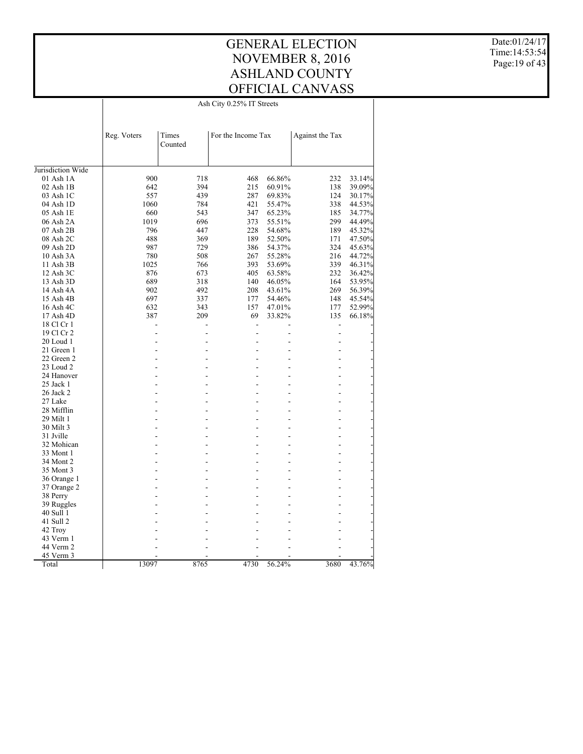#### GENERAL ELECTION NOVEMBER 8, 2016 ASHLAND COUNTY OFFICIAL CANVASS Ash City 0.25% IT Streets

Date:01/24/17 Time:14:53:54 Page:19 of 43

|                                    | Ash City 0.25% IT Streets |                  |                    |        |                 |        |  |  |
|------------------------------------|---------------------------|------------------|--------------------|--------|-----------------|--------|--|--|
|                                    |                           |                  |                    |        |                 |        |  |  |
|                                    |                           |                  |                    |        |                 |        |  |  |
|                                    | Reg. Voters               | Times<br>Counted | For the Income Tax |        | Against the Tax |        |  |  |
|                                    |                           |                  |                    |        |                 |        |  |  |
|                                    |                           |                  |                    |        |                 |        |  |  |
| Jurisdiction Wide<br>$01$ Ash $1A$ | 900                       | 718              | 468                | 66.86% | 232             | 33.14% |  |  |
| 02 Ash 1B                          | 642                       | 394              | 215                | 60.91% | 138             | 39.09% |  |  |
| 03 Ash 1C                          | 557                       | 439              | 287                | 69.83% | 124             | 30.17% |  |  |
| 04 Ash 1D                          | 1060                      | 784              | 421                | 55.47% | 338             | 44.53% |  |  |
| 05 Ash 1E                          | 660                       | 543              | 347                | 65.23% | 185             | 34.77% |  |  |
| 06 Ash 2A                          | 1019                      | 696              | 373                | 55.51% | 299             | 44.49% |  |  |
| 07 Ash 2B                          | 796                       | 447              | 228                | 54.68% | 189             | 45.32% |  |  |
| 08 Ash 2C                          | 488                       | 369              | 189                | 52.50% | 171             | 47.50% |  |  |
| 09 Ash 2D                          | 987                       | 729              | 386                | 54.37% | 324             | 45.63% |  |  |
| 10 Ash 3A                          | 780                       | 508              | 267                | 55.28% | 216             | 44.72% |  |  |
| 11 Ash 3B                          | 1025                      | 766              | 393                | 53.69% | 339             | 46.31% |  |  |
| 12 Ash 3C                          | 876                       | 673              | 405                | 63.58% | 232             | 36.42% |  |  |
| 13 Ash 3D                          | 689                       | 318              | 140                | 46.05% | 164             | 53.95% |  |  |
| 14 Ash 4A                          | 902                       | 492              | 208                | 43.61% | 269             | 56.39% |  |  |
| 15 Ash 4B                          | 697                       | 337              | 177                | 54.46% | 148             | 45.54% |  |  |
| 16 Ash 4C                          | 632                       | 343              | 157                | 47.01% | 177             | 52.99% |  |  |
| $17$ Ash $4D$                      | 387                       | 209              | 69                 | 33.82% | 135             | 66.18% |  |  |
| 18 Cl Cr 1                         |                           |                  | $\overline{a}$     |        |                 |        |  |  |
| 19 Cl Cr 2                         |                           |                  | $\overline{a}$     |        | $\overline{a}$  |        |  |  |
| 20 Loud 1                          |                           |                  |                    |        |                 |        |  |  |
| 21 Green 1                         |                           |                  |                    |        |                 |        |  |  |
| 22 Green 2                         |                           |                  |                    |        |                 |        |  |  |
| 23 Loud 2                          |                           |                  |                    |        |                 |        |  |  |
| 24 Hanover                         |                           |                  |                    |        |                 |        |  |  |
| 25 Jack 1                          |                           |                  |                    | ÷      |                 |        |  |  |
| 26 Jack 2                          |                           |                  |                    |        |                 |        |  |  |
| 27 Lake                            |                           |                  |                    |        |                 |        |  |  |
| 28 Mifflin                         |                           |                  |                    |        |                 |        |  |  |
|                                    |                           |                  |                    |        |                 |        |  |  |
| 29 Milt 1<br>30 Milt 3             |                           |                  |                    |        |                 |        |  |  |
| 31 Jville                          |                           |                  |                    |        |                 |        |  |  |
| 32 Mohican                         |                           |                  |                    |        |                 |        |  |  |
| 33 Mont 1                          |                           |                  |                    |        |                 |        |  |  |
| 34 Mont 2                          |                           |                  |                    | L.     |                 |        |  |  |
| 35 Mont 3                          |                           |                  |                    |        |                 |        |  |  |
|                                    | ۷                         |                  |                    |        |                 |        |  |  |
| 36 Orange 1                        |                           |                  |                    |        |                 |        |  |  |
| 37 Orange 2                        |                           |                  |                    |        |                 |        |  |  |
| 38 Perry                           |                           |                  |                    |        |                 |        |  |  |
| 39 Ruggles                         |                           |                  |                    |        |                 |        |  |  |
| 40 Sull 1                          |                           |                  |                    |        |                 |        |  |  |
| 41 Sull 2                          |                           |                  |                    |        |                 |        |  |  |
| 42 Troy                            |                           |                  |                    |        |                 |        |  |  |
| 43 Verm 1                          |                           |                  |                    |        |                 |        |  |  |
| 44 Verm 2                          |                           |                  |                    |        |                 |        |  |  |
| 45 Verm 3                          |                           |                  |                    |        |                 |        |  |  |
| Total                              | 13097                     | 8765             | 4730               | 56.24% | 3680            | 43.76% |  |  |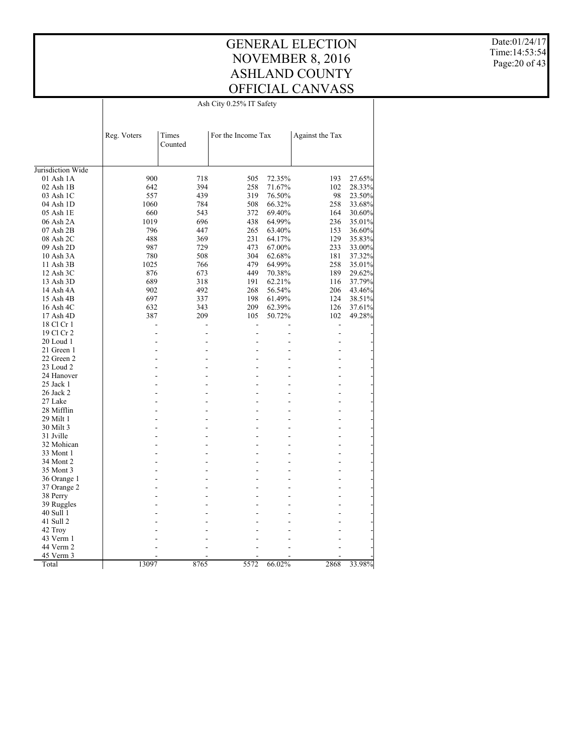#### GENERAL ELECTION NOVEMBER 8, 2016 ASHLAND COUNTY OFFICIAL CANVASS Ash City 0.25% IT Safety

Date:01/24/17 Time:14:53:54 Page:20 of 43

|                                    | Ash City 0.25% IT Safety |                  |                    |        |                 |        |  |  |  |
|------------------------------------|--------------------------|------------------|--------------------|--------|-----------------|--------|--|--|--|
|                                    |                          |                  |                    |        |                 |        |  |  |  |
|                                    |                          |                  |                    |        |                 |        |  |  |  |
|                                    | Reg. Voters              | Times<br>Counted | For the Income Tax |        | Against the Tax |        |  |  |  |
|                                    |                          |                  |                    |        |                 |        |  |  |  |
|                                    |                          |                  |                    |        |                 |        |  |  |  |
| Jurisdiction Wide<br>$01$ Ash $1A$ | 900                      | 718              | 505                | 72.35% | 193             | 27.65% |  |  |  |
| 02 Ash 1B                          | 642                      | 394              | 258                | 71.67% | 102             | 28.33% |  |  |  |
| 03 Ash 1C                          | 557                      | 439              | 319                | 76.50% | 98              | 23.50% |  |  |  |
| 04 Ash 1D                          | 1060                     | 784              | 508                | 66.32% | 258             | 33.68% |  |  |  |
| 05 Ash 1E                          | 660                      | 543              | 372                | 69.40% | 164             |        |  |  |  |
| 06 Ash 2A                          | 1019                     | 696              | 438                | 64.99% | 236             | 30.60% |  |  |  |
| 07 Ash 2B                          | 796                      | 447              | 265                | 63.40% | 153             | 35.01% |  |  |  |
|                                    | 488                      |                  | 231                |        |                 | 36.60% |  |  |  |
| 08 Ash 2C                          | 987                      | 369<br>729       | 473                | 64.17% | 129<br>233      | 35.83% |  |  |  |
| 09 Ash 2D                          |                          |                  |                    | 67.00% |                 | 33.00% |  |  |  |
| 10 Ash 3A                          | 780                      | 508              | 304                | 62.68% | 181             | 37.32% |  |  |  |
| 11 Ash 3B                          | 1025                     | 766              | 479<br>449         | 64.99% | 258             | 35.01% |  |  |  |
| 12 Ash 3C                          | 876                      | 673              |                    | 70.38% | 189             | 29.62% |  |  |  |
| 13 Ash 3D                          | 689                      | 318              | 191                | 62.21% | 116             | 37.79% |  |  |  |
| 14 Ash 4A                          | 902                      | 492              | 268                | 56.54% | 206             | 43.46% |  |  |  |
| 15 Ash 4B                          | 697                      | 337              | 198                | 61.49% | 124             | 38.51% |  |  |  |
| 16 Ash 4C                          | 632                      | 343              | 209                | 62.39% | 126             | 37.61% |  |  |  |
| $17$ Ash $4D$                      | 387                      | 209              | 105                | 50.72% | 102             | 49.28% |  |  |  |
| 18 Cl Cr 1                         |                          |                  |                    |        | $\overline{a}$  |        |  |  |  |
| 19 Cl Cr 2                         |                          |                  | L,                 |        | $\overline{a}$  |        |  |  |  |
| 20 Loud 1                          |                          |                  |                    |        |                 |        |  |  |  |
| 21 Green 1                         |                          |                  |                    |        |                 |        |  |  |  |
| 22 Green 2                         |                          |                  |                    |        |                 |        |  |  |  |
| 23 Loud 2                          |                          |                  |                    | L,     |                 |        |  |  |  |
| 24 Hanover                         |                          |                  |                    |        |                 |        |  |  |  |
| 25 Jack 1                          |                          |                  |                    | ÷      |                 |        |  |  |  |
| 26 Jack 2                          |                          |                  |                    |        |                 |        |  |  |  |
| 27 Lake                            |                          |                  |                    |        |                 |        |  |  |  |
| 28 Mifflin                         |                          |                  |                    |        |                 |        |  |  |  |
| 29 Milt 1                          |                          |                  |                    |        |                 |        |  |  |  |
| 30 Milt 3                          |                          |                  |                    |        |                 |        |  |  |  |
| 31 Jville                          |                          |                  |                    |        |                 |        |  |  |  |
| 32 Mohican                         |                          |                  |                    |        |                 |        |  |  |  |
| 33 Mont 1                          |                          |                  |                    |        |                 |        |  |  |  |
| 34 Mont 2                          |                          |                  |                    | ÷.     |                 |        |  |  |  |
| 35 Mont 3                          |                          |                  |                    |        |                 |        |  |  |  |
| 36 Orange 1                        | ٠                        |                  |                    |        |                 |        |  |  |  |
| 37 Orange 2                        |                          |                  |                    |        |                 |        |  |  |  |
| 38 Perry                           |                          |                  |                    |        |                 |        |  |  |  |
| 39 Ruggles                         |                          |                  |                    |        |                 |        |  |  |  |
| 40 Sull 1                          |                          |                  |                    |        |                 |        |  |  |  |
| 41 Sull 2                          |                          |                  |                    |        |                 |        |  |  |  |
| 42 Troy                            |                          |                  |                    |        |                 |        |  |  |  |
| 43 Verm 1                          |                          |                  |                    |        |                 |        |  |  |  |
| 44 Verm 2                          |                          |                  |                    |        |                 |        |  |  |  |
| 45 Verm 3                          |                          |                  |                    |        |                 |        |  |  |  |
| Total                              | 13097                    | 8765             | 5572               | 66.02% | 2868            | 33.98% |  |  |  |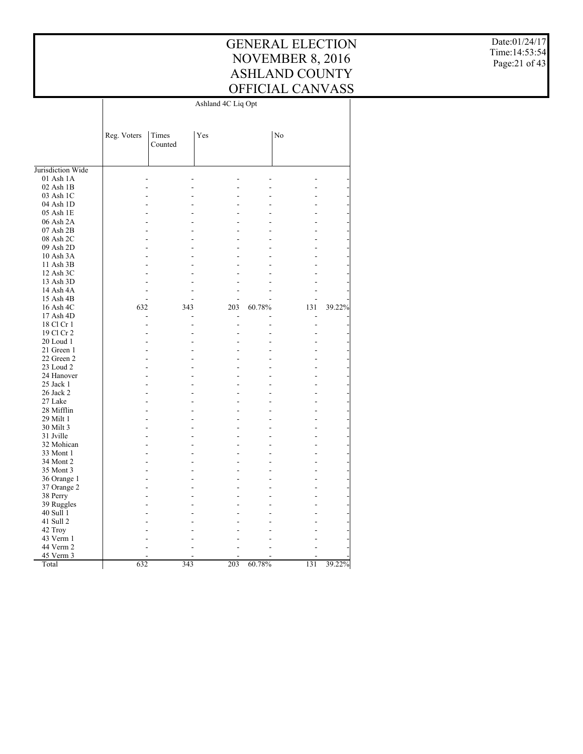Date:01/24/17 Time:14:53:54 Page:21 of 43

|                          |             |         | Ashland 4C Liq Opt |        |     |        |
|--------------------------|-------------|---------|--------------------|--------|-----|--------|
|                          |             |         |                    |        |     |        |
|                          |             |         |                    |        |     |        |
|                          | Reg. Voters | Times   | Yes                |        | No  |        |
|                          |             | Counted |                    |        |     |        |
|                          |             |         |                    |        |     |        |
| Jurisdiction Wide        |             |         |                    |        |     |        |
| 01 Ash 1A                | L.          |         |                    |        |     |        |
| $02$ Ash $1B$            |             |         |                    |        |     |        |
| 03 Ash 1C                |             |         |                    |        |     |        |
| 04 Ash 1D                |             |         |                    |        |     |        |
| 05 Ash 1E                |             |         |                    |        |     |        |
| 06 Ash 2A                |             |         |                    |        |     |        |
| 07 Ash 2B                |             |         |                    |        |     |        |
| 08 Ash 2C                |             |         |                    |        |     |        |
| 09 Ash 2D                |             |         |                    |        |     |        |
| 10 Ash 3A                |             |         |                    |        |     |        |
| 11 Ash 3B                |             |         |                    |        |     |        |
| 12 Ash 3C                |             |         |                    |        |     |        |
| 13 Ash 3D                |             |         |                    |        |     |        |
| 14 Ash 4A                |             |         |                    |        |     |        |
| 15 Ash 4B                |             |         |                    |        |     |        |
| 16 Ash 4C                | 632         | 343     | 203                | 60.78% | 131 | 39.22% |
| 17 Ash 4D                |             |         |                    |        |     |        |
|                          |             |         |                    |        |     |        |
| 18 Cl Cr 1<br>19 Cl Cr 2 |             |         |                    |        |     |        |
|                          |             |         |                    |        |     |        |
| 20 Loud 1                |             |         |                    |        |     |        |
| 21 Green 1               |             |         |                    |        |     |        |
| 22 Green 2               |             |         |                    |        |     |        |
| 23 Loud 2                |             |         |                    |        |     |        |
| 24 Hanover               |             |         |                    |        |     |        |
| 25 Jack 1                |             |         |                    |        |     |        |
| 26 Jack 2                |             |         |                    |        |     |        |
| 27 Lake                  |             |         |                    |        |     |        |
| 28 Mifflin               |             |         |                    |        |     |        |
| 29 Milt 1                |             |         |                    |        |     |        |
| 30 Milt 3                |             |         |                    |        |     |        |
| 31 Jville                |             |         |                    |        |     |        |
| 32 Mohican               |             |         |                    |        |     |        |
| 33 Mont 1                |             |         |                    |        |     |        |
| 34 Mont 2                |             |         |                    |        |     |        |
| 35 Mont 3                |             |         |                    |        |     |        |
| 36 Orange 1              |             |         |                    |        |     |        |
| 37 Orange 2              |             |         |                    |        |     |        |
| 38 Perry                 |             |         |                    |        |     |        |
| 39 Ruggles               |             |         |                    |        |     |        |
| 40 Sull 1                |             |         |                    |        |     |        |
| 41 Sull 2                |             |         |                    |        |     |        |
| 42 Troy                  |             |         |                    |        |     |        |
| 43 Verm 1                |             |         |                    |        |     |        |
| 44 Verm 2                |             |         |                    |        |     |        |
| 45 Verm 3                |             |         |                    |        |     |        |
| Total                    | 632         | 343     | 203                | 60.78% | 131 | 39.22% |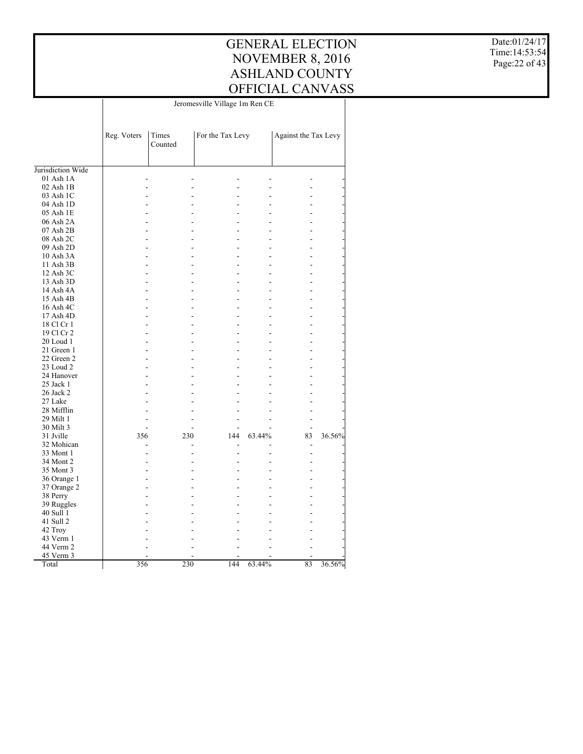Date:01/24/17 Time:14:53:54 Page:22 of 43

|                   |             | Jeromesville Village 1m Ren CE |                  |        |                      |        |  |  |
|-------------------|-------------|--------------------------------|------------------|--------|----------------------|--------|--|--|
|                   |             |                                |                  |        |                      |        |  |  |
|                   | Reg. Voters | Times<br>Counted               | For the Tax Levy |        | Against the Tax Levy |        |  |  |
| Jurisdiction Wide |             |                                |                  |        |                      |        |  |  |
| 01 Ash 1A         |             |                                |                  |        |                      |        |  |  |
| 02 Ash 1B         |             |                                |                  |        |                      |        |  |  |
| 03 Ash 1C         |             |                                |                  |        |                      |        |  |  |
| 04 Ash 1D         |             |                                |                  |        |                      |        |  |  |
| 05 Ash 1E         |             |                                |                  |        |                      |        |  |  |
| 06 Ash 2A         |             |                                |                  |        |                      |        |  |  |
| 07 Ash 2B         |             |                                |                  |        |                      |        |  |  |
| 08 Ash 2C         |             |                                | ÷                |        |                      |        |  |  |
| 09 Ash 2D         |             |                                |                  |        |                      |        |  |  |
| 10 Ash 3A         |             |                                |                  |        |                      |        |  |  |
| 11 Ash 3B         |             |                                |                  |        |                      |        |  |  |
| 12 Ash 3C         |             |                                |                  |        |                      |        |  |  |
| 13 Ash 3D         |             |                                |                  |        |                      |        |  |  |
| 14 Ash 4A         |             |                                |                  |        |                      |        |  |  |
| 15 Ash 4B         |             |                                |                  |        |                      |        |  |  |
|                   |             |                                |                  |        |                      |        |  |  |
| 16 Ash 4C         |             |                                | ÷                |        |                      |        |  |  |
| 17 Ash 4D         |             |                                |                  |        |                      |        |  |  |
| 18 Cl Cr 1        |             |                                |                  |        |                      |        |  |  |
| 19 Cl Cr 2        |             |                                |                  |        |                      |        |  |  |
| 20 Loud 1         |             |                                |                  |        |                      |        |  |  |
| 21 Green 1        | L.          |                                | ٠                |        |                      |        |  |  |
| 22 Green 2        |             |                                |                  |        |                      |        |  |  |
| 23 Loud 2         |             |                                |                  |        |                      |        |  |  |
| 24 Hanover        |             |                                |                  |        |                      |        |  |  |
| 25 Jack 1         |             |                                |                  |        |                      |        |  |  |
| 26 Jack 2         |             |                                |                  |        |                      |        |  |  |
| 27 Lake           |             |                                |                  |        |                      |        |  |  |
| 28 Mifflin        |             |                                |                  |        |                      |        |  |  |
| 29 Milt 1         |             |                                |                  |        |                      |        |  |  |
| 30 Milt 3         |             |                                |                  |        |                      |        |  |  |
| 31 Jville         | 356         | 230                            | 144              | 63.44% | 83                   | 36.56% |  |  |
| 32 Mohican        |             |                                |                  |        |                      |        |  |  |
| 33 Mont 1         |             |                                |                  |        |                      |        |  |  |
| 34 Mont 2         |             |                                |                  |        |                      |        |  |  |
| 35 Mont 3         |             |                                |                  |        |                      |        |  |  |
| 36 Orange 1       |             |                                |                  |        |                      |        |  |  |
| 37 Orange 2       |             |                                |                  |        |                      |        |  |  |
| 38 Perry          |             |                                |                  |        |                      |        |  |  |
| 39 Ruggles        |             |                                |                  |        |                      |        |  |  |
| 40 Sull 1         |             |                                |                  |        |                      |        |  |  |
| 41 Sull 2         |             |                                |                  |        |                      |        |  |  |
| 42 Troy           |             |                                |                  |        |                      |        |  |  |
| 43 Verm 1         |             |                                |                  |        |                      |        |  |  |
| 44 Verm 2         |             |                                |                  |        |                      |        |  |  |
| 45 Verm 3         |             |                                |                  |        |                      |        |  |  |
| Total             | 356         | 230                            | 144              | 63.44% | 83                   | 36.56% |  |  |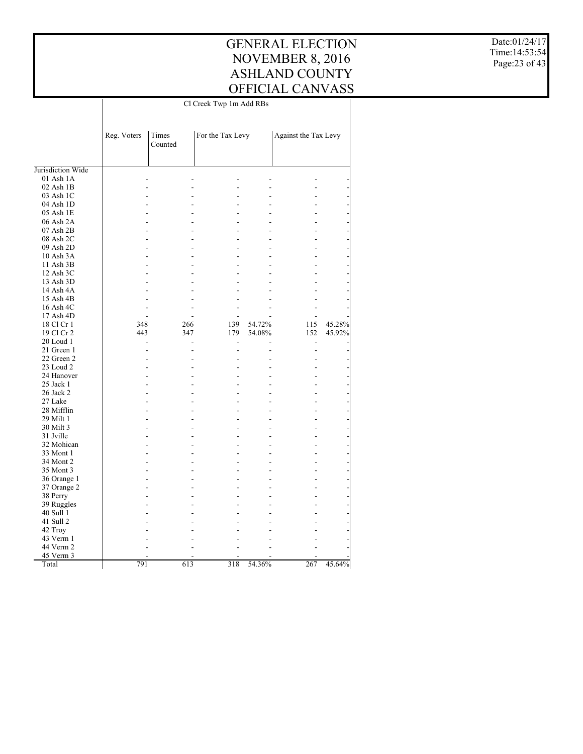Date:01/24/17 Time:14:53:54 Page:23 of 43

|                            | Cl Creek Twp 1m Add RBs |                  |                          |        |                      |        |  |
|----------------------------|-------------------------|------------------|--------------------------|--------|----------------------|--------|--|
|                            |                         |                  |                          |        |                      |        |  |
|                            | Reg. Voters             | Times<br>Counted | For the Tax Levy         |        | Against the Tax Levy |        |  |
| Jurisdiction Wide          |                         |                  |                          |        |                      |        |  |
| $01$ Ash $1A$              |                         |                  |                          |        |                      |        |  |
|                            |                         |                  |                          |        |                      |        |  |
| $02$ Ash $1B$<br>03 Ash 1C |                         |                  |                          |        |                      |        |  |
| 04 Ash 1D                  |                         |                  |                          |        |                      |        |  |
|                            |                         |                  |                          |        |                      |        |  |
| 05 Ash 1E                  |                         |                  |                          |        |                      |        |  |
| 06 Ash 2A                  |                         |                  |                          |        |                      |        |  |
| 07 Ash 2B                  |                         |                  |                          |        |                      |        |  |
| 08 Ash 2C                  |                         |                  |                          |        |                      |        |  |
| 09 Ash 2D                  |                         |                  |                          |        |                      |        |  |
| 10 Ash 3A                  |                         |                  |                          |        |                      |        |  |
| 11 Ash 3B                  |                         |                  |                          |        |                      |        |  |
| 12 Ash 3C                  |                         |                  |                          |        |                      |        |  |
| 13 Ash 3D                  |                         |                  |                          |        |                      |        |  |
| 14 Ash 4A                  |                         |                  |                          |        |                      |        |  |
| 15 Ash 4B                  |                         |                  |                          |        |                      |        |  |
| 16 Ash 4C                  |                         |                  |                          |        |                      |        |  |
| 17 Ash 4D                  |                         |                  |                          |        |                      |        |  |
| 18 Cl Cr 1                 | 348                     | 266              | 139                      | 54.72% | 115                  | 45.28% |  |
| 19 Cl Cr 2                 | 443                     | 347              | 179                      | 54.08% | 152                  | 45.92% |  |
| 20 Loud 1                  |                         |                  | $\overline{\phantom{a}}$ |        |                      |        |  |
| 21 Green 1                 |                         |                  | ÷                        |        | ÷                    |        |  |
| 22 Green 2                 |                         |                  |                          |        |                      |        |  |
| 23 Loud 2                  |                         |                  |                          |        |                      |        |  |
| 24 Hanover                 |                         |                  |                          |        |                      |        |  |
| 25 Jack 1                  |                         |                  |                          |        |                      |        |  |
| 26 Jack 2                  |                         |                  |                          |        |                      |        |  |
| 27 Lake                    |                         |                  |                          |        |                      |        |  |
| 28 Mifflin                 |                         |                  |                          |        |                      |        |  |
| 29 Milt 1                  |                         |                  |                          |        |                      |        |  |
| 30 Milt 3                  |                         |                  |                          |        |                      |        |  |
| 31 Jville                  |                         |                  |                          |        |                      |        |  |
| 32 Mohican                 |                         |                  |                          |        |                      |        |  |
| 33 Mont 1                  |                         |                  |                          |        |                      |        |  |
| 34 Mont 2                  |                         |                  |                          |        |                      |        |  |
| 35 Mont 3                  |                         |                  |                          |        |                      |        |  |
|                            |                         |                  |                          |        |                      |        |  |
| 36 Orange 1                |                         |                  |                          |        |                      |        |  |
| 37 Orange 2                |                         |                  |                          |        |                      |        |  |
| 38 Perry                   |                         |                  |                          |        |                      |        |  |
| 39 Ruggles                 |                         |                  |                          |        |                      |        |  |
| 40 Sull 1                  |                         |                  |                          |        |                      |        |  |
| 41 Sull 2                  |                         |                  |                          |        |                      |        |  |
| 42 Troy                    |                         |                  |                          |        |                      |        |  |
| 43 Verm 1                  |                         |                  |                          |        |                      |        |  |
| 44 Verm 2                  |                         |                  |                          |        |                      |        |  |
| 45 Verm 3                  |                         |                  |                          |        |                      |        |  |
| Total                      | 791                     | 613              | 318                      | 54.36% | 267                  | 45.64% |  |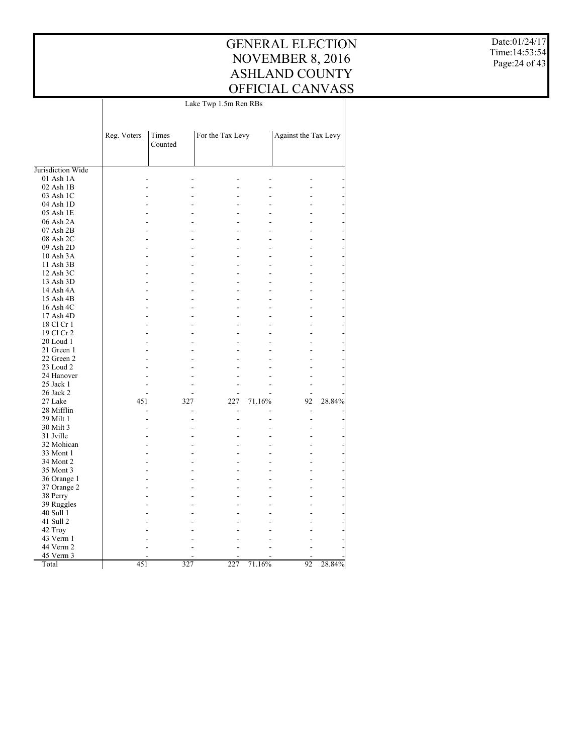Date:01/24/17 Time:14:53:54 Page:24 of 43

|                        | Lake Twp 1.5m Ren RBs |                  |                  |        |                      |        |
|------------------------|-----------------------|------------------|------------------|--------|----------------------|--------|
|                        | Reg. Voters           | Times<br>Counted | For the Tax Levy |        | Against the Tax Levy |        |
|                        |                       |                  |                  |        |                      |        |
| Jurisdiction Wide      |                       |                  |                  |        |                      |        |
| $01$ Ash $1A$          |                       |                  |                  |        |                      |        |
| $02$ Ash $1B$          |                       |                  |                  |        |                      |        |
| 03 Ash 1C              |                       |                  |                  |        |                      |        |
| 04 Ash 1D              |                       |                  |                  |        |                      |        |
| 05 Ash 1E              |                       |                  |                  |        |                      |        |
| 06 Ash 2A              |                       |                  |                  |        |                      |        |
| 07 Ash 2B              |                       |                  |                  |        |                      |        |
| 08 Ash 2C              |                       |                  |                  |        |                      |        |
| 09 Ash 2D              |                       |                  |                  |        |                      |        |
| 10 Ash 3A              |                       |                  |                  |        |                      |        |
| 11 Ash 3B              |                       |                  |                  |        |                      |        |
| 12 Ash 3C              |                       |                  | L.               |        |                      |        |
| 13 Ash 3D              |                       |                  |                  |        |                      |        |
| 14 Ash 4A              |                       |                  |                  |        |                      |        |
| 15 Ash 4B              |                       |                  |                  |        |                      |        |
| 16 Ash 4C              |                       |                  |                  |        |                      |        |
| 17 Ash 4D              |                       |                  |                  |        |                      |        |
| 18 Cl Cr 1             | ÷                     |                  |                  |        |                      |        |
| 19 Cl Cr 2             |                       |                  |                  |        |                      |        |
| 20 Loud 1              |                       |                  |                  |        |                      |        |
| 21 Green 1             | ÷                     |                  |                  |        |                      |        |
| 22 Green 2             |                       |                  |                  |        |                      |        |
| 23 Loud 2              |                       |                  |                  |        |                      |        |
| 24 Hanover             |                       |                  |                  |        |                      |        |
| 25 Jack 1              |                       |                  |                  |        |                      |        |
| 26 Jack 2              | ä,                    |                  |                  |        |                      |        |
| 27 Lake                | 451                   | 327              | 227              | 71.16% | 92                   | 28.84% |
| 28 Mifflin             |                       |                  |                  |        |                      |        |
| 29 Milt 1              |                       |                  |                  |        |                      |        |
| 30 Milt 3              |                       |                  |                  |        |                      |        |
| 31 Jville              |                       |                  |                  |        |                      |        |
| 32 Mohican             | ۳                     |                  |                  |        |                      |        |
| 33 Mont 1              |                       |                  |                  |        |                      |        |
| 34 Mont 2              |                       |                  |                  |        |                      |        |
| 35 Mont 3              |                       |                  |                  |        |                      |        |
| 36 Orange 1            |                       |                  |                  |        |                      |        |
| 37 Orange 2            | ÷                     |                  | L,               |        |                      |        |
|                        |                       |                  |                  |        |                      |        |
| 38 Perry<br>39 Ruggles |                       |                  |                  |        |                      |        |
| 40 Sull 1              |                       |                  |                  |        |                      |        |
|                        |                       |                  |                  |        |                      |        |
| 41 Sull 2              |                       |                  |                  |        |                      |        |
| 42 Troy                |                       |                  |                  |        |                      |        |
| 43 Verm 1              |                       |                  |                  |        |                      |        |
| 44 Verm 2              |                       |                  |                  |        |                      |        |
| 45 Verm 3<br>Total     | 451                   | 327              | 227              |        | 92                   |        |
|                        |                       |                  |                  | 71.16% |                      | 28.84% |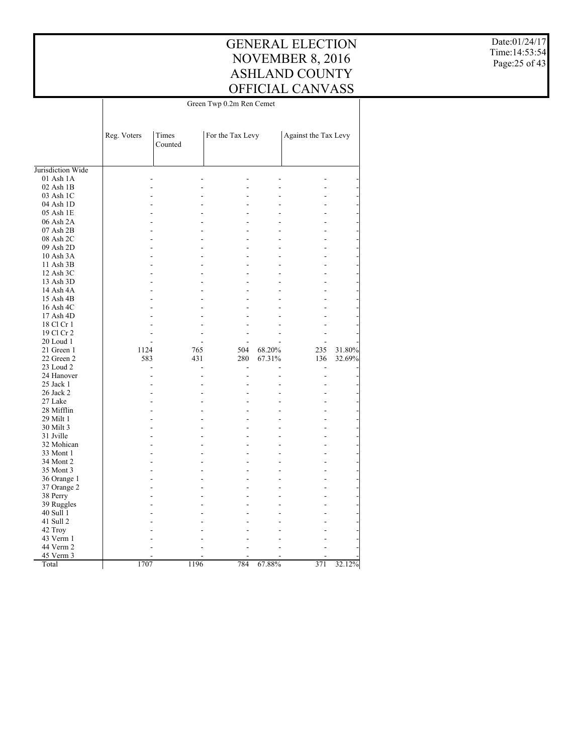Date:01/24/17 Time:14:53:54 Page:25 of 43

|                        | Green Twp 0.2m Ren Cemet |                  |                  |        |                      |        |
|------------------------|--------------------------|------------------|------------------|--------|----------------------|--------|
|                        | Reg. Voters              | Times<br>Counted | For the Tax Levy |        | Against the Tax Levy |        |
| Jurisdiction Wide      |                          |                  |                  |        |                      |        |
| 01 Ash 1A              |                          |                  |                  |        |                      |        |
| $02$ Ash $1B$          |                          |                  |                  |        |                      |        |
| 03 Ash 1C              |                          |                  |                  |        |                      |        |
| 04 Ash 1D              |                          |                  |                  |        |                      |        |
| 05 Ash 1E              | L.                       |                  |                  |        |                      |        |
| 06 Ash 2A              |                          |                  |                  |        |                      |        |
| 07 Ash 2B              | L.                       |                  | ٠                |        |                      |        |
| 08 Ash 2C              |                          |                  |                  |        |                      |        |
| 09 Ash 2D              | L,                       |                  |                  |        |                      |        |
| 10 Ash 3A              |                          |                  |                  |        |                      |        |
|                        |                          |                  |                  |        |                      |        |
| 11 Ash 3B<br>12 Ash 3C | L,                       |                  |                  |        |                      |        |
|                        |                          |                  |                  |        |                      |        |
| 13 Ash 3D              | Ĭ.                       |                  |                  |        |                      |        |
| 14 Ash 4A              | L.                       |                  |                  |        |                      |        |
| 15 Ash 4B              |                          |                  |                  |        |                      |        |
| 16 Ash 4C              | ÷                        |                  |                  |        |                      |        |
| 17 Ash 4D              |                          |                  |                  |        |                      |        |
| 18 Cl Cr 1             |                          |                  |                  |        |                      |        |
| 19 Cl Cr 2             |                          |                  |                  |        |                      |        |
| 20 Loud 1              |                          |                  |                  |        |                      |        |
| 21 Green 1             | 1124                     | 765              | 504              | 68.20% | 235                  | 31.80% |
| 22 Green 2             | 583                      | 431              | 280              | 67.31% | 136                  | 32.69% |
| 23 Loud 2              | L,                       |                  | L                |        | $\overline{a}$       |        |
| 24 Hanover             | -                        |                  |                  |        | L                    |        |
| 25 Jack 1              |                          |                  |                  |        |                      |        |
| 26 Jack 2              |                          |                  |                  |        |                      |        |
| 27 Lake                | L,                       |                  |                  |        |                      |        |
| 28 Mifflin             | L,                       |                  |                  |        |                      |        |
| 29 Milt 1              |                          |                  |                  |        |                      |        |
| 30 Milt 3              |                          |                  |                  |        |                      |        |
| 31 Jville              |                          |                  |                  |        |                      |        |
| 32 Mohican             | ÷.                       |                  | L.               |        |                      |        |
| 33 Mont 1              |                          |                  |                  |        |                      |        |
| 34 Mont 2              |                          |                  |                  |        |                      |        |
| 35 Mont 3              |                          |                  |                  |        |                      |        |
| 36 Orange 1            |                          |                  |                  |        |                      |        |
| 37 Orange 2            | ÷                        |                  | ٠                |        |                      |        |
| 38 Perry               |                          |                  |                  |        |                      |        |
| 39 Ruggles             |                          |                  |                  |        |                      |        |
| 40 Sull 1              |                          |                  |                  |        |                      |        |
| 41 Sull 2              |                          |                  |                  |        |                      |        |
| 42 Troy                |                          |                  |                  |        |                      |        |
| 43 Verm 1              |                          |                  |                  |        |                      |        |
| 44 Verm 2              |                          |                  |                  |        |                      |        |
| 45 Verm 3              |                          |                  |                  |        |                      |        |
| Total                  | 1707                     | 1196             | 784              | 67.88% | 371                  | 32.12% |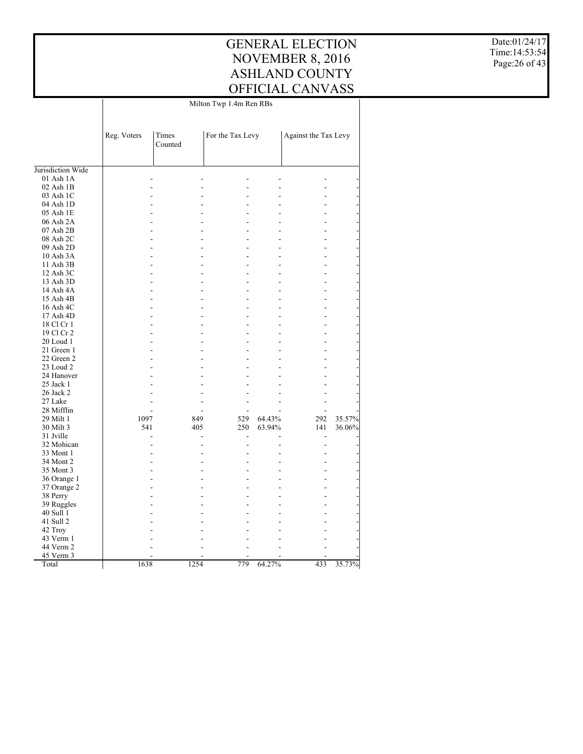Date:01/24/17 Time:14:53:54 Page:26 of 43

|                   | Milton Twp 1.4m Ren RBs |                  |                  |        |                      |        |  |
|-------------------|-------------------------|------------------|------------------|--------|----------------------|--------|--|
|                   |                         |                  |                  |        |                      |        |  |
|                   | Reg. Voters             | Times<br>Counted | For the Tax Levy |        | Against the Tax Levy |        |  |
| Jurisdiction Wide |                         |                  |                  |        |                      |        |  |
| $01$ Ash $1A$     |                         |                  |                  |        |                      |        |  |
| 02 Ash 1B         |                         |                  |                  |        |                      |        |  |
| 03 Ash 1C         |                         |                  |                  |        |                      |        |  |
| 04 Ash 1D         |                         |                  |                  |        |                      |        |  |
| 05 Ash 1E         |                         |                  |                  |        |                      |        |  |
| 06 Ash 2A         |                         |                  |                  |        |                      |        |  |
| 07 Ash 2B         |                         |                  | L,               |        |                      |        |  |
| 08 Ash 2C         |                         |                  |                  |        |                      |        |  |
| 09 Ash 2D         |                         |                  |                  |        |                      |        |  |
| 10 Ash 3A         |                         |                  | ٠                |        |                      |        |  |
|                   |                         |                  |                  |        |                      |        |  |
| 11 Ash 3B         |                         |                  |                  |        |                      |        |  |
| 12 Ash 3C         |                         |                  | L.               |        |                      |        |  |
| 13 Ash 3D         |                         |                  |                  |        |                      |        |  |
| 14 Ash 4A         |                         |                  | ÷                |        |                      |        |  |
| 15 Ash 4B         |                         |                  |                  |        |                      |        |  |
| 16 Ash 4C         |                         |                  | ٠                |        |                      |        |  |
| 17 Ash 4D         |                         |                  | ۳                |        |                      |        |  |
| 18 Cl Cr 1        |                         |                  |                  |        |                      |        |  |
| 19 Cl Cr 2        |                         |                  | L.               |        |                      |        |  |
| 20 Loud 1         |                         |                  |                  |        |                      |        |  |
| 21 Green 1        |                         |                  | L,               |        |                      |        |  |
| 22 Green 2        |                         |                  |                  |        |                      |        |  |
| 23 Loud 2         |                         |                  |                  |        |                      |        |  |
| 24 Hanover        |                         |                  | ۳                |        |                      |        |  |
| 25 Jack 1         |                         |                  |                  |        |                      |        |  |
| 26 Jack 2         |                         |                  |                  |        |                      |        |  |
| 27 Lake           |                         |                  |                  |        |                      |        |  |
| 28 Mifflin        |                         |                  | ٠                |        |                      |        |  |
| 29 Milt 1         | 1097                    | 849              | 529              | 64.43% | 292                  | 35.57% |  |
| 30 Milt 3         | 541                     | 405              | 250              | 63.94% | 141                  | 36.06% |  |
| 31 Jville         |                         |                  |                  |        |                      |        |  |
| 32 Mohican        |                         |                  |                  |        |                      |        |  |
| 33 Mont 1         |                         |                  | L.               |        |                      |        |  |
| 34 Mont 2         |                         |                  |                  |        |                      |        |  |
| 35 Mont 3         |                         |                  | L,               |        |                      |        |  |
| 36 Orange 1       |                         |                  |                  |        |                      |        |  |
| 37 Orange 2       |                         |                  |                  |        |                      |        |  |
| 38 Perry          |                         |                  | ۳                |        |                      |        |  |
| 39 Ruggles        |                         |                  |                  |        |                      |        |  |
| 40 Sull 1         |                         |                  |                  |        |                      |        |  |
| 41 Sull 2         |                         |                  |                  |        |                      |        |  |
| 42 Troy           |                         |                  |                  |        |                      |        |  |
| 43 Verm 1         |                         |                  |                  |        |                      |        |  |
| 44 Verm 2         |                         |                  |                  |        |                      |        |  |
| 45 Verm 3         |                         |                  |                  |        |                      |        |  |
| Total             | 1638                    | 1254             | 779              | 64.27% | 433                  | 35.73% |  |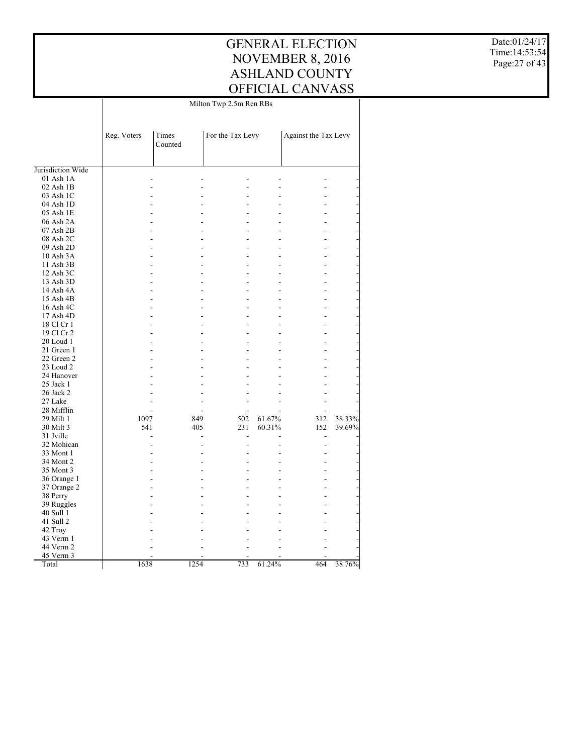Date:01/24/17 Time:14:53:54 Page:27 of 43

|                   | Milton Twp 2.5m Ren RBs |                  |                  |        |                      |        |  |
|-------------------|-------------------------|------------------|------------------|--------|----------------------|--------|--|
|                   | Reg. Voters             | Times<br>Counted | For the Tax Levy |        | Against the Tax Levy |        |  |
| Jurisdiction Wide |                         |                  |                  |        |                      |        |  |
| 01 Ash 1A         |                         |                  |                  |        |                      |        |  |
| $02$ Ash $1B$     |                         |                  |                  |        |                      |        |  |
| 03 Ash 1C         |                         |                  |                  |        |                      |        |  |
| 04 Ash 1D         |                         |                  |                  |        |                      |        |  |
| 05 Ash 1E         |                         |                  |                  |        |                      |        |  |
| 06 Ash 2A         |                         |                  |                  |        |                      |        |  |
| 07 Ash 2B         |                         |                  |                  |        |                      |        |  |
| 08 Ash 2C         |                         |                  |                  |        |                      |        |  |
| 09 Ash 2D         |                         |                  |                  |        |                      |        |  |
| 10 Ash 3A         |                         |                  |                  |        |                      |        |  |
| 11 Ash 3B         |                         |                  |                  |        |                      |        |  |
| 12 Ash 3C         |                         |                  |                  |        |                      |        |  |
| 13 Ash 3D         |                         |                  |                  |        |                      |        |  |
| 14 Ash 4A         |                         |                  |                  |        |                      |        |  |
| 15 Ash 4B         |                         |                  |                  |        |                      |        |  |
| 16 Ash 4C         |                         |                  |                  |        |                      |        |  |
| 17 Ash 4D         |                         |                  |                  |        |                      |        |  |
| 18 Cl Cr 1        | L.                      |                  | L,               |        |                      |        |  |
|                   |                         |                  |                  |        |                      |        |  |
| 19 Cl Cr 2        |                         |                  |                  |        |                      |        |  |
| 20 Loud 1         | L.                      |                  | ٠                |        |                      |        |  |
| 21 Green 1        |                         |                  |                  |        |                      |        |  |
| 22 Green 2        |                         |                  |                  |        |                      |        |  |
| 23 Loud 2         |                         |                  |                  |        |                      |        |  |
| 24 Hanover        |                         |                  |                  |        |                      |        |  |
| 25 Jack 1         |                         |                  |                  |        |                      |        |  |
| 26 Jack 2         |                         |                  |                  |        |                      |        |  |
| 27 Lake           |                         |                  |                  |        |                      |        |  |
| 28 Mifflin        | ÷                       |                  | ٠                |        |                      |        |  |
| 29 Milt 1         | 1097                    | 849              | 502              | 61.67% | 312                  | 38.33% |  |
| 30 Milt 3         | 541                     | 405              | 231              | 60.31% | 152                  | 39.69% |  |
| 31 Jville         |                         |                  |                  |        |                      |        |  |
| 32 Mohican        |                         |                  |                  |        |                      |        |  |
| 33 Mont 1         |                         |                  |                  |        |                      |        |  |
| 34 Mont 2         |                         |                  |                  |        |                      |        |  |
| 35 Mont 3         | ÷                       |                  |                  |        |                      |        |  |
| 36 Orange 1       |                         |                  |                  |        |                      |        |  |
| 37 Orange 2       |                         |                  |                  |        |                      |        |  |
| 38 Perry          |                         |                  |                  |        |                      |        |  |
| 39 Ruggles        |                         |                  |                  |        |                      |        |  |
| 40 Sull 1         |                         |                  |                  |        |                      |        |  |
| 41 Sull 2         |                         |                  |                  |        |                      |        |  |
| 42 Troy           |                         |                  |                  |        |                      |        |  |
| 43 Verm 1         |                         |                  |                  |        |                      |        |  |
| 44 Verm 2         |                         |                  |                  |        |                      |        |  |
| 45 Verm 3         |                         |                  |                  |        |                      |        |  |
| Total             | 1638                    | 1254             | 733              | 61.24% | 464                  | 38.76% |  |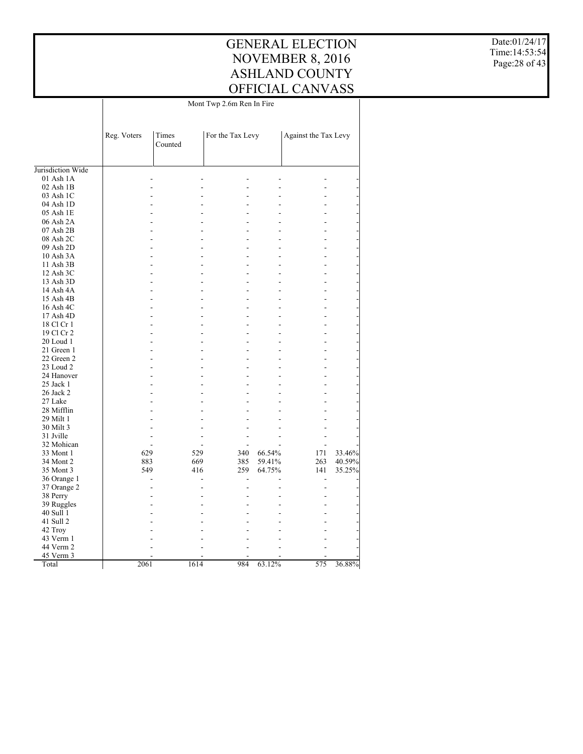Date:01/24/17 Time:14:53:54 Page:28 of 43

|                   | Mont Twp 2.6m Ren In Fire |                  |                  |        |                      |        |  |
|-------------------|---------------------------|------------------|------------------|--------|----------------------|--------|--|
|                   | Reg. Voters               | Times<br>Counted | For the Tax Levy |        | Against the Tax Levy |        |  |
| Jurisdiction Wide |                           |                  |                  |        |                      |        |  |
| $01$ Ash $1A$     |                           |                  |                  |        |                      |        |  |
| $02$ Ash $1B$     |                           |                  |                  |        |                      |        |  |
| 03 Ash 1C         |                           |                  |                  |        |                      |        |  |
| 04 Ash 1D         |                           |                  |                  |        |                      |        |  |
| 05 Ash 1E         |                           | L.               |                  |        |                      |        |  |
| 06 Ash 2A         |                           |                  |                  |        |                      |        |  |
| 07 Ash 2B         |                           | L.               |                  | ٠      |                      |        |  |
| 08 Ash 2C         |                           |                  |                  |        |                      |        |  |
| 09 Ash 2D         |                           | L,               |                  |        |                      |        |  |
| 10 Ash 3A         |                           |                  |                  |        |                      |        |  |
|                   |                           |                  |                  |        |                      |        |  |
| 11 Ash 3B         |                           |                  |                  |        |                      |        |  |
| 12 Ash 3C         |                           | L.               |                  | L      |                      |        |  |
| 13 Ash 3D         |                           | L,               |                  |        |                      |        |  |
| 14 Ash 4A         |                           | L.               |                  | ٠      |                      |        |  |
| 15 Ash 4B         |                           |                  |                  |        |                      |        |  |
| 16 Ash 4C         |                           | L.               |                  |        |                      |        |  |
| 17 Ash 4D         |                           |                  |                  |        |                      |        |  |
| 18 Cl Cr 1        |                           | Ĭ.               |                  | L,     |                      |        |  |
| 19 Cl Cr 2        |                           |                  |                  |        |                      |        |  |
| 20 Loud 1         |                           |                  |                  |        |                      |        |  |
| 21 Green 1        |                           | L.               |                  | ٠      |                      |        |  |
| 22 Green 2        |                           |                  |                  |        |                      |        |  |
| 23 Loud 2         |                           |                  |                  |        |                      |        |  |
| 24 Hanover        |                           |                  |                  |        |                      |        |  |
| $25$ Jack 1       |                           |                  |                  |        |                      |        |  |
| 26 Jack 2         |                           |                  |                  |        |                      |        |  |
| 27 Lake           |                           |                  |                  |        |                      |        |  |
| 28 Mifflin        |                           |                  |                  |        |                      |        |  |
| 29 Milt 1         |                           |                  |                  |        |                      |        |  |
| 30 Milt 3         |                           |                  |                  |        |                      |        |  |
| 31 Jville         |                           |                  |                  |        |                      |        |  |
| 32 Mohican        |                           |                  |                  | ÷      |                      |        |  |
| 33 Mont 1         | 629                       |                  | 529<br>340       | 66.54% | 171                  | 33.46% |  |
| 34 Mont 2         | 883                       |                  | 669<br>385       | 59.41% | 263                  | 40.59% |  |
| 35 Mont 3         | 549                       |                  | 416<br>259       | 64.75% | 141                  | 35.25% |  |
| 36 Orange 1       |                           |                  |                  |        |                      |        |  |
| 37 Orange 2       |                           |                  |                  | L.     | ÷                    |        |  |
| 38 Perry          |                           | L,               |                  |        |                      |        |  |
| 39 Ruggles        |                           |                  |                  |        |                      |        |  |
|                   |                           |                  |                  |        |                      |        |  |
| 40 Sull 1         |                           |                  |                  |        |                      |        |  |
| 41 Sull 2         |                           |                  |                  |        |                      |        |  |
| 42 Troy           |                           |                  |                  |        |                      |        |  |
| 43 Verm 1         |                           |                  |                  |        |                      |        |  |
| 44 Verm 2         |                           |                  |                  |        |                      |        |  |
| 45 Verm 3         |                           |                  |                  |        |                      |        |  |
| Total             | 2061                      | 1614             | 984              | 63.12% | 575                  | 36.88% |  |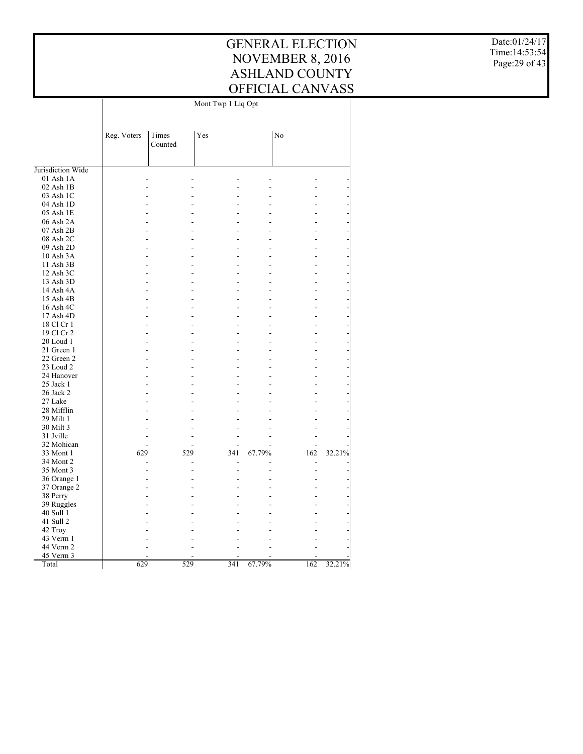Date:01/24/17 Time:14:53:54 Page:29 of 43

|                   |             | Mont Twp 1 Liq Opt |            |        |     |        |  |  |
|-------------------|-------------|--------------------|------------|--------|-----|--------|--|--|
|                   | Reg. Voters | Times<br>Counted   | Yes        |        | No  |        |  |  |
| Jurisdiction Wide |             |                    |            |        |     |        |  |  |
| 01 Ash 1A         |             | ٠                  |            |        |     |        |  |  |
| 02 Ash 1B         |             |                    |            |        |     |        |  |  |
| 03 Ash 1C         |             |                    |            |        |     |        |  |  |
| 04 Ash 1D         |             |                    |            |        |     |        |  |  |
| 05 Ash 1E         |             |                    |            |        |     |        |  |  |
| 06 Ash 2A         |             |                    |            |        |     |        |  |  |
| 07 Ash 2B         |             |                    |            |        |     |        |  |  |
| 08 Ash 2C         |             |                    |            |        |     |        |  |  |
| 09 Ash 2D         |             |                    |            |        |     |        |  |  |
| 10 Ash 3A         |             |                    |            |        |     |        |  |  |
| 11 Ash 3B         |             |                    |            |        |     |        |  |  |
| 12 Ash 3C         |             |                    |            |        |     |        |  |  |
| 13 Ash 3D         |             |                    |            |        |     |        |  |  |
| 14 Ash 4A         |             |                    |            |        |     |        |  |  |
| 15 Ash 4B         |             | L.                 |            |        |     |        |  |  |
| 16 Ash 4C         |             |                    |            |        |     |        |  |  |
| 17 Ash 4D         |             | L,                 |            |        |     |        |  |  |
| 18 Cl Cr 1        |             |                    |            |        |     |        |  |  |
| 19 Cl Cr 2        |             |                    |            |        |     |        |  |  |
| 20 Loud 1         |             |                    |            |        |     |        |  |  |
| 21 Green 1        |             |                    |            |        |     |        |  |  |
| 22 Green 2        |             |                    |            |        |     |        |  |  |
| 23 Loud 2         |             |                    |            |        |     |        |  |  |
| 24 Hanover        |             |                    |            |        |     |        |  |  |
| 25 Jack 1         |             |                    |            |        |     |        |  |  |
| 26 Jack 2         |             |                    |            |        |     |        |  |  |
| 27 Lake           |             |                    |            |        |     |        |  |  |
| 28 Mifflin        |             |                    |            |        |     |        |  |  |
| 29 Milt 1         |             |                    |            |        |     |        |  |  |
| 30 Milt 3         |             |                    |            |        |     |        |  |  |
| 31 Jville         |             |                    |            |        |     |        |  |  |
| 32 Mohican        |             | L,                 |            |        |     |        |  |  |
| 33 Mont 1         | 629         |                    | 529<br>341 | 67.79% | 162 | 32.21% |  |  |
| 34 Mont 2         |             |                    | ٠          |        |     |        |  |  |
| 35 Mont 3         |             |                    |            |        |     |        |  |  |
| 36 Orange 1       |             |                    |            |        |     |        |  |  |
| 37 Orange 2       |             |                    |            |        |     |        |  |  |
| 38 Perry          |             |                    |            |        |     |        |  |  |
| 39 Ruggles        |             |                    |            |        |     |        |  |  |
| 40 Sull 1         |             |                    |            |        |     |        |  |  |
| 41 Sull 2         |             |                    |            |        |     |        |  |  |
| 42 Troy           |             |                    |            |        |     |        |  |  |
| 43 Verm 1         |             |                    |            |        |     |        |  |  |
| 44 Verm 2         |             |                    |            |        |     |        |  |  |
| 45 Verm 3         |             |                    |            |        |     |        |  |  |
| Total             | 629         |                    | 529<br>341 | 67.79% | 162 | 32.21% |  |  |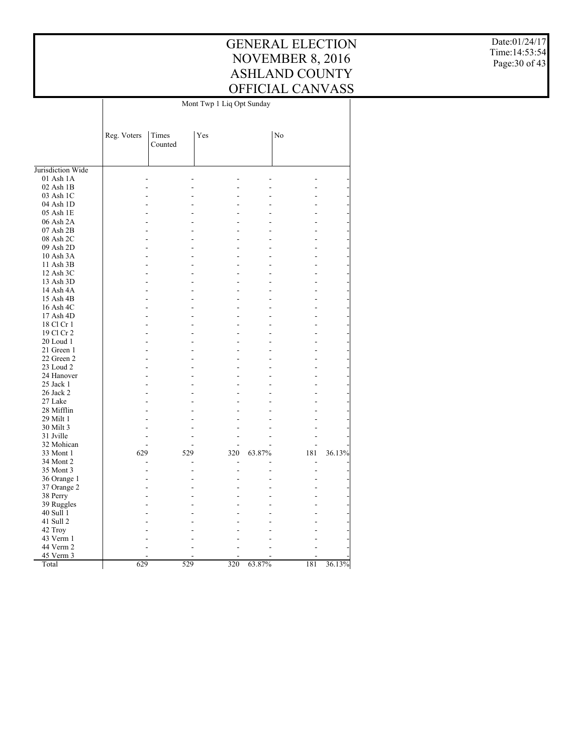Date:01/24/17 Time:14:53:54 Page:30 of 43

|                   |             | Mont Twp 1 Liq Opt Sunday |     |        |     |        |  |  |
|-------------------|-------------|---------------------------|-----|--------|-----|--------|--|--|
|                   | Reg. Voters | Times<br>Counted          | Yes |        | No  |        |  |  |
| Jurisdiction Wide |             |                           |     |        |     |        |  |  |
| 01 Ash 1A         |             | ٠                         |     |        |     |        |  |  |
| $02$ Ash $1B$     |             |                           |     |        |     |        |  |  |
| 03 Ash 1C         |             |                           |     |        |     |        |  |  |
| 04 Ash 1D         |             |                           |     |        |     |        |  |  |
| 05 Ash 1E         |             |                           |     |        |     |        |  |  |
| 06 Ash 2A         |             |                           |     |        |     |        |  |  |
| 07 Ash 2B         |             |                           |     |        |     |        |  |  |
| 08 Ash 2C         |             |                           |     |        |     |        |  |  |
| 09 Ash 2D         |             |                           |     |        |     |        |  |  |
| 10 Ash 3A         |             |                           |     |        |     |        |  |  |
| 11 Ash 3B         |             |                           |     |        |     |        |  |  |
| 12 Ash 3C         |             | Ĭ.                        |     |        |     |        |  |  |
| 13 Ash 3D         |             |                           |     |        |     |        |  |  |
| 14 Ash 4A         |             | L,                        |     |        |     |        |  |  |
| 15 Ash 4B         |             |                           |     |        |     |        |  |  |
| 16 Ash 4C         |             |                           |     |        |     |        |  |  |
| 17 Ash 4D         |             | L.                        |     |        |     |        |  |  |
| 18 Cl Cr 1        |             |                           |     |        |     |        |  |  |
| 19 Cl Cr 2        |             |                           |     |        |     |        |  |  |
| 20 Loud 1         |             |                           |     |        |     |        |  |  |
| 21 Green 1        |             |                           |     |        |     |        |  |  |
| 22 Green 2        |             |                           |     |        |     |        |  |  |
| 23 Loud 2         |             |                           |     |        |     |        |  |  |
| 24 Hanover        |             |                           |     |        |     |        |  |  |
| 25 Jack 1         |             |                           |     |        |     |        |  |  |
| 26 Jack 2         |             |                           |     |        |     |        |  |  |
| 27 Lake           |             |                           |     |        |     |        |  |  |
| 28 Mifflin        |             |                           |     |        |     |        |  |  |
| 29 Milt 1         |             |                           |     |        |     |        |  |  |
| 30 Milt 3         |             | L,                        |     |        |     |        |  |  |
| 31 Jville         |             | ٠                         |     |        |     |        |  |  |
| 32 Mohican        |             | L.                        |     |        |     |        |  |  |
| 33 Mont 1         | 629         | 529                       | 320 | 63.87% | 181 | 36.13% |  |  |
| 34 Mont 2         |             | Ĭ.                        |     |        | ٠   |        |  |  |
| 35 Mont 3         |             |                           |     |        |     |        |  |  |
| 36 Orange 1       |             |                           |     |        |     |        |  |  |
| 37 Orange 2       |             |                           |     |        |     |        |  |  |
| 38 Perry          |             |                           |     |        |     |        |  |  |
| 39 Ruggles        |             |                           |     |        |     |        |  |  |
| 40 Sull 1         |             |                           |     |        |     |        |  |  |
| 41 Sull 2         |             |                           |     |        |     |        |  |  |
| 42 Troy           |             |                           |     |        |     |        |  |  |
| 43 Verm 1         |             |                           |     |        |     |        |  |  |
| 44 Verm 2         |             |                           |     |        |     |        |  |  |
| 45 Verm 3         |             |                           |     |        |     |        |  |  |
| Total             | 629         | 529                       | 320 | 63.87% | 181 | 36.13% |  |  |
|                   |             |                           |     |        |     |        |  |  |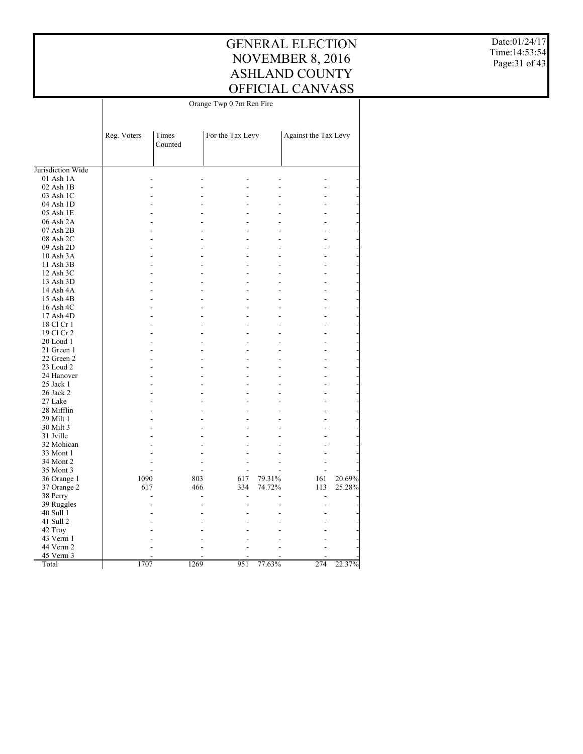Date:01/24/17 Time:14:53:54 Page:31 of 43

|                   | Orange Twp 0.7m Ren Fire |                  |                  |        |                      |        |  |
|-------------------|--------------------------|------------------|------------------|--------|----------------------|--------|--|
|                   | Reg. Voters              | Times<br>Counted | For the Tax Levy |        | Against the Tax Levy |        |  |
|                   |                          |                  |                  |        |                      |        |  |
| Jurisdiction Wide |                          |                  |                  |        |                      |        |  |
| 01 Ash 1A         |                          |                  |                  |        |                      |        |  |
| $02$ Ash $1B$     |                          |                  |                  |        |                      |        |  |
| 03 Ash 1C         |                          |                  |                  |        |                      |        |  |
| 04 Ash 1D         |                          |                  |                  |        |                      |        |  |
| 05 Ash 1E         |                          |                  |                  |        |                      |        |  |
| 06 Ash 2A         |                          |                  |                  |        |                      |        |  |
| 07 Ash 2B         |                          |                  |                  |        |                      |        |  |
| 08 Ash 2C         |                          |                  |                  |        |                      |        |  |
| 09 Ash 2D         |                          |                  |                  |        |                      |        |  |
| 10 Ash 3A         |                          |                  | ۷                |        |                      |        |  |
| 11 Ash 3B         |                          |                  |                  |        |                      |        |  |
| 12 Ash 3C         |                          |                  |                  |        |                      |        |  |
| 13 Ash 3D         |                          |                  |                  |        |                      |        |  |
| 14 Ash 4A         |                          |                  |                  |        |                      |        |  |
| 15 Ash 4B         |                          |                  |                  |        |                      |        |  |
| 16 Ash 4C         |                          |                  |                  |        |                      |        |  |
| 17 Ash 4D         |                          |                  |                  |        |                      |        |  |
| 18 Cl Cr 1        |                          |                  |                  |        |                      |        |  |
| 19 Cl Cr 2        |                          |                  |                  |        |                      |        |  |
| 20 Loud 1         |                          |                  |                  |        |                      |        |  |
| 21 Green 1        |                          |                  |                  |        |                      |        |  |
| 22 Green 2        |                          |                  |                  |        |                      |        |  |
| 23 Loud 2         |                          |                  |                  |        |                      |        |  |
| 24 Hanover        |                          | L.               | L                |        |                      |        |  |
| 25 Jack 1         |                          |                  |                  |        |                      |        |  |
| 26 Jack 2         |                          |                  |                  |        |                      |        |  |
| 27 Lake           |                          |                  | L                |        |                      |        |  |
| 28 Mifflin        |                          |                  |                  |        |                      |        |  |
| 29 Milt 1         |                          |                  |                  |        |                      |        |  |
| 30 Milt 3         |                          |                  |                  |        |                      |        |  |
| 31 Jville         |                          |                  |                  |        |                      |        |  |
| 32 Mohican        |                          |                  |                  |        |                      |        |  |
| 33 Mont 1         |                          |                  |                  |        |                      |        |  |
| 34 Mont 2         |                          |                  |                  |        |                      |        |  |
| 35 Mont 3         |                          |                  |                  |        |                      |        |  |
| 36 Orange 1       | 1090                     | 803              | 617              | 79.31% | 161                  | 20.69% |  |
| 37 Orange 2       | 617                      | 466              | 334              | 74.72% | 113                  | 25.28% |  |
|                   |                          |                  |                  |        | L,                   |        |  |
| 38 Perry          |                          |                  |                  |        |                      |        |  |
| 39 Ruggles        |                          |                  |                  |        |                      |        |  |
| 40 Sull 1         |                          |                  |                  |        |                      |        |  |
| 41 Sull 2         |                          |                  |                  |        |                      |        |  |
| 42 Troy           |                          |                  |                  |        |                      |        |  |
| 43 Verm 1         |                          |                  |                  |        |                      |        |  |
| 44 Verm 2         |                          |                  |                  |        |                      |        |  |
| 45 Verm 3         |                          |                  |                  |        |                      |        |  |
| Total             | 1707                     | 1269             | 951              | 77.63% | 274                  | 22.37% |  |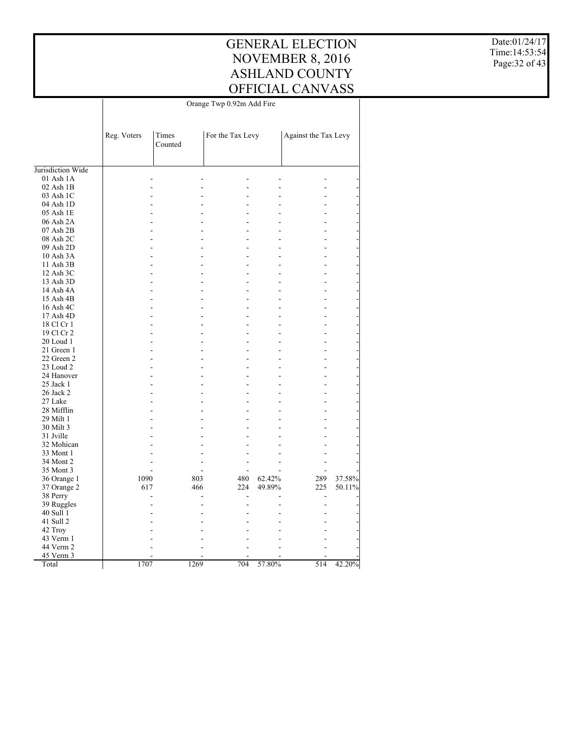Date:01/24/17 Time:14:53:54 Page:32 of 43

|                   | Orange Twp 0.92m Add Fire |                  |      |                  |        |                      |        |
|-------------------|---------------------------|------------------|------|------------------|--------|----------------------|--------|
|                   | Reg. Voters               | Times<br>Counted |      | For the Tax Levy |        | Against the Tax Levy |        |
| Jurisdiction Wide |                           |                  |      |                  |        |                      |        |
| 01 Ash 1A         |                           |                  |      |                  |        |                      |        |
| $02$ Ash $1B$     |                           |                  |      |                  |        |                      |        |
| 03 Ash 1C         |                           |                  |      |                  |        |                      |        |
| 04 Ash 1D         |                           |                  |      |                  |        |                      |        |
| 05 Ash 1E         |                           |                  |      |                  |        |                      |        |
| 06 Ash 2A         |                           |                  |      |                  |        |                      |        |
| 07 Ash 2B         |                           |                  |      |                  |        |                      |        |
| 08 Ash 2C         |                           |                  |      |                  |        |                      |        |
| 09 Ash 2D         |                           |                  |      |                  |        |                      |        |
| 10 Ash 3A         |                           |                  |      |                  |        |                      |        |
| 11 Ash 3B         |                           |                  |      |                  |        |                      |        |
| 12 Ash 3C         |                           |                  |      |                  |        |                      |        |
|                   |                           |                  |      |                  |        |                      |        |
| 13 Ash 3D         |                           |                  |      |                  |        |                      |        |
| 14 Ash 4A         |                           |                  |      |                  |        |                      |        |
| 15 Ash 4B         |                           |                  |      |                  |        |                      |        |
| 16 Ash 4C         |                           |                  |      |                  |        |                      |        |
| 17 Ash 4D         |                           |                  |      |                  |        |                      |        |
| 18 Cl Cr 1        |                           | L,               |      | L                |        |                      |        |
| 19 Cl Cr 2        |                           |                  |      |                  |        |                      |        |
| 20 Loud 1         |                           |                  |      |                  |        |                      |        |
| 21 Green 1        |                           | L.               |      | L.               |        |                      |        |
| 22 Green 2        |                           |                  |      |                  |        |                      |        |
| 23 Loud 2         |                           |                  |      |                  |        |                      |        |
| 24 Hanover        |                           |                  |      |                  |        |                      |        |
| 25 Jack 1         |                           |                  |      |                  |        |                      |        |
| 26 Jack 2         |                           |                  |      |                  |        |                      |        |
| 27 Lake           |                           |                  |      |                  |        |                      |        |
| 28 Mifflin        |                           |                  |      |                  |        |                      |        |
| 29 Milt 1         |                           |                  |      |                  |        |                      |        |
| 30 Milt 3         |                           |                  |      |                  |        |                      |        |
| 31 Jville         |                           |                  |      |                  |        |                      |        |
| 32 Mohican        |                           |                  |      |                  |        |                      |        |
| 33 Mont 1         |                           |                  |      |                  |        |                      |        |
| 34 Mont 2         |                           |                  |      |                  |        |                      |        |
| 35 Mont 3         |                           |                  |      |                  |        |                      |        |
| 36 Orange 1       | 1090                      |                  | 803  | 480              | 62.42% | 289                  | 37.58% |
| 37 Orange 2       | 617                       |                  | 466  | 224              | 49.89% | 225                  | 50.11% |
| 38 Perry          |                           |                  |      |                  |        |                      |        |
| 39 Ruggles        |                           |                  |      |                  |        |                      |        |
| 40 Sull 1         |                           |                  |      |                  |        |                      |        |
| 41 Sull 2         |                           |                  |      |                  |        |                      |        |
| 42 Troy           |                           |                  |      |                  |        |                      |        |
| 43 Verm 1         |                           |                  |      |                  |        |                      |        |
| 44 Verm 2         |                           |                  |      |                  |        |                      |        |
| 45 Verm 3         |                           |                  |      |                  |        |                      |        |
| Total             | 1707                      |                  | 1269 | 704              | 57.80% | 514                  | 42.20% |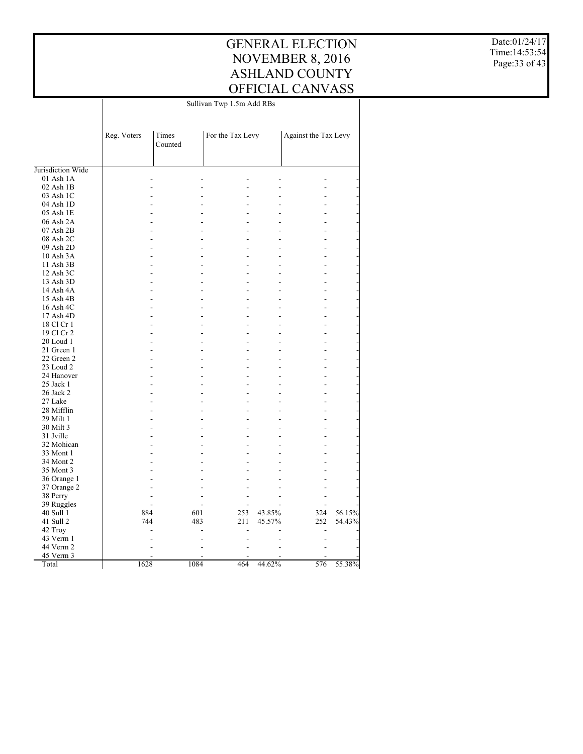Date:01/24/17 Time:14:53:54 Page:33 of 43

|                   | Sullivan Twp 1.5m Add RBs |                  |                  |        |                      |        |  |
|-------------------|---------------------------|------------------|------------------|--------|----------------------|--------|--|
|                   | Reg. Voters               | Times<br>Counted | For the Tax Levy |        | Against the Tax Levy |        |  |
| Jurisdiction Wide |                           |                  |                  |        |                      |        |  |
| 01 Ash 1A         |                           |                  |                  |        |                      |        |  |
| 02 Ash 1B         |                           |                  |                  |        |                      |        |  |
| 03 Ash 1C         |                           |                  |                  |        |                      |        |  |
| 04 Ash 1D         |                           |                  |                  |        |                      |        |  |
| 05 Ash 1E         |                           |                  |                  |        |                      |        |  |
| 06 Ash 2A         |                           |                  |                  |        |                      |        |  |
| 07 Ash 2B         |                           | L.               | ٠                |        |                      |        |  |
| 08 Ash 2C         |                           |                  |                  |        |                      |        |  |
| 09 Ash 2D         |                           | ÷                |                  |        |                      |        |  |
| 10 Ash 3A         |                           |                  |                  |        |                      |        |  |
| 11 Ash 3B         |                           |                  |                  |        |                      |        |  |
| 12 Ash 3C         |                           | L                | ۷                |        |                      |        |  |
| 13 Ash 3D         |                           | L,               |                  |        |                      |        |  |
|                   |                           | L.               | ٠                |        |                      |        |  |
| 14 Ash 4A         |                           |                  |                  |        |                      |        |  |
| 15 Ash 4B         |                           |                  |                  |        |                      |        |  |
| 16 Ash 4C         |                           | L,               |                  |        |                      |        |  |
| 17 Ash 4D         |                           |                  |                  |        |                      |        |  |
| 18 Cl Cr 1        |                           | L                |                  |        |                      |        |  |
| 19 Cl Cr 2        |                           | L.               | ٠                |        |                      |        |  |
| 20 Loud 1         |                           |                  |                  |        |                      |        |  |
| 21 Green 1        |                           | L.               | ۰                |        |                      |        |  |
| 22 Green 2        |                           |                  |                  |        |                      |        |  |
| 23 Loud 2         |                           |                  |                  |        |                      |        |  |
| 24 Hanover        |                           | L                | $\overline{a}$   |        |                      |        |  |
| 25 Jack 1         |                           |                  |                  |        |                      |        |  |
| 26 Jack 2         |                           |                  | ۷                |        |                      |        |  |
| 27 Lake           |                           |                  |                  |        |                      |        |  |
| 28 Mifflin        |                           |                  |                  |        |                      |        |  |
| 29 Milt 1         |                           |                  |                  |        |                      |        |  |
| 30 Milt 3         |                           |                  |                  |        |                      |        |  |
| 31 Jville         |                           |                  |                  |        |                      |        |  |
| 32 Mohican        |                           |                  |                  |        |                      |        |  |
| 33 Mont 1         |                           | ÷                |                  |        |                      |        |  |
| 34 Mont 2         |                           |                  |                  |        |                      |        |  |
| 35 Mont 3         |                           |                  |                  |        |                      |        |  |
| 36 Orange 1       |                           |                  |                  |        |                      |        |  |
| 37 Orange 2       |                           |                  |                  |        |                      |        |  |
| 38 Perry          |                           |                  | ٠                |        |                      |        |  |
| 39 Ruggles        |                           |                  |                  |        |                      |        |  |
| 40 Sull 1         | 884                       | 601              | 253              | 43.85% | 324                  | 56.15% |  |
| 41 Sull 2         | 744                       | 483              | 211              | 45.57% | 252                  | 54.43% |  |
| 42 Troy           |                           |                  |                  |        |                      |        |  |
| 43 Verm 1         |                           |                  |                  |        | ۳                    |        |  |
| 44 Verm 2         |                           |                  |                  |        |                      |        |  |
| 45 Verm 3         |                           |                  |                  |        |                      |        |  |
| Total             | 1628                      | 1084             | 464              | 44.62% | 576                  | 55.38% |  |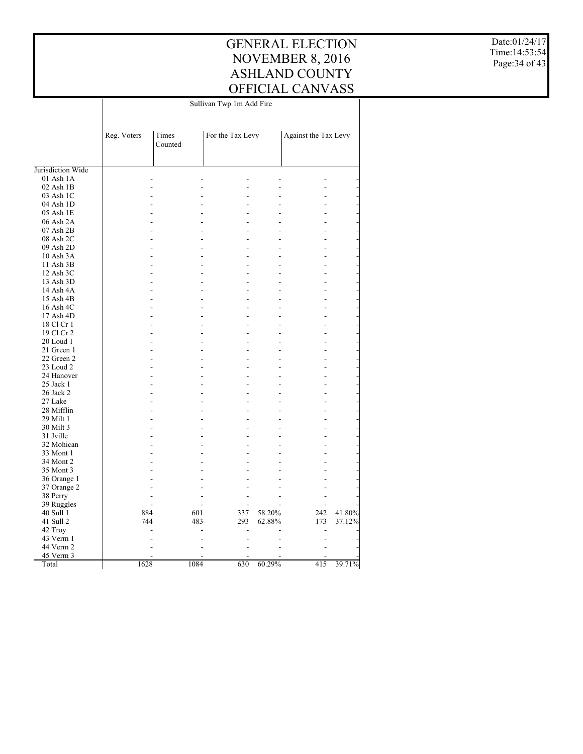#### GENERAL ELECTION NOVEMBER 8, 2016 ASHLAND COUNTY OFFICIAL CANVASS Sullivan Twp 1m Add Fire

 $\mathbf{I}$ 

Date:01/24/17 Time:14:53:54 Page:34 of 43

| Against the Tax Levy<br>Reg. Voters<br>Times<br>For the Tax Levy<br>Counted<br>Jurisdiction Wide<br>$01$ Ash $1A$<br>02 Ash 1B<br>03 Ash 1C<br>$\overline{a}$<br>04 Ash 1D<br>05 Ash 1E<br>٠<br>06 Ash 2A<br>L,<br>07 Ash 2B<br>L.<br>08 Ash 2C<br>L,<br>09 Ash 2D<br>÷<br>10 Ash 3A<br>11 Ash 3B<br>L,<br>L,<br>12 Ash 3C<br>$\overline{a}$<br>13 Ash 3D<br>L,<br>14 Ash 4A<br>$\overline{a}$<br>15 Ash 4B<br>L<br>16 Ash 4C<br>L.<br>17 Ash 4D<br>L,<br>18 Cl Cr 1<br>L.<br>19 Cl Cr 2<br>L,<br>20 Loud 1<br>L,<br>21 Green 1<br>22 Green 2<br>÷<br>23 Loud 2<br>$\overline{a}$<br>24 Hanover<br>L,<br>25 Jack 1<br>$\overline{a}$<br>26 Jack 2<br>L,<br>27 Lake<br>L,<br>28 Mifflin<br>L. |
|----------------------------------------------------------------------------------------------------------------------------------------------------------------------------------------------------------------------------------------------------------------------------------------------------------------------------------------------------------------------------------------------------------------------------------------------------------------------------------------------------------------------------------------------------------------------------------------------------------------------------------------------------------------------------------------------|
|                                                                                                                                                                                                                                                                                                                                                                                                                                                                                                                                                                                                                                                                                              |
|                                                                                                                                                                                                                                                                                                                                                                                                                                                                                                                                                                                                                                                                                              |
|                                                                                                                                                                                                                                                                                                                                                                                                                                                                                                                                                                                                                                                                                              |
|                                                                                                                                                                                                                                                                                                                                                                                                                                                                                                                                                                                                                                                                                              |
|                                                                                                                                                                                                                                                                                                                                                                                                                                                                                                                                                                                                                                                                                              |
|                                                                                                                                                                                                                                                                                                                                                                                                                                                                                                                                                                                                                                                                                              |
|                                                                                                                                                                                                                                                                                                                                                                                                                                                                                                                                                                                                                                                                                              |
|                                                                                                                                                                                                                                                                                                                                                                                                                                                                                                                                                                                                                                                                                              |
|                                                                                                                                                                                                                                                                                                                                                                                                                                                                                                                                                                                                                                                                                              |
|                                                                                                                                                                                                                                                                                                                                                                                                                                                                                                                                                                                                                                                                                              |
|                                                                                                                                                                                                                                                                                                                                                                                                                                                                                                                                                                                                                                                                                              |
|                                                                                                                                                                                                                                                                                                                                                                                                                                                                                                                                                                                                                                                                                              |
|                                                                                                                                                                                                                                                                                                                                                                                                                                                                                                                                                                                                                                                                                              |
|                                                                                                                                                                                                                                                                                                                                                                                                                                                                                                                                                                                                                                                                                              |
|                                                                                                                                                                                                                                                                                                                                                                                                                                                                                                                                                                                                                                                                                              |
|                                                                                                                                                                                                                                                                                                                                                                                                                                                                                                                                                                                                                                                                                              |
|                                                                                                                                                                                                                                                                                                                                                                                                                                                                                                                                                                                                                                                                                              |
|                                                                                                                                                                                                                                                                                                                                                                                                                                                                                                                                                                                                                                                                                              |
|                                                                                                                                                                                                                                                                                                                                                                                                                                                                                                                                                                                                                                                                                              |
|                                                                                                                                                                                                                                                                                                                                                                                                                                                                                                                                                                                                                                                                                              |
|                                                                                                                                                                                                                                                                                                                                                                                                                                                                                                                                                                                                                                                                                              |
|                                                                                                                                                                                                                                                                                                                                                                                                                                                                                                                                                                                                                                                                                              |
|                                                                                                                                                                                                                                                                                                                                                                                                                                                                                                                                                                                                                                                                                              |
|                                                                                                                                                                                                                                                                                                                                                                                                                                                                                                                                                                                                                                                                                              |
|                                                                                                                                                                                                                                                                                                                                                                                                                                                                                                                                                                                                                                                                                              |
|                                                                                                                                                                                                                                                                                                                                                                                                                                                                                                                                                                                                                                                                                              |
|                                                                                                                                                                                                                                                                                                                                                                                                                                                                                                                                                                                                                                                                                              |
|                                                                                                                                                                                                                                                                                                                                                                                                                                                                                                                                                                                                                                                                                              |
|                                                                                                                                                                                                                                                                                                                                                                                                                                                                                                                                                                                                                                                                                              |
|                                                                                                                                                                                                                                                                                                                                                                                                                                                                                                                                                                                                                                                                                              |
|                                                                                                                                                                                                                                                                                                                                                                                                                                                                                                                                                                                                                                                                                              |
| 29 Milt 1<br>L.                                                                                                                                                                                                                                                                                                                                                                                                                                                                                                                                                                                                                                                                              |
| 30 Milt 3<br>L,                                                                                                                                                                                                                                                                                                                                                                                                                                                                                                                                                                                                                                                                              |
| 31 Jville<br>L,                                                                                                                                                                                                                                                                                                                                                                                                                                                                                                                                                                                                                                                                              |
| 32 Mohican                                                                                                                                                                                                                                                                                                                                                                                                                                                                                                                                                                                                                                                                                   |
| 33 Mont 1<br>۰                                                                                                                                                                                                                                                                                                                                                                                                                                                                                                                                                                                                                                                                               |
| 34 Mont 2                                                                                                                                                                                                                                                                                                                                                                                                                                                                                                                                                                                                                                                                                    |
| 35 Mont 3<br>L,                                                                                                                                                                                                                                                                                                                                                                                                                                                                                                                                                                                                                                                                              |
| 36 Orange 1                                                                                                                                                                                                                                                                                                                                                                                                                                                                                                                                                                                                                                                                                  |
| 37 Orange 2<br>L.                                                                                                                                                                                                                                                                                                                                                                                                                                                                                                                                                                                                                                                                            |
| 38 Perry<br>$\overline{a}$                                                                                                                                                                                                                                                                                                                                                                                                                                                                                                                                                                                                                                                                   |
| 39 Ruggles                                                                                                                                                                                                                                                                                                                                                                                                                                                                                                                                                                                                                                                                                   |
| 884<br>41.80%<br>40 Sull 1<br>601<br>337<br>58.20%<br>242                                                                                                                                                                                                                                                                                                                                                                                                                                                                                                                                                                                                                                    |
| 41 Sull 2<br>744<br>483<br>293<br>62.88%<br>173<br>37.12%                                                                                                                                                                                                                                                                                                                                                                                                                                                                                                                                                                                                                                    |
| 42 Troy<br>$\overline{a}$<br>$\blacksquare$                                                                                                                                                                                                                                                                                                                                                                                                                                                                                                                                                                                                                                                  |
| 43 Verm 1                                                                                                                                                                                                                                                                                                                                                                                                                                                                                                                                                                                                                                                                                    |
| 44 Verm 2                                                                                                                                                                                                                                                                                                                                                                                                                                                                                                                                                                                                                                                                                    |
| 45 Verm 3                                                                                                                                                                                                                                                                                                                                                                                                                                                                                                                                                                                                                                                                                    |
| 1628<br>1084<br>630<br>60.29%<br>415<br>39.71%<br>Total                                                                                                                                                                                                                                                                                                                                                                                                                                                                                                                                                                                                                                      |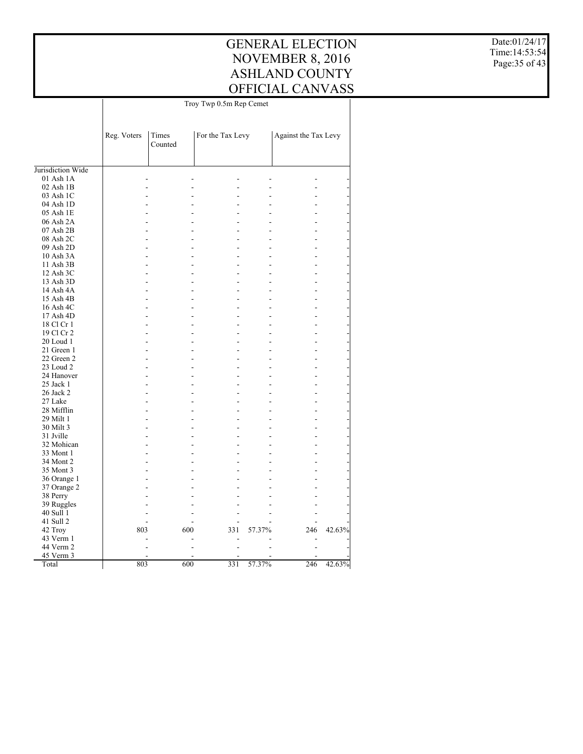$\top$ 

Date:01/24/17 Time:14:53:54 Page:35 of 43

|                   |             | Troy Twp 0.5m Rep Cemet |                  |        |                      |        |  |  |
|-------------------|-------------|-------------------------|------------------|--------|----------------------|--------|--|--|
|                   |             |                         |                  |        |                      |        |  |  |
|                   | Reg. Voters | Times<br>Counted        | For the Tax Levy |        | Against the Tax Levy |        |  |  |
|                   |             |                         |                  |        |                      |        |  |  |
| Jurisdiction Wide |             |                         |                  |        |                      |        |  |  |
| 01 Ash 1A         |             |                         |                  |        |                      |        |  |  |
| $02$ Ash $1B$     |             |                         |                  |        |                      |        |  |  |
| 03 Ash 1C         |             |                         |                  |        |                      |        |  |  |
| 04 Ash 1D         |             |                         |                  |        |                      |        |  |  |
| 05 Ash 1E         |             |                         |                  |        |                      |        |  |  |
| 06 Ash 2A         |             |                         |                  |        |                      |        |  |  |
| 07 Ash 2B         |             |                         |                  |        |                      |        |  |  |
| 08 Ash 2C         |             |                         |                  |        |                      |        |  |  |
| 09 Ash 2D         |             |                         |                  |        |                      |        |  |  |
| 10 Ash 3A         |             |                         |                  |        |                      |        |  |  |
| 11 Ash 3B         |             |                         |                  |        |                      |        |  |  |
| 12 Ash 3C         |             |                         |                  |        |                      |        |  |  |
| 13 Ash 3D         |             |                         |                  |        |                      |        |  |  |
|                   |             |                         |                  |        |                      |        |  |  |
| 14 Ash 4A         |             |                         |                  |        |                      |        |  |  |
| 15 Ash 4B         |             |                         |                  |        |                      |        |  |  |
| 16 Ash 4C         |             |                         |                  |        |                      |        |  |  |
| 17 Ash 4D         |             |                         |                  |        |                      |        |  |  |
| 18 Cl Cr 1        |             |                         |                  |        |                      |        |  |  |
| 19 Cl Cr 2        |             |                         |                  |        |                      |        |  |  |
| 20 Loud 1         |             |                         |                  |        |                      |        |  |  |
| 21 Green 1        |             |                         |                  |        |                      |        |  |  |
| 22 Green 2        |             |                         |                  |        |                      |        |  |  |
| 23 Loud 2         |             |                         |                  |        |                      |        |  |  |
| 24 Hanover        |             |                         |                  |        |                      |        |  |  |
| 25 Jack 1         |             |                         |                  |        |                      |        |  |  |
| 26 Jack 2         |             |                         |                  |        |                      |        |  |  |
| 27 Lake           |             |                         |                  |        |                      |        |  |  |
| 28 Mifflin        |             |                         |                  |        |                      |        |  |  |
| 29 Milt 1         |             |                         |                  |        |                      |        |  |  |
| 30 Milt 3         |             |                         |                  |        |                      |        |  |  |
| 31 Jville         |             |                         |                  |        |                      |        |  |  |
| 32 Mohican        |             |                         |                  |        |                      |        |  |  |
| 33 Mont 1         |             |                         |                  |        |                      |        |  |  |
| 34 Mont 2         |             |                         |                  |        |                      |        |  |  |
| 35 Mont 3         |             |                         |                  |        |                      |        |  |  |
| 36 Orange 1       |             |                         |                  |        |                      |        |  |  |
| 37 Orange 2       |             |                         |                  |        |                      |        |  |  |
| 38 Perry          |             |                         |                  |        |                      |        |  |  |
| 39 Ruggles        |             |                         |                  |        |                      |        |  |  |
| 40 Sull 1         |             |                         |                  |        |                      |        |  |  |
| 41 Sull 2         |             |                         |                  |        |                      |        |  |  |
|                   | 803         | 600                     |                  |        | 246                  | 42.63% |  |  |
| 42 Troy           |             |                         | 331              | 57.37% |                      |        |  |  |
| 43 Verm 1         |             |                         |                  |        |                      |        |  |  |
| 44 Verm 2         |             |                         |                  |        |                      |        |  |  |
| 45 Verm 3         |             |                         |                  |        |                      |        |  |  |
| Total             | 803         | 600                     | 331              | 57.37% | 246                  | 42.63% |  |  |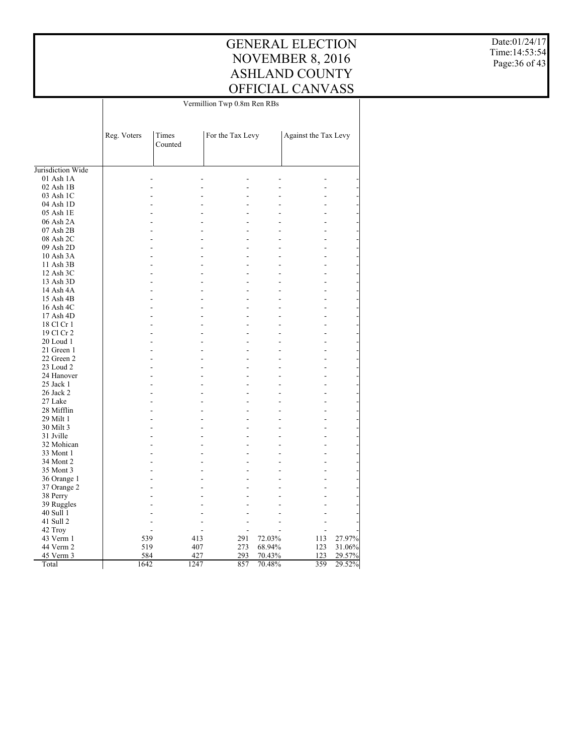#### GENERAL ELECTION NOVEMBER 8, 2016 ASHLAND COUNTY OFFICIAL CANVASS Vermillion Twp 0.8m Ren RBs

Date:01/24/17 Time:14:53:54 Page:36 of 43

|                   |             |                  | Vermillion Twp 0.8m Ren RBs |        |                      |        |  |  |
|-------------------|-------------|------------------|-----------------------------|--------|----------------------|--------|--|--|
|                   |             |                  |                             |        |                      |        |  |  |
|                   | Reg. Voters | Times<br>Counted | For the Tax Levy            |        | Against the Tax Levy |        |  |  |
| Jurisdiction Wide |             |                  |                             |        |                      |        |  |  |
| 01 Ash 1A         |             |                  |                             |        |                      |        |  |  |
| 02 Ash 1B         |             |                  |                             |        |                      |        |  |  |
| 03 Ash 1C         |             |                  |                             |        |                      |        |  |  |
| 04 Ash 1D         |             |                  | ۳                           |        |                      |        |  |  |
| 05 Ash 1E         |             |                  |                             |        |                      |        |  |  |
| 06 Ash 2A         |             | ÷.               | ٠                           |        |                      |        |  |  |
| 07 Ash 2B         |             |                  |                             |        |                      |        |  |  |
| 08 Ash 2C         |             | ÷.<br>÷          | ٠                           |        |                      |        |  |  |
| 09 Ash 2D         |             |                  |                             |        |                      |        |  |  |
| 10 Ash 3A         |             |                  | ۰                           |        |                      |        |  |  |
| 11 Ash 3B         |             |                  | $\overline{a}$              |        |                      |        |  |  |
| 12 Ash 3C         |             |                  | ٠                           |        |                      |        |  |  |
| 13 Ash 3D         |             |                  |                             |        |                      |        |  |  |
| 14 Ash 4A         |             |                  | $\overline{a}$              |        |                      |        |  |  |
| 15 Ash 4B         |             |                  |                             |        |                      |        |  |  |
| 16 Ash 4C         |             |                  | L.                          |        |                      |        |  |  |
| 17 Ash 4D         |             |                  | ٠                           |        |                      |        |  |  |
| 18 Cl Cr 1        |             |                  |                             |        |                      |        |  |  |
| 19 Cl Cr 2        |             | ÷.<br>L.         | ٠                           |        |                      |        |  |  |
| 20 Loud 1         |             |                  |                             |        |                      |        |  |  |
| 21 Green 1        |             |                  | ٠                           |        |                      |        |  |  |
| 22 Green 2        |             |                  | L,                          |        |                      |        |  |  |
| 23 Loud 2         |             |                  | ۰                           |        |                      |        |  |  |
| 24 Hanover        |             |                  | $\overline{a}$              |        |                      |        |  |  |
| 25 Jack 1         |             | ٠                | $\overline{a}$              |        |                      |        |  |  |
| 26 Jack 2         |             |                  |                             |        |                      |        |  |  |
| 27 Lake           |             | ÷.               | L,                          |        |                      |        |  |  |
| 28 Mifflin        |             |                  | L                           |        |                      |        |  |  |
| 29 Milt 1         |             |                  |                             |        |                      |        |  |  |
| 30 Milt 3         |             |                  | ٠                           |        |                      |        |  |  |
| 31 Jville         |             |                  |                             |        |                      |        |  |  |
| 32 Mohican        |             | ÷.<br>÷          | ٠                           |        |                      |        |  |  |
| 33 Mont 1         |             |                  | $\overline{a}$              |        |                      |        |  |  |
| 34 Mont 2         |             |                  | ٠                           |        |                      |        |  |  |
| 35 Mont 3         |             |                  |                             |        |                      |        |  |  |
| 36 Orange 1       |             |                  | ٠                           |        |                      |        |  |  |
| 37 Orange 2       |             |                  |                             |        |                      |        |  |  |
| 38 Perry          |             |                  | $\overline{a}$              |        |                      |        |  |  |
| 39 Ruggles        |             |                  |                             |        |                      |        |  |  |
| 40 Sull 1         |             |                  |                             |        |                      |        |  |  |
| 41 Sull 2         |             |                  |                             |        |                      |        |  |  |
| 42 Troy           |             |                  |                             |        |                      |        |  |  |
| 43 Verm 1         | 539         | 413              | 291                         | 72.03% | 113                  | 27.97% |  |  |
| 44 Verm 2         | 519         | 407              | 273                         | 68.94% | 123                  | 31.06% |  |  |
| 45 Verm 3         | 584         | 427              | 293                         | 70.43% | 123                  | 29.57% |  |  |
| Total             | 1642        | 1247             | 857                         | 70.48% | 359                  | 29.52% |  |  |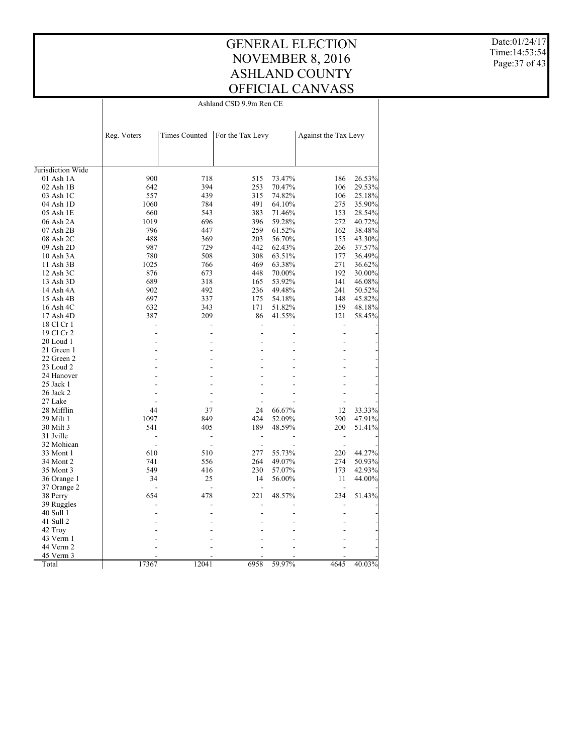#### GENERAL ELECTION NOVEMBER 8, 2016 ASHLAND COUNTY OFFICIAL CANVASS Ashland CSD 9.9m Ren CE

 $\overline{\phantom{a}}$ 

Date:01/24/17 Time:14:53:54 Page:37 of 43

|                        | <b>Times Counted</b><br>For the Tax Levy<br>Reg. Voters |                       |                | Against the Tax Levy |                       |        |
|------------------------|---------------------------------------------------------|-----------------------|----------------|----------------------|-----------------------|--------|
|                        |                                                         |                       |                |                      |                       |        |
| Jurisdiction Wide      |                                                         |                       |                |                      |                       |        |
| 01 Ash 1A              | 900                                                     | 718                   | 515            | 73.47%               | 186                   | 26.53% |
| $02$ Ash $1B$          | 642                                                     | 394                   | 253            | 70.47%               | 106                   | 29.53% |
| 03 Ash 1C              | 557                                                     | 439                   | 315            | 74.82%               | 106                   | 25.18% |
| 04 Ash 1D              | 1060                                                    | 784                   | 491            | 64.10%               | 275                   | 35.90% |
| 05 Ash 1E              | 660                                                     | 543                   | 383            | 71.46%               | 153                   | 28.54% |
| 06 Ash 2A              | 1019                                                    | 696                   | 396            | 59.28%               | 272                   | 40.72% |
| 07 Ash 2B              | 796                                                     | 447                   | 259            | 61.52%               | 162                   | 38.48% |
| 08 Ash 2C              | 488                                                     | 369                   | 203            | 56.70%               | 155                   | 43.30% |
| 09 Ash 2D              | 987                                                     | 729                   | 442            | 62.43%               | 266                   | 37.57% |
| 10 Ash 3A              | 780                                                     | 508                   | 308            | 63.51%               | 177                   | 36.49% |
| 11 Ash 3B              | 1025                                                    | 766                   | 469            | 63.38%               | 271                   | 36.62% |
| 12 Ash 3C              | 876                                                     | 673                   | 448            | 70.00%               | 192                   | 30.00% |
| 13 Ash 3D              | 689                                                     | 318                   | 165            | 53.92%               | 141                   | 46.08% |
| 14 Ash 4A              | 902                                                     | 492                   | 236            | 49.48%               | 241                   | 50.52% |
| 15 Ash 4B              | 697                                                     | 337                   | 175            | 54.18%               | 148                   | 45.82% |
| 16 Ash 4C              | 632                                                     | 343                   | 171            | 51.82%               | 159                   | 48.18% |
| 17 Ash 4D              | 387                                                     | 209                   | 86             | 41.55%               | 121                   | 58.45% |
| 18 Cl Cr 1             |                                                         |                       | L,             |                      | L,                    |        |
| 19 Cl Cr 2             |                                                         |                       | $\overline{a}$ |                      | Ĭ.                    |        |
| 20 Loud 1              |                                                         |                       | ٠              |                      | ź                     |        |
| 21 Green 1             |                                                         |                       |                |                      |                       |        |
| 22 Green 2             |                                                         |                       |                |                      |                       |        |
| 23 Loud 2              |                                                         |                       |                |                      |                       |        |
| 24 Hanover             |                                                         |                       |                |                      |                       |        |
| 25 Jack 1              |                                                         |                       |                |                      |                       |        |
| 26 Jack 2              |                                                         |                       | ٠              |                      |                       |        |
| 27 Lake                |                                                         |                       |                |                      |                       |        |
| 28 Mifflin             | 44                                                      | 37                    | 24             | 66.67%               | 12                    | 33.33% |
| 29 Milt 1              | 1097                                                    | 849                   | 424            | 52.09%               | 390                   | 47.91% |
|                        | 541                                                     | 405                   | 189            |                      |                       |        |
| 30 Milt 3<br>31 Jville |                                                         | $\overline{a}$        |                | 48.59%               | 200                   | 51.41% |
|                        |                                                         |                       | $\overline{a}$ |                      | $\overline{a}$        |        |
| 32 Mohican             | 610                                                     | $\overline{a}$<br>510 | $\overline{a}$ |                      | $\overline{a}$<br>220 |        |
| 33 Mont 1<br>34 Mont 2 | 741                                                     | 556                   | 277<br>264     | 55.73%<br>49.07%     | 274                   | 44.27% |
|                        | 549                                                     |                       |                |                      |                       | 50.93% |
| 35 Mont 3              |                                                         | 416                   | 230<br>14      | 57.07%               | 173                   | 42.93% |
| 36 Orange 1            | 34                                                      | 25                    |                | 56.00%               | 11                    | 44.00% |
| 37 Orange 2            |                                                         | ÷.                    |                |                      |                       |        |
| 38 Perry               | 654                                                     | 478                   | 221            | 48.57%               | 234                   | 51.43% |
| 39 Ruggles             |                                                         |                       |                |                      |                       |        |
| 40 Sull 1              |                                                         |                       |                |                      |                       |        |
| 41 Sull 2              |                                                         |                       |                |                      |                       |        |
| 42 Troy                |                                                         |                       |                |                      |                       |        |
| 43 Verm 1              |                                                         |                       |                |                      |                       |        |
| 44 Verm 2              |                                                         |                       |                |                      |                       |        |
| 45 Verm 3              |                                                         |                       |                |                      |                       |        |
| Total                  | 17367                                                   | 12041                 | 6958           | 59.97%               | 4645                  | 40.03% |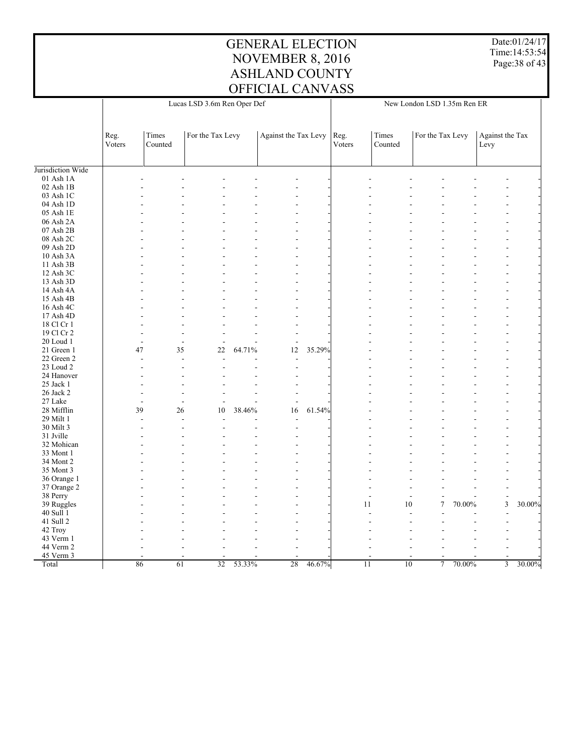Date:01/24/17 Time:14:53:54 Page:38 of 43

| Times<br>For the Tax Levy<br>Against the Tax Levy<br>Times<br>For the Tax Levy<br>Against the Tax<br>Reg.<br>Reg.<br>Voters<br>Counted<br>Voters<br>Counted<br>Levy<br>Jurisdiction Wide<br>01 Ash 1A<br>02 Ash 1B<br>03 Ash 1C<br>04 Ash 1D<br>05 Ash 1E<br>06 Ash 2A<br>07 Ash 2B<br>08 Ash 2C<br>09 Ash 2D<br>10 Ash 3A<br>÷<br>÷<br>11 Ash 3B<br>12 Ash 3C<br>13 Ash 3D<br>L<br>14 Ash 4A<br>15 Ash 4B<br>16 Ash 4C<br>17 Ash 4D<br>18 Cl Cr 1<br>19 Cl Cr 2<br>20 Loud 1<br>L,<br>$\overline{a}$<br>÷,<br>35.29%<br>47<br>35<br>$22\,$<br>64.71%<br>12<br>21 Green 1<br>22 Green 2<br>$\overline{a}$<br>÷.<br>$\overline{\phantom{a}}$<br>23 Loud 2<br>24 Hanover<br>$\blacksquare$<br>25 Jack 1<br>26 Jack 2<br>27 Lake<br>$\overline{a}$<br>$\overline{a}$<br>$\overline{\phantom{a}}$<br>39<br>61.54%<br>26<br>10<br>38.46%<br>16<br>28 Mifflin<br>29 Milt 1<br>L.<br>$\overline{a}$<br>30 Milt 3<br>31 Jville<br>32 Mohican<br>33 Mont 1<br>34 Mont 2<br>35 Mont 3<br>36 Orange 1<br>37 Orange 2<br>38 Perry<br>$\overline{a}$<br>$\overline{a}$<br>$\overline{a}$<br>$\mathfrak{Z}$<br>$\overline{7}$<br>30.00%<br>39 Ruggles<br>11<br>10<br>70.00%<br>40 Sull 1<br>41 Sull 2<br>L.<br>42 Troy<br>43 Verm 1<br>44 Verm 2<br>45 Verm 3<br>46.67%<br>86<br>61<br>$\overline{32}$<br>53.33%<br>28<br>11<br>10<br>$\overline{7}$<br>70.00%<br>$\overline{3}$<br>30.00%<br>Total | Lucas LSD 3.6m Ren Oper Def |  |  |  | New London LSD 1.35m Ren ER |  |  |  |  |  |  |
|---------------------------------------------------------------------------------------------------------------------------------------------------------------------------------------------------------------------------------------------------------------------------------------------------------------------------------------------------------------------------------------------------------------------------------------------------------------------------------------------------------------------------------------------------------------------------------------------------------------------------------------------------------------------------------------------------------------------------------------------------------------------------------------------------------------------------------------------------------------------------------------------------------------------------------------------------------------------------------------------------------------------------------------------------------------------------------------------------------------------------------------------------------------------------------------------------------------------------------------------------------------------------------------------------------------------------------------------------------------------------------------|-----------------------------|--|--|--|-----------------------------|--|--|--|--|--|--|
|                                                                                                                                                                                                                                                                                                                                                                                                                                                                                                                                                                                                                                                                                                                                                                                                                                                                                                                                                                                                                                                                                                                                                                                                                                                                                                                                                                                       |                             |  |  |  |                             |  |  |  |  |  |  |
|                                                                                                                                                                                                                                                                                                                                                                                                                                                                                                                                                                                                                                                                                                                                                                                                                                                                                                                                                                                                                                                                                                                                                                                                                                                                                                                                                                                       |                             |  |  |  |                             |  |  |  |  |  |  |
|                                                                                                                                                                                                                                                                                                                                                                                                                                                                                                                                                                                                                                                                                                                                                                                                                                                                                                                                                                                                                                                                                                                                                                                                                                                                                                                                                                                       |                             |  |  |  |                             |  |  |  |  |  |  |
|                                                                                                                                                                                                                                                                                                                                                                                                                                                                                                                                                                                                                                                                                                                                                                                                                                                                                                                                                                                                                                                                                                                                                                                                                                                                                                                                                                                       |                             |  |  |  |                             |  |  |  |  |  |  |
|                                                                                                                                                                                                                                                                                                                                                                                                                                                                                                                                                                                                                                                                                                                                                                                                                                                                                                                                                                                                                                                                                                                                                                                                                                                                                                                                                                                       |                             |  |  |  |                             |  |  |  |  |  |  |
|                                                                                                                                                                                                                                                                                                                                                                                                                                                                                                                                                                                                                                                                                                                                                                                                                                                                                                                                                                                                                                                                                                                                                                                                                                                                                                                                                                                       |                             |  |  |  |                             |  |  |  |  |  |  |
|                                                                                                                                                                                                                                                                                                                                                                                                                                                                                                                                                                                                                                                                                                                                                                                                                                                                                                                                                                                                                                                                                                                                                                                                                                                                                                                                                                                       |                             |  |  |  |                             |  |  |  |  |  |  |
|                                                                                                                                                                                                                                                                                                                                                                                                                                                                                                                                                                                                                                                                                                                                                                                                                                                                                                                                                                                                                                                                                                                                                                                                                                                                                                                                                                                       |                             |  |  |  |                             |  |  |  |  |  |  |
|                                                                                                                                                                                                                                                                                                                                                                                                                                                                                                                                                                                                                                                                                                                                                                                                                                                                                                                                                                                                                                                                                                                                                                                                                                                                                                                                                                                       |                             |  |  |  |                             |  |  |  |  |  |  |
|                                                                                                                                                                                                                                                                                                                                                                                                                                                                                                                                                                                                                                                                                                                                                                                                                                                                                                                                                                                                                                                                                                                                                                                                                                                                                                                                                                                       |                             |  |  |  |                             |  |  |  |  |  |  |
|                                                                                                                                                                                                                                                                                                                                                                                                                                                                                                                                                                                                                                                                                                                                                                                                                                                                                                                                                                                                                                                                                                                                                                                                                                                                                                                                                                                       |                             |  |  |  |                             |  |  |  |  |  |  |
|                                                                                                                                                                                                                                                                                                                                                                                                                                                                                                                                                                                                                                                                                                                                                                                                                                                                                                                                                                                                                                                                                                                                                                                                                                                                                                                                                                                       |                             |  |  |  |                             |  |  |  |  |  |  |
|                                                                                                                                                                                                                                                                                                                                                                                                                                                                                                                                                                                                                                                                                                                                                                                                                                                                                                                                                                                                                                                                                                                                                                                                                                                                                                                                                                                       |                             |  |  |  |                             |  |  |  |  |  |  |
|                                                                                                                                                                                                                                                                                                                                                                                                                                                                                                                                                                                                                                                                                                                                                                                                                                                                                                                                                                                                                                                                                                                                                                                                                                                                                                                                                                                       |                             |  |  |  |                             |  |  |  |  |  |  |
|                                                                                                                                                                                                                                                                                                                                                                                                                                                                                                                                                                                                                                                                                                                                                                                                                                                                                                                                                                                                                                                                                                                                                                                                                                                                                                                                                                                       |                             |  |  |  |                             |  |  |  |  |  |  |
|                                                                                                                                                                                                                                                                                                                                                                                                                                                                                                                                                                                                                                                                                                                                                                                                                                                                                                                                                                                                                                                                                                                                                                                                                                                                                                                                                                                       |                             |  |  |  |                             |  |  |  |  |  |  |
|                                                                                                                                                                                                                                                                                                                                                                                                                                                                                                                                                                                                                                                                                                                                                                                                                                                                                                                                                                                                                                                                                                                                                                                                                                                                                                                                                                                       |                             |  |  |  |                             |  |  |  |  |  |  |
|                                                                                                                                                                                                                                                                                                                                                                                                                                                                                                                                                                                                                                                                                                                                                                                                                                                                                                                                                                                                                                                                                                                                                                                                                                                                                                                                                                                       |                             |  |  |  |                             |  |  |  |  |  |  |
|                                                                                                                                                                                                                                                                                                                                                                                                                                                                                                                                                                                                                                                                                                                                                                                                                                                                                                                                                                                                                                                                                                                                                                                                                                                                                                                                                                                       |                             |  |  |  |                             |  |  |  |  |  |  |
|                                                                                                                                                                                                                                                                                                                                                                                                                                                                                                                                                                                                                                                                                                                                                                                                                                                                                                                                                                                                                                                                                                                                                                                                                                                                                                                                                                                       |                             |  |  |  |                             |  |  |  |  |  |  |
|                                                                                                                                                                                                                                                                                                                                                                                                                                                                                                                                                                                                                                                                                                                                                                                                                                                                                                                                                                                                                                                                                                                                                                                                                                                                                                                                                                                       |                             |  |  |  |                             |  |  |  |  |  |  |
|                                                                                                                                                                                                                                                                                                                                                                                                                                                                                                                                                                                                                                                                                                                                                                                                                                                                                                                                                                                                                                                                                                                                                                                                                                                                                                                                                                                       |                             |  |  |  |                             |  |  |  |  |  |  |
|                                                                                                                                                                                                                                                                                                                                                                                                                                                                                                                                                                                                                                                                                                                                                                                                                                                                                                                                                                                                                                                                                                                                                                                                                                                                                                                                                                                       |                             |  |  |  |                             |  |  |  |  |  |  |
|                                                                                                                                                                                                                                                                                                                                                                                                                                                                                                                                                                                                                                                                                                                                                                                                                                                                                                                                                                                                                                                                                                                                                                                                                                                                                                                                                                                       |                             |  |  |  |                             |  |  |  |  |  |  |
|                                                                                                                                                                                                                                                                                                                                                                                                                                                                                                                                                                                                                                                                                                                                                                                                                                                                                                                                                                                                                                                                                                                                                                                                                                                                                                                                                                                       |                             |  |  |  |                             |  |  |  |  |  |  |
|                                                                                                                                                                                                                                                                                                                                                                                                                                                                                                                                                                                                                                                                                                                                                                                                                                                                                                                                                                                                                                                                                                                                                                                                                                                                                                                                                                                       |                             |  |  |  |                             |  |  |  |  |  |  |
|                                                                                                                                                                                                                                                                                                                                                                                                                                                                                                                                                                                                                                                                                                                                                                                                                                                                                                                                                                                                                                                                                                                                                                                                                                                                                                                                                                                       |                             |  |  |  |                             |  |  |  |  |  |  |
|                                                                                                                                                                                                                                                                                                                                                                                                                                                                                                                                                                                                                                                                                                                                                                                                                                                                                                                                                                                                                                                                                                                                                                                                                                                                                                                                                                                       |                             |  |  |  |                             |  |  |  |  |  |  |
|                                                                                                                                                                                                                                                                                                                                                                                                                                                                                                                                                                                                                                                                                                                                                                                                                                                                                                                                                                                                                                                                                                                                                                                                                                                                                                                                                                                       |                             |  |  |  |                             |  |  |  |  |  |  |
|                                                                                                                                                                                                                                                                                                                                                                                                                                                                                                                                                                                                                                                                                                                                                                                                                                                                                                                                                                                                                                                                                                                                                                                                                                                                                                                                                                                       |                             |  |  |  |                             |  |  |  |  |  |  |
|                                                                                                                                                                                                                                                                                                                                                                                                                                                                                                                                                                                                                                                                                                                                                                                                                                                                                                                                                                                                                                                                                                                                                                                                                                                                                                                                                                                       |                             |  |  |  |                             |  |  |  |  |  |  |
|                                                                                                                                                                                                                                                                                                                                                                                                                                                                                                                                                                                                                                                                                                                                                                                                                                                                                                                                                                                                                                                                                                                                                                                                                                                                                                                                                                                       |                             |  |  |  |                             |  |  |  |  |  |  |
|                                                                                                                                                                                                                                                                                                                                                                                                                                                                                                                                                                                                                                                                                                                                                                                                                                                                                                                                                                                                                                                                                                                                                                                                                                                                                                                                                                                       |                             |  |  |  |                             |  |  |  |  |  |  |
|                                                                                                                                                                                                                                                                                                                                                                                                                                                                                                                                                                                                                                                                                                                                                                                                                                                                                                                                                                                                                                                                                                                                                                                                                                                                                                                                                                                       |                             |  |  |  |                             |  |  |  |  |  |  |
|                                                                                                                                                                                                                                                                                                                                                                                                                                                                                                                                                                                                                                                                                                                                                                                                                                                                                                                                                                                                                                                                                                                                                                                                                                                                                                                                                                                       |                             |  |  |  |                             |  |  |  |  |  |  |
|                                                                                                                                                                                                                                                                                                                                                                                                                                                                                                                                                                                                                                                                                                                                                                                                                                                                                                                                                                                                                                                                                                                                                                                                                                                                                                                                                                                       |                             |  |  |  |                             |  |  |  |  |  |  |
|                                                                                                                                                                                                                                                                                                                                                                                                                                                                                                                                                                                                                                                                                                                                                                                                                                                                                                                                                                                                                                                                                                                                                                                                                                                                                                                                                                                       |                             |  |  |  |                             |  |  |  |  |  |  |
|                                                                                                                                                                                                                                                                                                                                                                                                                                                                                                                                                                                                                                                                                                                                                                                                                                                                                                                                                                                                                                                                                                                                                                                                                                                                                                                                                                                       |                             |  |  |  |                             |  |  |  |  |  |  |
|                                                                                                                                                                                                                                                                                                                                                                                                                                                                                                                                                                                                                                                                                                                                                                                                                                                                                                                                                                                                                                                                                                                                                                                                                                                                                                                                                                                       |                             |  |  |  |                             |  |  |  |  |  |  |
|                                                                                                                                                                                                                                                                                                                                                                                                                                                                                                                                                                                                                                                                                                                                                                                                                                                                                                                                                                                                                                                                                                                                                                                                                                                                                                                                                                                       |                             |  |  |  |                             |  |  |  |  |  |  |
|                                                                                                                                                                                                                                                                                                                                                                                                                                                                                                                                                                                                                                                                                                                                                                                                                                                                                                                                                                                                                                                                                                                                                                                                                                                                                                                                                                                       |                             |  |  |  |                             |  |  |  |  |  |  |
|                                                                                                                                                                                                                                                                                                                                                                                                                                                                                                                                                                                                                                                                                                                                                                                                                                                                                                                                                                                                                                                                                                                                                                                                                                                                                                                                                                                       |                             |  |  |  |                             |  |  |  |  |  |  |
|                                                                                                                                                                                                                                                                                                                                                                                                                                                                                                                                                                                                                                                                                                                                                                                                                                                                                                                                                                                                                                                                                                                                                                                                                                                                                                                                                                                       |                             |  |  |  |                             |  |  |  |  |  |  |
|                                                                                                                                                                                                                                                                                                                                                                                                                                                                                                                                                                                                                                                                                                                                                                                                                                                                                                                                                                                                                                                                                                                                                                                                                                                                                                                                                                                       |                             |  |  |  |                             |  |  |  |  |  |  |
|                                                                                                                                                                                                                                                                                                                                                                                                                                                                                                                                                                                                                                                                                                                                                                                                                                                                                                                                                                                                                                                                                                                                                                                                                                                                                                                                                                                       |                             |  |  |  |                             |  |  |  |  |  |  |
|                                                                                                                                                                                                                                                                                                                                                                                                                                                                                                                                                                                                                                                                                                                                                                                                                                                                                                                                                                                                                                                                                                                                                                                                                                                                                                                                                                                       |                             |  |  |  |                             |  |  |  |  |  |  |
|                                                                                                                                                                                                                                                                                                                                                                                                                                                                                                                                                                                                                                                                                                                                                                                                                                                                                                                                                                                                                                                                                                                                                                                                                                                                                                                                                                                       |                             |  |  |  |                             |  |  |  |  |  |  |
|                                                                                                                                                                                                                                                                                                                                                                                                                                                                                                                                                                                                                                                                                                                                                                                                                                                                                                                                                                                                                                                                                                                                                                                                                                                                                                                                                                                       |                             |  |  |  |                             |  |  |  |  |  |  |
|                                                                                                                                                                                                                                                                                                                                                                                                                                                                                                                                                                                                                                                                                                                                                                                                                                                                                                                                                                                                                                                                                                                                                                                                                                                                                                                                                                                       |                             |  |  |  |                             |  |  |  |  |  |  |
|                                                                                                                                                                                                                                                                                                                                                                                                                                                                                                                                                                                                                                                                                                                                                                                                                                                                                                                                                                                                                                                                                                                                                                                                                                                                                                                                                                                       |                             |  |  |  |                             |  |  |  |  |  |  |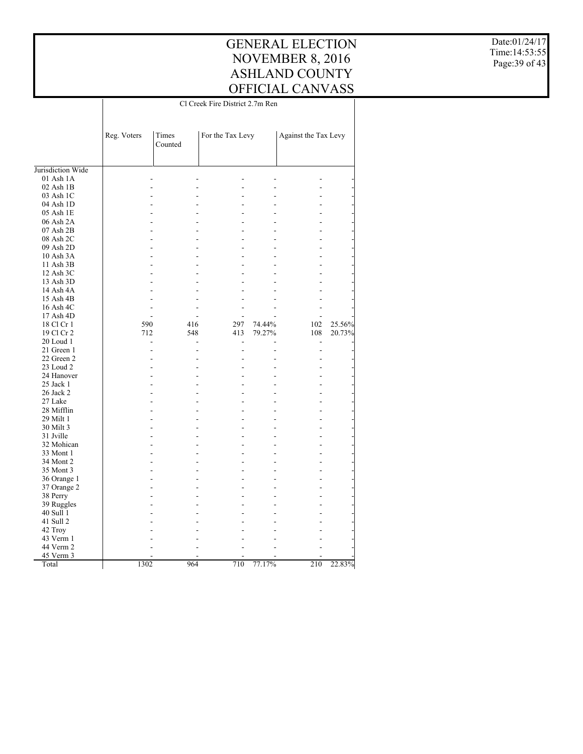#### GENERAL ELECTION NOVEMBER 8, 2016 ASHLAND COUNTY OFFICIAL CANVASS Cl Creek Fire District 2.7m Ren

 $\overline{\phantom{a}}$ 

Date:01/24/17 Time:14:53:55 Page:39 of 43

|                        | Reg. Voters | Times<br>Counted | For the Tax Levy |        | Against the Tax Levy     |        |
|------------------------|-------------|------------------|------------------|--------|--------------------------|--------|
|                        |             |                  |                  |        |                          |        |
| Jurisdiction Wide      |             |                  |                  |        |                          |        |
| $01$ Ash $1A$          |             |                  |                  |        |                          |        |
| $02$ Ash $1B$          |             |                  |                  |        |                          |        |
| 03 Ash 1C              |             |                  |                  |        |                          |        |
| 04 Ash 1D              |             |                  |                  |        |                          |        |
| 05 Ash 1E              |             |                  |                  |        |                          |        |
| 06 Ash 2A              |             |                  |                  |        |                          |        |
| 07 Ash 2B<br>08 Ash 2C |             |                  |                  |        |                          |        |
| 09 Ash 2D              |             |                  |                  |        |                          |        |
| 10 Ash 3A              |             |                  |                  |        |                          |        |
| 11 Ash 3B              |             |                  |                  |        |                          |        |
| 12 Ash 3C              |             |                  |                  |        |                          |        |
|                        |             |                  |                  |        |                          |        |
| 13 Ash 3D<br>14 Ash 4A |             |                  |                  |        |                          |        |
| 15 Ash 4B              |             |                  |                  |        |                          |        |
| 16 Ash 4C              |             |                  |                  |        |                          |        |
| 17 Ash 4D              |             |                  | ٠                |        |                          |        |
| 18 Cl Cr 1             | 590         | 416              | 297              | 74.44% | 102                      | 25.56% |
| 19 Cl Cr 2             | 712         | 548              | 413              | 79.27% | 108                      | 20.73% |
| 20 Loud 1              |             |                  | $\overline{a}$   |        | $\overline{\phantom{a}}$ |        |
| 21 Green 1             |             |                  |                  |        | $\overline{a}$           |        |
| 22 Green 2             |             |                  |                  |        |                          |        |
| 23 Loud 2              |             |                  |                  |        |                          |        |
| 24 Hanover             |             |                  |                  |        |                          |        |
| 25 Jack 1              |             |                  |                  |        |                          |        |
| 26 Jack 2              |             |                  |                  |        |                          |        |
| 27 Lake                |             |                  |                  |        |                          |        |
| 28 Mifflin             |             |                  |                  |        |                          |        |
| 29 Milt 1              |             |                  |                  |        |                          |        |
| 30 Milt 3              |             |                  |                  |        |                          |        |
| 31 Jville              |             |                  |                  |        |                          |        |
| 32 Mohican             |             |                  |                  |        |                          |        |
| 33 Mont 1              |             |                  |                  |        |                          |        |
| 34 Mont 2              |             |                  |                  |        |                          |        |
| 35 Mont 3              |             |                  |                  |        |                          |        |
| 36 Orange 1            |             |                  |                  |        |                          |        |
| 37 Orange 2            |             |                  |                  |        |                          |        |
| 38 Perry               |             |                  |                  |        |                          |        |
| 39 Ruggles             |             |                  |                  |        |                          |        |
| 40 Sull 1              |             |                  |                  |        |                          |        |
| 41 Sull 2              |             |                  |                  |        |                          |        |
| 42 Troy                |             |                  |                  |        |                          |        |
| 43 Verm 1              |             |                  |                  |        |                          |        |
| 44 Verm 2              |             |                  |                  |        |                          |        |
| 45 Verm 3              |             |                  |                  |        |                          |        |
| Total                  | 1302        | 964              | 710              | 77.17% | 210                      | 22.83% |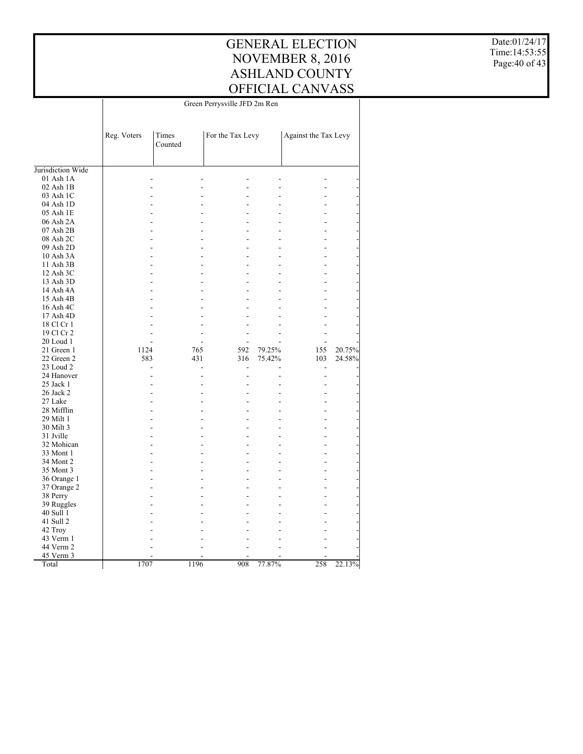GENERAL ELECTION NOVEMBER 8, 2016 ASHLAND COUNTY OFFICIAL CANVASS Green Perrysville JFD 2m Ren

 $\overline{\phantom{a}}$ 

Date:01/24/17 Time:14:53:55 Page:40 of 43

|                   | Reg. Voters    | Times<br>Counted | For the Tax Levy |        | Against the Tax Levy |        |
|-------------------|----------------|------------------|------------------|--------|----------------------|--------|
| Jurisdiction Wide |                |                  |                  |        |                      |        |
| 01 Ash 1A         |                |                  |                  |        |                      |        |
| $02$ Ash $1B$     |                |                  |                  |        |                      |        |
| 03 Ash 1C         | L.             |                  |                  |        |                      |        |
| 04 Ash 1D         | L,             |                  |                  |        |                      |        |
| 05 Ash 1E         |                |                  |                  |        |                      |        |
| 06 Ash 2A         | L,             |                  | ۳                |        |                      |        |
| 07 Ash 2B         |                |                  |                  |        |                      |        |
| 08 Ash 2C         | L.             |                  | ÷                |        |                      |        |
| 09 Ash 2D         | L,             |                  |                  |        |                      |        |
| 10 Ash 3A         |                |                  |                  |        |                      |        |
|                   | L.             |                  | ٠                |        |                      |        |
| 11 Ash 3B         |                |                  |                  |        |                      |        |
| 12 Ash 3C         | L.             |                  | ٠                |        |                      |        |
| 13 Ash 3D         |                |                  |                  |        |                      |        |
| 14 Ash 4A         | L,             |                  |                  |        |                      |        |
| 15 Ash 4B         |                |                  |                  |        |                      |        |
| 16 Ash 4C         | L.             |                  | ۳                |        |                      |        |
| 17 Ash 4D         |                |                  |                  |        |                      |        |
| 18 Cl Cr 1        |                |                  |                  |        |                      |        |
| 19 Cl Cr 2        |                |                  |                  |        |                      |        |
| 20 Loud 1         |                |                  |                  |        |                      |        |
| 21 Green 1        | 1124           | 765              | 592              | 79.25% | 155                  | 20.75% |
| 22 Green 2        | 583            | 431              | 316              | 75.42% | 103                  | 24.58% |
| 23 Loud 2         | $\overline{a}$ |                  | $\overline{a}$   | L.     | L,                   |        |
| 24 Hanover        | L,             |                  | $\overline{a}$   |        | $\overline{a}$       |        |
| 25 Jack 1         |                |                  |                  |        |                      |        |
| 26 Jack 2         | ÷.             |                  | ٠                | L.     |                      |        |
| 27 Lake           |                |                  |                  |        |                      |        |
| 28 Mifflin        | L,             |                  | ٠                |        |                      |        |
| 29 Milt 1         | Ē,             |                  |                  |        |                      |        |
| 30 Milt 3         |                |                  |                  |        |                      |        |
| 31 Jville         | L.             |                  | ٠                |        |                      |        |
| 32 Mohican        |                |                  |                  |        |                      |        |
| 33 Mont 1         | L.             |                  | ٠                |        |                      |        |
| 34 Mont 2         | Ē,             |                  |                  |        |                      |        |
| 35 Mont 3         |                |                  |                  |        |                      |        |
| 36 Orange 1       | ÷.             |                  | ٠                |        |                      |        |
| 37 Orange 2       |                |                  |                  |        |                      |        |
| 38 Perry          | L.             |                  |                  |        |                      |        |
| 39 Ruggles        |                |                  |                  |        |                      |        |
| 40 Sull 1         |                |                  |                  |        |                      |        |
| 41 Sull 2         |                |                  |                  |        |                      |        |
| 42 Troy           |                |                  |                  |        |                      |        |
| 43 Verm 1         |                |                  |                  |        |                      |        |
| 44 Verm 2         |                |                  |                  |        |                      |        |
| 45 Verm 3         |                |                  |                  |        |                      |        |
| Total             | 1707           | 1196             | 908              | 77.87% | 258                  | 22.13% |

 $\overline{1}$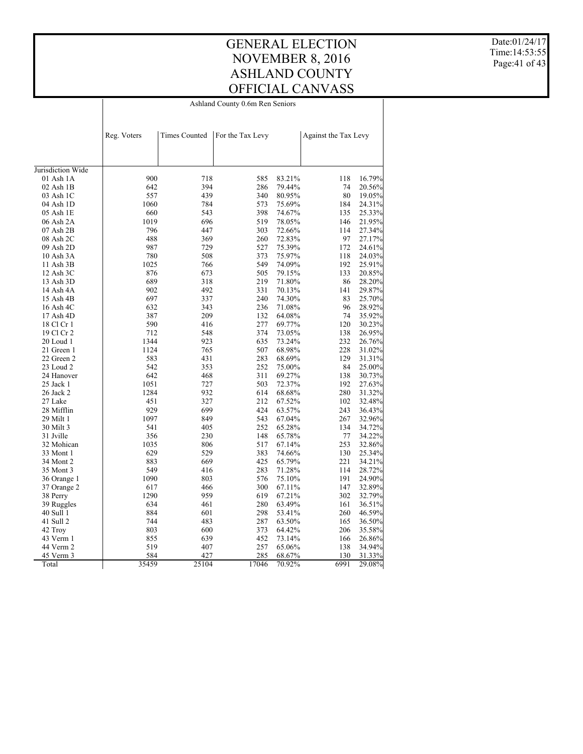Ashland County 0.6m Ren Seniors

Date:01/24/17 Time:14:53:55 Page:41 of 43

|                   | Reg. Voters | <b>Times Counted</b> | For the Tax Levy |        | Against the Tax Levy |        |
|-------------------|-------------|----------------------|------------------|--------|----------------------|--------|
|                   |             |                      |                  |        |                      |        |
| Jurisdiction Wide |             |                      |                  |        |                      |        |
| 01 Ash 1A         | 900         | 718                  | 585              | 83.21% | 118                  | 16.79% |
| 02 Ash 1B         | 642         | 394                  | 286              | 79.44% | 74                   | 20.56% |
| 03 Ash 1C         | 557         | 439                  | 340              | 80.95% | 80                   | 19.05% |
| 04 Ash 1D         | 1060        | 784                  | 573              | 75.69% | 184                  | 24.31% |
| 05 Ash 1E         | 660         | 543                  | 398              | 74.67% | 135                  | 25.33% |
| 06 Ash 2A         | 1019        | 696                  | 519              | 78.05% | 146                  | 21.95% |
| 07 Ash 2B         | 796         | 447                  | 303              | 72.66% | 114                  | 27.34% |
| 08 Ash 2C         | 488         | 369                  | 260              | 72.83% | 97                   | 27.17% |
| 09 Ash 2D         | 987         | 729                  | 527              | 75.39% | 172                  | 24.61% |
| 10 Ash 3A         | 780         | 508                  | 373              | 75.97% | 118                  | 24.03% |
| 11 Ash 3B         | 1025        | 766                  | 549              | 74.09% | 192                  | 25.91% |
| $12$ Ash $3C$     | 876         | 673                  | 505              | 79.15% | 133                  | 20.85% |
| 13 Ash 3D         | 689         | 318                  | 219              | 71.80% | 86                   | 28.20% |
| 14 Ash 4A         | 902         | 492                  | 331              | 70.13% | 141                  | 29.87% |
| 15 Ash 4B         | 697         | 337                  | 240              | 74.30% | 83                   | 25.70% |
| 16 Ash 4C         | 632         | 343                  | 236              | 71.08% | 96                   | 28.92% |
| 17 Ash 4D         | 387         | 209                  | 132              | 64.08% | 74                   | 35.92% |
| 18 Cl Cr 1        | 590         | 416                  | 277              | 69.77% | 120                  | 30.23% |
| 19 Cl Cr 2        | 712         | 548                  | 374              | 73.05% | 138                  | 26.95% |
| 20 Loud 1         | 1344        | 923                  | 635              | 73.24% | 232                  | 26.76% |
| 21 Green 1        | 1124        | 765                  | 507              | 68.98% | 228                  | 31.02% |
| 22 Green 2        | 583         | 431                  | 283              | 68.69% | 129                  | 31.31% |
| 23 Loud 2         | 542         | 353                  | 252              | 75.00% | 84                   | 25.00% |
| 24 Hanover        | 642         | 468                  | 311              | 69.27% | 138                  | 30.73% |
| 25 Jack 1         | 1051        | 727                  | 503              | 72.37% | 192                  | 27.63% |
| 26 Jack 2         | 1284        | 932                  | 614              | 68.68% | 280                  | 31.32% |
| 27 Lake           | 451         | 327                  | 212              | 67.52% | 102                  | 32.48% |
| 28 Mifflin        | 929         | 699                  | 424              | 63.57% | 243                  | 36.43% |
| 29 Milt 1         | 1097        | 849                  | 543              | 67.04% | 267                  | 32.96% |
| 30 Milt 3         | 541         | 405                  | 252              | 65.28% | 134                  | 34.72% |
| 31 Jville         | 356         | 230                  | 148              | 65.78% | 77                   | 34.22% |
| 32 Mohican        | 1035        | 806                  | 517              | 67.14% | 253                  | 32.86% |
| 33 Mont 1         | 629         | 529                  | 383              | 74.66% | 130                  | 25.34% |
| 34 Mont 2         | 883         | 669                  | 425              | 65.79% | 221                  | 34.21% |
| 35 Mont 3         | 549         | 416                  | 283              | 71.28% | 114                  | 28.72% |
| 36 Orange 1       | 1090        | 803                  | 576              | 75.10% | 191                  | 24.90% |
| 37 Orange 2       | 617         | 466                  | 300              | 67.11% | 147                  | 32.89% |
| 38 Perry          | 1290        | 959                  | 619              | 67.21% | 302                  | 32.79% |
| 39 Ruggles        | 634         | 461                  | 280              | 63.49% | 161                  | 36.51% |
| 40 Sull 1         | 884         | 601                  | 298              | 53.41% | 260                  | 46.59% |
| 41 Sull 2         | 744         | 483                  | 287              | 63.50% | 165                  | 36.50% |
| 42 Troy           | 803         | 600                  | 373              | 64.42% | 206                  | 35.58% |
| 43 Verm 1         | 855         | 639                  | 452              | 73.14% | 166                  | 26.86% |
| 44 Verm 2         | 519         | 407                  | 257              | 65.06% | 138                  | 34.94% |
| 45 Verm 3         | 584         | 427                  | 285              | 68.67% | 130                  | 31.33% |
| Total             | 35459       | 25104                | 17046            | 70.92% | 6991                 | 29.08% |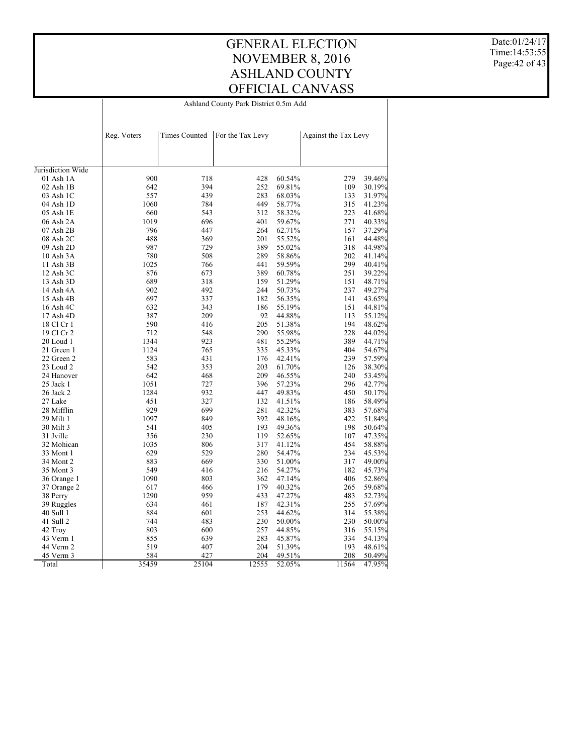GENERAL ELECTION NOVEMBER 8, 2016 ASHLAND COUNTY OFFICIAL CANVASS Ashland County Park District 0.5m Add

Date:01/24/17 Time:14:53:55 Page:42 of 43

|                   | Reg. Voters | <b>Times Counted</b> | For the Tax Levy |        | Against the Tax Levy |        |
|-------------------|-------------|----------------------|------------------|--------|----------------------|--------|
|                   |             |                      |                  |        |                      |        |
| Jurisdiction Wide |             |                      |                  |        |                      |        |
| 01 Ash 1A         | 900         | 718                  | 428              | 60.54% | 279                  | 39.46% |
| 02 Ash 1B         | 642         | 394                  | 252              | 69.81% | 109                  | 30.19% |
| 03 Ash 1C         | 557         | 439                  | 283              | 68.03% | 133                  | 31.97% |
| 04 Ash 1D         | 1060        | 784                  | 449              | 58.77% | 315                  | 41.23% |
| 05 Ash 1E         | 660         | 543                  | 312              | 58.32% | 223                  | 41.68% |
| 06 Ash 2A         | 1019        | 696                  | 401              | 59.67% | 271                  | 40.33% |
| 07 Ash 2B         | 796         | 447                  | 264              | 62.71% | 157                  | 37.29% |
| 08 Ash 2C         | 488         | 369                  | 201              | 55.52% | 161                  | 44.48% |
| 09 Ash 2D         | 987         | 729                  | 389              | 55.02% | 318                  | 44.98% |
| 10 Ash 3A         | 780         | 508                  | 289              | 58.86% | 202                  | 41.14% |
| 11 Ash 3B         | 1025        | 766                  | 441              | 59.59% | 299                  | 40.41% |
| 12 Ash 3C         | 876         | 673                  | 389              | 60.78% | 251                  | 39.22% |
| 13 Ash 3D         | 689         | 318                  | 159              | 51.29% | 151                  | 48.71% |
| 14 Ash 4A         | 902         | 492                  | 244              | 50.73% | 237                  | 49.27% |
| 15 Ash 4B         | 697         | 337                  | 182              | 56.35% | 141                  | 43.65% |
| 16 Ash 4C         | 632         | 343                  | 186              | 55.19% | 151                  | 44.81% |
| 17 Ash 4D         | 387         | 209                  | 92               | 44.88% | 113                  | 55.12% |
| 18 Cl Cr 1        | 590         | 416                  | 205              | 51.38% | 194                  | 48.62% |
| 19 Cl Cr 2        | 712         | 548                  | 290              | 55.98% | 228                  | 44.02% |
| 20 Loud 1         | 1344        | 923                  | 481              | 55.29% | 389                  | 44.71% |
| 21 Green 1        | 1124        | 765                  | 335              | 45.33% | 404                  | 54.67% |
| 22 Green 2        | 583         | 431                  | 176              | 42.41% | 239                  | 57.59% |
| 23 Loud 2         | 542         | 353                  | 203              | 61.70% | 126                  | 38.30% |
| 24 Hanover        | 642         | 468                  | 209              | 46.55% | 240                  | 53.45% |
| 25 Jack 1         | 1051        | 727                  | 396              | 57.23% | 296                  | 42.77% |
| 26 Jack 2         | 1284        | 932                  | 447              | 49.83% | 450                  | 50.17% |
| 27 Lake           | 451         | 327                  | 132              | 41.51% | 186                  | 58.49% |
| 28 Mifflin        | 929         | 699                  | 281              | 42.32% | 383                  | 57.68% |
| 29 Milt 1         | 1097        | 849                  | 392              | 48.16% | 422                  | 51.84% |
| 30 Milt 3         | 541         | 405                  | 193              | 49.36% | 198                  | 50.64% |
| 31 Jville         | 356         | 230                  | 119              | 52.65% | 107                  | 47.35% |
| 32 Mohican        | 1035        | 806                  | 317              | 41.12% | 454                  | 58.88% |
| 33 Mont 1         | 629         | 529                  | 280              | 54.47% | 234                  | 45.53% |
| 34 Mont 2         | 883         | 669                  | 330              | 51.00% | 317                  | 49.00% |
| 35 Mont 3         | 549         | 416                  | 216              | 54.27% | 182                  | 45.73% |
| 36 Orange 1       | 1090        | 803                  | 362              | 47.14% | 406                  | 52.86% |
| 37 Orange 2       | 617         | 466                  | 179              | 40.32% | 265                  | 59.68% |
| 38 Perry          | 1290        | 959                  | 433              | 47.27% | 483                  | 52.73% |
| 39 Ruggles        | 634         | 461                  | 187              | 42.31% | 255                  | 57.69% |
| 40 Sull 1         | 884         | 601                  | 253              | 44.62% | 314                  | 55.38% |
| 41 Sull 2         | 744         | 483                  | 230              | 50.00% | 230                  | 50.00% |
| 42 Troy           | 803         | 600                  | 257              | 44.85% | 316                  | 55.15% |
| 43 Verm 1         | 855         | 639                  | 283              | 45.87% | 334                  | 54.13% |
| 44 Verm 2         | 519         | 407                  | 204              | 51.39% | 193                  | 48.61% |
| 45 Verm 3         | 584         | 427                  | 204              | 49.51% | 208                  | 50.49% |
| Total             | 35459       | 25104                | 12555            | 52.05% | 11564                | 47.95% |